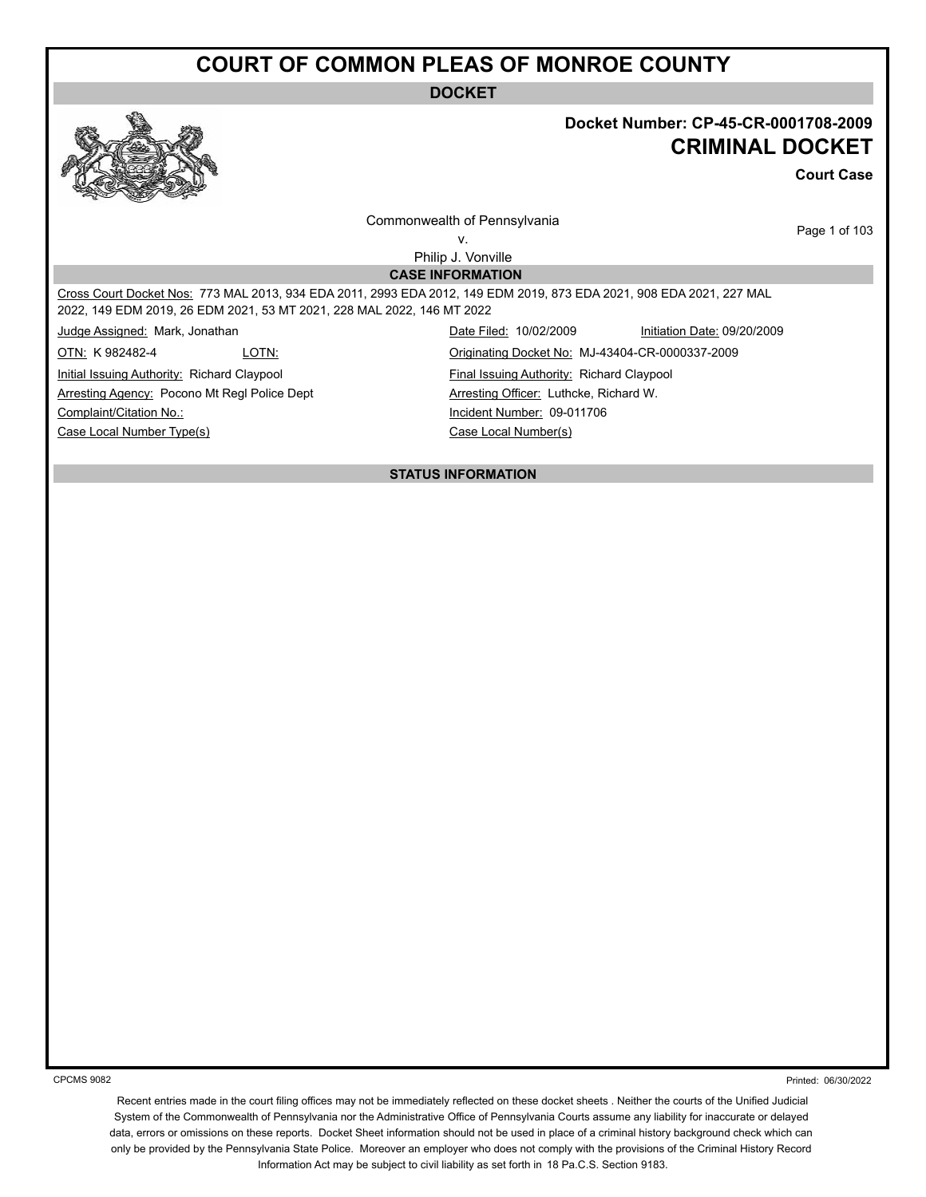**DOCKET**

#### **Docket Number: CP-45-CR-0001708-2009 CRIMINAL DOCKET**

**Court Case**

Commonwealth of Pennsylvania v.

Page 1 of 103

Philip J. Vonville **CASE INFORMATION**

Cross Court Docket Nos: 773 MAL 2013, 934 EDA 2011, 2993 EDA 2012, 149 EDM 2019, 873 EDA 2021, 908 EDA 2021, 227 MAL 2022, 149 EDM 2019, 26 EDM 2021, 53 MT 2021, 228 MAL 2022, 146 MT 2022

**Initial Issuing Authority: Richard Claypool** Final Issuing Authority: Richard Claypool Arresting Agency: Pocono Mt Regl Police Dept **Arresting Officer:** Luthcke, Richard W. Complaint/Citation No.: Incident Number: 09-011706

Case Local Number Type(s) Case Local Number(s)

Judge Assigned: Mark, Jonathan Date Filed: 10/02/2009 Initiation Date: 09/20/2009 OTN: K 982482-4 LOTN: Originating Docket No: MJ-43404-CR-0000337-2009

**STATUS INFORMATION**

CPCMS 9082

Printed: 06/30/2022

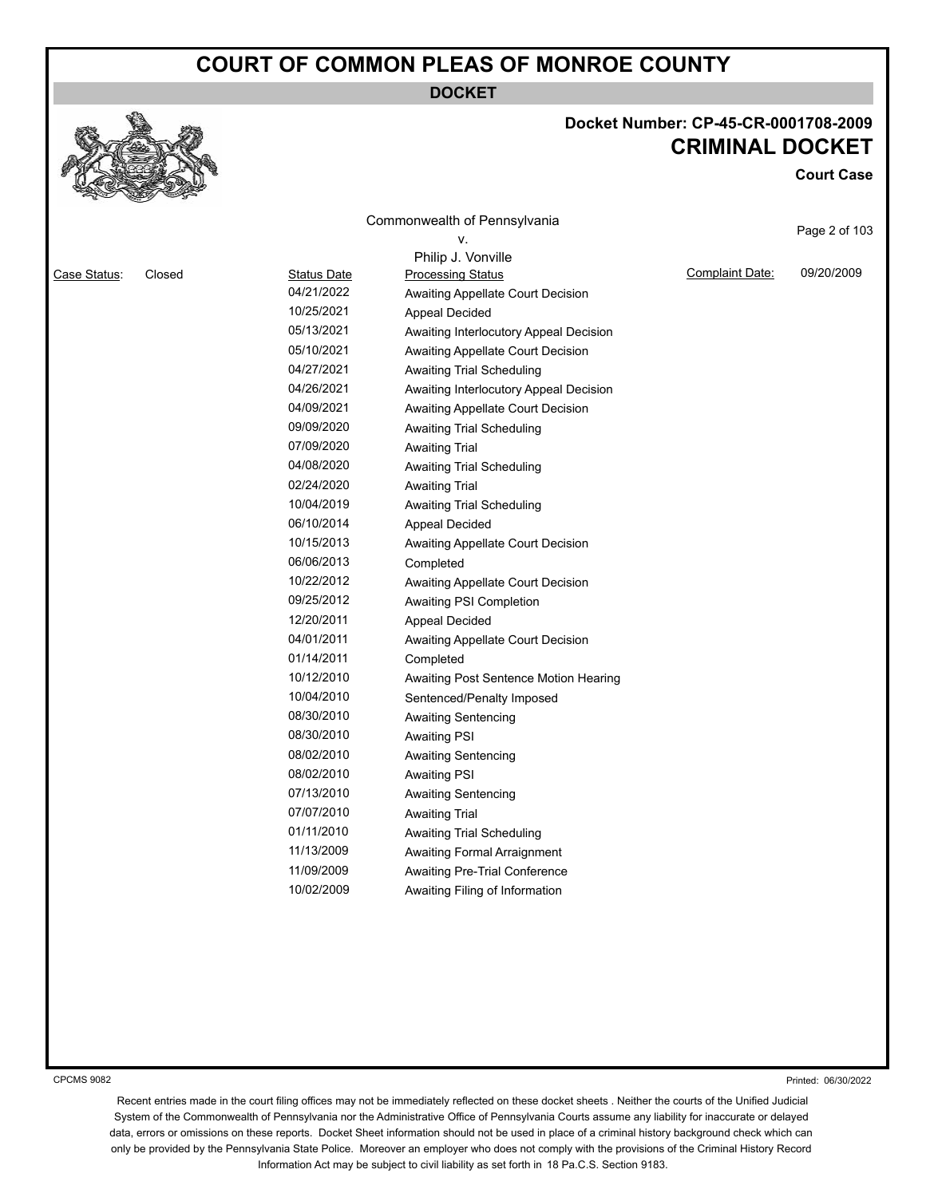**DOCKET**

#### **Docket Number: CP-45-CR-0001708-2009 CRIMINAL DOCKET**

**Court Case**

|              |        |                    | Commonwealth of Pennsylvania<br>۷.     |                 | Page 2 of 103 |
|--------------|--------|--------------------|----------------------------------------|-----------------|---------------|
|              |        |                    | Philip J. Vonville                     |                 |               |
| Case Status: | Closed | <b>Status Date</b> | <b>Processing Status</b>               | Complaint Date: | 09/20/2009    |
|              |        | 04/21/2022         | Awaiting Appellate Court Decision      |                 |               |
|              |        | 10/25/2021         | <b>Appeal Decided</b>                  |                 |               |
|              |        | 05/13/2021         | Awaiting Interlocutory Appeal Decision |                 |               |
|              |        | 05/10/2021         | Awaiting Appellate Court Decision      |                 |               |
|              |        | 04/27/2021         | Awaiting Trial Scheduling              |                 |               |
|              |        | 04/26/2021         | Awaiting Interlocutory Appeal Decision |                 |               |
|              |        | 04/09/2021         | Awaiting Appellate Court Decision      |                 |               |
|              |        | 09/09/2020         | Awaiting Trial Scheduling              |                 |               |
|              |        | 07/09/2020         | <b>Awaiting Trial</b>                  |                 |               |
|              |        | 04/08/2020         | <b>Awaiting Trial Scheduling</b>       |                 |               |
|              |        | 02/24/2020         | <b>Awaiting Trial</b>                  |                 |               |
|              |        | 10/04/2019         | Awaiting Trial Scheduling              |                 |               |
|              |        | 06/10/2014         | <b>Appeal Decided</b>                  |                 |               |
|              |        | 10/15/2013         | Awaiting Appellate Court Decision      |                 |               |
|              |        | 06/06/2013         | Completed                              |                 |               |
|              |        | 10/22/2012         | Awaiting Appellate Court Decision      |                 |               |
|              |        | 09/25/2012         | Awaiting PSI Completion                |                 |               |
|              |        | 12/20/2011         | <b>Appeal Decided</b>                  |                 |               |
|              |        | 04/01/2011         | Awaiting Appellate Court Decision      |                 |               |
|              |        | 01/14/2011         | Completed                              |                 |               |
|              |        | 10/12/2010         | Awaiting Post Sentence Motion Hearing  |                 |               |
|              |        | 10/04/2010         | Sentenced/Penalty Imposed              |                 |               |
|              |        | 08/30/2010         | Awaiting Sentencing                    |                 |               |
|              |        | 08/30/2010         | <b>Awaiting PSI</b>                    |                 |               |
|              |        | 08/02/2010         | <b>Awaiting Sentencing</b>             |                 |               |
|              |        | 08/02/2010         | Awaiting PSI                           |                 |               |
|              |        | 07/13/2010         | <b>Awaiting Sentencing</b>             |                 |               |
|              |        | 07/07/2010         | <b>Awaiting Trial</b>                  |                 |               |
|              |        | 01/11/2010         | <b>Awaiting Trial Scheduling</b>       |                 |               |
|              |        | 11/13/2009         | Awaiting Formal Arraignment            |                 |               |
|              |        | 11/09/2009         | Awaiting Pre-Trial Conference          |                 |               |
|              |        | 10/02/2009         | Awaiting Filing of Information         |                 |               |
|              |        |                    |                                        |                 |               |
|              |        |                    |                                        |                 |               |

CPCMS 9082

Printed: 06/30/2022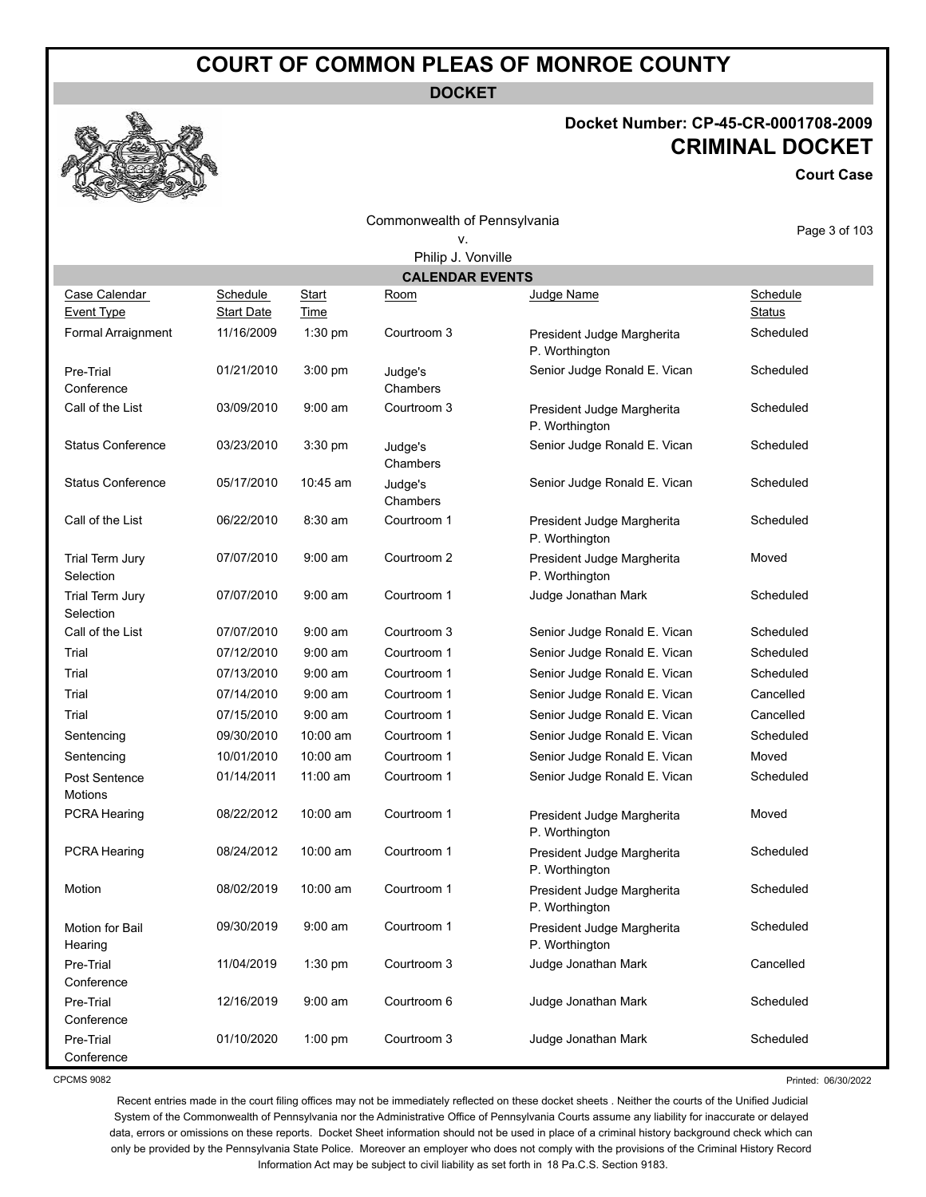**DOCKET**

#### **Docket Number: CP-45-CR-0001708-2009 CRIMINAL DOCKET**

**Court Case**

Commonwealth of Pennsylvania v.

Page 3 of 103

|                                    | Philip J. Vonville                   |               |                        |                                              |                           |
|------------------------------------|--------------------------------------|---------------|------------------------|----------------------------------------------|---------------------------|
|                                    |                                      |               | <b>CALENDAR EVENTS</b> |                                              |                           |
| Case Calendar<br><b>Event Type</b> | <b>Schedule</b><br><b>Start Date</b> | Start<br>Time | Room                   | Judge Name                                   | Schedule<br><b>Status</b> |
| Formal Arraignment                 | 11/16/2009                           | 1:30 pm       | Courtroom 3            | President Judge Margherita<br>P. Worthington | Scheduled                 |
| Pre-Trial<br>Conference            | 01/21/2010                           | 3:00 pm       | Judge's<br>Chambers    | Senior Judge Ronald E. Vican                 | Scheduled                 |
| Call of the List                   | 03/09/2010                           | $9:00$ am     | Courtroom 3            | President Judge Margherita<br>P. Worthington | Scheduled                 |
| <b>Status Conference</b>           | 03/23/2010                           | 3:30 pm       | Judge's<br>Chambers    | Senior Judge Ronald E. Vican                 | Scheduled                 |
| <b>Status Conference</b>           | 05/17/2010                           | 10:45 am      | Judge's<br>Chambers    | Senior Judge Ronald E. Vican                 | Scheduled                 |
| Call of the List                   | 06/22/2010                           | 8:30 am       | Courtroom 1            | President Judge Margherita<br>P. Worthington | Scheduled                 |
| Trial Term Jury<br>Selection       | 07/07/2010                           | $9:00$ am     | Courtroom 2            | President Judge Margherita<br>P. Worthington | Moved                     |
| Trial Term Jury<br>Selection       | 07/07/2010                           | $9:00$ am     | Courtroom 1            | Judge Jonathan Mark                          | Scheduled                 |
| Call of the List                   | 07/07/2010                           | $9:00$ am     | Courtroom 3            | Senior Judge Ronald E. Vican                 | Scheduled                 |
| Trial                              | 07/12/2010                           | $9:00$ am     | Courtroom 1            | Senior Judge Ronald E. Vican                 | Scheduled                 |
| Trial                              | 07/13/2010                           | $9:00$ am     | Courtroom 1            | Senior Judge Ronald E. Vican                 | Scheduled                 |
| Trial                              | 07/14/2010                           | $9:00$ am     | Courtroom 1            | Senior Judge Ronald E. Vican                 | Cancelled                 |
| Trial                              | 07/15/2010                           | $9:00$ am     | Courtroom 1            | Senior Judge Ronald E. Vican                 | Cancelled                 |
| Sentencing                         | 09/30/2010                           | 10:00 am      | Courtroom 1            | Senior Judge Ronald E. Vican                 | Scheduled                 |
| Sentencing                         | 10/01/2010                           | 10:00 am      | Courtroom 1            | Senior Judge Ronald E. Vican                 | Moved                     |
| Post Sentence<br>Motions           | 01/14/2011                           | 11:00 am      | Courtroom 1            | Senior Judge Ronald E. Vican                 | Scheduled                 |
| PCRA Hearing                       | 08/22/2012                           | 10:00 am      | Courtroom 1            | President Judge Margherita<br>P. Worthington | Moved                     |
| PCRA Hearing                       | 08/24/2012                           | 10:00 am      | Courtroom 1            | President Judge Margherita<br>P. Worthington | Scheduled                 |
| Motion                             | 08/02/2019                           | 10:00 am      | Courtroom 1            | President Judge Margherita<br>P. Worthington | Scheduled                 |
| Motion for Bail<br>Hearing         | 09/30/2019                           | 9:00 am       | Courtroom 1            | President Judge Margherita<br>P. Worthington | Scheduled                 |
| Pre-Trial<br>Conference            | 11/04/2019                           | 1:30 pm       | Courtroom 3            | Judge Jonathan Mark                          | Cancelled                 |
| Pre-Trial<br>Conference            | 12/16/2019                           | $9:00$ am     | Courtroom 6            | Judge Jonathan Mark                          | Scheduled                 |
| Pre-Trial<br>Conference            | 01/10/2020                           | $1:00$ pm     | Courtroom 3            | Judge Jonathan Mark                          | Scheduled                 |

CPCMS 9082

Printed: 06/30/2022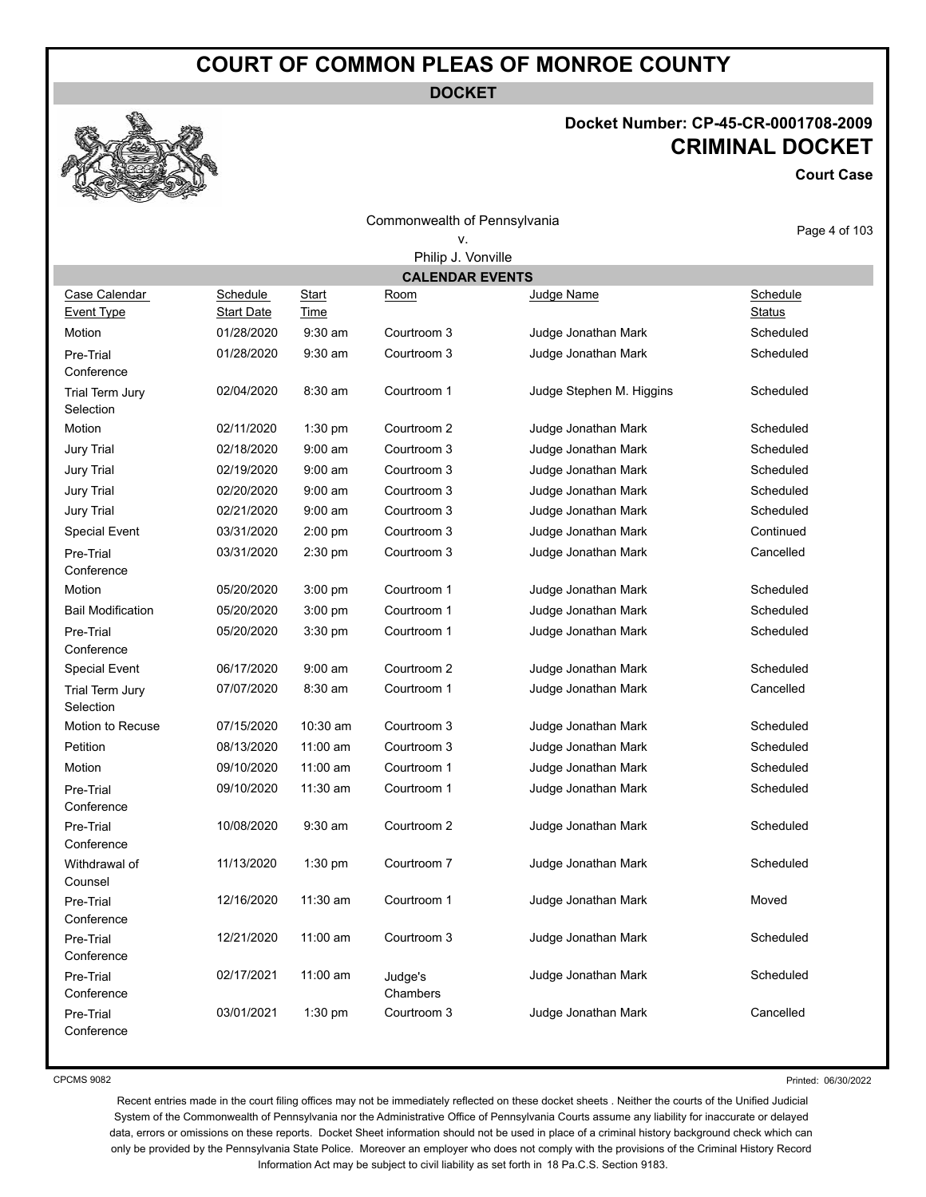**DOCKET**



#### **Docket Number: CP-45-CR-0001708-2009 CRIMINAL DOCKET**

**Court Case**

| <b>SELLER STATE</b>                |                               |                             |                              |                          |                           |
|------------------------------------|-------------------------------|-----------------------------|------------------------------|--------------------------|---------------------------|
|                                    |                               |                             | Commonwealth of Pennsylvania |                          |                           |
|                                    |                               |                             | ν.                           |                          | Page 4 of 103             |
|                                    |                               |                             | Philip J. Vonville           |                          |                           |
|                                    |                               |                             | <b>CALENDAR EVENTS</b>       |                          |                           |
| Case Calendar<br><b>Event Type</b> | Schedule<br><b>Start Date</b> | <b>Start</b><br><b>Time</b> | Room                         | Judge Name               | Schedule<br><b>Status</b> |
| Motion                             | 01/28/2020                    | $9:30$ am                   | Courtroom 3                  | Judge Jonathan Mark      | Scheduled                 |
| Pre-Trial<br>Conference            | 01/28/2020                    | $9:30$ am                   | Courtroom 3                  | Judge Jonathan Mark      | Scheduled                 |
| Trial Term Jury<br>Selection       | 02/04/2020                    | 8:30 am                     | Courtroom 1                  | Judge Stephen M. Higgins | Scheduled                 |
| Motion                             | 02/11/2020                    | 1:30 pm                     | Courtroom 2                  | Judge Jonathan Mark      | Scheduled                 |
| Jury Trial                         | 02/18/2020                    | $9:00$ am                   | Courtroom 3                  | Judge Jonathan Mark      | Scheduled                 |
| Jury Trial                         | 02/19/2020                    | $9:00$ am                   | Courtroom 3                  | Judge Jonathan Mark      | Scheduled                 |
| Jury Trial                         | 02/20/2020                    | $9:00$ am                   | Courtroom 3                  | Judge Jonathan Mark      | Scheduled                 |
| Jury Trial                         | 02/21/2020                    | $9:00$ am                   | Courtroom 3                  | Judge Jonathan Mark      | Scheduled                 |
| <b>Special Event</b>               | 03/31/2020                    | $2:00$ pm                   | Courtroom 3                  | Judge Jonathan Mark      | Continued                 |
| Pre-Trial<br>Conference            | 03/31/2020                    | 2:30 pm                     | Courtroom 3                  | Judge Jonathan Mark      | Cancelled                 |
| Motion                             | 05/20/2020                    | $3:00$ pm                   | Courtroom 1                  | Judge Jonathan Mark      | Scheduled                 |
| <b>Bail Modification</b>           | 05/20/2020                    | 3:00 pm                     | Courtroom 1                  | Judge Jonathan Mark      | Scheduled                 |
| Pre-Trial<br>Conference            | 05/20/2020                    | $3:30$ pm                   | Courtroom 1                  | Judge Jonathan Mark      | Scheduled                 |
| <b>Special Event</b>               | 06/17/2020                    | $9:00$ am                   | Courtroom 2                  | Judge Jonathan Mark      | Scheduled                 |
| Trial Term Jury<br>Selection       | 07/07/2020                    | 8:30 am                     | Courtroom 1                  | Judge Jonathan Mark      | Cancelled                 |
| Motion to Recuse                   | 07/15/2020                    | 10:30 am                    | Courtroom 3                  | Judge Jonathan Mark      | Scheduled                 |
| Petition                           | 08/13/2020                    | 11:00 am                    | Courtroom 3                  | Judge Jonathan Mark      | Scheduled                 |
| Motion                             | 09/10/2020                    | 11:00 am                    | Courtroom 1                  | Judge Jonathan Mark      | Scheduled                 |
| Pre-Trial<br>Conference            | 09/10/2020                    | 11:30 am                    | Courtroom 1                  | Judge Jonathan Mark      | Scheduled                 |
| Pre-Trial<br>Conference            | 10/08/2020                    | $9:30$ am                   | Courtroom 2                  | Judge Jonathan Mark      | Scheduled                 |
| Withdrawal of<br>Counsel           | 11/13/2020                    | 1:30 pm                     | Courtroom 7                  | Judge Jonathan Mark      | Scheduled                 |
| Pre-Trial<br>Conference            | 12/16/2020                    | 11:30 am                    | Courtroom 1                  | Judge Jonathan Mark      | Moved                     |
| Pre-Trial<br>Conference            | 12/21/2020                    | 11:00 am                    | Courtroom 3                  | Judge Jonathan Mark      | Scheduled                 |
| Pre-Trial<br>Conference            | 02/17/2021                    | 11:00 am                    | Judge's<br>Chambers          | Judge Jonathan Mark      | Scheduled                 |

CPCMS 9082

Conference

Printed: 06/30/2022

Recent entries made in the court filing offices may not be immediately reflected on these docket sheets . Neither the courts of the Unified Judicial System of the Commonwealth of Pennsylvania nor the Administrative Office of Pennsylvania Courts assume any liability for inaccurate or delayed data, errors or omissions on these reports. Docket Sheet information should not be used in place of a criminal history background check which can only be provided by the Pennsylvania State Police. Moreover an employer who does not comply with the provisions of the Criminal History Record Information Act may be subject to civil liability as set forth in 18 Pa.C.S. Section 9183.

Pre-Trial 03/01/2021 1:30 pm Courtroom 3 Judge Jonathan Mark Cancelled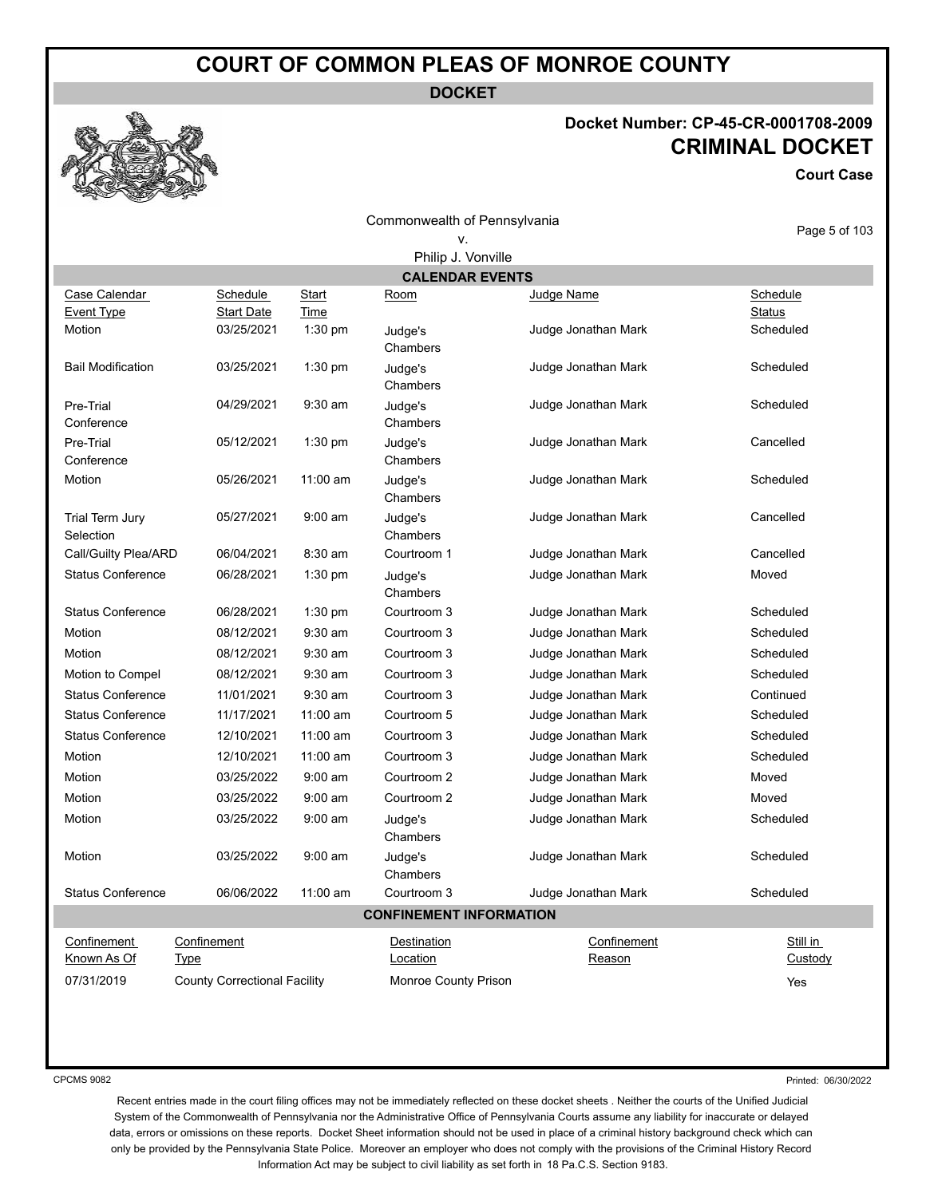**DOCKET**

#### **Docket Number: CP-45-CR-0001708-2009 CRIMINAL DOCKET**

**Court Case**

| Commonwealth of Pennsylvania |  |
|------------------------------|--|
|                              |  |

| Page 5 of 103 |  |  |
|---------------|--|--|

| Philip J. Vonville           |                                     |               |                                |                     |                           |
|------------------------------|-------------------------------------|---------------|--------------------------------|---------------------|---------------------------|
|                              |                                     |               | <b>CALENDAR EVENTS</b>         |                     |                           |
| Case Calendar<br>Event Type  | Schedule<br><b>Start Date</b>       | Start<br>Time | Room                           | Judge Name          | Schedule<br><b>Status</b> |
| Motion                       | 03/25/2021                          | $1:30$ pm     | Judge's<br>Chambers            | Judge Jonathan Mark | Scheduled                 |
| <b>Bail Modification</b>     | 03/25/2021                          | 1:30 pm       | Judge's<br>Chambers            | Judge Jonathan Mark | Scheduled                 |
| Pre-Trial<br>Conference      | 04/29/2021                          | $9:30$ am     | Judge's<br>Chambers            | Judge Jonathan Mark | Scheduled                 |
| Pre-Trial<br>Conference      | 05/12/2021                          | 1:30 pm       | Judge's<br>Chambers            | Judge Jonathan Mark | Cancelled                 |
| Motion                       | 05/26/2021                          | 11:00 am      | Judge's<br>Chambers            | Judge Jonathan Mark | Scheduled                 |
| Trial Term Jury<br>Selection | 05/27/2021                          | $9:00$ am     | Judge's<br>Chambers            | Judge Jonathan Mark | Cancelled                 |
| Call/Guilty Plea/ARD         | 06/04/2021                          | 8:30 am       | Courtroom 1                    | Judge Jonathan Mark | Cancelled                 |
| <b>Status Conference</b>     | 06/28/2021                          | $1:30$ pm     | Judge's<br>Chambers            | Judge Jonathan Mark | Moved                     |
| <b>Status Conference</b>     | 06/28/2021                          | $1:30$ pm     | Courtroom 3                    | Judge Jonathan Mark | Scheduled                 |
| Motion                       | 08/12/2021                          | $9:30$ am     | Courtroom 3                    | Judge Jonathan Mark | Scheduled                 |
| Motion                       | 08/12/2021                          | $9:30$ am     | Courtroom 3                    | Judge Jonathan Mark | Scheduled                 |
| Motion to Compel             | 08/12/2021                          | $9:30$ am     | Courtroom 3                    | Judge Jonathan Mark | Scheduled                 |
| <b>Status Conference</b>     | 11/01/2021                          | $9:30$ am     | Courtroom 3                    | Judge Jonathan Mark | Continued                 |
| <b>Status Conference</b>     | 11/17/2021                          | 11:00 am      | Courtroom 5                    | Judge Jonathan Mark | Scheduled                 |
| <b>Status Conference</b>     | 12/10/2021                          | 11:00 am      | Courtroom 3                    | Judge Jonathan Mark | Scheduled                 |
| Motion                       | 12/10/2021                          | 11:00 am      | Courtroom 3                    | Judge Jonathan Mark | Scheduled                 |
| Motion                       | 03/25/2022                          | 9:00 am       | Courtroom 2                    | Judge Jonathan Mark | Moved                     |
| Motion                       | 03/25/2022                          | 9:00 am       | Courtroom 2                    | Judge Jonathan Mark | Moved                     |
| Motion                       | 03/25/2022                          | $9:00$ am     | Judge's<br>Chambers            | Judge Jonathan Mark | Scheduled                 |
| Motion                       | 03/25/2022                          | $9:00$ am     | Judge's<br>Chambers            | Judge Jonathan Mark | Scheduled                 |
| <b>Status Conference</b>     | 06/06/2022                          | 11:00 am      | Courtroom 3                    | Judge Jonathan Mark | Scheduled                 |
|                              |                                     |               | <b>CONFINEMENT INFORMATION</b> |                     |                           |
| Confinement                  | Confinement                         |               | <b>Destination</b>             | Confinement         | Still in                  |
| Known As Of                  | <b>Type</b>                         |               | Location                       | Reason              | Custody                   |
| 07/31/2019                   | <b>County Correctional Facility</b> |               | Monroe County Prison           |                     | Yes                       |

CPCMS 9082

Printed: 06/30/2022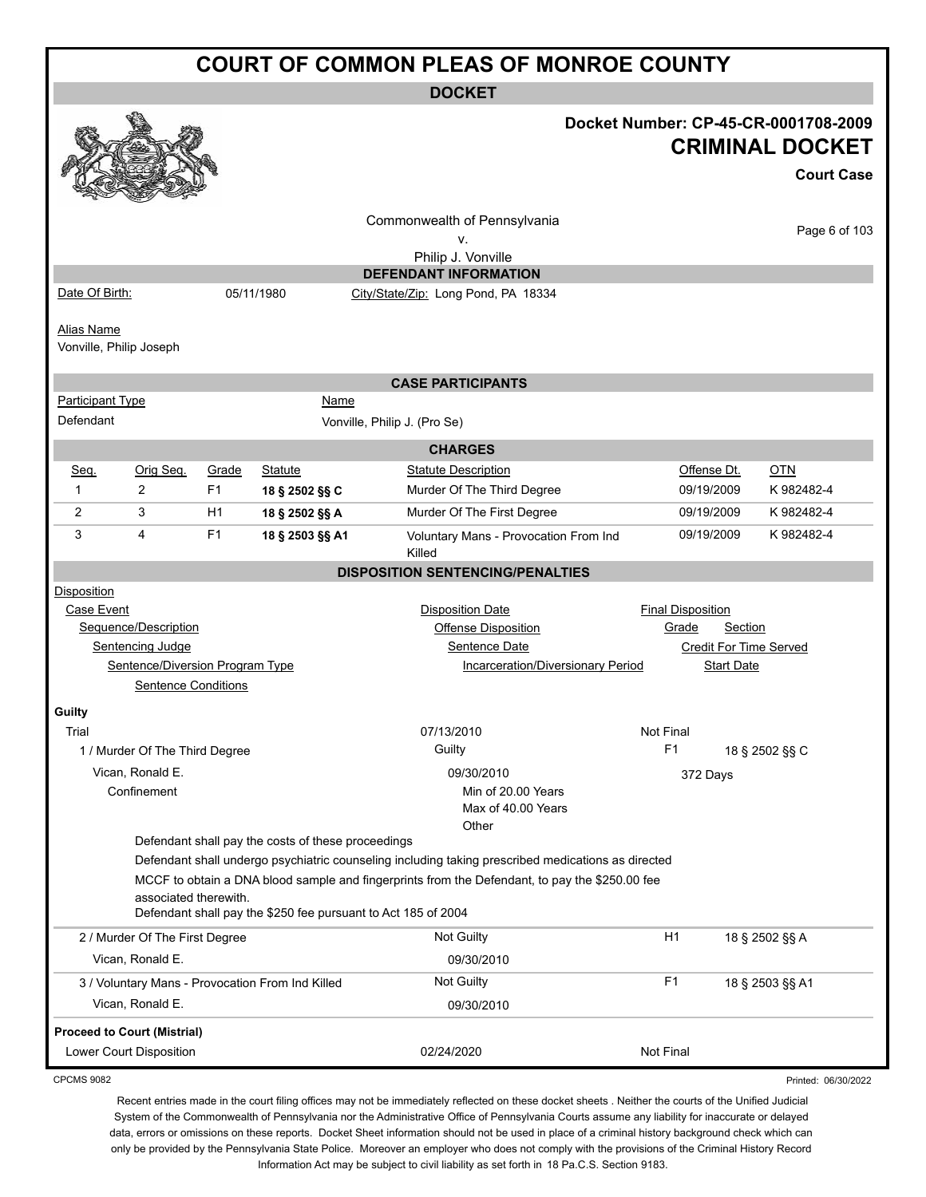**DOCKET**

|                                                                      |                                                                                         |                |                                                               | DUUNEI                                                                                             |                               |                   |                     |
|----------------------------------------------------------------------|-----------------------------------------------------------------------------------------|----------------|---------------------------------------------------------------|----------------------------------------------------------------------------------------------------|-------------------------------|-------------------|---------------------|
|                                                                      | Docket Number: CP-45-CR-0001708-2009                                                    |                |                                                               |                                                                                                    |                               |                   |                     |
| <b>CRIMINAL DOCKET</b>                                               |                                                                                         |                |                                                               |                                                                                                    |                               |                   |                     |
|                                                                      |                                                                                         |                |                                                               |                                                                                                    |                               |                   |                     |
|                                                                      |                                                                                         |                |                                                               |                                                                                                    |                               |                   | <b>Court Case</b>   |
|                                                                      |                                                                                         |                |                                                               | Commonwealth of Pennsylvania                                                                       |                               |                   | Page 6 of 103       |
|                                                                      |                                                                                         |                |                                                               | ٧.                                                                                                 |                               |                   |                     |
|                                                                      |                                                                                         |                |                                                               | Philip J. Vonville                                                                                 |                               |                   |                     |
|                                                                      |                                                                                         |                |                                                               | <b>DEFENDANT INFORMATION</b>                                                                       |                               |                   |                     |
| Date Of Birth:                                                       |                                                                                         |                | 05/11/1980                                                    | City/State/Zip: Long Pond, PA 18334                                                                |                               |                   |                     |
| <b>Alias Name</b>                                                    |                                                                                         |                |                                                               |                                                                                                    |                               |                   |                     |
|                                                                      | Vonville, Philip Joseph                                                                 |                |                                                               |                                                                                                    |                               |                   |                     |
|                                                                      |                                                                                         |                |                                                               |                                                                                                    |                               |                   |                     |
|                                                                      |                                                                                         |                |                                                               | <b>CASE PARTICIPANTS</b>                                                                           |                               |                   |                     |
| <b>Participant Type</b>                                              |                                                                                         |                | <b>Name</b>                                                   |                                                                                                    |                               |                   |                     |
| Defendant                                                            |                                                                                         |                |                                                               | Vonville, Philip J. (Pro Se)                                                                       |                               |                   |                     |
|                                                                      |                                                                                         |                |                                                               | <b>CHARGES</b>                                                                                     |                               |                   |                     |
| Seq.                                                                 | Orig Seq.                                                                               | Grade          | Statute                                                       | <b>Statute Description</b>                                                                         | Offense Dt.                   |                   | OTN                 |
| 1                                                                    | $\overline{2}$                                                                          | F <sub>1</sub> | 18 § 2502 §§ C                                                | Murder Of The Third Degree                                                                         | 09/19/2009                    |                   | K 982482-4          |
| $\overline{2}$                                                       | 3                                                                                       | H <sub>1</sub> | 18 § 2502 §§ A                                                | Murder Of The First Degree                                                                         | 09/19/2009                    |                   | K 982482-4          |
| 3                                                                    | 4                                                                                       | F <sub>1</sub> | 18 § 2503 §§ A1                                               | Voluntary Mans - Provocation From Ind                                                              | 09/19/2009                    |                   | K 982482-4          |
|                                                                      |                                                                                         |                |                                                               | Killed                                                                                             |                               |                   |                     |
|                                                                      |                                                                                         |                |                                                               | <b>DISPOSITION SENTENCING/PENALTIES</b>                                                            |                               |                   |                     |
| <b>Disposition</b>                                                   |                                                                                         |                |                                                               |                                                                                                    |                               |                   |                     |
| Case Event                                                           |                                                                                         |                |                                                               | <b>Disposition Date</b>                                                                            | <b>Final Disposition</b>      |                   |                     |
|                                                                      | Sequence/Description                                                                    |                |                                                               | <b>Offense Disposition</b>                                                                         | Grade                         | Section           |                     |
|                                                                      | Sentencing Judge                                                                        |                |                                                               | Sentence Date                                                                                      | <b>Credit For Time Served</b> |                   |                     |
|                                                                      | Sentence/Diversion Program Type                                                         |                |                                                               | Incarceration/Diversionary Period                                                                  |                               | <b>Start Date</b> |                     |
|                                                                      | <b>Sentence Conditions</b>                                                              |                |                                                               |                                                                                                    |                               |                   |                     |
| Guilty                                                               |                                                                                         |                |                                                               |                                                                                                    |                               |                   |                     |
| Trial                                                                |                                                                                         |                |                                                               | 07/13/2010                                                                                         | Not Final                     |                   |                     |
|                                                                      | 1 / Murder Of The Third Degree                                                          |                |                                                               | Guilty                                                                                             | F1                            |                   | 18 § 2502 §§ C      |
|                                                                      | Vican, Ronald E.                                                                        |                |                                                               | 09/30/2010                                                                                         | 372 Days                      |                   |                     |
|                                                                      | Confinement                                                                             |                |                                                               | Min of 20.00 Years                                                                                 |                               |                   |                     |
|                                                                      |                                                                                         |                |                                                               | Max of 40.00 Years                                                                                 |                               |                   |                     |
|                                                                      |                                                                                         |                |                                                               | Other                                                                                              |                               |                   |                     |
|                                                                      |                                                                                         |                | Defendant shall pay the costs of these proceedings            | Defendant shall undergo psychiatric counseling including taking prescribed medications as directed |                               |                   |                     |
|                                                                      |                                                                                         |                |                                                               | MCCF to obtain a DNA blood sample and fingerprints from the Defendant, to pay the \$250.00 fee     |                               |                   |                     |
|                                                                      | associated therewith.                                                                   |                |                                                               |                                                                                                    |                               |                   |                     |
|                                                                      |                                                                                         |                | Defendant shall pay the \$250 fee pursuant to Act 185 of 2004 |                                                                                                    |                               |                   |                     |
| H1<br>Not Guilty<br>18 § 2502 §§ A<br>2 / Murder Of The First Degree |                                                                                         |                |                                                               |                                                                                                    |                               |                   |                     |
|                                                                      | Vican, Ronald E.<br>09/30/2010                                                          |                |                                                               |                                                                                                    |                               |                   |                     |
|                                                                      | F1<br>Not Guilty<br>18 § 2503 §§ A1<br>3 / Voluntary Mans - Provocation From Ind Killed |                |                                                               |                                                                                                    |                               |                   |                     |
|                                                                      | Vican, Ronald E.                                                                        |                |                                                               | 09/30/2010                                                                                         |                               |                   |                     |
|                                                                      |                                                                                         |                |                                                               |                                                                                                    |                               |                   |                     |
|                                                                      | <b>Proceed to Court (Mistrial)</b>                                                      |                |                                                               |                                                                                                    |                               |                   |                     |
|                                                                      | Lower Court Disposition                                                                 |                |                                                               | 02/24/2020                                                                                         | Not Final                     |                   |                     |
| <b>CPCMS 9082</b>                                                    |                                                                                         |                |                                                               |                                                                                                    |                               |                   | Printed: 06/30/2022 |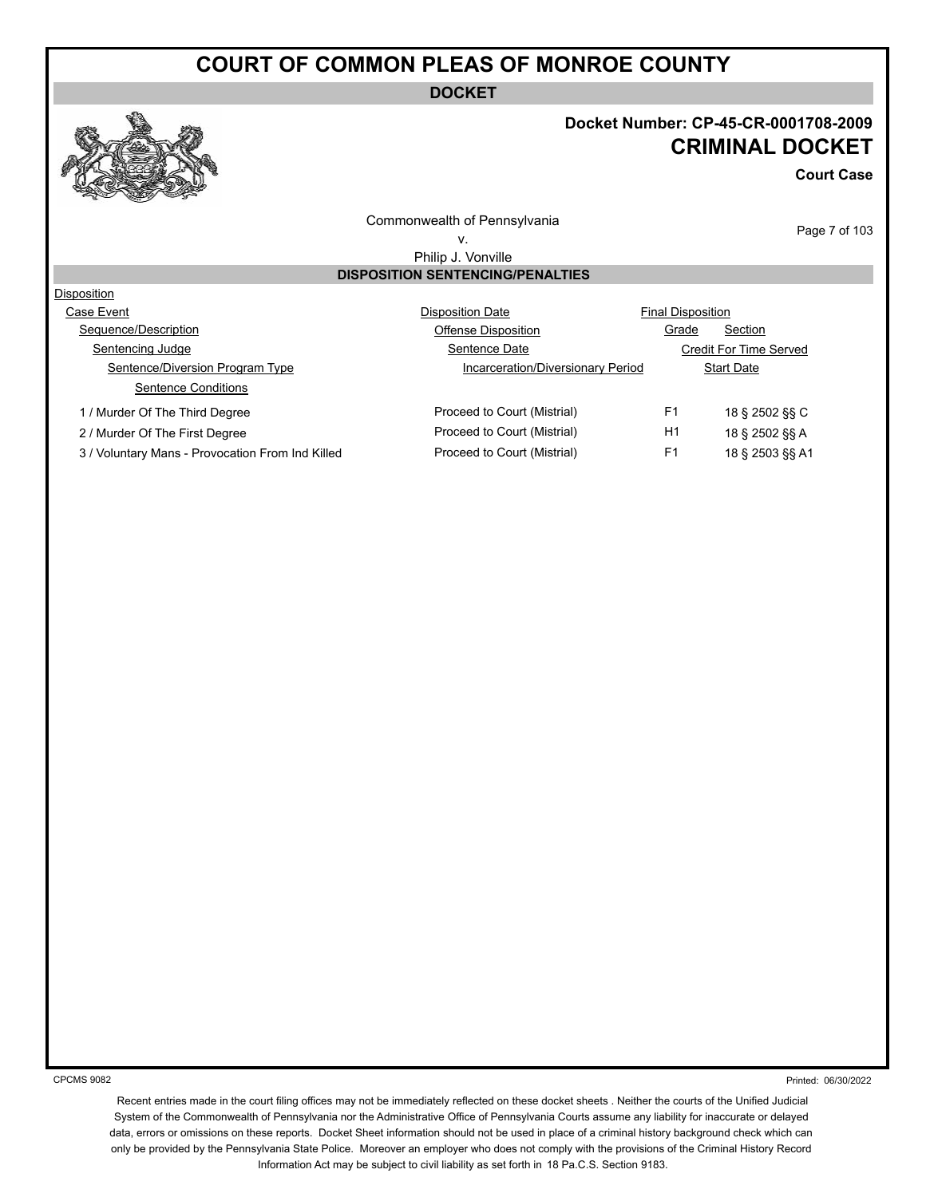**DOCKET**

#### **Docket Number: CP-45-CR-0001708-2009 CRIMINAL DOCKET**

**Court Case**

Commonwealth of Pennsylvania v.

Page 7 of 103

Philip J. Vonville

#### **DISPOSITION SENTENCING/PENALTIES**

| Disposition                                      |                                   |                          |                               |  |
|--------------------------------------------------|-----------------------------------|--------------------------|-------------------------------|--|
| Case Event                                       | <b>Disposition Date</b>           | <b>Final Disposition</b> |                               |  |
| Sequence/Description                             | Offense Disposition               | Grade                    | Section                       |  |
| Sentencing Judge                                 | Sentence Date                     |                          | <b>Credit For Time Served</b> |  |
| Sentence/Diversion Program Type                  | Incarceration/Diversionary Period |                          | <b>Start Date</b>             |  |
| Sentence Conditions                              |                                   |                          |                               |  |
| 1 / Murder Of The Third Degree                   | Proceed to Court (Mistrial)       | F <sub>1</sub>           | 18 § 2502 §§ C                |  |
| 2 / Murder Of The First Degree                   | Proceed to Court (Mistrial)       | H1                       | 18 § 2502 §§ A                |  |
| 3 / Voluntary Mans - Provocation From Ind Killed | Proceed to Court (Mistrial)       | F <sub>1</sub>           | 18 § 2503 §§ A1               |  |

CPCMS 9082

Printed: 06/30/2022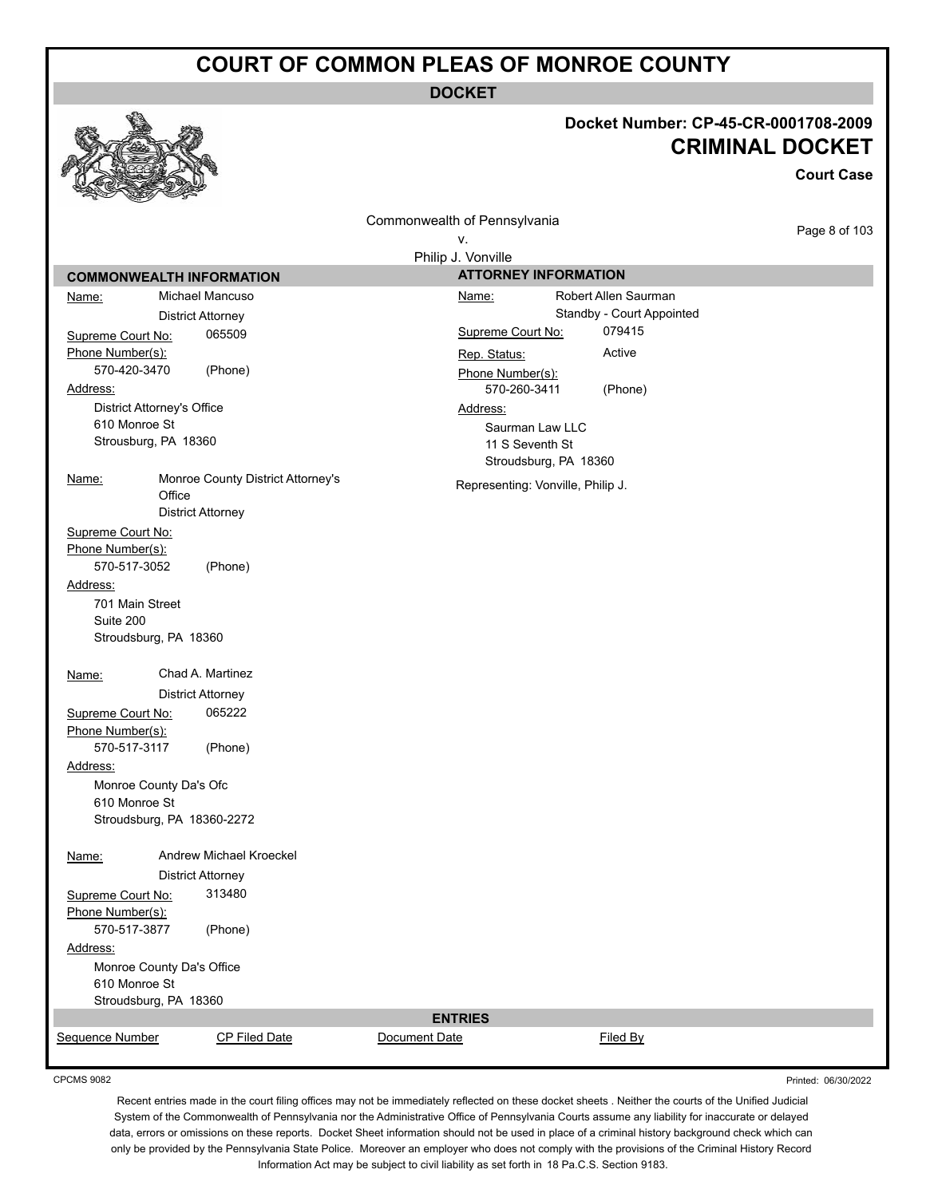**DOCKET**

#### **Docket Number: CP-45-CR-0001708-2009 CRIMINAL DOCKET**

**Court Case** Page 8 of 103 Commonwealth of Pennsylvania v. Philip J. Vonville **COMMONWEALTH INFORMATION** Name: Michael Mancuso District Attorney Supreme Court No: 065509 Phone Number(s): 570-420-3470 (Phone) Address: District Attorney's Office 610 Monroe St Strousburg, PA 18360 Name: Monroe County District Attorney's **Office** District Attorney Supreme Court No: Phone Number(s): 570-517-3052 (Phone) Address: 701 Main Street Suite 200 Stroudsburg, PA 18360 Name: Chad A. Martinez District Attorney Supreme Court No: 065222 Phone Number(s): 570-517-3117 (Phone) Address: Monroe County Da's Ofc 610 Monroe St Stroudsburg, PA 18360-2272 Name: Andrew Michael Kroeckel District Attorney Supreme Court No: 313480 Phone Number(s): 570-517-3877 (Phone) Address: Monroe County Da's Office 610 Monroe St Stroudsburg, PA 18360 **ATTORNEY INFORMATION** Name: Robert Allen Saurman Standby - Court Appointed Supreme Court No: 079415 Rep. Status: Active Phone Number(s): 570-260-3411 (Phone) Address: Saurman Law LLC 11 S Seventh St Stroudsburg, PA 18360 Representing: Vonville, Philip J. **ENTRIES** Sequence Number CP Filed Date Document Date **CP Filed By** 

Printed: 06/30/2022

CPCMS 9082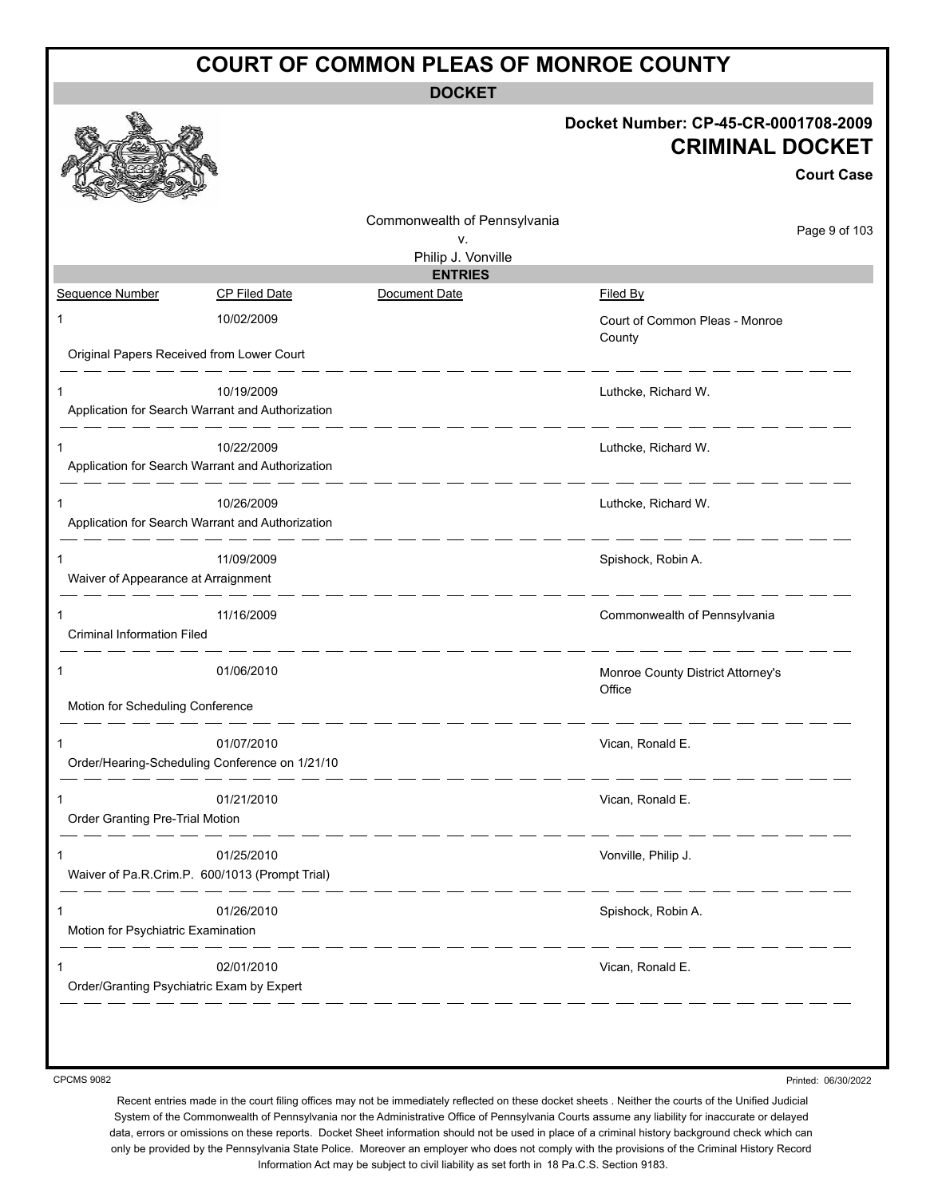**DOCKET**

|                                                |                                                                |                                    | Docket Number: CP-45-CR-0001708-2009<br><b>CRIMINAL DOCKET</b><br><b>Court Case</b> |
|------------------------------------------------|----------------------------------------------------------------|------------------------------------|-------------------------------------------------------------------------------------|
|                                                |                                                                | Commonwealth of Pennsylvania<br>v. | Page 9 of 103                                                                       |
|                                                |                                                                | Philip J. Vonville                 |                                                                                     |
|                                                |                                                                | <b>ENTRIES</b>                     |                                                                                     |
| Sequence Number                                | <b>CP Filed Date</b>                                           | Document Date                      | Filed By                                                                            |
| 1                                              | 10/02/2009                                                     |                                    | Court of Common Pleas - Monroe<br>County                                            |
| Original Papers Received from Lower Court      |                                                                |                                    |                                                                                     |
| 1                                              | 10/19/2009<br>Application for Search Warrant and Authorization |                                    | Luthcke, Richard W.                                                                 |
|                                                |                                                                |                                    |                                                                                     |
|                                                | 10/22/2009<br>Application for Search Warrant and Authorization |                                    | Luthcke, Richard W.                                                                 |
| 1                                              | 10/26/2009                                                     |                                    | Luthcke, Richard W.                                                                 |
|                                                | Application for Search Warrant and Authorization               |                                    |                                                                                     |
| 1<br>Waiver of Appearance at Arraignment       | 11/09/2009                                                     |                                    | Spishock, Robin A.                                                                  |
| 1<br><b>Criminal Information Filed</b>         | 11/16/2009                                                     |                                    | Commonwealth of Pennsylvania                                                        |
| 1                                              | 01/06/2010                                                     |                                    | Monroe County District Attorney's<br>Office                                         |
| Motion for Scheduling Conference               |                                                                |                                    |                                                                                     |
| 1                                              | 01/07/2010<br>Order/Hearing-Scheduling Conference on 1/21/10   |                                    | Vican, Ronald E.                                                                    |
| 1<br>Order Granting Pre-Trial Motion           | 01/21/2010                                                     |                                    | Vican, Ronald E.                                                                    |
| 1                                              | 01/25/2010<br>Waiver of Pa.R.Crim.P. 600/1013 (Prompt Trial)   |                                    | Vonville, Philip J.                                                                 |
| 1<br>Motion for Psychiatric Examination        | 01/26/2010                                                     |                                    | Spishock, Robin A.                                                                  |
| 1<br>Order/Granting Psychiatric Exam by Expert | 02/01/2010                                                     |                                    | Vican, Ronald E.                                                                    |
|                                                |                                                                |                                    |                                                                                     |

CPCMS 9082

Printed: 06/30/2022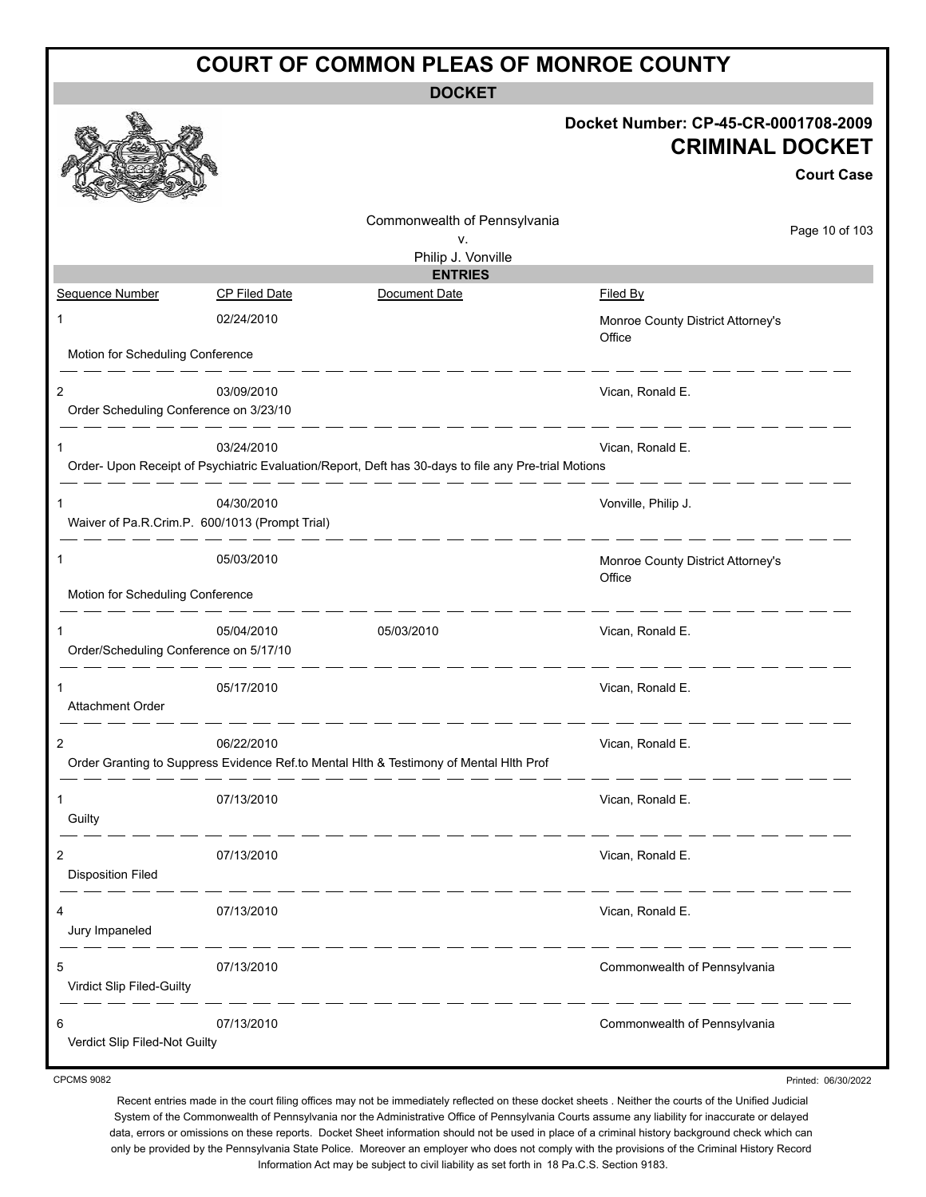| <b>COURT OF COMMON PLEAS OF MONROE COUNTY</b> |                                                              |                                                                                                      |                                                                                     |  |
|-----------------------------------------------|--------------------------------------------------------------|------------------------------------------------------------------------------------------------------|-------------------------------------------------------------------------------------|--|
|                                               |                                                              | <b>DOCKET</b>                                                                                        |                                                                                     |  |
|                                               |                                                              |                                                                                                      | Docket Number: CP-45-CR-0001708-2009<br><b>CRIMINAL DOCKET</b><br><b>Court Case</b> |  |
|                                               |                                                              | Commonwealth of Pennsylvania                                                                         | Page 10 of 103                                                                      |  |
|                                               |                                                              | ۷.<br>Philip J. Vonville                                                                             |                                                                                     |  |
|                                               |                                                              | <b>ENTRIES</b>                                                                                       |                                                                                     |  |
| Sequence Number                               | CP Filed Date                                                | Document Date                                                                                        | Filed By                                                                            |  |
| 1                                             | 02/24/2010                                                   |                                                                                                      | Monroe County District Attorney's<br>Office                                         |  |
| Motion for Scheduling Conference              |                                                              |                                                                                                      |                                                                                     |  |
| 2<br>Order Scheduling Conference on 3/23/10   | 03/09/2010                                                   |                                                                                                      | Vican, Ronald E.                                                                    |  |
| 1                                             | 03/24/2010                                                   |                                                                                                      | Vican, Ronald E.                                                                    |  |
|                                               |                                                              | Order- Upon Receipt of Psychiatric Evaluation/Report, Deft has 30-days to file any Pre-trial Motions |                                                                                     |  |
| 1                                             | 04/30/2010<br>Waiver of Pa.R.Crim.P. 600/1013 (Prompt Trial) |                                                                                                      | Vonville, Philip J.                                                                 |  |
| 1                                             | 05/03/2010                                                   |                                                                                                      | Monroe County District Attorney's<br>Office                                         |  |
| Motion for Scheduling Conference              |                                                              |                                                                                                      | _____                                                                               |  |
| 1<br>Order/Scheduling Conference on 5/17/10   | 05/04/2010                                                   | 05/03/2010                                                                                           | Vican, Ronald E.                                                                    |  |
| <b>Attachment Order</b>                       | 05/17/2010                                                   |                                                                                                      | Vican, Ronald E.                                                                    |  |
| $\overline{2}$                                | 06/22/2010                                                   | Order Granting to Suppress Evidence Ref.to Mental Hlth & Testimony of Mental Hlth Prof               | Vican, Ronald E.                                                                    |  |
| 1<br>Guilty                                   | 07/13/2010                                                   |                                                                                                      | Vican, Ronald E.<br><u> — — — — — — —</u>                                           |  |
| 2<br><b>Disposition Filed</b>                 | 07/13/2010                                                   |                                                                                                      | Vican, Ronald E.                                                                    |  |
| 4<br>Jury Impaneled                           | 07/13/2010<br>---------                                      |                                                                                                      | Vican, Ronald E.<br>_ __ __ __ __ __                                                |  |
| 5<br>Virdict Slip Filed-Guilty                | 07/13/2010                                                   | _ _ _ _                                                                                              | Commonwealth of Pennsylvania                                                        |  |
| 6<br>Verdict Slip Filed-Not Guilty            | 07/13/2010                                                   |                                                                                                      | Commonwealth of Pennsylvania                                                        |  |

CPCMS 9082

Recent entries made in the court filing offices may not be immediately reflected on these docket sheets . Neither the courts of the Unified Judicial System of the Commonwealth of Pennsylvania nor the Administrative Office of Pennsylvania Courts assume any liability for inaccurate or delayed data, errors or omissions on these reports. Docket Sheet information should not be used in place of a criminal history background check which can only be provided by the Pennsylvania State Police. Moreover an employer who does not comply with the provisions of the Criminal History Record Information Act may be subject to civil liability as set forth in 18 Pa.C.S. Section 9183.

Printed: 06/30/2022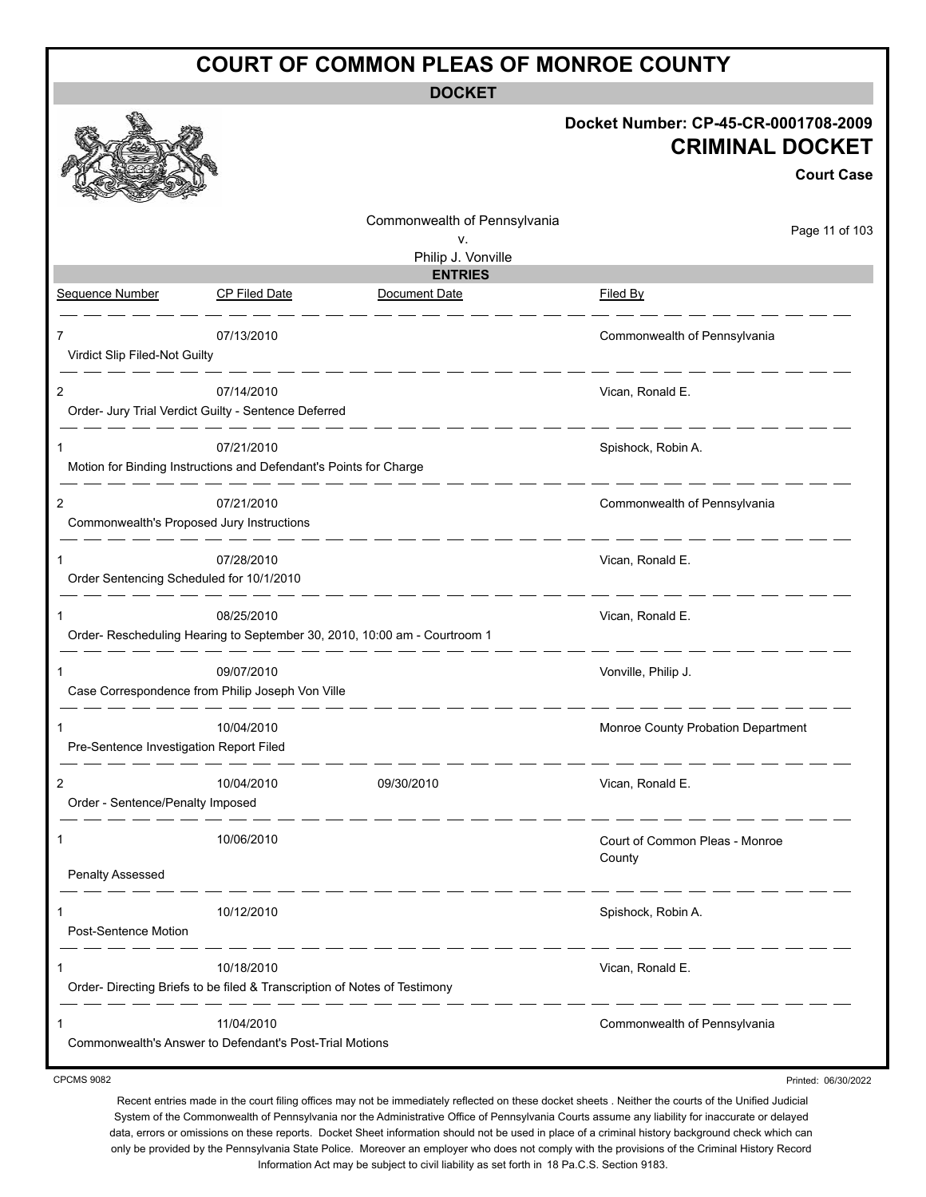**DOCKET**

|                                               |                                                                                         |                                                          | Docket Number: CP-45-CR-0001708-2009<br><b>CRIMINAL DOCKET</b><br><b>Court Case</b> |
|-----------------------------------------------|-----------------------------------------------------------------------------------------|----------------------------------------------------------|-------------------------------------------------------------------------------------|
|                                               |                                                                                         | Commonwealth of Pennsylvania<br>v.<br>Philip J. Vonville | Page 11 of 103                                                                      |
|                                               |                                                                                         | <b>ENTRIES</b>                                           |                                                                                     |
| <b>Sequence Number</b>                        | <b>CP Filed Date</b>                                                                    | Document Date                                            | Filed By                                                                            |
| 7<br>Virdict Slip Filed-Not Guilty            | 07/13/2010                                                                              |                                                          | Commonwealth of Pennsylvania                                                        |
| 2                                             | 07/14/2010<br>Order- Jury Trial Verdict Guilty - Sentence Deferred                      |                                                          | Vican, Ronald E.                                                                    |
| 1                                             | 07/21/2010<br>Motion for Binding Instructions and Defendant's Points for Charge         |                                                          | Spishock, Robin A.                                                                  |
| 2                                             | 07/21/2010<br>Commonwealth's Proposed Jury Instructions                                 |                                                          | Commonwealth of Pennsylvania                                                        |
| 1<br>Order Sentencing Scheduled for 10/1/2010 | 07/28/2010                                                                              |                                                          | Vican, Ronald E.                                                                    |
| 1                                             | 08/25/2010<br>Order-Rescheduling Hearing to September 30, 2010, 10:00 am - Courtroom 1  |                                                          | Vican, Ronald E.                                                                    |
| 1                                             | 09/07/2010<br>Case Correspondence from Philip Joseph Von Ville                          |                                                          | Vonville, Philip J.                                                                 |
| 1<br>Pre-Sentence Investigation Report Filed  | 10/04/2010                                                                              |                                                          | Monroe County Probation Department                                                  |
| Order - Sentence/Penalty Imposed              | 10/04/2010                                                                              | 09/30/2010                                               | Vican, Ronald E.                                                                    |
| 1                                             | 10/06/2010                                                                              |                                                          | Court of Common Pleas - Monroe<br>County                                            |
| Penalty Assessed                              |                                                                                         |                                                          | . _ _ _ _                                                                           |
| 1<br>Post-Sentence Motion                     | 10/12/2010<br>_ __ __ __ _                                                              |                                                          | Spishock, Robin A.                                                                  |
| 1                                             | 10/18/2010<br>Order- Directing Briefs to be filed & Transcription of Notes of Testimony |                                                          | Vican, Ronald E.                                                                    |
| 1                                             | 11/04/2010<br>Commonwealth's Answer to Defendant's Post-Trial Motions                   |                                                          | Commonwealth of Pennsylvania                                                        |
| <b>CPCMS 9082</b>                             |                                                                                         |                                                          | Printed: 06/30/2022                                                                 |

CPCMS 9082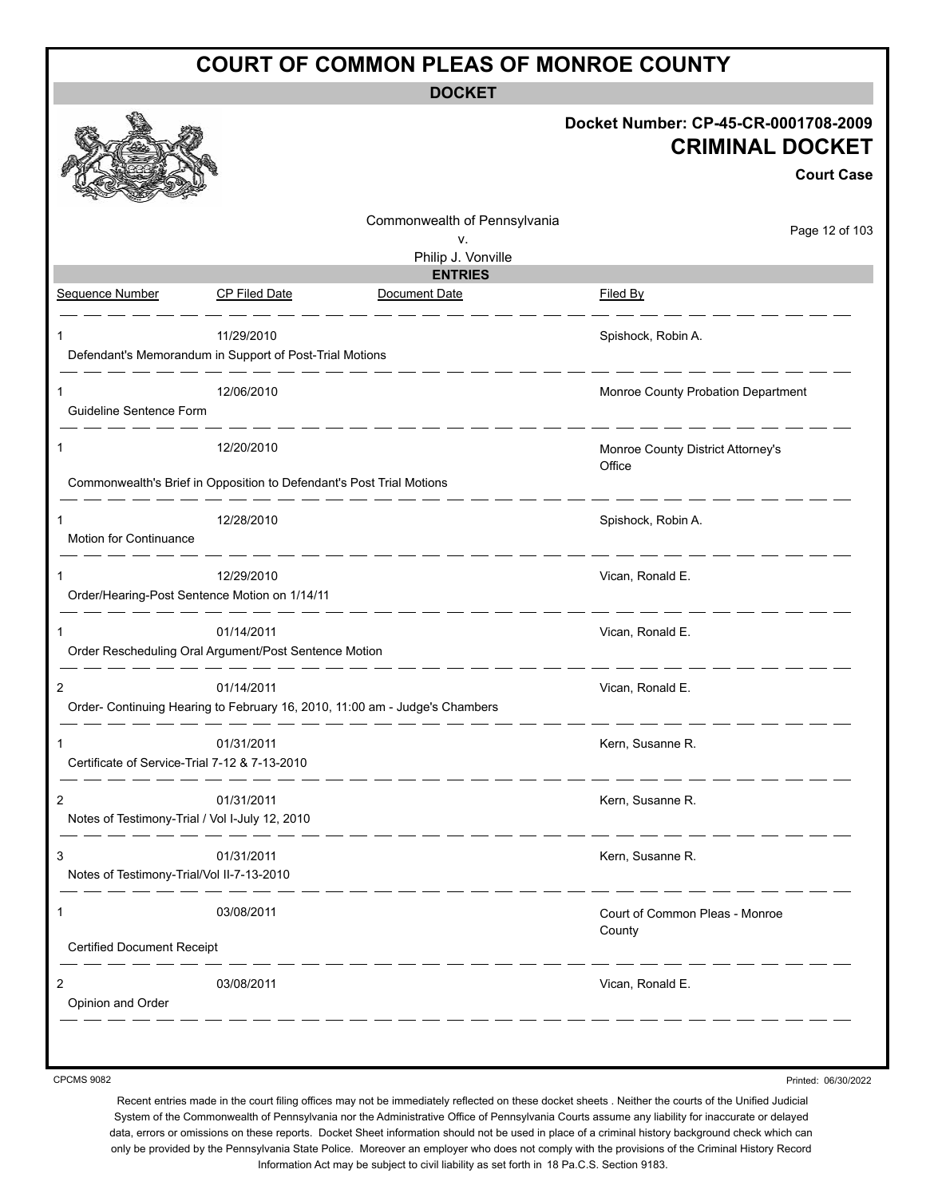**DOCKET**

|                                                                      |               |                                                                             | Docket Number: CP-45-CR-0001708-2009<br><b>CRIMINAL DOCKET</b><br><b>Court Case</b>                                                                                                                                                  |
|----------------------------------------------------------------------|---------------|-----------------------------------------------------------------------------|--------------------------------------------------------------------------------------------------------------------------------------------------------------------------------------------------------------------------------------|
|                                                                      |               | Commonwealth of Pennsylvania<br>ν.                                          | Page 12 of 103                                                                                                                                                                                                                       |
|                                                                      |               | Philip J. Vonville                                                          |                                                                                                                                                                                                                                      |
| Sequence Number                                                      | CP Filed Date | <b>ENTRIES</b><br>Document Date                                             | Filed By                                                                                                                                                                                                                             |
|                                                                      |               |                                                                             |                                                                                                                                                                                                                                      |
|                                                                      | 11/29/2010    |                                                                             | Spishock, Robin A.                                                                                                                                                                                                                   |
| Defendant's Memorandum in Support of Post-Trial Motions              |               |                                                                             |                                                                                                                                                                                                                                      |
|                                                                      | 12/06/2010    |                                                                             | Monroe County Probation Department                                                                                                                                                                                                   |
| Guideline Sentence Form                                              |               |                                                                             |                                                                                                                                                                                                                                      |
| 1                                                                    | 12/20/2010    |                                                                             | Monroe County District Attorney's                                                                                                                                                                                                    |
|                                                                      |               |                                                                             | Office                                                                                                                                                                                                                               |
| Commonwealth's Brief in Opposition to Defendant's Post Trial Motions |               |                                                                             |                                                                                                                                                                                                                                      |
|                                                                      | 12/28/2010    |                                                                             | Spishock, Robin A.                                                                                                                                                                                                                   |
| Motion for Continuance                                               |               | <u>.</u>                                                                    | <u>and the company of the company of the company of the company of the company of the company of the company of the company of the company of the company of the company of the company of the company of the company of the com</u> |
| 1                                                                    | 12/29/2010    |                                                                             | Vican, Ronald E.                                                                                                                                                                                                                     |
| Order/Hearing-Post Sentence Motion on 1/14/11                        |               |                                                                             |                                                                                                                                                                                                                                      |
|                                                                      |               |                                                                             |                                                                                                                                                                                                                                      |
| $\mathbf 1$<br>Order Rescheduling Oral Argument/Post Sentence Motion | 01/14/2011    |                                                                             | Vican, Ronald E.                                                                                                                                                                                                                     |
|                                                                      |               |                                                                             |                                                                                                                                                                                                                                      |
| 2                                                                    | 01/14/2011    | Order- Continuing Hearing to February 16, 2010, 11:00 am - Judge's Chambers | Vican, Ronald E.                                                                                                                                                                                                                     |
|                                                                      |               |                                                                             |                                                                                                                                                                                                                                      |
| 1                                                                    | 01/31/2011    |                                                                             | Kern, Susanne R.                                                                                                                                                                                                                     |
| Certificate of Service-Trial 7-12 & 7-13-2010                        |               |                                                                             |                                                                                                                                                                                                                                      |
| 2                                                                    | 01/31/2011    |                                                                             | Kern, Susanne R.                                                                                                                                                                                                                     |
| Notes of Testimony-Trial / Vol I-July 12, 2010                       |               |                                                                             |                                                                                                                                                                                                                                      |
| 3                                                                    | 01/31/2011    |                                                                             | Kern, Susanne R.                                                                                                                                                                                                                     |
| Notes of Testimony-Trial/Vol II-7-13-2010                            |               |                                                                             |                                                                                                                                                                                                                                      |
| $\mathbf{1}$                                                         | 03/08/2011    |                                                                             | Court of Common Pleas - Monroe                                                                                                                                                                                                       |
|                                                                      |               |                                                                             | County                                                                                                                                                                                                                               |
| <b>Certified Document Receipt</b>                                    |               |                                                                             |                                                                                                                                                                                                                                      |
| 2                                                                    | 03/08/2011    |                                                                             | Vican, Ronald E.                                                                                                                                                                                                                     |
| Opinion and Order                                                    |               |                                                                             |                                                                                                                                                                                                                                      |
|                                                                      |               |                                                                             |                                                                                                                                                                                                                                      |

CPCMS 9082

Printed: 06/30/2022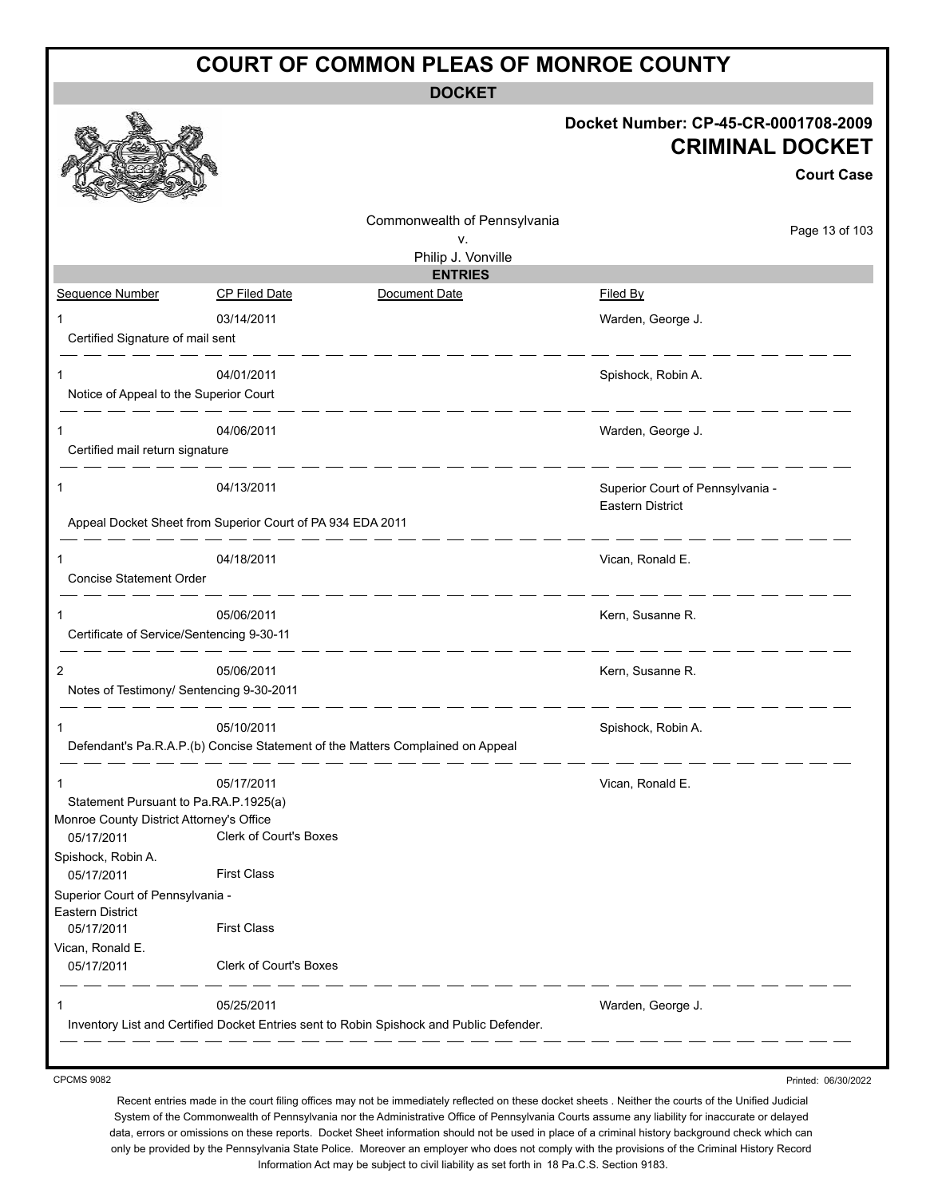**DOCKET**

|                                           |                                                            |                                                                                         | Docket Number: CP-45-CR-0001708-2009<br><b>CRIMINAL DOCKET</b><br><b>Court Case</b> |
|-------------------------------------------|------------------------------------------------------------|-----------------------------------------------------------------------------------------|-------------------------------------------------------------------------------------|
|                                           |                                                            | Commonwealth of Pennsylvania<br>v.                                                      | Page 13 of 103                                                                      |
|                                           |                                                            | Philip J. Vonville                                                                      |                                                                                     |
| Sequence Number                           | <b>CP Filed Date</b>                                       | <b>ENTRIES</b><br>Document Date                                                         | Filed By                                                                            |
|                                           |                                                            |                                                                                         |                                                                                     |
| Certified Signature of mail sent          | 03/14/2011                                                 |                                                                                         | Warden, George J.                                                                   |
|                                           | 04/01/2011                                                 |                                                                                         | Spishock, Robin A.                                                                  |
| Notice of Appeal to the Superior Court    |                                                            |                                                                                         |                                                                                     |
| 1<br>Certified mail return signature      | 04/06/2011                                                 |                                                                                         | Warden, George J.                                                                   |
| 1                                         | 04/13/2011                                                 |                                                                                         | Superior Court of Pennsylvania -                                                    |
|                                           | Appeal Docket Sheet from Superior Court of PA 934 EDA 2011 |                                                                                         | <b>Eastern District</b>                                                             |
| 1                                         | 04/18/2011                                                 |                                                                                         | Vican, Ronald E.                                                                    |
| Concise Statement Order                   |                                                            |                                                                                         |                                                                                     |
| 1                                         | 05/06/2011                                                 |                                                                                         | Kern, Susanne R.                                                                    |
| Certificate of Service/Sentencing 9-30-11 |                                                            |                                                                                         |                                                                                     |
| 2                                         | 05/06/2011                                                 |                                                                                         | Kern, Susanne R.                                                                    |
| Notes of Testimony/ Sentencing 9-30-2011  |                                                            |                                                                                         |                                                                                     |
| 1                                         | 05/10/2011                                                 |                                                                                         | Spishock, Robin A.                                                                  |
|                                           |                                                            | Defendant's Pa.R.A.P.(b) Concise Statement of the Matters Complained on Appeal          |                                                                                     |
|                                           | 05/17/2011                                                 |                                                                                         | Vican, Ronald E.                                                                    |
| Statement Pursuant to Pa.RA.P.1925(a)     |                                                            |                                                                                         |                                                                                     |
| Monroe County District Attorney's Office  |                                                            |                                                                                         |                                                                                     |
| 05/17/2011                                | Clerk of Court's Boxes                                     |                                                                                         |                                                                                     |
| Spishock, Robin A.<br>05/17/2011          | <b>First Class</b>                                         |                                                                                         |                                                                                     |
| Superior Court of Pennsylvania -          |                                                            |                                                                                         |                                                                                     |
| Eastern District<br>05/17/2011            | <b>First Class</b>                                         |                                                                                         |                                                                                     |
| Vican, Ronald E.<br>05/17/2011            | Clerk of Court's Boxes                                     |                                                                                         |                                                                                     |
| 1                                         | 05/25/2011                                                 |                                                                                         | Warden, George J.                                                                   |
|                                           |                                                            | Inventory List and Certified Docket Entries sent to Robin Spishock and Public Defender. |                                                                                     |

CPCMS 9082

Recent entries made in the court filing offices may not be immediately reflected on these docket sheets . Neither the courts of the Unified Judicial System of the Commonwealth of Pennsylvania nor the Administrative Office of Pennsylvania Courts assume any liability for inaccurate or delayed data, errors or omissions on these reports. Docket Sheet information should not be used in place of a criminal history background check which can only be provided by the Pennsylvania State Police. Moreover an employer who does not comply with the provisions of the Criminal History Record Information Act may be subject to civil liability as set forth in 18 Pa.C.S. Section 9183.

Printed: 06/30/2022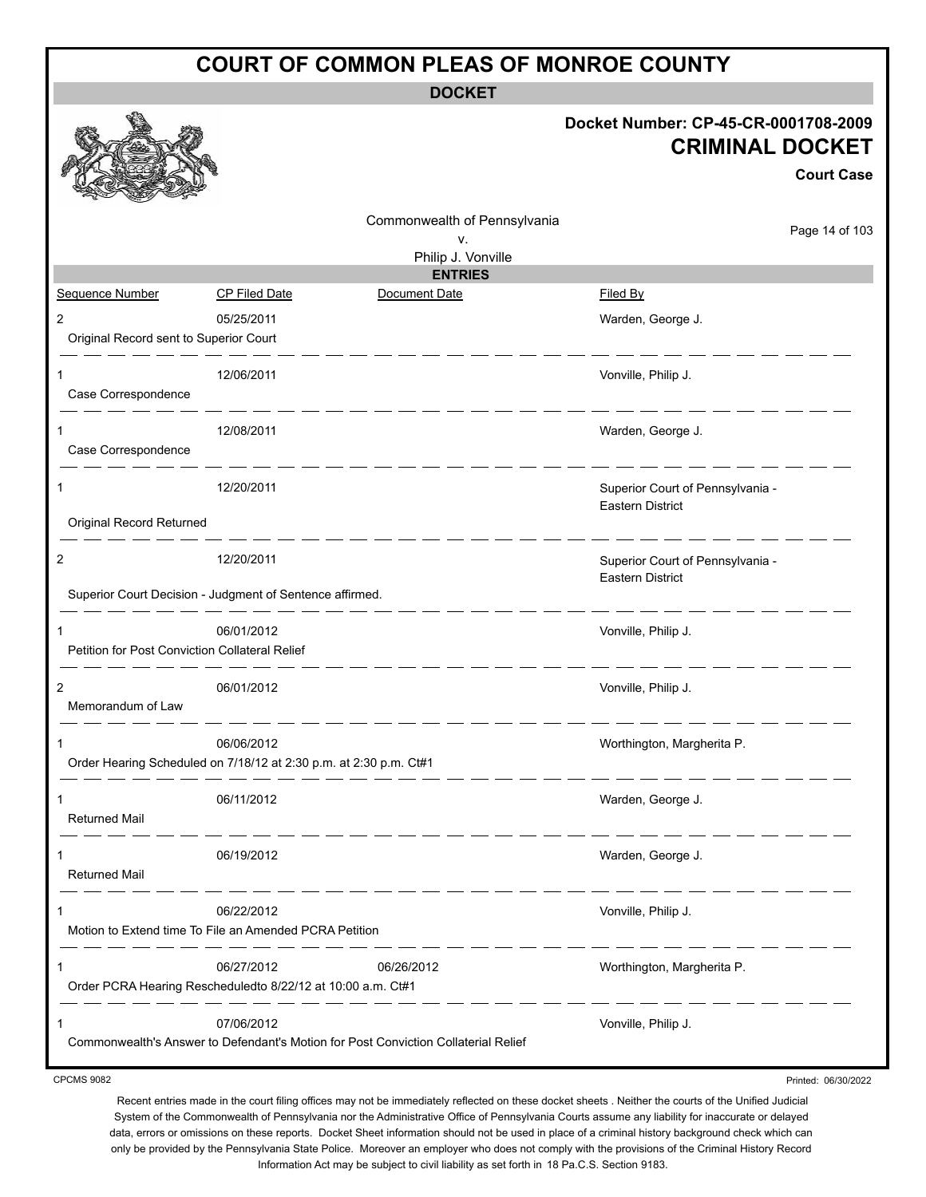**DOCKET**

|                                                                        |                      |                                                                                    | Docket Number: CP-45-CR-0001708-2009<br><b>CRIMINAL DOCKET</b> | <b>Court Case</b> |
|------------------------------------------------------------------------|----------------------|------------------------------------------------------------------------------------|----------------------------------------------------------------|-------------------|
|                                                                        |                      | Commonwealth of Pennsylvania                                                       |                                                                | Page 14 of 103    |
|                                                                        |                      | v.<br>Philip J. Vonville                                                           |                                                                |                   |
|                                                                        |                      | <b>ENTRIES</b>                                                                     |                                                                |                   |
| Sequence Number                                                        | <b>CP Filed Date</b> | Document Date                                                                      | <b>Filed By</b>                                                |                   |
| 2                                                                      | 05/25/2011           |                                                                                    | Warden, George J.                                              |                   |
| Original Record sent to Superior Court                                 |                      |                                                                                    |                                                                |                   |
| 1<br>Case Correspondence                                               | 12/06/2011           |                                                                                    | Vonville, Philip J.                                            |                   |
| 1<br>Case Correspondence                                               | 12/08/2011           |                                                                                    | Warden, George J.                                              |                   |
| 1                                                                      | 12/20/2011           |                                                                                    | Superior Court of Pennsylvania -<br>Eastern District           |                   |
| Original Record Returned                                               |                      |                                                                                    |                                                                |                   |
| 2<br>Superior Court Decision - Judgment of Sentence affirmed.          | 12/20/2011           |                                                                                    | Superior Court of Pennsylvania -<br>Eastern District           |                   |
|                                                                        |                      |                                                                                    |                                                                |                   |
| 1<br>Petition for Post Conviction Collateral Relief                    | 06/01/2012           |                                                                                    | Vonville, Philip J.                                            |                   |
| $\overline{2}$<br>Memorandum of Law                                    | 06/01/2012           |                                                                                    | Vonville, Philip J.                                            |                   |
| 1<br>Order Hearing Scheduled on 7/18/12 at 2:30 p.m. at 2:30 p.m. Ct#1 | 06/06/2012           |                                                                                    | Worthington, Margherita P.                                     |                   |
| 1<br><b>Returned Mail</b>                                              | 06/11/2012           |                                                                                    | Warden, George J.                                              |                   |
| 1<br><b>Returned Mail</b>                                              | 06/19/2012           |                                                                                    | Warden, George J.                                              |                   |
| 1<br>Motion to Extend time To File an Amended PCRA Petition            | 06/22/2012           |                                                                                    | Vonville, Philip J.                                            |                   |
| 1<br>Order PCRA Hearing Rescheduledto 8/22/12 at 10:00 a.m. Ct#1       | 06/27/2012           | 06/26/2012                                                                         | Worthington, Margherita P.                                     |                   |
| 1                                                                      | 07/06/2012           | Commonwealth's Answer to Defendant's Motion for Post Conviction Collaterial Relief | Vonville, Philip J.                                            |                   |

CPCMS 9082

Printed: 06/30/2022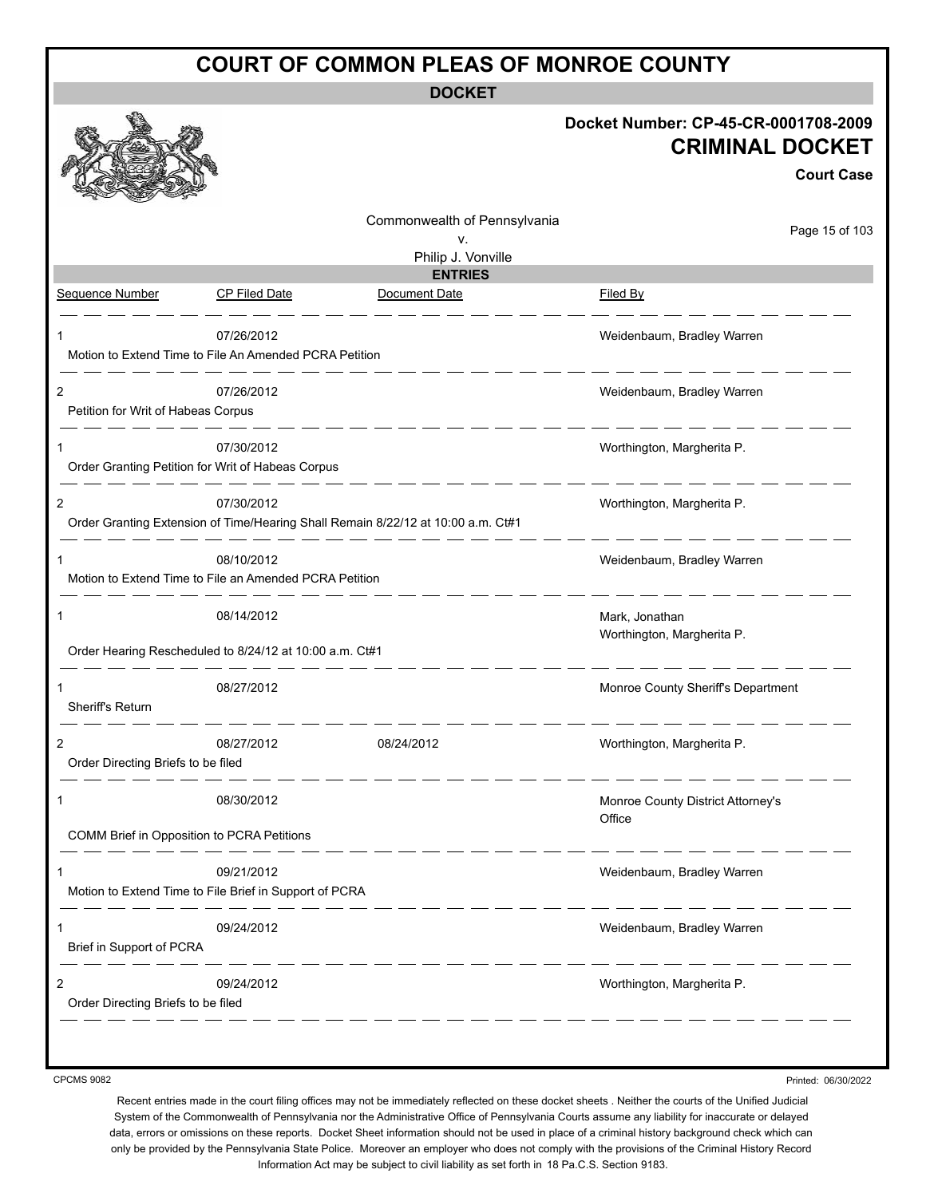**DOCKET**

|                                    |                                                                      |                                                                                  | Docket Number: CP-45-CR-0001708-2009<br><b>CRIMINAL DOCKET</b><br><b>Court Case</b> |
|------------------------------------|----------------------------------------------------------------------|----------------------------------------------------------------------------------|-------------------------------------------------------------------------------------|
|                                    |                                                                      | Commonwealth of Pennsylvania                                                     | Page 15 of 103                                                                      |
|                                    |                                                                      | ν.<br>Philip J. Vonville                                                         |                                                                                     |
|                                    |                                                                      | <b>ENTRIES</b>                                                                   |                                                                                     |
| Sequence Number                    | <b>CP Filed Date</b>                                                 | Document Date                                                                    | Filed By                                                                            |
|                                    | 07/26/2012                                                           |                                                                                  | Weidenbaum, Bradley Warren                                                          |
|                                    | Motion to Extend Time to File An Amended PCRA Petition               |                                                                                  |                                                                                     |
| 2                                  | 07/26/2012                                                           |                                                                                  | Weidenbaum, Bradley Warren                                                          |
| Petition for Writ of Habeas Corpus |                                                                      | <u> 1989 - 1989 - 1989 - 19</u>                                                  |                                                                                     |
| 1                                  | 07/30/2012                                                           |                                                                                  | Worthington, Margherita P.                                                          |
|                                    | Order Granting Petition for Writ of Habeas Corpus                    |                                                                                  |                                                                                     |
| 2                                  | 07/30/2012                                                           |                                                                                  | Worthington, Margherita P.                                                          |
|                                    |                                                                      | Order Granting Extension of Time/Hearing Shall Remain 8/22/12 at 10:00 a.m. Ct#1 |                                                                                     |
| 1                                  | 08/10/2012                                                           |                                                                                  | Weidenbaum, Bradley Warren                                                          |
|                                    | Motion to Extend Time to File an Amended PCRA Petition               |                                                                                  |                                                                                     |
| 1                                  | 08/14/2012                                                           |                                                                                  | Mark, Jonathan<br>Worthington, Margherita P.                                        |
|                                    | Order Hearing Rescheduled to 8/24/12 at 10:00 a.m. Ct#1              |                                                                                  |                                                                                     |
| 1                                  | 08/27/2012                                                           |                                                                                  | Monroe County Sheriff's Department                                                  |
| Sheriff's Return                   |                                                                      |                                                                                  |                                                                                     |
| $\overline{2}$                     | 08/27/2012                                                           | 08/24/2012                                                                       | Worthington, Margherita P.                                                          |
| Order Directing Briefs to be filed |                                                                      |                                                                                  |                                                                                     |
| 1                                  | 08/30/2012                                                           |                                                                                  | Monroe County District Attorney's                                                   |
|                                    | COMM Brief in Opposition to PCRA Petitions                           |                                                                                  | Office                                                                              |
|                                    |                                                                      |                                                                                  |                                                                                     |
| 1                                  | 09/21/2012<br>Motion to Extend Time to File Brief in Support of PCRA |                                                                                  | Weidenbaum, Bradley Warren                                                          |
|                                    |                                                                      |                                                                                  |                                                                                     |
| 1                                  | 09/24/2012                                                           |                                                                                  | Weidenbaum, Bradley Warren                                                          |
| Brief in Support of PCRA           |                                                                      | __ __ __ __ __ __ __                                                             |                                                                                     |
| 2                                  | 09/24/2012                                                           |                                                                                  | Worthington, Margherita P.                                                          |
| Order Directing Briefs to be filed |                                                                      |                                                                                  |                                                                                     |

CPCMS 9082

Printed: 06/30/2022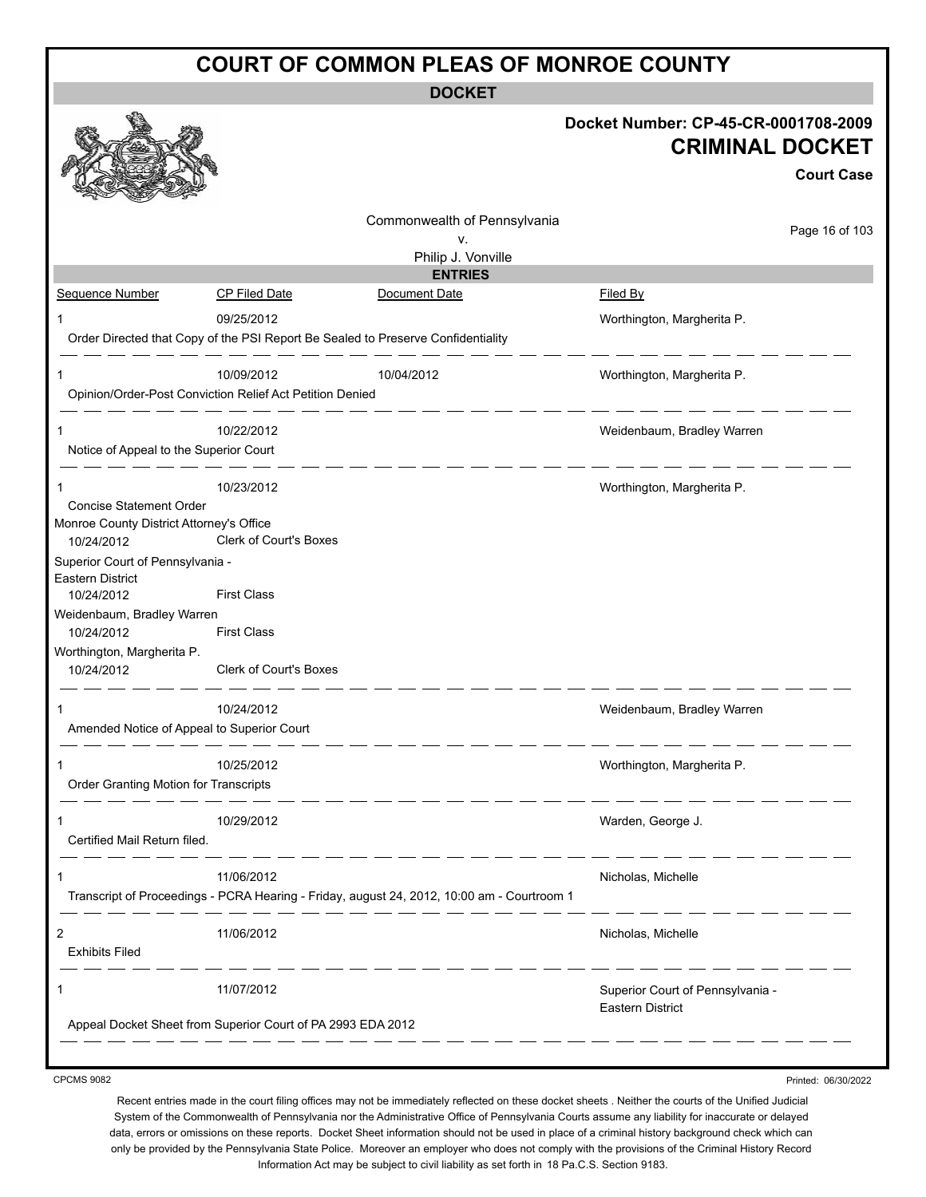**DOCKET**

|                                                      |                                                                                            | Docket Number: CP-45-CR-0001708-2009 |
|------------------------------------------------------|--------------------------------------------------------------------------------------------|--------------------------------------|
|                                                      |                                                                                            | <b>CRIMINAL DOCKET</b>               |
|                                                      |                                                                                            | <b>Court Case</b>                    |
|                                                      | Commonwealth of Pennsylvania                                                               |                                      |
|                                                      | ٧.                                                                                         | Page 16 of 103                       |
|                                                      | Philip J. Vonville<br><b>ENTRIES</b>                                                       |                                      |
| Sequence Number                                      | CP Filed Date<br>Document Date                                                             | Filed By                             |
|                                                      | 09/25/2012                                                                                 | Worthington, Margherita P.           |
|                                                      | Order Directed that Copy of the PSI Report Be Sealed to Preserve Confidentiality           |                                      |
| 1                                                    | 10/09/2012<br>10/04/2012                                                                   | Worthington, Margherita P.           |
|                                                      | Opinion/Order-Post Conviction Relief Act Petition Denied                                   |                                      |
| $\mathbf 1$                                          | 10/22/2012                                                                                 | Weidenbaum, Bradley Warren           |
| Notice of Appeal to the Superior Court               |                                                                                            |                                      |
| 1                                                    | 10/23/2012                                                                                 | Worthington, Margherita P.           |
| Concise Statement Order                              |                                                                                            |                                      |
| Monroe County District Attorney's Office             | Clerk of Court's Boxes                                                                     |                                      |
| 10/24/2012                                           |                                                                                            |                                      |
| Superior Court of Pennsylvania -<br>Eastern District |                                                                                            |                                      |
| 10/24/2012                                           | <b>First Class</b>                                                                         |                                      |
| Weidenbaum, Bradley Warren                           |                                                                                            |                                      |
| 10/24/2012                                           | <b>First Class</b>                                                                         |                                      |
| Worthington, Margherita P.                           | Clerk of Court's Boxes                                                                     |                                      |
| 10/24/2012                                           |                                                                                            |                                      |
|                                                      | 10/24/2012                                                                                 | Weidenbaum, Bradley Warren           |
| Amended Notice of Appeal to Superior Court           |                                                                                            |                                      |
| 1                                                    | 10/25/2012                                                                                 | Worthington, Margherita P.           |
| Order Granting Motion for Transcripts                |                                                                                            |                                      |
| 1                                                    | 10/29/2012                                                                                 | Warden, George J.                    |
| Certified Mail Return filed.                         |                                                                                            |                                      |
| 1                                                    | 11/06/2012                                                                                 | Nicholas, Michelle                   |
|                                                      | Transcript of Proceedings - PCRA Hearing - Friday, august 24, 2012, 10:00 am - Courtroom 1 |                                      |
| $\overline{c}$                                       | 11/06/2012                                                                                 | Nicholas, Michelle                   |
| <b>Exhibits Filed</b>                                |                                                                                            |                                      |
| 1                                                    | 11/07/2012                                                                                 | Superior Court of Pennsylvania -     |
|                                                      |                                                                                            | <b>Eastern District</b>              |
|                                                      | Appeal Docket Sheet from Superior Court of PA 2993 EDA 2012                                |                                      |
|                                                      |                                                                                            |                                      |

CPCMS 9082

Recent entries made in the court filing offices may not be immediately reflected on these docket sheets . Neither the courts of the Unified Judicial System of the Commonwealth of Pennsylvania nor the Administrative Office of Pennsylvania Courts assume any liability for inaccurate or delayed data, errors or omissions on these reports. Docket Sheet information should not be used in place of a criminal history background check which can

Printed: 06/30/2022

only be provided by the Pennsylvania State Police. Moreover an employer who does not comply with the provisions of the Criminal History Record Information Act may be subject to civil liability as set forth in 18 Pa.C.S. Section 9183.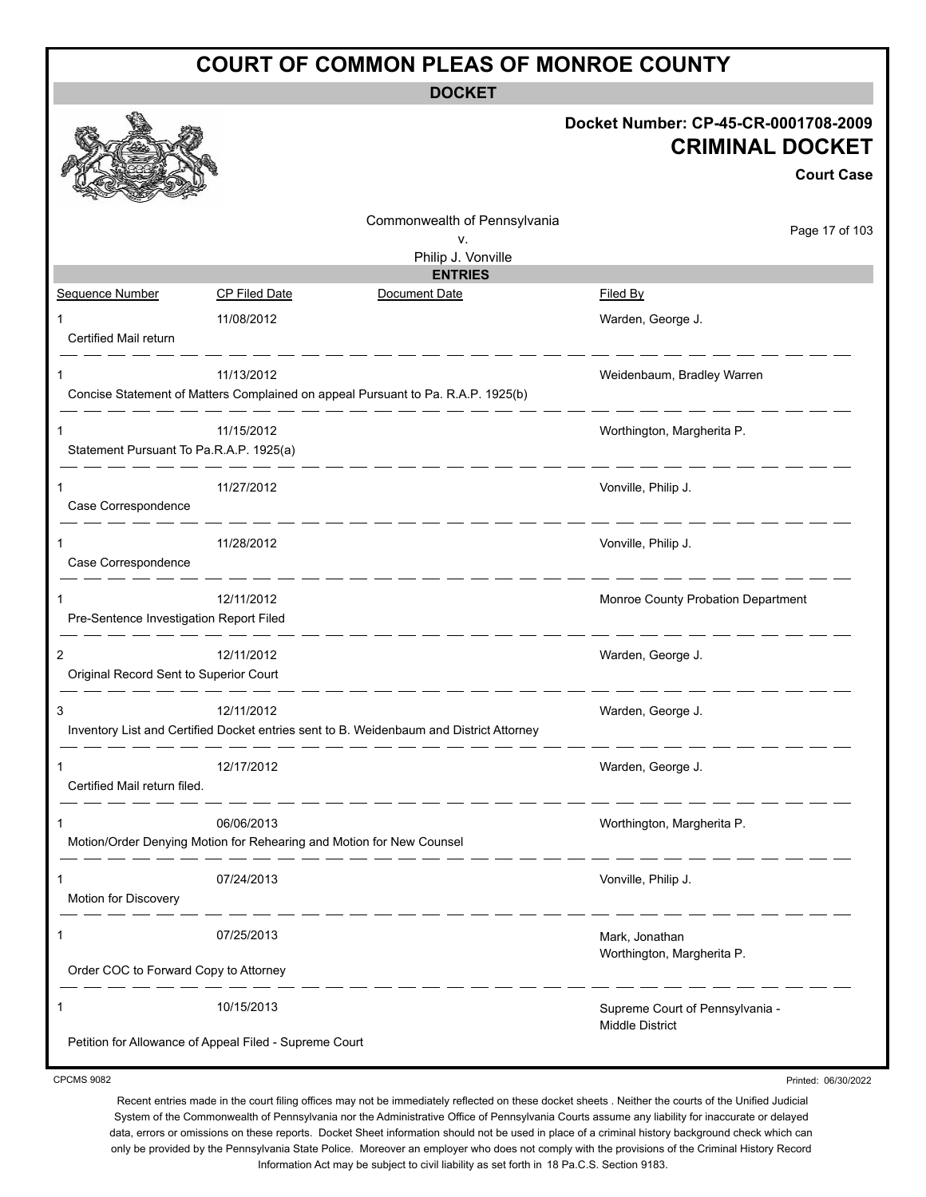**DOCKET**

|                                              |                                                                                                       | Docket Number: CP-45-CR-0001708-2009<br><b>CRIMINAL DOCKET</b><br><b>Court Case</b> |
|----------------------------------------------|-------------------------------------------------------------------------------------------------------|-------------------------------------------------------------------------------------|
|                                              | Commonwealth of Pennsylvania<br>v.<br>Philip J. Vonville                                              | Page 17 of 103                                                                      |
|                                              | <b>ENTRIES</b>                                                                                        |                                                                                     |
| <b>Sequence Number</b>                       | Document Date<br>CP Filed Date                                                                        | Filed By                                                                            |
| Certified Mail return                        | 11/08/2012                                                                                            | Warden, George J.                                                                   |
|                                              | 11/13/2012<br>Concise Statement of Matters Complained on appeal Pursuant to Pa. R.A.P. 1925(b)        | Weidenbaum, Bradley Warren                                                          |
| 1<br>Statement Pursuant To Pa.R.A.P. 1925(a) | 11/15/2012                                                                                            | Worthington, Margherita P.                                                          |
| 1<br>Case Correspondence                     | 11/27/2012                                                                                            | Vonville, Philip J.                                                                 |
| Case Correspondence                          | 11/28/2012<br>_ __ __ __ __ __ __                                                                     | Vonville, Philip J.                                                                 |
| 1<br>Pre-Sentence Investigation Report Filed | 12/11/2012                                                                                            | Monroe County Probation Department                                                  |
| 2<br>Original Record Sent to Superior Court  | 12/11/2012                                                                                            | Warden, George J.                                                                   |
| 3                                            | 12/11/2012<br>Inventory List and Certified Docket entries sent to B. Weidenbaum and District Attorney | Warden, George J.                                                                   |
| 1<br>Certified Mail return filed.            | 12/17/2012                                                                                            | Warden, George J.                                                                   |
| 1                                            | 06/06/2013<br>Motion/Order Denying Motion for Rehearing and Motion for New Counsel                    | Worthington, Margherita P.                                                          |
| 1<br>Motion for Discovery                    | 07/24/2013                                                                                            | Vonville, Philip J.                                                                 |
| 1                                            | 07/25/2013                                                                                            | Mark, Jonathan<br>Worthington, Margherita P.                                        |
| Order COC to Forward Copy to Attorney        |                                                                                                       |                                                                                     |
| 1                                            | 10/15/2013                                                                                            | Supreme Court of Pennsylvania -<br><b>Middle District</b>                           |
|                                              | Petition for Allowance of Appeal Filed - Supreme Court                                                |                                                                                     |

CPCMS 9082

Printed: 06/30/2022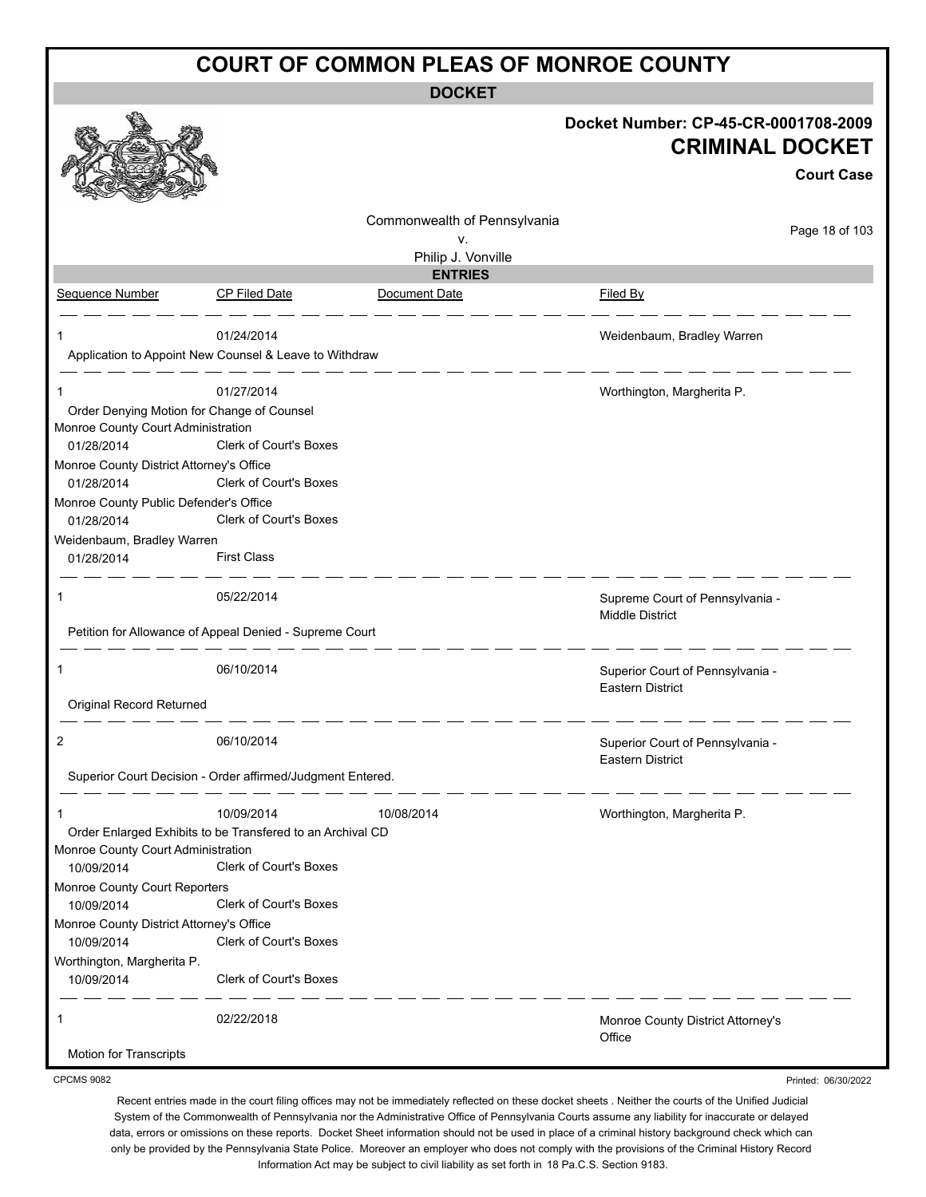**DOCKET**

|                                                        |                                                                                      |                              | Docket Number: CP-45-CR-0001708-2009<br><b>CRIMINAL DOCKET</b> | <b>Court Case</b> |
|--------------------------------------------------------|--------------------------------------------------------------------------------------|------------------------------|----------------------------------------------------------------|-------------------|
|                                                        |                                                                                      | Commonwealth of Pennsylvania |                                                                | Page 18 of 103    |
|                                                        |                                                                                      | ۷.<br>Philip J. Vonville     |                                                                |                   |
|                                                        |                                                                                      | <b>ENTRIES</b>               |                                                                |                   |
| Sequence Number                                        | <b>CP Filed Date</b>                                                                 | Document Date                | <b>Filed By</b>                                                |                   |
|                                                        | 01/24/2014                                                                           |                              | Weidenbaum, Bradley Warren                                     |                   |
|                                                        | Application to Appoint New Counsel & Leave to Withdraw                               |                              |                                                                |                   |
| 1                                                      | 01/27/2014                                                                           |                              | Worthington, Margherita P.                                     |                   |
| Order Denying Motion for Change of Counsel             |                                                                                      |                              |                                                                |                   |
| Monroe County Court Administration                     |                                                                                      |                              |                                                                |                   |
| 01/28/2014                                             | Clerk of Court's Boxes                                                               |                              |                                                                |                   |
| Monroe County District Attorney's Office<br>01/28/2014 | <b>Clerk of Court's Boxes</b>                                                        |                              |                                                                |                   |
| Monroe County Public Defender's Office                 |                                                                                      |                              |                                                                |                   |
| 01/28/2014                                             | <b>Clerk of Court's Boxes</b>                                                        |                              |                                                                |                   |
| Weidenbaum, Bradley Warren                             |                                                                                      |                              |                                                                |                   |
| 01/28/2014                                             | <b>First Class</b>                                                                   |                              |                                                                |                   |
| 1                                                      | 05/22/2014                                                                           |                              | Supreme Court of Pennsylvania -<br><b>Middle District</b>      |                   |
|                                                        | Petition for Allowance of Appeal Denied - Supreme Court                              |                              |                                                                |                   |
| 1                                                      | 06/10/2014                                                                           |                              | Superior Court of Pennsylvania -<br><b>Eastern District</b>    |                   |
| Original Record Returned                               |                                                                                      |                              |                                                                |                   |
| 2                                                      | 06/10/2014                                                                           |                              | Superior Court of Pennsylvania -<br><b>Eastern District</b>    |                   |
|                                                        | Superior Court Decision - Order affirmed/Judgment Entered.                           |                              |                                                                |                   |
|                                                        | 10/09/2014                                                                           | 10/08/2014                   | Worthington, Margherita P.                                     |                   |
| Monroe County Court Administration<br>10/09/2014       | Order Enlarged Exhibits to be Transfered to an Archival CD<br>Clerk of Court's Boxes |                              |                                                                |                   |
| Monroe County Court Reporters<br>10/09/2014            | Clerk of Court's Boxes                                                               |                              |                                                                |                   |
| Monroe County District Attorney's Office               |                                                                                      |                              |                                                                |                   |
| 10/09/2014                                             | Clerk of Court's Boxes                                                               |                              |                                                                |                   |
| Worthington, Margherita P.<br>10/09/2014               | Clerk of Court's Boxes                                                               |                              |                                                                |                   |
| 1                                                      | 02/22/2018                                                                           |                              | Monroe County District Attorney's<br>Office                    |                   |
| Motion for Transcripts                                 |                                                                                      |                              |                                                                |                   |

CPCMS 9082

Printed: 06/30/2022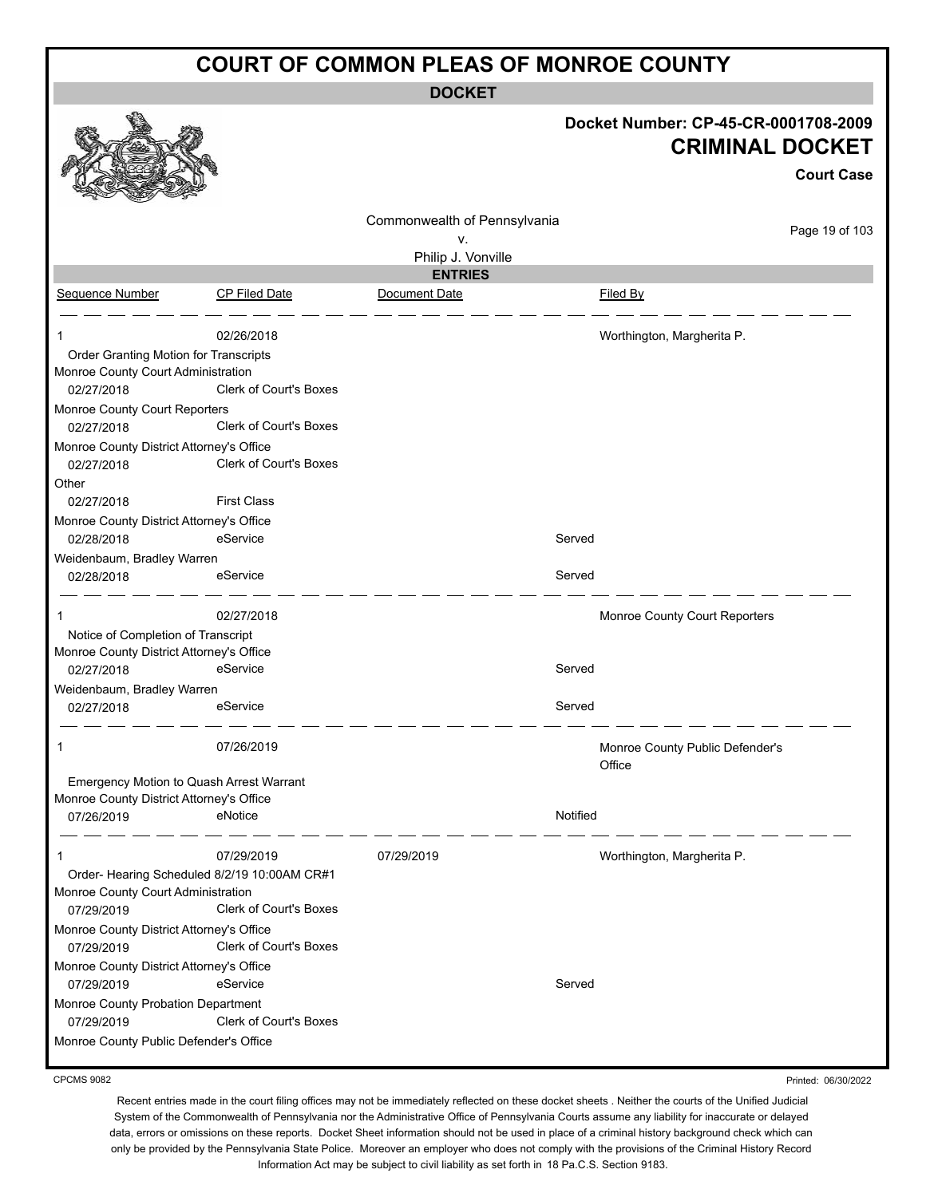**DOCKET**

|                                                        |                                             |                              | Docket Number: CP-45-CR-0001708-2009<br><b>CRIMINAL DOCKET</b> |
|--------------------------------------------------------|---------------------------------------------|------------------------------|----------------------------------------------------------------|
|                                                        |                                             |                              | <b>Court Case</b>                                              |
|                                                        |                                             |                              |                                                                |
|                                                        |                                             | Commonwealth of Pennsylvania | Page 19 of 103                                                 |
|                                                        |                                             | v.                           |                                                                |
|                                                        |                                             | Philip J. Vonville           |                                                                |
|                                                        |                                             | <b>ENTRIES</b>               |                                                                |
| Sequence Number                                        | CP Filed Date                               | Document Date                | Filed By                                                       |
|                                                        | 02/26/2018                                  |                              | Worthington, Margherita P.                                     |
| Order Granting Motion for Transcripts                  |                                             |                              |                                                                |
| Monroe County Court Administration                     |                                             |                              |                                                                |
| 02/27/2018                                             | <b>Clerk of Court's Boxes</b>               |                              |                                                                |
| Monroe County Court Reporters                          | Clerk of Court's Boxes                      |                              |                                                                |
| 02/27/2018                                             |                                             |                              |                                                                |
| Monroe County District Attorney's Office<br>02/27/2018 | Clerk of Court's Boxes                      |                              |                                                                |
| Other                                                  |                                             |                              |                                                                |
| 02/27/2018                                             | <b>First Class</b>                          |                              |                                                                |
| Monroe County District Attorney's Office               |                                             |                              |                                                                |
| 02/28/2018                                             | eService                                    | Served                       |                                                                |
| Weidenbaum, Bradley Warren                             |                                             |                              |                                                                |
| 02/28/2018                                             | eService                                    | Served                       |                                                                |
|                                                        | 02/27/2018                                  |                              | Monroe County Court Reporters                                  |
| Notice of Completion of Transcript                     |                                             |                              |                                                                |
| Monroe County District Attorney's Office               |                                             |                              |                                                                |
| 02/27/2018                                             | eService                                    | Served                       |                                                                |
| Weidenbaum, Bradley Warren                             |                                             |                              |                                                                |
| 02/27/2018                                             | eService                                    | Served                       |                                                                |
|                                                        | 07/26/2019                                  |                              |                                                                |
|                                                        |                                             |                              | Monroe County Public Defender's<br>Office                      |
| Emergency Motion to Quash Arrest Warrant               |                                             |                              |                                                                |
| Monroe County District Attorney's Office               |                                             |                              |                                                                |
| 07/26/2019                                             | eNotice                                     | Notified                     |                                                                |
| 1                                                      | 07/29/2019                                  | 07/29/2019                   | Worthington, Margherita P.                                     |
|                                                        | Order-Hearing Scheduled 8/2/19 10:00AM CR#1 |                              |                                                                |
| Monroe County Court Administration                     |                                             |                              |                                                                |
| 07/29/2019                                             | Clerk of Court's Boxes                      |                              |                                                                |
| Monroe County District Attorney's Office               |                                             |                              |                                                                |
| 07/29/2019                                             | Clerk of Court's Boxes                      |                              |                                                                |
| Monroe County District Attorney's Office               |                                             |                              |                                                                |
| 07/29/2019                                             | eService                                    | Served                       |                                                                |
| Monroe County Probation Department                     | Clerk of Court's Boxes                      |                              |                                                                |
| 07/29/2019                                             |                                             |                              |                                                                |
| Monroe County Public Defender's Office                 |                                             |                              |                                                                |

CPCMS 9082

Printed: 06/30/2022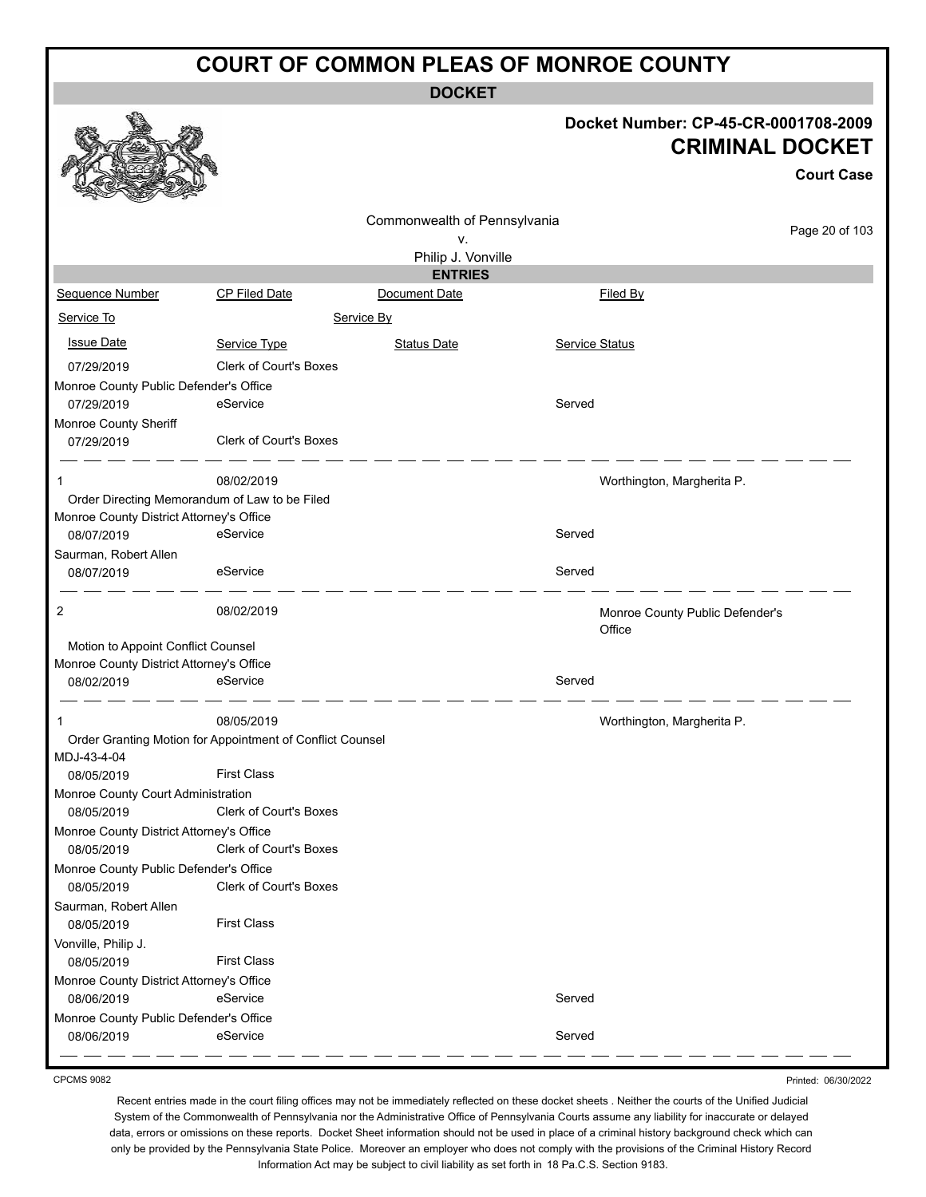**DOCKET**

#### **Docket Number: CP-45-CR-0001708-2009 CRIMINAL DOCKET**

|                                               |                                                           |                                                          |                       | <b>Court Case</b>                         |
|-----------------------------------------------|-----------------------------------------------------------|----------------------------------------------------------|-----------------------|-------------------------------------------|
|                                               |                                                           | Commonwealth of Pennsylvania<br>٧.<br>Philip J. Vonville |                       | Page 20 of 103                            |
|                                               |                                                           | <b>ENTRIES</b>                                           |                       |                                           |
| Sequence Number                               | <b>CP Filed Date</b>                                      | Document Date                                            |                       | <b>Filed By</b>                           |
| Service To                                    |                                                           | Service By                                               |                       |                                           |
| <b>Issue Date</b>                             | Service Type                                              | Status Date                                              | <b>Service Status</b> |                                           |
| 07/29/2019                                    | <b>Clerk of Court's Boxes</b>                             |                                                          |                       |                                           |
| Monroe County Public Defender's Office        |                                                           |                                                          |                       |                                           |
| 07/29/2019                                    | eService                                                  |                                                          | Served                |                                           |
| Monroe County Sheriff                         |                                                           |                                                          |                       |                                           |
| 07/29/2019                                    | Clerk of Court's Boxes                                    |                                                          |                       |                                           |
| 1                                             | 08/02/2019                                                |                                                          |                       | Worthington, Margherita P.                |
| Order Directing Memorandum of Law to be Filed |                                                           |                                                          |                       |                                           |
| Monroe County District Attorney's Office      |                                                           |                                                          |                       |                                           |
| 08/07/2019                                    | eService                                                  |                                                          | Served                |                                           |
| Saurman, Robert Allen<br>08/07/2019           | eService                                                  |                                                          | Served                |                                           |
| 2                                             | 08/02/2019                                                |                                                          |                       | Monroe County Public Defender's<br>Office |
| Motion to Appoint Conflict Counsel            |                                                           |                                                          |                       |                                           |
| Monroe County District Attorney's Office      |                                                           |                                                          |                       |                                           |
| 08/02/2019                                    | eService                                                  |                                                          | Served                |                                           |
|                                               | 08/05/2019                                                |                                                          |                       | Worthington, Margherita P.                |
| MDJ-43-4-04                                   | Order Granting Motion for Appointment of Conflict Counsel |                                                          |                       |                                           |
| 08/05/2019                                    | <b>First Class</b>                                        |                                                          |                       |                                           |
| Monroe County Court Administration            |                                                           |                                                          |                       |                                           |
| 08/05/2019                                    | <b>Clerk of Court's Boxes</b>                             |                                                          |                       |                                           |
| Monroe County District Attorney's Office      |                                                           |                                                          |                       |                                           |
| 08/05/2019                                    | Clerk of Court's Boxes                                    |                                                          |                       |                                           |
| Monroe County Public Defender's Office        |                                                           |                                                          |                       |                                           |
| 08/05/2019                                    | <b>Clerk of Court's Boxes</b>                             |                                                          |                       |                                           |
| Saurman, Robert Allen                         |                                                           |                                                          |                       |                                           |
| 08/05/2019                                    | <b>First Class</b>                                        |                                                          |                       |                                           |
| Vonville, Philip J.                           |                                                           |                                                          |                       |                                           |
| 08/05/2019                                    | <b>First Class</b>                                        |                                                          |                       |                                           |
| Monroe County District Attorney's Office      |                                                           |                                                          |                       |                                           |
| 08/06/2019                                    | eService                                                  |                                                          | Served                |                                           |
| Monroe County Public Defender's Office        |                                                           |                                                          |                       |                                           |
| 08/06/2019                                    | eService                                                  |                                                          | Served                |                                           |

CPCMS 9082

Printed: 06/30/2022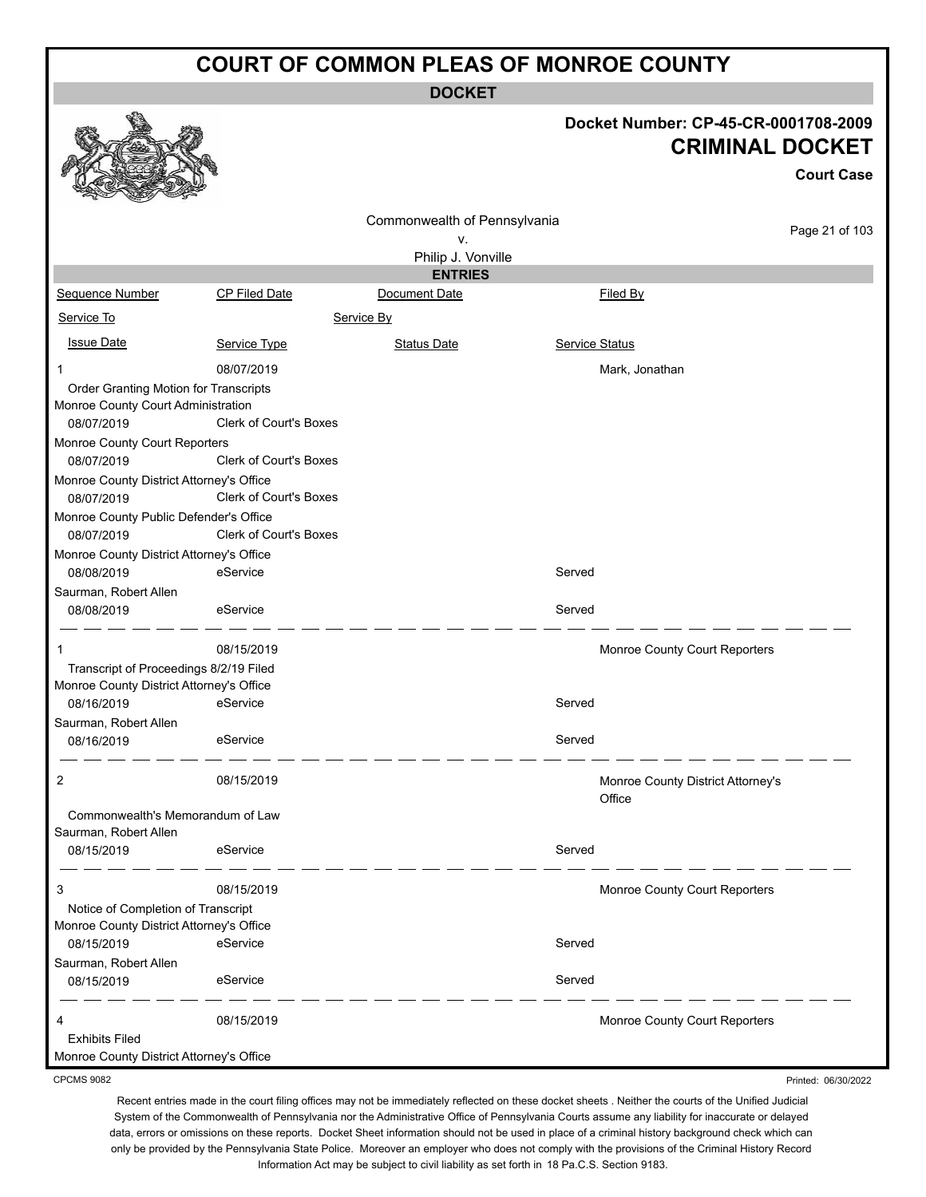**DOCKET**

#### **Docket Number: CP-45-CR-0001708-2009 CRIMINAL DOCKET**

**Court Case**

|                                          |                               |                              |                |                                   | <b>Court Case</b> |
|------------------------------------------|-------------------------------|------------------------------|----------------|-----------------------------------|-------------------|
|                                          |                               | Commonwealth of Pennsylvania |                |                                   |                   |
|                                          |                               | v.                           |                |                                   | Page 21 of 103    |
|                                          |                               | Philip J. Vonville           |                |                                   |                   |
|                                          |                               | <b>ENTRIES</b>               |                |                                   |                   |
| Sequence Number                          | <b>CP Filed Date</b>          | Document Date                |                | Filed By                          |                   |
| Service To                               |                               | Service By                   |                |                                   |                   |
| <b>Issue Date</b>                        | Service Type                  | <b>Status Date</b>           | Service Status |                                   |                   |
| 1                                        | 08/07/2019                    |                              |                | Mark, Jonathan                    |                   |
| Order Granting Motion for Transcripts    |                               |                              |                |                                   |                   |
| Monroe County Court Administration       |                               |                              |                |                                   |                   |
| 08/07/2019                               | <b>Clerk of Court's Boxes</b> |                              |                |                                   |                   |
| Monroe County Court Reporters            |                               |                              |                |                                   |                   |
| 08/07/2019                               | Clerk of Court's Boxes        |                              |                |                                   |                   |
| Monroe County District Attorney's Office |                               |                              |                |                                   |                   |
| 08/07/2019                               | Clerk of Court's Boxes        |                              |                |                                   |                   |
| Monroe County Public Defender's Office   |                               |                              |                |                                   |                   |
| 08/07/2019                               | <b>Clerk of Court's Boxes</b> |                              |                |                                   |                   |
| Monroe County District Attorney's Office |                               |                              |                |                                   |                   |
| 08/08/2019                               | eService                      |                              | Served         |                                   |                   |
| Saurman, Robert Allen                    |                               |                              |                |                                   |                   |
| 08/08/2019                               | eService                      |                              | Served         |                                   |                   |
| 1                                        | 08/15/2019                    |                              |                | Monroe County Court Reporters     |                   |
| Transcript of Proceedings 8/2/19 Filed   |                               |                              |                |                                   |                   |
| Monroe County District Attorney's Office |                               |                              |                |                                   |                   |
| 08/16/2019                               | eService                      |                              | Served         |                                   |                   |
| Saurman, Robert Allen                    |                               |                              |                |                                   |                   |
| 08/16/2019                               | eService                      |                              | Served         |                                   |                   |
| 2                                        | 08/15/2019                    |                              |                | Monroe County District Attorney's |                   |
|                                          |                               |                              |                | Office                            |                   |
| Commonwealth's Memorandum of Law         |                               |                              |                |                                   |                   |
| Saurman, Robert Allen                    |                               |                              |                |                                   |                   |
| 08/15/2019                               | eService                      |                              | Served         |                                   |                   |
| 3                                        | 08/15/2019                    |                              |                | Monroe County Court Reporters     |                   |
| Notice of Completion of Transcript       |                               |                              |                |                                   |                   |
| Monroe County District Attorney's Office |                               |                              |                |                                   |                   |
| 08/15/2019                               | eService                      |                              | Served         |                                   |                   |
| Saurman, Robert Allen                    |                               |                              |                |                                   |                   |
| 08/15/2019                               | eService                      |                              | Served         |                                   |                   |
| 4                                        | 08/15/2019                    |                              |                | Monroe County Court Reporters     |                   |
| <b>Exhibits Filed</b>                    |                               |                              |                |                                   |                   |
| Monroe County District Attorney's Office |                               |                              |                |                                   |                   |

CPCMS 9082

Recent entries made in the court filing offices may not be immediately reflected on these docket sheets . Neither the courts of the Unified Judicial System of the Commonwealth of Pennsylvania nor the Administrative Office of Pennsylvania Courts assume any liability for inaccurate or delayed data, errors or omissions on these reports. Docket Sheet information should not be used in place of a criminal history background check which can only be provided by the Pennsylvania State Police. Moreover an employer who does not comply with the provisions of the Criminal History Record Information Act may be subject to civil liability as set forth in 18 Pa.C.S. Section 9183.

Printed: 06/30/2022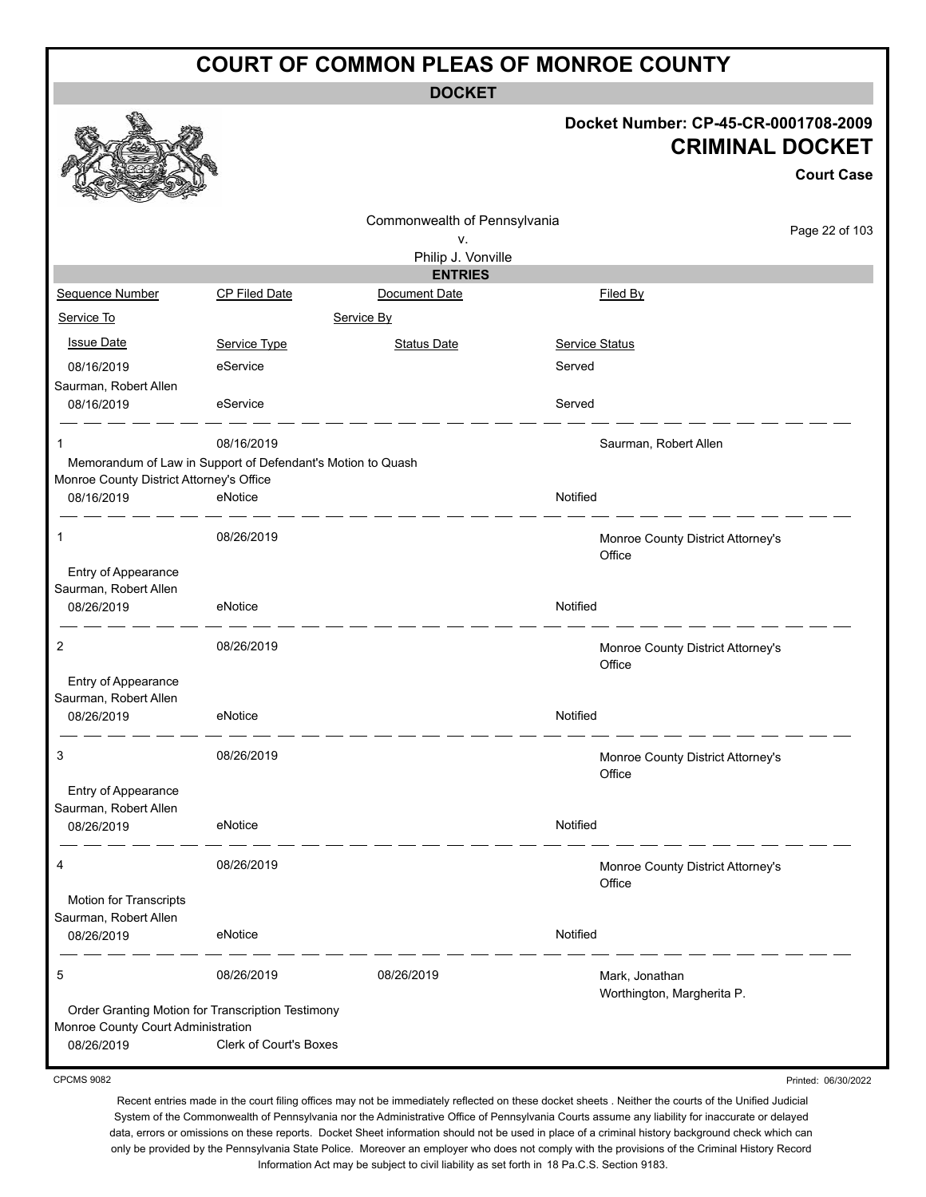**DOCKET**

#### **Docket Number: CP-45-CR-0001708-2009 CRIMINAL DOCKET**

Printed: 06/30/2022

|                                          |                                                             |                                      |                |                                              | <b>Court Case</b> |
|------------------------------------------|-------------------------------------------------------------|--------------------------------------|----------------|----------------------------------------------|-------------------|
|                                          |                                                             | Commonwealth of Pennsylvania<br>v.   |                |                                              | Page 22 of 103    |
|                                          |                                                             | Philip J. Vonville<br><b>ENTRIES</b> |                |                                              |                   |
| Sequence Number                          | CP Filed Date                                               | Document Date                        |                | Filed By                                     |                   |
| Service To                               |                                                             | Service By                           |                |                                              |                   |
|                                          |                                                             |                                      |                |                                              |                   |
| <b>Issue Date</b>                        | Service Type                                                | <b>Status Date</b>                   | Service Status |                                              |                   |
| 08/16/2019                               | eService                                                    |                                      | Served         |                                              |                   |
| Saurman, Robert Allen<br>08/16/2019      | eService                                                    |                                      | Served         |                                              |                   |
|                                          |                                                             |                                      |                |                                              |                   |
| 1                                        | 08/16/2019                                                  |                                      |                | Saurman, Robert Allen                        |                   |
|                                          | Memorandum of Law in Support of Defendant's Motion to Quash |                                      |                |                                              |                   |
| Monroe County District Attorney's Office |                                                             |                                      |                |                                              |                   |
| 08/16/2019                               | eNotice                                                     |                                      | Notified       |                                              |                   |
| 1                                        | 08/26/2019                                                  |                                      |                | Monroe County District Attorney's<br>Office  |                   |
| Entry of Appearance                      |                                                             |                                      |                |                                              |                   |
| Saurman, Robert Allen                    |                                                             |                                      |                |                                              |                   |
| 08/26/2019                               | eNotice                                                     |                                      | Notified       |                                              |                   |
| 2                                        | 08/26/2019                                                  |                                      |                | Monroe County District Attorney's<br>Office  |                   |
| Entry of Appearance                      |                                                             |                                      |                |                                              |                   |
| Saurman, Robert Allen                    |                                                             |                                      |                |                                              |                   |
| 08/26/2019                               | eNotice                                                     |                                      | Notified       |                                              |                   |
| 3                                        | 08/26/2019                                                  |                                      |                | Monroe County District Attorney's<br>Office  |                   |
| Entry of Appearance                      |                                                             |                                      |                |                                              |                   |
| Saurman, Robert Allen                    |                                                             |                                      |                |                                              |                   |
| 08/26/2019                               | eNotice                                                     |                                      | Notified       |                                              |                   |
| 4                                        | 08/26/2019                                                  |                                      |                | Monroe County District Attorney's<br>Office  |                   |
| Motion for Transcripts                   |                                                             |                                      |                |                                              |                   |
| Saurman, Robert Allen                    |                                                             |                                      |                |                                              |                   |
| 08/26/2019                               | eNotice                                                     |                                      | Notified       |                                              |                   |
| 5                                        | 08/26/2019                                                  | 08/26/2019                           |                | Mark, Jonathan<br>Worthington, Margherita P. |                   |
|                                          | Order Granting Motion for Transcription Testimony           |                                      |                |                                              |                   |
| Monroe County Court Administration       |                                                             |                                      |                |                                              |                   |
| 08/26/2019                               | <b>Clerk of Court's Boxes</b>                               |                                      |                |                                              |                   |

CPCMS 9082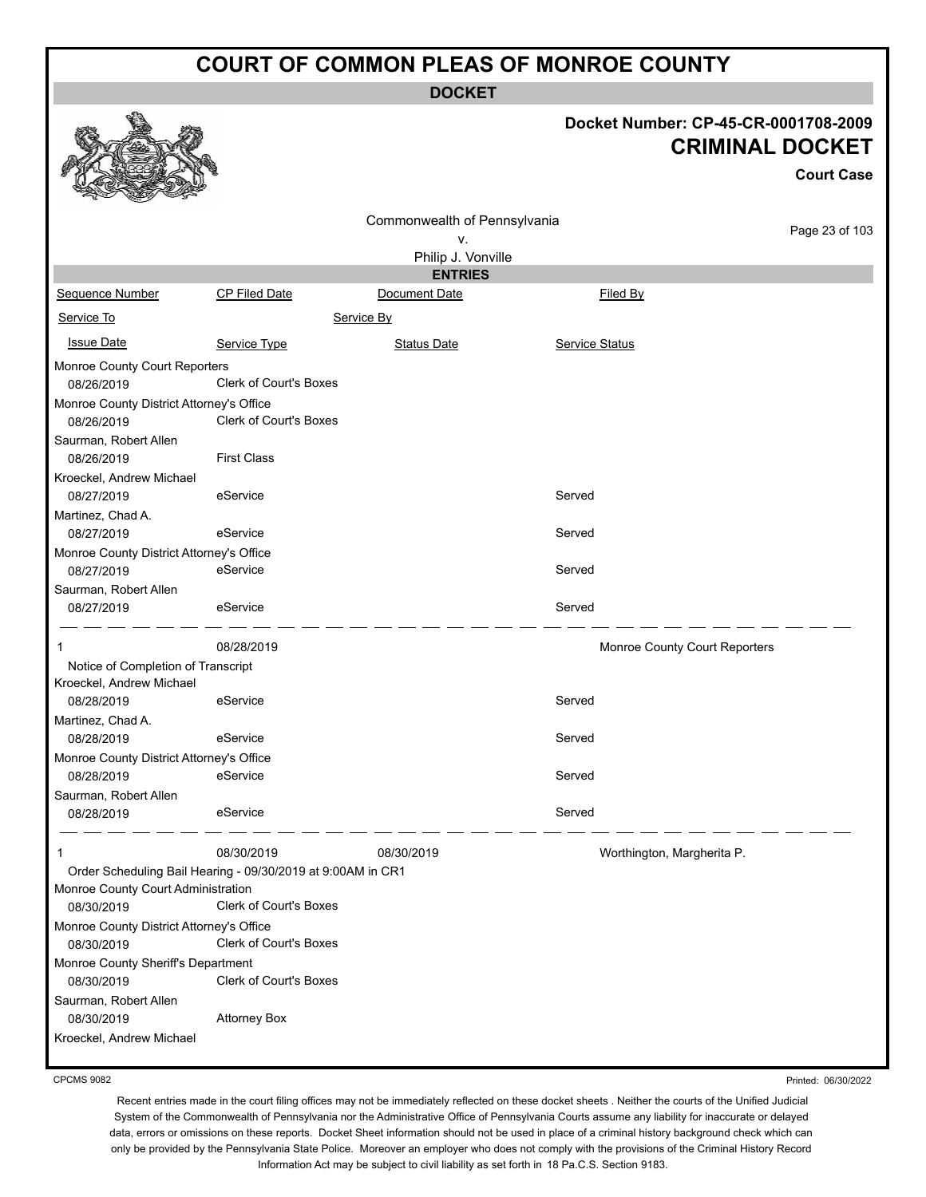**DOCKET**

# **Docket Number: CP-45-CR-0001708-2009**

|                                          |                                                             |                                      | <b>CRIMINAL DOCKET</b>        |                   |  |  |
|------------------------------------------|-------------------------------------------------------------|--------------------------------------|-------------------------------|-------------------|--|--|
|                                          |                                                             |                                      |                               | <b>Court Case</b> |  |  |
|                                          |                                                             | Commonwealth of Pennsylvania         |                               | Page 23 of 103    |  |  |
|                                          |                                                             | ٧.                                   |                               |                   |  |  |
|                                          |                                                             | Philip J. Vonville<br><b>ENTRIES</b> |                               |                   |  |  |
| Sequence Number                          | CP Filed Date                                               | Document Date                        | Filed By                      |                   |  |  |
| Service To                               |                                                             | Service By                           |                               |                   |  |  |
|                                          |                                                             |                                      |                               |                   |  |  |
| <b>Issue Date</b>                        | Service Type                                                | <b>Status Date</b>                   | <b>Service Status</b>         |                   |  |  |
| Monroe County Court Reporters            |                                                             |                                      |                               |                   |  |  |
| 08/26/2019                               | Clerk of Court's Boxes                                      |                                      |                               |                   |  |  |
| Monroe County District Attorney's Office |                                                             |                                      |                               |                   |  |  |
| 08/26/2019                               | Clerk of Court's Boxes                                      |                                      |                               |                   |  |  |
| Saurman, Robert Allen                    |                                                             |                                      |                               |                   |  |  |
| 08/26/2019                               | <b>First Class</b>                                          |                                      |                               |                   |  |  |
| Kroeckel, Andrew Michael                 |                                                             |                                      |                               |                   |  |  |
| 08/27/2019                               | eService                                                    |                                      | Served                        |                   |  |  |
| Martinez, Chad A.<br>08/27/2019          | eService                                                    |                                      | Served                        |                   |  |  |
| Monroe County District Attorney's Office |                                                             |                                      |                               |                   |  |  |
| 08/27/2019                               | eService                                                    |                                      | Served                        |                   |  |  |
| Saurman, Robert Allen                    |                                                             |                                      |                               |                   |  |  |
| 08/27/2019                               | eService                                                    |                                      | Served                        |                   |  |  |
|                                          | 08/28/2019                                                  |                                      | Monroe County Court Reporters |                   |  |  |
| Notice of Completion of Transcript       |                                                             |                                      |                               |                   |  |  |
| Kroeckel, Andrew Michael                 |                                                             |                                      |                               |                   |  |  |
| 08/28/2019                               | eService                                                    |                                      | Served                        |                   |  |  |
| Martinez, Chad A.                        |                                                             |                                      |                               |                   |  |  |
| 08/28/2019                               | eService                                                    |                                      | Served                        |                   |  |  |
| Monroe County District Attorney's Office |                                                             |                                      |                               |                   |  |  |
| 08/28/2019                               | eService                                                    |                                      | Served                        |                   |  |  |
| Saurman, Robert Allen                    | eService                                                    |                                      | Served                        |                   |  |  |
| 08/28/2019                               |                                                             |                                      |                               |                   |  |  |
| 1                                        | 08/30/2019                                                  | 08/30/2019                           | Worthington, Margherita P.    |                   |  |  |
|                                          | Order Scheduling Bail Hearing - 09/30/2019 at 9:00AM in CR1 |                                      |                               |                   |  |  |
| Monroe County Court Administration       |                                                             |                                      |                               |                   |  |  |
| 08/30/2019                               | <b>Clerk of Court's Boxes</b>                               |                                      |                               |                   |  |  |
| Monroe County District Attorney's Office |                                                             |                                      |                               |                   |  |  |
| 08/30/2019                               | Clerk of Court's Boxes                                      |                                      |                               |                   |  |  |
| Monroe County Sheriff's Department       | Clerk of Court's Boxes                                      |                                      |                               |                   |  |  |
| 08/30/2019<br>Saurman, Robert Allen      |                                                             |                                      |                               |                   |  |  |
| 08/30/2019                               | <b>Attorney Box</b>                                         |                                      |                               |                   |  |  |
|                                          |                                                             |                                      |                               |                   |  |  |

Kroeckel, Andrew Michael

**B** 

CPCMS 9082

Printed: 06/30/2022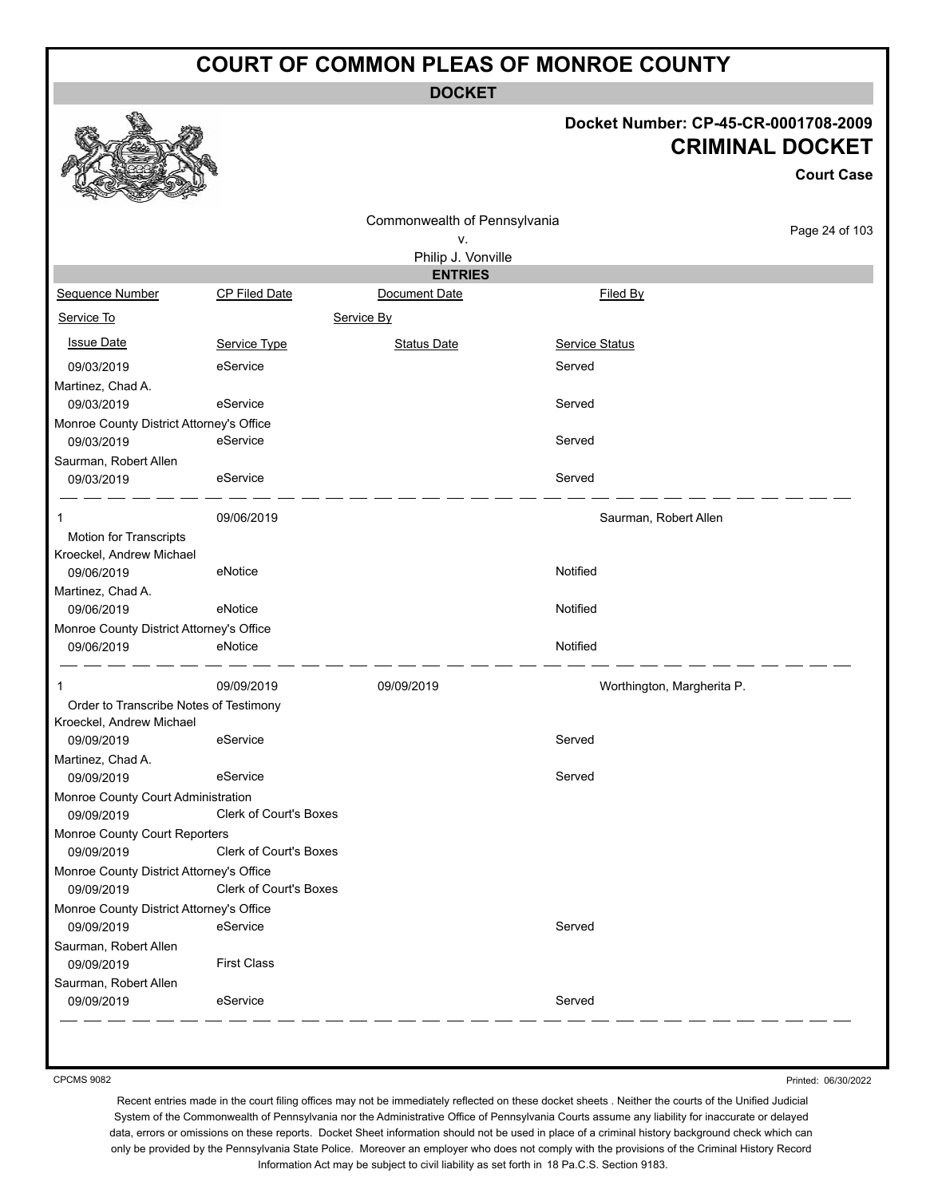**DOCKET**

#### **Docket Number: CP-45-CR-0001708-2009 CRIMINAL DOCKET**

**Court Case**

|                                                        |                               | Commonwealth of Pennsylvania |                            |                |
|--------------------------------------------------------|-------------------------------|------------------------------|----------------------------|----------------|
|                                                        |                               | v.                           |                            | Page 24 of 103 |
|                                                        |                               | Philip J. Vonville           |                            |                |
|                                                        |                               | <b>ENTRIES</b>               |                            |                |
| Sequence Number                                        | CP Filed Date                 | Document Date                | Filed By                   |                |
| Service To                                             |                               | Service By                   |                            |                |
| <b>Issue Date</b>                                      | Service Type                  | <b>Status Date</b>           | <b>Service Status</b>      |                |
| 09/03/2019                                             | eService                      |                              | Served                     |                |
| Martinez, Chad A.                                      |                               |                              |                            |                |
| 09/03/2019                                             | eService                      |                              | Served                     |                |
| Monroe County District Attorney's Office               |                               |                              |                            |                |
| 09/03/2019                                             | eService                      |                              | Served                     |                |
| Saurman, Robert Allen                                  |                               |                              |                            |                |
| 09/03/2019                                             | eService                      |                              | Served                     |                |
| 1                                                      | 09/06/2019                    |                              | Saurman, Robert Allen      |                |
| Motion for Transcripts                                 |                               |                              |                            |                |
| Kroeckel, Andrew Michael                               |                               |                              |                            |                |
| 09/06/2019                                             | eNotice                       |                              | Notified                   |                |
| Martinez, Chad A.                                      |                               |                              |                            |                |
| 09/06/2019                                             | eNotice                       |                              | Notified                   |                |
| Monroe County District Attorney's Office               |                               |                              |                            |                |
| 09/06/2019                                             | eNotice                       |                              | Notified                   |                |
| 1                                                      | 09/09/2019                    | 09/09/2019                   | Worthington, Margherita P. |                |
| Order to Transcribe Notes of Testimony                 |                               |                              |                            |                |
| Kroeckel, Andrew Michael                               |                               |                              |                            |                |
| 09/09/2019                                             | eService                      |                              | Served                     |                |
| Martinez, Chad A.                                      |                               |                              |                            |                |
| 09/09/2019                                             | eService                      |                              | Served                     |                |
| Monroe County Court Administration                     |                               |                              |                            |                |
| 09/09/2019                                             | <b>Clerk of Court's Boxes</b> |                              |                            |                |
| Monroe County Court Reporters                          |                               |                              |                            |                |
| 09/09/2019                                             | <b>Clerk of Court's Boxes</b> |                              |                            |                |
| Monroe County District Attorney's Office<br>09/09/2019 | <b>Clerk of Court's Boxes</b> |                              |                            |                |
|                                                        |                               |                              |                            |                |
| Monroe County District Attorney's Office<br>09/09/2019 | eService                      |                              | Served                     |                |
| Saurman, Robert Allen                                  |                               |                              |                            |                |
| 09/09/2019                                             | <b>First Class</b>            |                              |                            |                |
| Saurman, Robert Allen                                  |                               |                              |                            |                |
| 09/09/2019                                             | eService                      |                              | Served                     |                |

CPCMS 9082

Printed: 06/30/2022

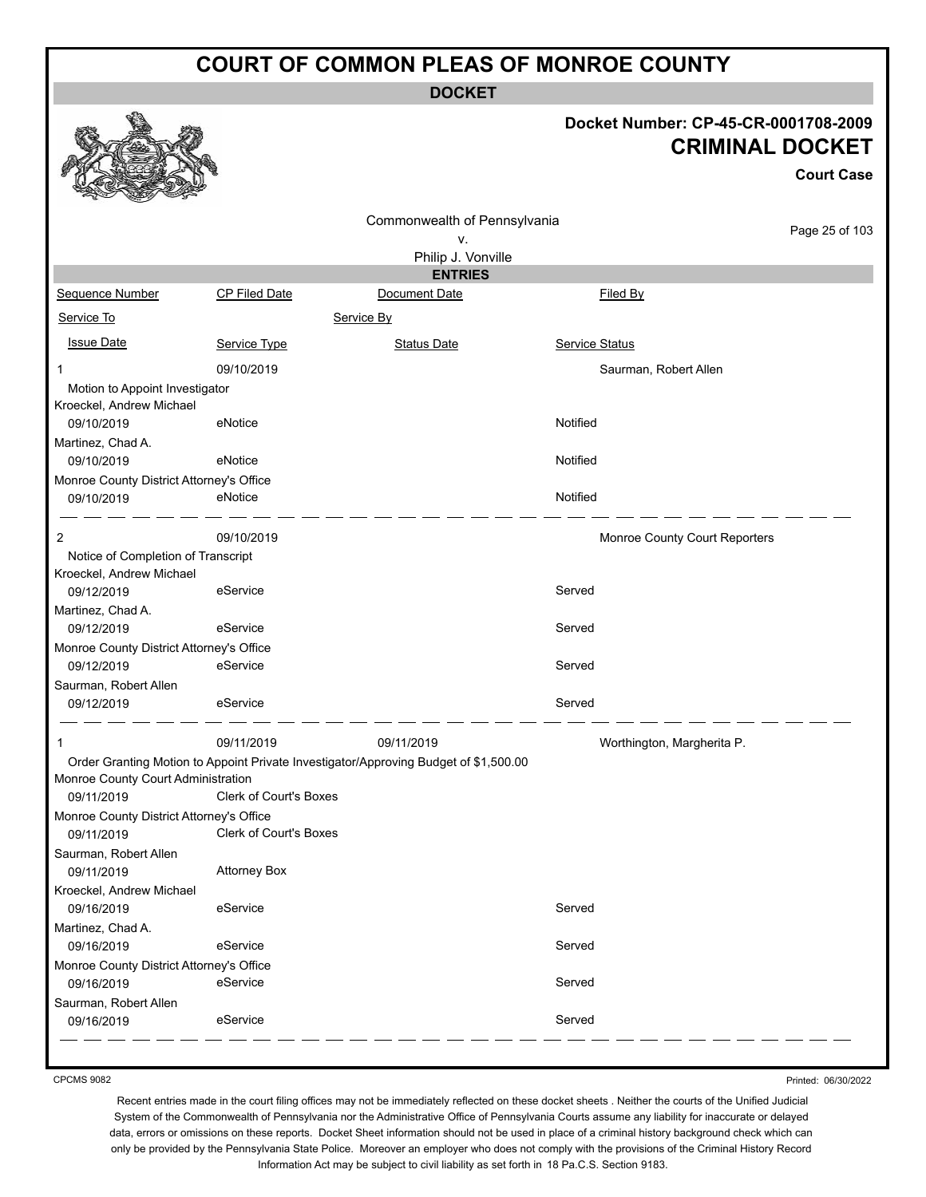**DOCKET**

#### **Docket Number: CP-45-CR-0001708-2009 CRIMINAL DOCKET**

**Court Case**

|                                          |                               | Commonwealth of Pennsylvania                                                         |                               | Page 25 of 103 |
|------------------------------------------|-------------------------------|--------------------------------------------------------------------------------------|-------------------------------|----------------|
|                                          |                               | ۷.<br>Philip J. Vonville                                                             |                               |                |
|                                          |                               | <b>ENTRIES</b>                                                                       |                               |                |
| Sequence Number                          | <b>CP Filed Date</b>          | Document Date                                                                        | Filed By                      |                |
| Service To                               |                               | Service By                                                                           |                               |                |
| <b>Issue Date</b>                        | Service Type                  | <b>Status Date</b>                                                                   | Service Status                |                |
| 1                                        | 09/10/2019                    |                                                                                      | Saurman, Robert Allen         |                |
| Motion to Appoint Investigator           |                               |                                                                                      |                               |                |
| Kroeckel, Andrew Michael                 |                               |                                                                                      |                               |                |
| 09/10/2019                               | eNotice                       |                                                                                      | Notified                      |                |
| Martinez, Chad A.                        |                               |                                                                                      |                               |                |
| 09/10/2019                               | eNotice                       |                                                                                      | Notified                      |                |
| Monroe County District Attorney's Office |                               |                                                                                      |                               |                |
| 09/10/2019                               | eNotice                       |                                                                                      | Notified                      |                |
| 2                                        | 09/10/2019                    |                                                                                      | Monroe County Court Reporters |                |
| Notice of Completion of Transcript       |                               |                                                                                      |                               |                |
| Kroeckel, Andrew Michael                 |                               |                                                                                      |                               |                |
| 09/12/2019                               | eService                      |                                                                                      | Served                        |                |
| Martinez, Chad A.                        |                               |                                                                                      |                               |                |
| 09/12/2019                               | eService                      |                                                                                      | Served                        |                |
| Monroe County District Attorney's Office |                               |                                                                                      |                               |                |
| 09/12/2019                               | eService                      |                                                                                      | Served                        |                |
| Saurman, Robert Allen                    |                               |                                                                                      |                               |                |
| 09/12/2019                               | eService                      |                                                                                      | Served                        |                |
|                                          | 09/11/2019                    | 09/11/2019                                                                           | Worthington, Margherita P.    |                |
|                                          |                               | Order Granting Motion to Appoint Private Investigator/Approving Budget of \$1,500.00 |                               |                |
| Monroe County Court Administration       |                               |                                                                                      |                               |                |
| 09/11/2019                               | <b>Clerk of Court's Boxes</b> |                                                                                      |                               |                |
| Monroe County District Attorney's Office |                               |                                                                                      |                               |                |
| 09/11/2019                               | <b>Clerk of Court's Boxes</b> |                                                                                      |                               |                |
| Saurman, Robert Allen                    |                               |                                                                                      |                               |                |
| 09/11/2019                               | <b>Attorney Box</b>           |                                                                                      |                               |                |
| Kroeckel, Andrew Michael                 |                               |                                                                                      |                               |                |
| 09/16/2019                               | eService                      |                                                                                      | Served                        |                |
| Martinez, Chad A.                        |                               |                                                                                      |                               |                |
| 09/16/2019                               | eService                      |                                                                                      | Served                        |                |
| Monroe County District Attorney's Office |                               |                                                                                      |                               |                |
| 09/16/2019                               | eService                      |                                                                                      | Served                        |                |
| Saurman, Robert Allen                    |                               |                                                                                      |                               |                |
| 09/16/2019                               | eService                      |                                                                                      | Served                        |                |

CPCMS 9082

Printed: 06/30/2022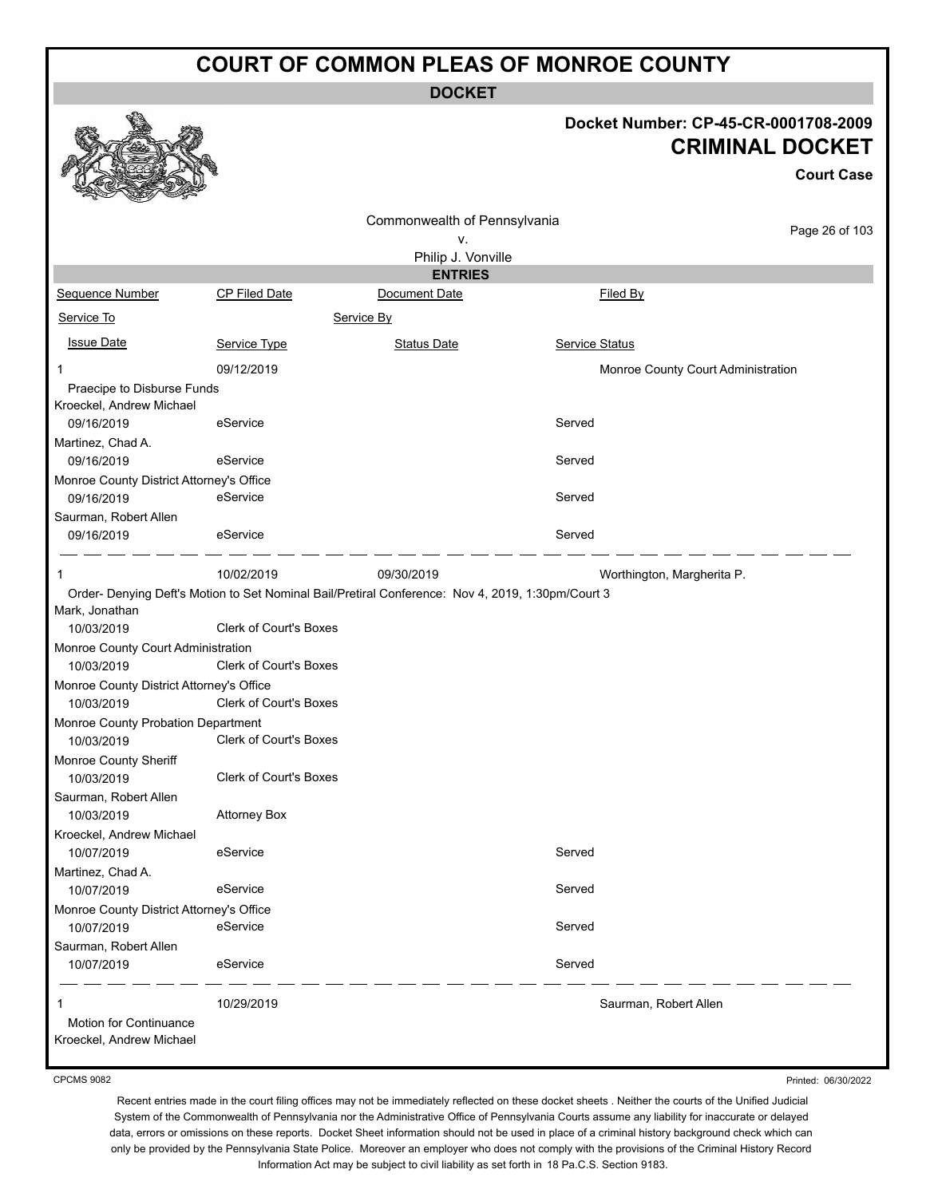**DOCKET**

#### **Docket Number: CP-45-CR-0001708-2009 CRIMINAL DOCKET**

**Court Case**

|                                                    |                               | Commonwealth of Pennsylvania                                                                      |                                    |                |
|----------------------------------------------------|-------------------------------|---------------------------------------------------------------------------------------------------|------------------------------------|----------------|
|                                                    |                               | ۷.                                                                                                |                                    | Page 26 of 103 |
|                                                    |                               | Philip J. Vonville                                                                                |                                    |                |
|                                                    |                               | <b>ENTRIES</b>                                                                                    |                                    |                |
| Sequence Number                                    | CP Filed Date                 | Document Date                                                                                     | Filed By                           |                |
| Service To                                         |                               | Service By                                                                                        |                                    |                |
| <b>Issue Date</b>                                  | Service Type                  | <b>Status Date</b>                                                                                | Service Status                     |                |
| 1                                                  | 09/12/2019                    |                                                                                                   | Monroe County Court Administration |                |
| Praecipe to Disburse Funds                         |                               |                                                                                                   |                                    |                |
| Kroeckel, Andrew Michael                           |                               |                                                                                                   |                                    |                |
| 09/16/2019                                         | eService                      |                                                                                                   | Served                             |                |
| Martinez, Chad A.                                  |                               |                                                                                                   |                                    |                |
| 09/16/2019                                         | eService                      |                                                                                                   | Served                             |                |
| Monroe County District Attorney's Office           |                               |                                                                                                   |                                    |                |
| 09/16/2019                                         | eService                      |                                                                                                   | Served                             |                |
| Saurman, Robert Allen                              |                               |                                                                                                   |                                    |                |
| 09/16/2019                                         | eService                      |                                                                                                   | Served                             |                |
|                                                    | 10/02/2019                    | 09/30/2019                                                                                        | Worthington, Margherita P.         |                |
|                                                    |                               | Order- Denying Deft's Motion to Set Nominal Bail/Pretiral Conference: Nov 4, 2019, 1:30pm/Court 3 |                                    |                |
| Mark, Jonathan                                     |                               |                                                                                                   |                                    |                |
| 10/03/2019                                         | <b>Clerk of Court's Boxes</b> |                                                                                                   |                                    |                |
| Monroe County Court Administration                 |                               |                                                                                                   |                                    |                |
| 10/03/2019                                         | <b>Clerk of Court's Boxes</b> |                                                                                                   |                                    |                |
| Monroe County District Attorney's Office           |                               |                                                                                                   |                                    |                |
| 10/03/2019                                         | <b>Clerk of Court's Boxes</b> |                                                                                                   |                                    |                |
| Monroe County Probation Department                 |                               |                                                                                                   |                                    |                |
| 10/03/2019                                         | <b>Clerk of Court's Boxes</b> |                                                                                                   |                                    |                |
| Monroe County Sheriff                              |                               |                                                                                                   |                                    |                |
| 10/03/2019                                         | <b>Clerk of Court's Boxes</b> |                                                                                                   |                                    |                |
| Saurman, Robert Allen                              |                               |                                                                                                   |                                    |                |
| 10/03/2019                                         | <b>Attorney Box</b>           |                                                                                                   |                                    |                |
| Kroeckel, Andrew Michael                           |                               |                                                                                                   |                                    |                |
| 10/07/2019                                         | eService                      |                                                                                                   | Served                             |                |
| Martinez, Chad A.                                  |                               |                                                                                                   |                                    |                |
| 10/07/2019                                         | eService                      |                                                                                                   | Served                             |                |
| Monroe County District Attorney's Office           |                               |                                                                                                   |                                    |                |
| 10/07/2019                                         | eService                      |                                                                                                   | Served                             |                |
| Saurman, Robert Allen                              |                               |                                                                                                   |                                    |                |
| 10/07/2019                                         | eService                      |                                                                                                   | Served                             |                |
|                                                    | 10/29/2019                    |                                                                                                   | Saurman, Robert Allen              |                |
|                                                    |                               |                                                                                                   |                                    |                |
| Motion for Continuance<br>Kroeckel, Andrew Michael |                               |                                                                                                   |                                    |                |
|                                                    |                               |                                                                                                   |                                    |                |

CPCMS 9082

Printed: 06/30/2022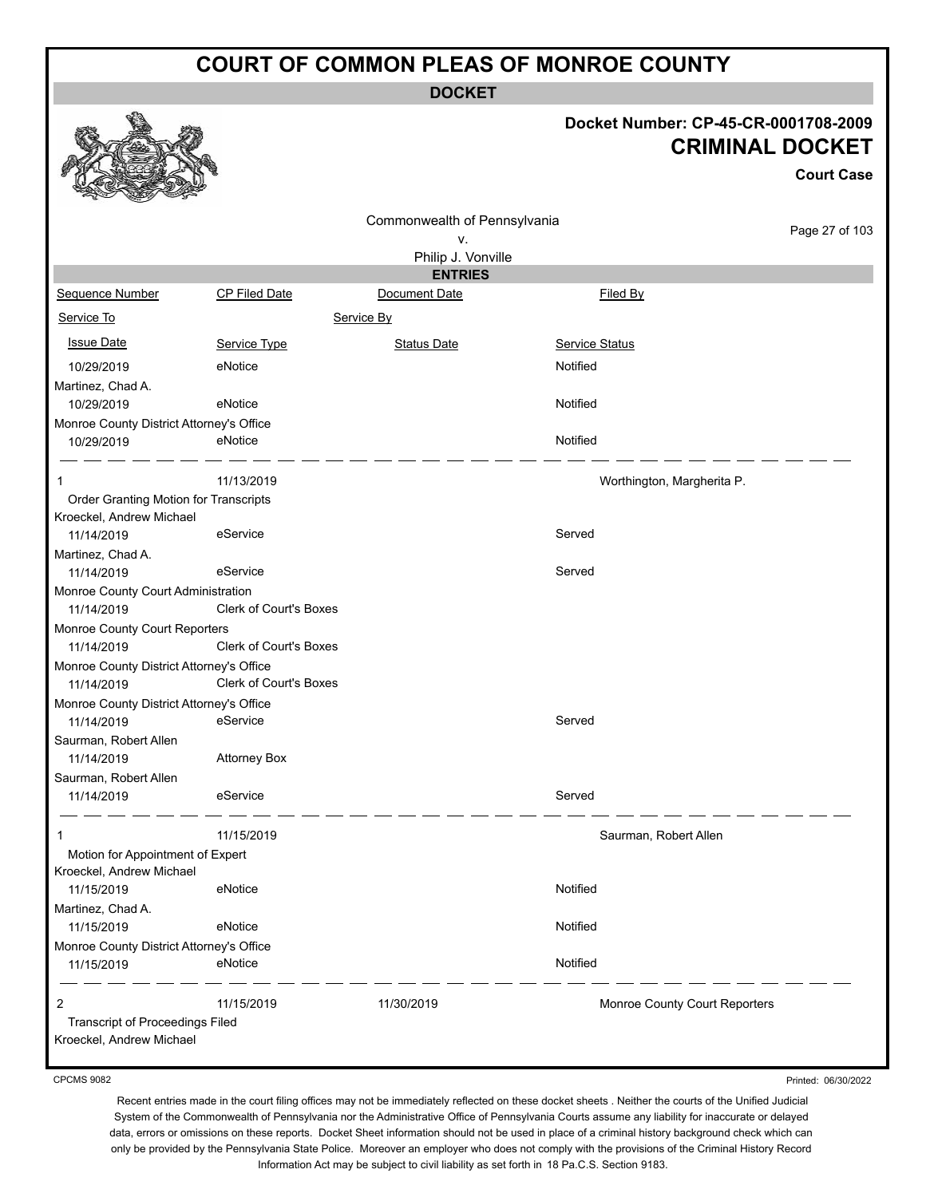**DOCKET**

#### **Docket Number: CP-45-CR-0001708-2009** ET)

|                                                                   |                               |                              |                               | <b>CRIMINAL DOCKET</b><br><b>Court Case</b> |
|-------------------------------------------------------------------|-------------------------------|------------------------------|-------------------------------|---------------------------------------------|
|                                                                   |                               | Commonwealth of Pennsylvania |                               |                                             |
|                                                                   |                               | ۷.                           |                               | Page 27 of 103                              |
|                                                                   |                               | Philip J. Vonville           |                               |                                             |
|                                                                   |                               | <b>ENTRIES</b>               |                               |                                             |
| Sequence Number                                                   | <b>CP Filed Date</b>          | Document Date                | Filed By                      |                                             |
| Service To                                                        |                               | Service By                   |                               |                                             |
| <b>Issue Date</b>                                                 | Service Type                  | <b>Status Date</b>           | <b>Service Status</b>         |                                             |
| 10/29/2019                                                        | eNotice                       |                              | Notified                      |                                             |
| Martinez, Chad A.                                                 |                               |                              |                               |                                             |
| 10/29/2019                                                        | eNotice                       |                              | Notified                      |                                             |
| Monroe County District Attorney's Office                          |                               |                              |                               |                                             |
| 10/29/2019                                                        | eNotice                       |                              | Notified                      |                                             |
| 1                                                                 | 11/13/2019                    |                              | Worthington, Margherita P.    |                                             |
| Order Granting Motion for Transcripts<br>Kroeckel, Andrew Michael |                               |                              |                               |                                             |
| 11/14/2019                                                        | eService                      |                              | Served                        |                                             |
| Martinez, Chad A.<br>11/14/2019                                   | eService                      |                              | Served                        |                                             |
| Monroe County Court Administration                                |                               |                              |                               |                                             |
| 11/14/2019                                                        | Clerk of Court's Boxes        |                              |                               |                                             |
| Monroe County Court Reporters                                     |                               |                              |                               |                                             |
| 11/14/2019                                                        | <b>Clerk of Court's Boxes</b> |                              |                               |                                             |
| Monroe County District Attorney's Office                          |                               |                              |                               |                                             |
| 11/14/2019                                                        | Clerk of Court's Boxes        |                              |                               |                                             |
| Monroe County District Attorney's Office<br>11/14/2019            | eService                      |                              | Served                        |                                             |
| Saurman, Robert Allen                                             |                               |                              |                               |                                             |
| 11/14/2019                                                        | <b>Attorney Box</b>           |                              |                               |                                             |
| Saurman, Robert Allen                                             |                               |                              |                               |                                             |
| 11/14/2019                                                        | eService                      |                              | Served                        |                                             |
| 1                                                                 | 11/15/2019                    |                              | Saurman, Robert Allen         |                                             |
| Motion for Appointment of Expert<br>Kroeckel, Andrew Michael      |                               |                              |                               |                                             |
| 11/15/2019<br>Martinez, Chad A.                                   | eNotice                       |                              | Notified                      |                                             |
| 11/15/2019                                                        | eNotice                       |                              | Notified                      |                                             |
| Monroe County District Attorney's Office                          |                               |                              |                               |                                             |
| 11/15/2019                                                        | eNotice                       |                              | Notified                      |                                             |
| 2                                                                 | 11/15/2019                    | 11/30/2019                   | Monroe County Court Reporters |                                             |
| Transcript of Proceedings Filed<br>Kroeckel, Andrew Michael       |                               |                              |                               |                                             |

CPCMS 9082

€

52

线点

Printed: 06/30/2022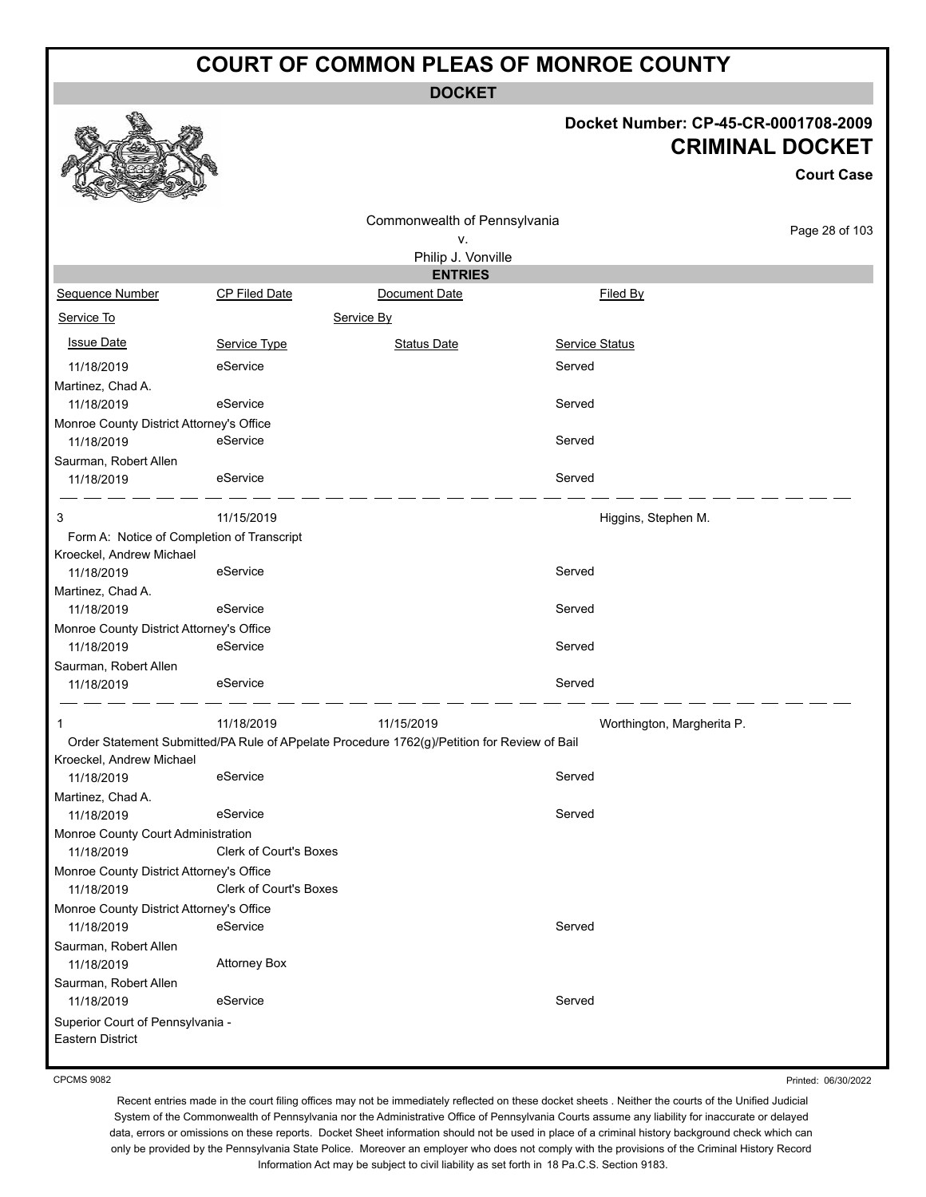**DOCKET**

#### **Docket Number: CP-45-CR-0001708-2009 CRIMINAL DOCKET**

**Court Case**

|                                                        |                                                                                             | Commonwealth of Pennsylvania |                            |                |
|--------------------------------------------------------|---------------------------------------------------------------------------------------------|------------------------------|----------------------------|----------------|
|                                                        |                                                                                             | ٧.                           |                            | Page 28 of 103 |
|                                                        |                                                                                             | Philip J. Vonville           |                            |                |
|                                                        |                                                                                             | <b>ENTRIES</b>               |                            |                |
| Sequence Number                                        | <b>CP Filed Date</b>                                                                        | Document Date                | Filed By                   |                |
| Service To                                             |                                                                                             | Service By                   |                            |                |
| <b>Issue Date</b>                                      | Service Type                                                                                | <b>Status Date</b>           | <b>Service Status</b>      |                |
| 11/18/2019                                             | eService                                                                                    |                              | Served                     |                |
| Martinez, Chad A.                                      |                                                                                             |                              |                            |                |
| 11/18/2019                                             | eService                                                                                    |                              | Served                     |                |
| Monroe County District Attorney's Office               |                                                                                             |                              |                            |                |
| 11/18/2019                                             | eService                                                                                    |                              | Served                     |                |
| Saurman, Robert Allen                                  |                                                                                             |                              |                            |                |
| 11/18/2019                                             | eService                                                                                    |                              | Served                     |                |
| 3                                                      | 11/15/2019                                                                                  |                              | Higgins, Stephen M.        |                |
| Form A: Notice of Completion of Transcript             |                                                                                             |                              |                            |                |
| Kroeckel, Andrew Michael                               |                                                                                             |                              |                            |                |
| 11/18/2019                                             | eService                                                                                    |                              | Served                     |                |
| Martinez, Chad A.                                      |                                                                                             |                              |                            |                |
| 11/18/2019                                             | eService                                                                                    |                              | Served                     |                |
| Monroe County District Attorney's Office               |                                                                                             |                              |                            |                |
| 11/18/2019                                             | eService                                                                                    |                              | Served                     |                |
| Saurman, Robert Allen                                  |                                                                                             |                              |                            |                |
| 11/18/2019                                             | eService                                                                                    |                              | Served                     |                |
| 1                                                      | 11/18/2019                                                                                  | 11/15/2019                   | Worthington, Margherita P. |                |
|                                                        | Order Statement Submitted/PA Rule of APpelate Procedure 1762(g)/Petition for Review of Bail |                              |                            |                |
| Kroeckel, Andrew Michael                               |                                                                                             |                              | Served                     |                |
| 11/18/2019                                             | eService                                                                                    |                              |                            |                |
| Martinez, Chad A.                                      | eService                                                                                    |                              | Served                     |                |
| 11/18/2019                                             |                                                                                             |                              |                            |                |
| Monroe County Court Administration                     | Clerk of Court's Boxes                                                                      |                              |                            |                |
| 11/18/2019<br>Monroe County District Attorney's Office |                                                                                             |                              |                            |                |
| 11/18/2019                                             | Clerk of Court's Boxes                                                                      |                              |                            |                |
| Monroe County District Attorney's Office               |                                                                                             |                              |                            |                |
| 11/18/2019                                             | eService                                                                                    |                              | Served                     |                |
| Saurman, Robert Allen                                  |                                                                                             |                              |                            |                |
| 11/18/2019                                             | <b>Attorney Box</b>                                                                         |                              |                            |                |
| Saurman, Robert Allen                                  |                                                                                             |                              |                            |                |
| 11/18/2019                                             | eService                                                                                    |                              | Served                     |                |
| Superior Court of Pennsylvania -                       |                                                                                             |                              |                            |                |
| Eastern District                                       |                                                                                             |                              |                            |                |
|                                                        |                                                                                             |                              |                            |                |

CPCMS 9082

Printed: 06/30/2022

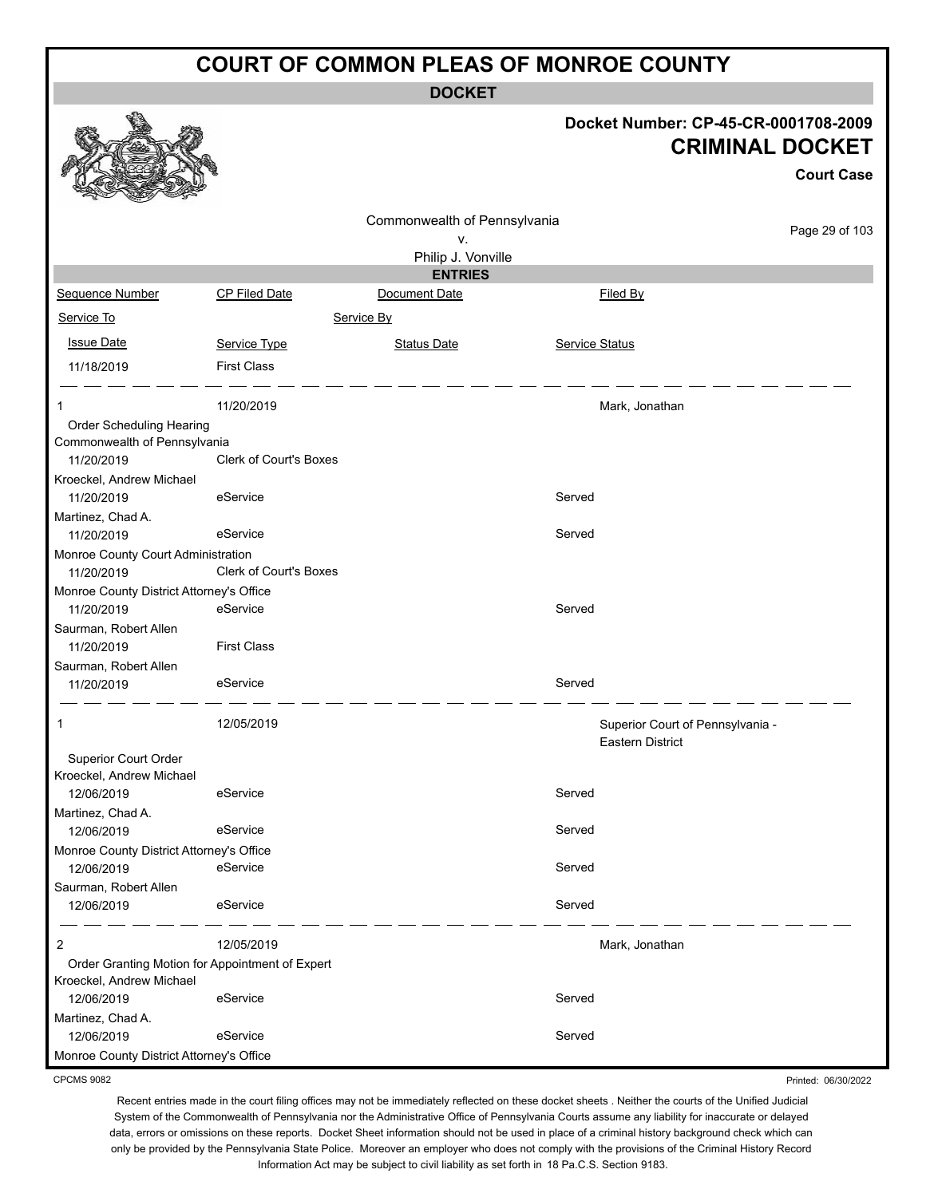**DOCKET**

| Docket Number: CP-45-CR-0001708-2009 |
|--------------------------------------|
| <b>CRIMINAL DOCKET</b>               |

**Court Case**

Printed: 06/30/2022

|                                                  |                                                 | Commonwealth of Pennsylvania |                |                                  |                |
|--------------------------------------------------|-------------------------------------------------|------------------------------|----------------|----------------------------------|----------------|
|                                                  |                                                 | ٧.                           |                |                                  | Page 29 of 103 |
|                                                  |                                                 | Philip J. Vonville           |                |                                  |                |
|                                                  |                                                 | <b>ENTRIES</b>               |                |                                  |                |
| Sequence Number                                  | CP Filed Date                                   | Document Date                |                | Filed By                         |                |
| Service To                                       |                                                 | Service By                   |                |                                  |                |
| <b>Issue Date</b>                                | Service Type                                    | <b>Status Date</b>           | Service Status |                                  |                |
| 11/18/2019                                       | <b>First Class</b>                              |                              |                |                                  |                |
| 1                                                | 11/20/2019                                      |                              |                | Mark, Jonathan                   |                |
| Order Scheduling Hearing                         |                                                 |                              |                |                                  |                |
| Commonwealth of Pennsylvania                     |                                                 |                              |                |                                  |                |
| 11/20/2019                                       | <b>Clerk of Court's Boxes</b>                   |                              |                |                                  |                |
| Kroeckel, Andrew Michael                         |                                                 |                              | Served         |                                  |                |
| 11/20/2019                                       | eService                                        |                              |                |                                  |                |
| Martinez, Chad A.<br>11/20/2019                  | eService                                        |                              | Served         |                                  |                |
| Monroe County Court Administration               |                                                 |                              |                |                                  |                |
| 11/20/2019                                       | Clerk of Court's Boxes                          |                              |                |                                  |                |
| Monroe County District Attorney's Office         |                                                 |                              |                |                                  |                |
| 11/20/2019                                       | eService                                        |                              | Served         |                                  |                |
| Saurman, Robert Allen                            |                                                 |                              |                |                                  |                |
| 11/20/2019                                       | <b>First Class</b>                              |                              |                |                                  |                |
| Saurman, Robert Allen                            |                                                 |                              |                |                                  |                |
| 11/20/2019                                       | eService                                        |                              | Served         |                                  |                |
| 1                                                | 12/05/2019                                      |                              |                | Superior Court of Pennsylvania - |                |
|                                                  |                                                 |                              |                | <b>Eastern District</b>          |                |
| Superior Court Order<br>Kroeckel, Andrew Michael |                                                 |                              |                |                                  |                |
| 12/06/2019                                       | eService                                        |                              | Served         |                                  |                |
| Martinez, Chad A.                                |                                                 |                              |                |                                  |                |
| 12/06/2019                                       | eService                                        |                              | Served         |                                  |                |
| Monroe County District Attorney's Office         |                                                 |                              |                |                                  |                |
| 12/06/2019                                       | eService                                        |                              | Served         |                                  |                |
| Saurman, Robert Allen                            |                                                 |                              |                |                                  |                |
| 12/06/2019                                       | eService                                        |                              | Served         |                                  |                |
| $\overline{c}$                                   | 12/05/2019                                      |                              |                | Mark, Jonathan                   |                |
|                                                  | Order Granting Motion for Appointment of Expert |                              |                |                                  |                |
| Kroeckel, Andrew Michael                         |                                                 |                              |                |                                  |                |
| 12/06/2019                                       | eService                                        |                              | Served         |                                  |                |
| Martinez, Chad A.<br>12/06/2019                  | eService                                        |                              | Served         |                                  |                |
| Monroe County District Attorney's Office         |                                                 |                              |                |                                  |                |
|                                                  |                                                 |                              |                |                                  |                |

CPCMS 9082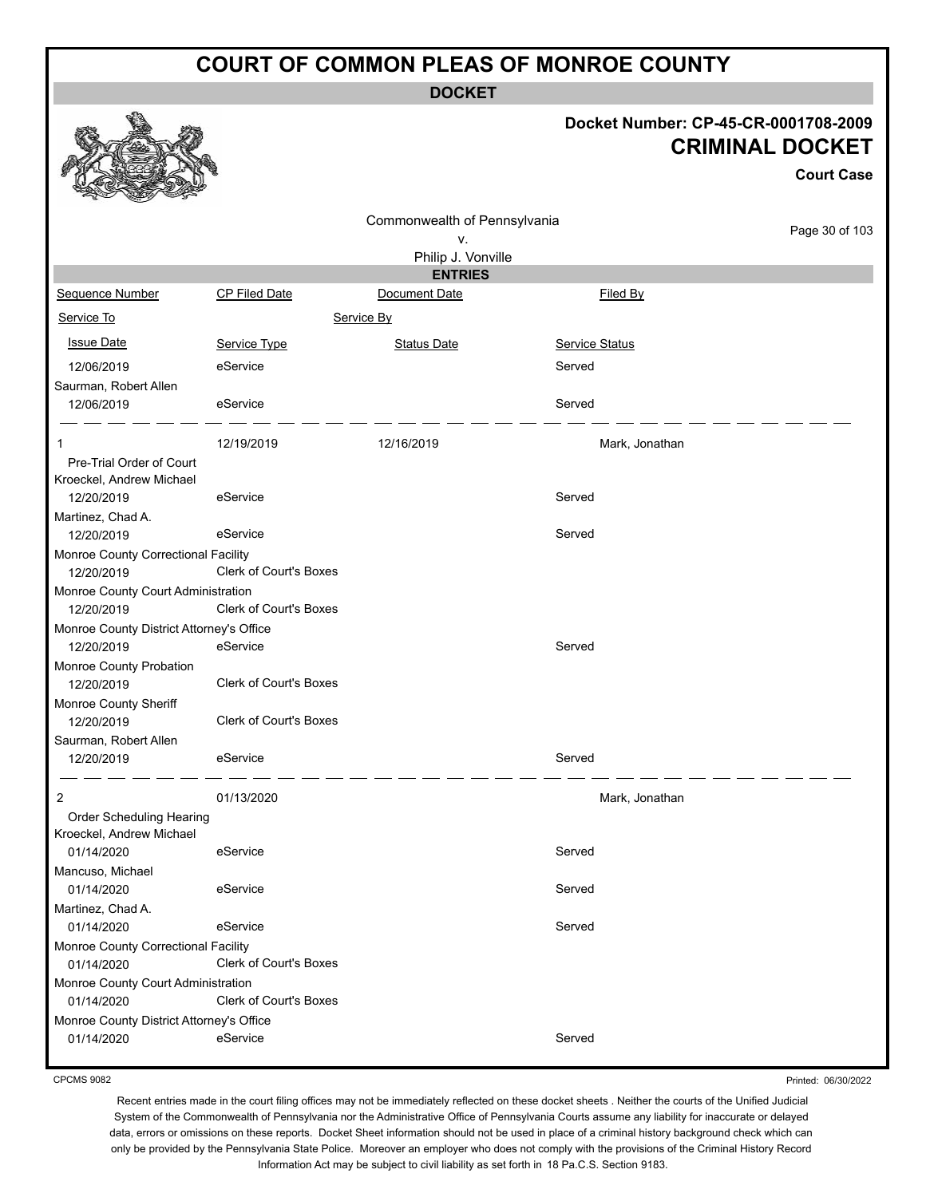**DOCKET**

#### **Docket Number: CP-45-CR-0001708-2009 CRIMINAL DOCKET**

**Court Case**

|                                                      |                               | Commonwealth of Pennsylvania |                       |                |
|------------------------------------------------------|-------------------------------|------------------------------|-----------------------|----------------|
|                                                      |                               | ۷.                           |                       | Page 30 of 103 |
|                                                      |                               | Philip J. Vonville           |                       |                |
|                                                      |                               | <b>ENTRIES</b>               |                       |                |
| Sequence Number                                      | <b>CP Filed Date</b>          | Document Date                | Filed By              |                |
| Service To                                           |                               | Service By                   |                       |                |
| <b>Issue Date</b>                                    | Service Type                  | <b>Status Date</b>           | <b>Service Status</b> |                |
| 12/06/2019                                           | eService                      |                              | Served                |                |
| Saurman, Robert Allen                                |                               |                              |                       |                |
| 12/06/2019                                           | eService                      |                              | Served                |                |
|                                                      |                               |                              |                       |                |
| 1                                                    | 12/19/2019                    | 12/16/2019                   | Mark, Jonathan        |                |
| Pre-Trial Order of Court                             |                               |                              |                       |                |
| Kroeckel, Andrew Michael<br>12/20/2019               | eService                      |                              | Served                |                |
|                                                      |                               |                              |                       |                |
| Martinez, Chad A.<br>12/20/2019                      | eService                      |                              | Served                |                |
| Monroe County Correctional Facility                  |                               |                              |                       |                |
| 12/20/2019                                           | Clerk of Court's Boxes        |                              |                       |                |
| Monroe County Court Administration                   |                               |                              |                       |                |
| 12/20/2019                                           | <b>Clerk of Court's Boxes</b> |                              |                       |                |
| Monroe County District Attorney's Office             |                               |                              |                       |                |
| 12/20/2019                                           | eService                      |                              | Served                |                |
| Monroe County Probation                              |                               |                              |                       |                |
| 12/20/2019                                           | <b>Clerk of Court's Boxes</b> |                              |                       |                |
| Monroe County Sheriff                                |                               |                              |                       |                |
| 12/20/2019                                           | <b>Clerk of Court's Boxes</b> |                              |                       |                |
| Saurman, Robert Allen                                |                               |                              |                       |                |
| 12/20/2019                                           | eService                      |                              | Served                |                |
|                                                      |                               |                              |                       |                |
| 2                                                    | 01/13/2020                    |                              | Mark, Jonathan        |                |
| Order Scheduling Hearing<br>Kroeckel, Andrew Michael |                               |                              |                       |                |
| 01/14/2020                                           | eService                      |                              | Served                |                |
| Mancuso, Michael                                     |                               |                              |                       |                |
| 01/14/2020                                           | eService                      |                              | Served                |                |
| Martinez, Chad A.                                    |                               |                              |                       |                |
| 01/14/2020                                           | eService                      |                              | Served                |                |
| Monroe County Correctional Facility                  |                               |                              |                       |                |
| 01/14/2020                                           | Clerk of Court's Boxes        |                              |                       |                |
| Monroe County Court Administration                   |                               |                              |                       |                |
| 01/14/2020                                           | Clerk of Court's Boxes        |                              |                       |                |
| Monroe County District Attorney's Office             |                               |                              |                       |                |
| 01/14/2020                                           | eService                      |                              | Served                |                |
|                                                      |                               |                              |                       |                |

Printed: 06/30/2022

Recent entries made in the court filing offices may not be immediately reflected on these docket sheets . Neither the courts of the Unified Judicial System of the Commonwealth of Pennsylvania nor the Administrative Office of Pennsylvania Courts assume any liability for inaccurate or delayed data, errors or omissions on these reports. Docket Sheet information should not be used in place of a criminal history background check which can only be provided by the Pennsylvania State Police. Moreover an employer who does not comply with the provisions of the Criminal History Record Information Act may be subject to civil liability as set forth in 18 Pa.C.S. Section 9183.



CPCMS 9082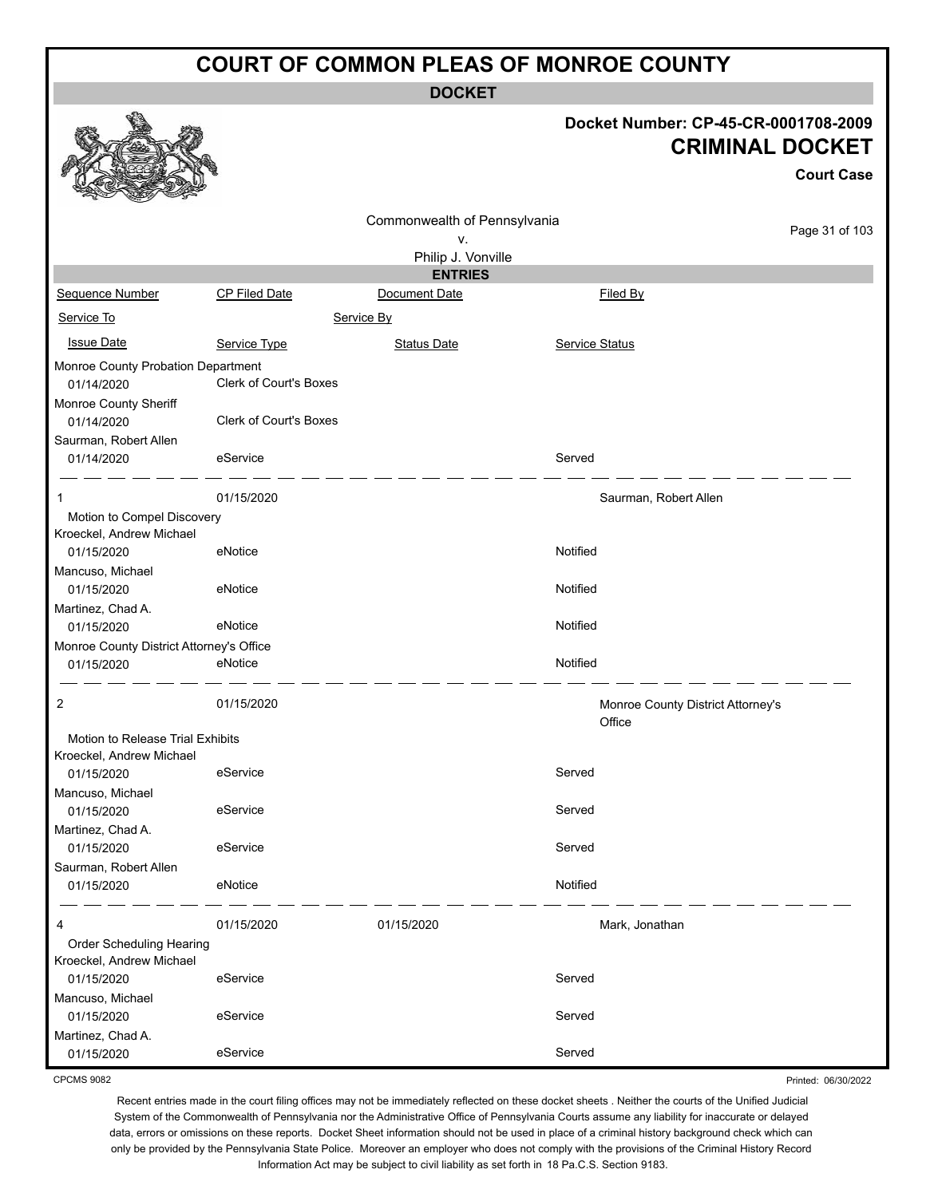**DOCKET**

|                                          |                               | <b>UUUNEI</b>                      |                       |                                                                                     |
|------------------------------------------|-------------------------------|------------------------------------|-----------------------|-------------------------------------------------------------------------------------|
|                                          |                               |                                    |                       | Docket Number: CP-45-CR-0001708-2009<br><b>CRIMINAL DOCKET</b><br><b>Court Case</b> |
|                                          |                               |                                    |                       |                                                                                     |
|                                          |                               |                                    |                       |                                                                                     |
|                                          |                               | Commonwealth of Pennsylvania<br>v. |                       | Page 31 of 103                                                                      |
|                                          |                               | Philip J. Vonville                 |                       |                                                                                     |
|                                          |                               | <b>ENTRIES</b>                     |                       |                                                                                     |
| Sequence Number                          | CP Filed Date                 | Document Date                      | Filed By              |                                                                                     |
| Service To                               |                               | Service By                         |                       |                                                                                     |
| <b>Issue Date</b>                        | Service Type                  | <b>Status Date</b>                 | Service Status        |                                                                                     |
| Monroe County Probation Department       |                               |                                    |                       |                                                                                     |
| 01/14/2020                               | <b>Clerk of Court's Boxes</b> |                                    |                       |                                                                                     |
| Monroe County Sheriff                    |                               |                                    |                       |                                                                                     |
| 01/14/2020                               | <b>Clerk of Court's Boxes</b> |                                    |                       |                                                                                     |
| Saurman, Robert Allen                    |                               |                                    |                       |                                                                                     |
| 01/14/2020                               | eService                      |                                    | Served                |                                                                                     |
|                                          | 01/15/2020                    |                                    | Saurman, Robert Allen |                                                                                     |
| Motion to Compel Discovery               |                               |                                    |                       |                                                                                     |
| Kroeckel, Andrew Michael                 |                               |                                    |                       |                                                                                     |
| 01/15/2020                               | eNotice                       |                                    | Notified              |                                                                                     |
| Mancuso, Michael                         |                               |                                    |                       |                                                                                     |
| 01/15/2020                               | eNotice                       |                                    | Notified              |                                                                                     |
| Martinez, Chad A.                        |                               |                                    |                       |                                                                                     |
| 01/15/2020                               | eNotice                       |                                    | Notified              |                                                                                     |
| Monroe County District Attorney's Office |                               |                                    |                       |                                                                                     |
| 01/15/2020                               | eNotice                       |                                    | Notified              |                                                                                     |
| 2                                        | 01/15/2020                    |                                    | Office                | Monroe County District Attorney's                                                   |
| Motion to Release Trial Exhibits         |                               |                                    |                       |                                                                                     |
| Kroeckel, Andrew Michael                 |                               |                                    |                       |                                                                                     |
| 01/15/2020                               | eService                      |                                    | Served                |                                                                                     |
| Mancuso, Michael                         |                               |                                    |                       |                                                                                     |
| 01/15/2020                               | eService                      |                                    | Served                |                                                                                     |
| Martinez, Chad A.<br>01/15/2020          | eService                      |                                    | Served                |                                                                                     |
| Saurman, Robert Allen                    |                               |                                    |                       |                                                                                     |
| 01/15/2020                               | eNotice                       |                                    | Notified              |                                                                                     |
| 4                                        | 01/15/2020                    | 01/15/2020                         | Mark, Jonathan        |                                                                                     |
| Order Scheduling Hearing                 |                               |                                    |                       |                                                                                     |
| Kroeckel, Andrew Michael                 |                               |                                    |                       |                                                                                     |
| 01/15/2020                               | eService                      |                                    | Served                |                                                                                     |
| Mancuso, Michael                         |                               |                                    |                       |                                                                                     |
| 01/15/2020                               | eService                      |                                    | Served                |                                                                                     |
| Martinez, Chad A.                        |                               |                                    |                       |                                                                                     |
| 01/15/2020                               | eService                      |                                    | Served                |                                                                                     |

CPCMS 9082

Recent entries made in the court filing offices may not be immediately reflected on these docket sheets . Neither the courts of the Unified Judicial System of the Commonwealth of Pennsylvania nor the Administrative Office of Pennsylvania Courts assume any liability for inaccurate or delayed data, errors or omissions on these reports. Docket Sheet information should not be used in place of a criminal history background check which can only be provided by the Pennsylvania State Police. Moreover an employer who does not comply with the provisions of the Criminal History Record Information Act may be subject to civil liability as set forth in 18 Pa.C.S. Section 9183.

Printed: 06/30/2022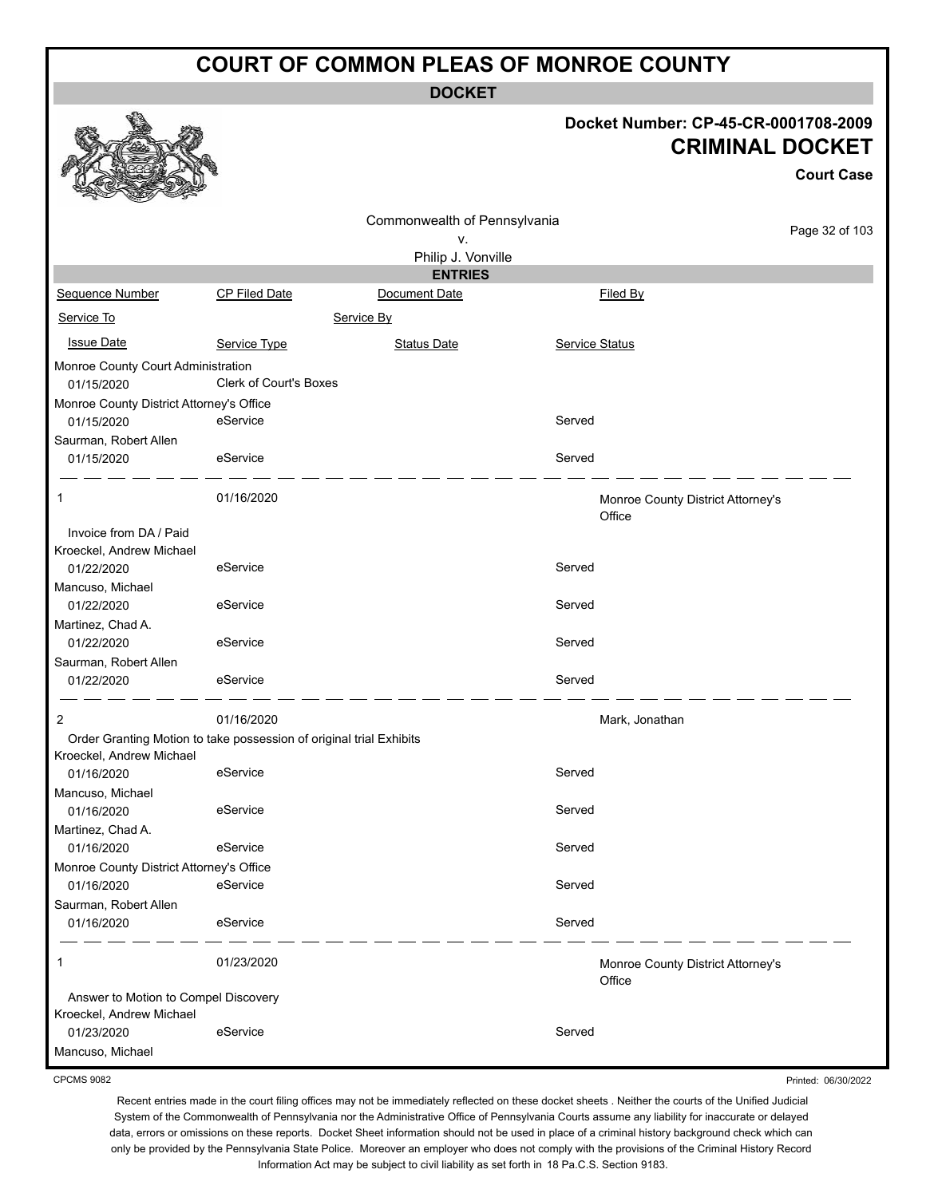**DOCKET**

#### **Docket Number: CP-45-CR-0001708-2009 CRIMINAL DOCKET**

**Court Case**

|                                                        |                                                                     |                              |                | <b>Court Case</b>                 |
|--------------------------------------------------------|---------------------------------------------------------------------|------------------------------|----------------|-----------------------------------|
|                                                        |                                                                     | Commonwealth of Pennsylvania |                |                                   |
|                                                        |                                                                     | ٧.                           |                | Page 32 of 103                    |
|                                                        |                                                                     | Philip J. Vonville           |                |                                   |
|                                                        |                                                                     | <b>ENTRIES</b>               |                |                                   |
| Sequence Number                                        | <b>CP Filed Date</b>                                                | Document Date                | Filed By       |                                   |
| Service To                                             |                                                                     | Service By                   |                |                                   |
| <b>Issue Date</b>                                      | Service Type                                                        | <b>Status Date</b>           | Service Status |                                   |
| Monroe County Court Administration                     |                                                                     |                              |                |                                   |
| 01/15/2020                                             | Clerk of Court's Boxes                                              |                              |                |                                   |
| Monroe County District Attorney's Office               |                                                                     |                              |                |                                   |
| 01/15/2020                                             | eService                                                            |                              | Served         |                                   |
| Saurman, Robert Allen                                  |                                                                     |                              |                |                                   |
| 01/15/2020                                             | eService                                                            |                              | Served         |                                   |
| 1                                                      | 01/16/2020                                                          |                              |                | Monroe County District Attorney's |
|                                                        |                                                                     |                              | Office         |                                   |
| Invoice from DA / Paid                                 |                                                                     |                              |                |                                   |
| Kroeckel, Andrew Michael                               |                                                                     |                              |                |                                   |
| 01/22/2020                                             | eService                                                            |                              | Served         |                                   |
| Mancuso, Michael                                       |                                                                     |                              |                |                                   |
| 01/22/2020                                             | eService                                                            |                              | Served         |                                   |
| Martinez, Chad A.                                      |                                                                     |                              |                |                                   |
| 01/22/2020                                             | eService                                                            |                              | Served         |                                   |
| Saurman, Robert Allen                                  |                                                                     |                              |                |                                   |
| 01/22/2020                                             | eService                                                            |                              | Served         |                                   |
| $\overline{c}$                                         | 01/16/2020                                                          |                              | Mark, Jonathan |                                   |
|                                                        | Order Granting Motion to take possession of original trial Exhibits |                              |                |                                   |
| Kroeckel, Andrew Michael                               |                                                                     |                              |                |                                   |
| 01/16/2020                                             | eService                                                            |                              | Served         |                                   |
| Mancuso, Michael                                       |                                                                     |                              |                |                                   |
| 01/16/2020                                             | eService                                                            |                              | Served         |                                   |
| Martinez, Chad A.                                      |                                                                     |                              |                |                                   |
| 01/16/2020                                             | eService                                                            |                              | Served         |                                   |
| Monroe County District Attorney's Office<br>01/16/2020 | eService                                                            |                              | Served         |                                   |
| Saurman, Robert Allen                                  |                                                                     |                              |                |                                   |
| 01/16/2020                                             | eService                                                            |                              | Served         |                                   |
|                                                        |                                                                     |                              |                |                                   |
| $\mathbf{1}$                                           | 01/23/2020                                                          |                              | Office         | Monroe County District Attorney's |
| Answer to Motion to Compel Discovery                   |                                                                     |                              |                |                                   |
| Kroeckel, Andrew Michael                               |                                                                     |                              |                |                                   |
| 01/23/2020                                             | eService                                                            |                              | Served         |                                   |
| Mancuso, Michael                                       |                                                                     |                              |                |                                   |

CPCMS 9082

Recent entries made in the court filing offices may not be immediately reflected on these docket sheets . Neither the courts of the Unified Judicial System of the Commonwealth of Pennsylvania nor the Administrative Office of Pennsylvania Courts assume any liability for inaccurate or delayed data, errors or omissions on these reports. Docket Sheet information should not be used in place of a criminal history background check which can only be provided by the Pennsylvania State Police. Moreover an employer who does not comply with the provisions of the Criminal History Record Information Act may be subject to civil liability as set forth in 18 Pa.C.S. Section 9183.

Printed: 06/30/2022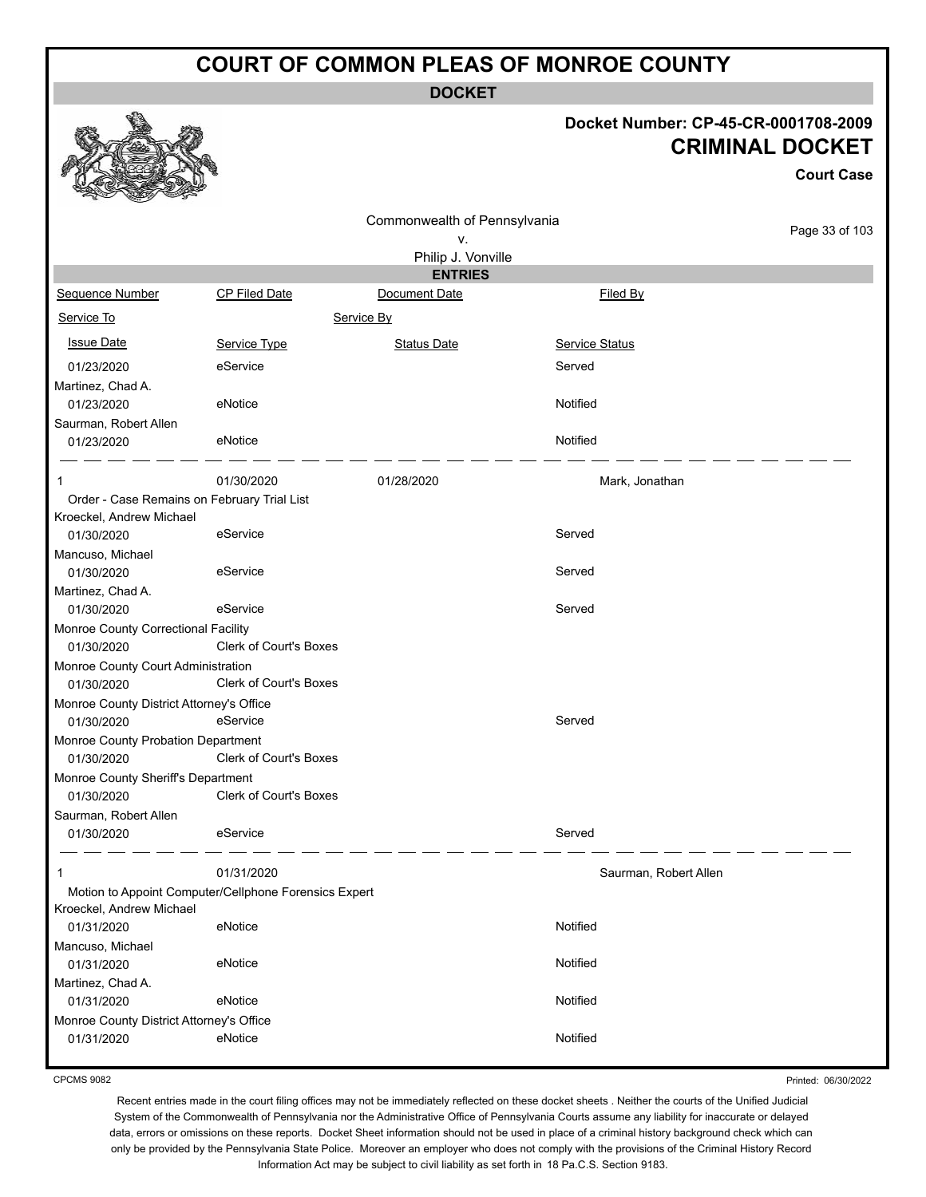**DOCKET**

#### **Docket Number: CP-45-CR-0001708-2009 CRIMINAL DOCKET**

**Court Case**

|                                             |                                                       | Commonwealth of Pennsylvania |                       |                |
|---------------------------------------------|-------------------------------------------------------|------------------------------|-----------------------|----------------|
|                                             |                                                       | ٧.                           |                       | Page 33 of 103 |
|                                             |                                                       | Philip J. Vonville           |                       |                |
|                                             |                                                       | <b>ENTRIES</b>               |                       |                |
| Sequence Number                             | CP Filed Date                                         | Document Date                | Filed By              |                |
| Service To                                  |                                                       | Service By                   |                       |                |
| <b>Issue Date</b>                           | Service Type                                          | <b>Status Date</b>           | Service Status        |                |
| 01/23/2020                                  | eService                                              |                              | Served                |                |
| Martinez, Chad A.                           |                                                       |                              |                       |                |
| 01/23/2020                                  | eNotice                                               |                              | Notified              |                |
| Saurman, Robert Allen                       |                                                       |                              |                       |                |
| 01/23/2020                                  | eNotice                                               |                              | Notified              |                |
|                                             |                                                       |                              |                       |                |
| 1                                           | 01/30/2020                                            | 01/28/2020                   | Mark, Jonathan        |                |
| Order - Case Remains on February Trial List |                                                       |                              |                       |                |
| Kroeckel, Andrew Michael                    |                                                       |                              |                       |                |
| 01/30/2020                                  | eService                                              |                              | Served                |                |
| Mancuso, Michael                            |                                                       |                              |                       |                |
| 01/30/2020                                  | eService                                              |                              | Served                |                |
| Martinez, Chad A.                           |                                                       |                              |                       |                |
| 01/30/2020                                  | eService                                              |                              | Served                |                |
| Monroe County Correctional Facility         |                                                       |                              |                       |                |
| 01/30/2020                                  | Clerk of Court's Boxes                                |                              |                       |                |
| Monroe County Court Administration          |                                                       |                              |                       |                |
| 01/30/2020                                  | Clerk of Court's Boxes                                |                              |                       |                |
| Monroe County District Attorney's Office    |                                                       |                              |                       |                |
| 01/30/2020                                  | eService                                              |                              | Served                |                |
| Monroe County Probation Department          |                                                       |                              |                       |                |
| 01/30/2020                                  | Clerk of Court's Boxes                                |                              |                       |                |
| Monroe County Sheriff's Department          |                                                       |                              |                       |                |
| 01/30/2020                                  | Clerk of Court's Boxes                                |                              |                       |                |
| Saurman, Robert Allen                       |                                                       |                              |                       |                |
| 01/30/2020                                  | eService                                              |                              | Served                |                |
| 1                                           | 01/31/2020                                            |                              | Saurman, Robert Allen |                |
|                                             | Motion to Appoint Computer/Cellphone Forensics Expert |                              |                       |                |
| Kroeckel, Andrew Michael                    |                                                       |                              |                       |                |
| 01/31/2020                                  | eNotice                                               |                              | Notified              |                |
| Mancuso, Michael                            |                                                       |                              |                       |                |
| 01/31/2020                                  | eNotice                                               |                              | Notified              |                |
| Martinez, Chad A.                           |                                                       |                              |                       |                |
| 01/31/2020                                  | eNotice                                               |                              | Notified              |                |
| Monroe County District Attorney's Office    |                                                       |                              |                       |                |
| 01/31/2020                                  | eNotice                                               |                              | Notified              |                |
|                                             |                                                       |                              |                       |                |

CPCMS 9082

Printed: 06/30/2022

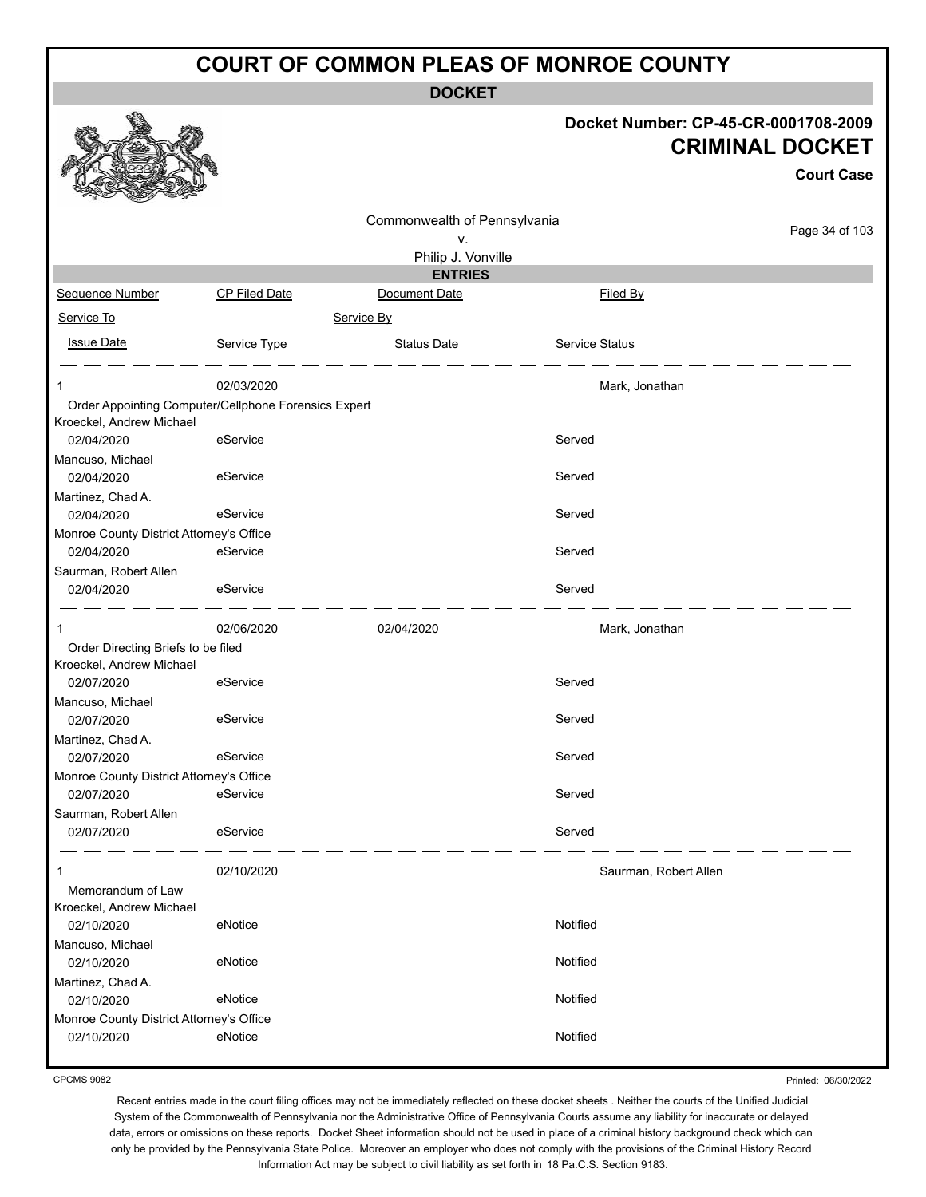**DOCKET**

#### **Docket Number: CP-45-CR-0001708-2009 CRIMINAL DOCKET**

**Court Case**

|                                                        |                                                      | Commonwealth of Pennsylvania |                       |                |
|--------------------------------------------------------|------------------------------------------------------|------------------------------|-----------------------|----------------|
|                                                        |                                                      | ٧.                           |                       | Page 34 of 103 |
|                                                        |                                                      | Philip J. Vonville           |                       |                |
|                                                        |                                                      | <b>ENTRIES</b>               |                       |                |
| Sequence Number                                        | <b>CP Filed Date</b>                                 | Document Date                | <b>Filed By</b>       |                |
| Service To                                             |                                                      | Service By                   |                       |                |
| <b>Issue Date</b>                                      | Service Type                                         | <b>Status Date</b>           | <b>Service Status</b> |                |
| $\mathbf 1$                                            | 02/03/2020                                           |                              | Mark, Jonathan        |                |
|                                                        | Order Appointing Computer/Cellphone Forensics Expert |                              |                       |                |
| Kroeckel, Andrew Michael                               |                                                      |                              |                       |                |
| 02/04/2020                                             | eService                                             |                              | Served                |                |
| Mancuso, Michael                                       |                                                      |                              |                       |                |
| 02/04/2020                                             | eService                                             |                              | Served                |                |
| Martinez, Chad A.                                      |                                                      |                              | Served                |                |
| 02/04/2020                                             | eService                                             |                              |                       |                |
| Monroe County District Attorney's Office<br>02/04/2020 | eService                                             |                              | Served                |                |
| Saurman, Robert Allen                                  |                                                      |                              |                       |                |
| 02/04/2020                                             | eService                                             |                              | Served                |                |
|                                                        | 02/06/2020                                           | 02/04/2020                   | Mark, Jonathan        |                |
| Order Directing Briefs to be filed                     |                                                      |                              |                       |                |
| Kroeckel, Andrew Michael                               |                                                      |                              |                       |                |
| 02/07/2020                                             | eService                                             |                              | Served                |                |
| Mancuso, Michael                                       |                                                      |                              |                       |                |
| 02/07/2020                                             | eService                                             |                              | Served                |                |
| Martinez, Chad A.                                      | eService                                             |                              | Served                |                |
| 02/07/2020                                             |                                                      |                              |                       |                |
| Monroe County District Attorney's Office<br>02/07/2020 | eService                                             |                              | Served                |                |
| Saurman, Robert Allen                                  |                                                      |                              |                       |                |
| 02/07/2020                                             | eService                                             |                              | Served                |                |
| $\mathbf{1}$                                           | 02/10/2020                                           |                              | Saurman, Robert Allen |                |
| Memorandum of Law                                      |                                                      |                              |                       |                |
| Kroeckel, Andrew Michael                               |                                                      |                              |                       |                |
| 02/10/2020                                             | eNotice                                              |                              | Notified              |                |
| Mancuso, Michael                                       |                                                      |                              |                       |                |
| 02/10/2020                                             | eNotice                                              |                              | Notified              |                |
| Martinez, Chad A.                                      |                                                      |                              |                       |                |
| 02/10/2020                                             | eNotice                                              |                              | Notified              |                |
| Monroe County District Attorney's Office               |                                                      |                              |                       |                |
| 02/10/2020                                             | eNotice                                              |                              | Notified              |                |

CPCMS 9082

Printed: 06/30/2022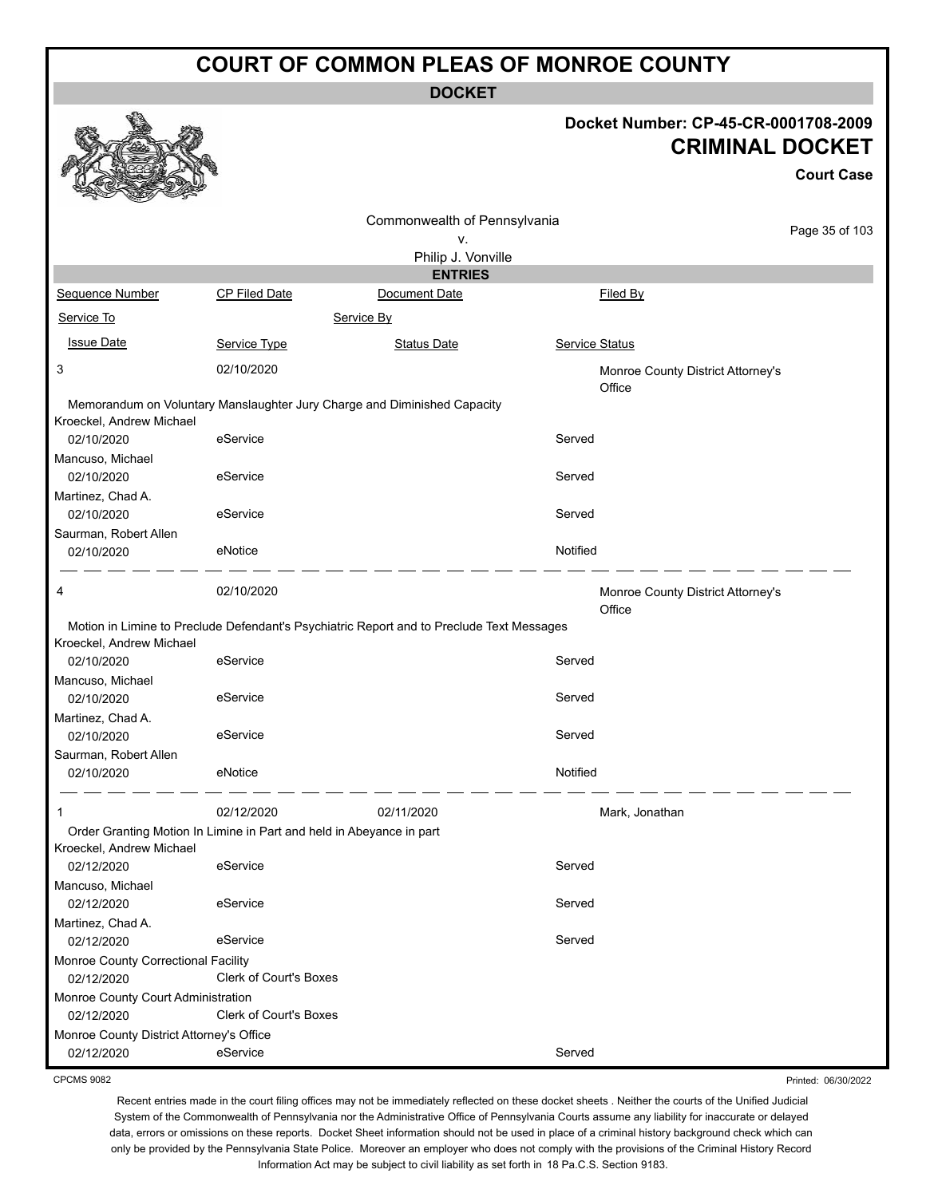**DOCKET**

#### **Docket Number: CP-45-CR-0001708-2009 CRIMINAL DOCKET**

**Court Case**

Printed: 06/30/2022

|                                          |                                                                          | Commonwealth of Pennsylvania                                                              |                | Page 35 of 103                    |  |  |  |  |
|------------------------------------------|--------------------------------------------------------------------------|-------------------------------------------------------------------------------------------|----------------|-----------------------------------|--|--|--|--|
|                                          | ۷.                                                                       |                                                                                           |                |                                   |  |  |  |  |
| Philip J. Vonville                       |                                                                          |                                                                                           |                |                                   |  |  |  |  |
| <b>ENTRIES</b>                           |                                                                          |                                                                                           |                |                                   |  |  |  |  |
| Sequence Number                          | CP Filed Date                                                            | Document Date                                                                             | Filed By       |                                   |  |  |  |  |
| Service To                               |                                                                          | Service By                                                                                |                |                                   |  |  |  |  |
| <b>Issue Date</b>                        | Service Type                                                             | <b>Status Date</b>                                                                        | Service Status |                                   |  |  |  |  |
| 3                                        | 02/10/2020                                                               |                                                                                           | Office         | Monroe County District Attorney's |  |  |  |  |
| Kroeckel, Andrew Michael                 | Memorandum on Voluntary Manslaughter Jury Charge and Diminished Capacity |                                                                                           |                |                                   |  |  |  |  |
| 02/10/2020                               | eService                                                                 |                                                                                           | Served         |                                   |  |  |  |  |
| Mancuso, Michael<br>02/10/2020           | eService                                                                 |                                                                                           | Served         |                                   |  |  |  |  |
| Martinez, Chad A.<br>02/10/2020          | eService                                                                 |                                                                                           | Served         |                                   |  |  |  |  |
| Saurman, Robert Allen<br>02/10/2020      | eNotice                                                                  |                                                                                           | Notified       |                                   |  |  |  |  |
| 4                                        | 02/10/2020                                                               |                                                                                           | Office         | Monroe County District Attorney's |  |  |  |  |
|                                          |                                                                          | Motion in Limine to Preclude Defendant's Psychiatric Report and to Preclude Text Messages |                |                                   |  |  |  |  |
| Kroeckel, Andrew Michael<br>02/10/2020   | eService                                                                 |                                                                                           | Served         |                                   |  |  |  |  |
| Mancuso, Michael                         |                                                                          |                                                                                           |                |                                   |  |  |  |  |
| 02/10/2020                               | eService                                                                 |                                                                                           | Served         |                                   |  |  |  |  |
| Martinez, Chad A.                        |                                                                          |                                                                                           |                |                                   |  |  |  |  |
| 02/10/2020                               | eService                                                                 |                                                                                           | Served         |                                   |  |  |  |  |
| Saurman, Robert Allen<br>02/10/2020      | eNotice                                                                  |                                                                                           | Notified       |                                   |  |  |  |  |
|                                          |                                                                          |                                                                                           |                |                                   |  |  |  |  |
|                                          | 02/12/2020                                                               | 02/11/2020                                                                                |                | Mark, Jonathan                    |  |  |  |  |
| Kroeckel, Andrew Michael                 | Order Granting Motion In Limine in Part and held in Abeyance in part     |                                                                                           |                |                                   |  |  |  |  |
| 02/12/2020                               | eService                                                                 |                                                                                           | Served         |                                   |  |  |  |  |
| Mancuso, Michael<br>02/12/2020           | eService                                                                 |                                                                                           | Served         |                                   |  |  |  |  |
| Martinez, Chad A.<br>02/12/2020          | eService                                                                 |                                                                                           | Served         |                                   |  |  |  |  |
| Monroe County Correctional Facility      |                                                                          |                                                                                           |                |                                   |  |  |  |  |
| 02/12/2020                               | <b>Clerk of Court's Boxes</b>                                            |                                                                                           |                |                                   |  |  |  |  |
| Monroe County Court Administration       |                                                                          |                                                                                           |                |                                   |  |  |  |  |
| 02/12/2020                               | Clerk of Court's Boxes                                                   |                                                                                           |                |                                   |  |  |  |  |
| Monroe County District Attorney's Office |                                                                          |                                                                                           |                |                                   |  |  |  |  |
| 02/12/2020                               | eService                                                                 |                                                                                           | Served         |                                   |  |  |  |  |

CPCMS 9082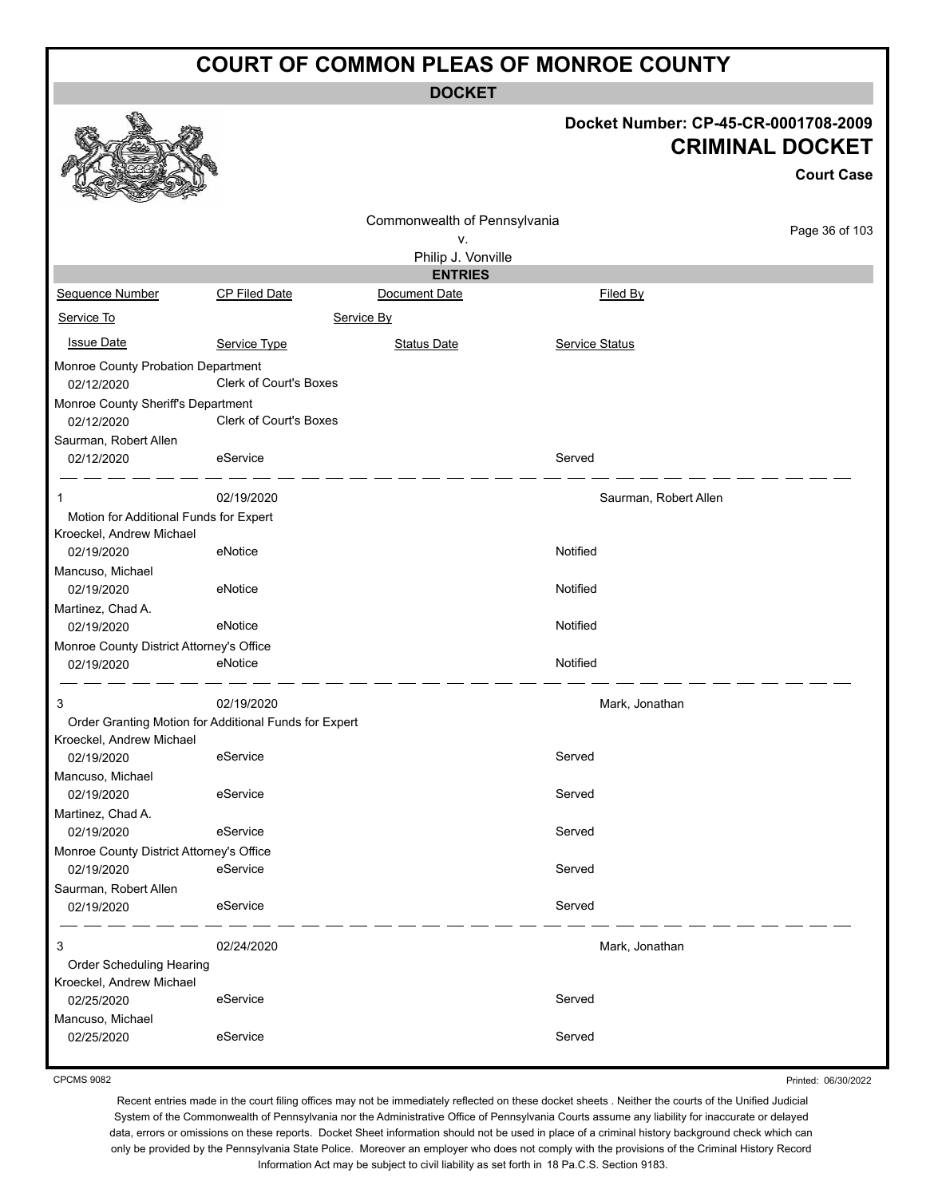**DOCKET**

| Docket Number: CP-45-CR-0001708-2009 |
|--------------------------------------|
| <b>CRIMINAL DOCKET</b>               |

**Court Case**

|                                                                                   |                               | Commonwealth of Pennsylvania |                       |                |  |  |  |  |
|-----------------------------------------------------------------------------------|-------------------------------|------------------------------|-----------------------|----------------|--|--|--|--|
|                                                                                   | ٧.                            |                              |                       | Page 36 of 103 |  |  |  |  |
| Philip J. Vonville                                                                |                               |                              |                       |                |  |  |  |  |
| <b>ENTRIES</b>                                                                    |                               |                              |                       |                |  |  |  |  |
| Sequence Number                                                                   | <b>CP Filed Date</b>          | Document Date                | Filed By              |                |  |  |  |  |
| Service To                                                                        |                               | Service By                   |                       |                |  |  |  |  |
| <b>Issue Date</b>                                                                 | Service Type                  | <b>Status Date</b>           | <b>Service Status</b> |                |  |  |  |  |
| Monroe County Probation Department<br>02/12/2020                                  | Clerk of Court's Boxes        |                              |                       |                |  |  |  |  |
| Monroe County Sheriff's Department                                                |                               |                              |                       |                |  |  |  |  |
| 02/12/2020                                                                        | <b>Clerk of Court's Boxes</b> |                              |                       |                |  |  |  |  |
| Saurman, Robert Allen                                                             |                               |                              |                       |                |  |  |  |  |
| 02/12/2020                                                                        | eService                      |                              | Served                |                |  |  |  |  |
| 1                                                                                 | 02/19/2020                    |                              | Saurman, Robert Allen |                |  |  |  |  |
| Motion for Additional Funds for Expert                                            |                               |                              |                       |                |  |  |  |  |
| Kroeckel, Andrew Michael                                                          |                               |                              |                       |                |  |  |  |  |
| 02/19/2020                                                                        | eNotice                       |                              | Notified              |                |  |  |  |  |
| Mancuso, Michael                                                                  |                               |                              |                       |                |  |  |  |  |
| 02/19/2020                                                                        | eNotice                       |                              | Notified              |                |  |  |  |  |
| Martinez, Chad A.                                                                 |                               |                              |                       |                |  |  |  |  |
| 02/19/2020                                                                        | eNotice                       |                              | Notified              |                |  |  |  |  |
| Monroe County District Attorney's Office                                          |                               |                              |                       |                |  |  |  |  |
| 02/19/2020                                                                        | eNotice                       |                              | Notified              |                |  |  |  |  |
| 3                                                                                 | 02/19/2020                    |                              | Mark, Jonathan        |                |  |  |  |  |
| Order Granting Motion for Additional Funds for Expert<br>Kroeckel, Andrew Michael |                               |                              |                       |                |  |  |  |  |
| 02/19/2020                                                                        | eService                      |                              | Served                |                |  |  |  |  |
| Mancuso, Michael                                                                  |                               |                              |                       |                |  |  |  |  |
| 02/19/2020                                                                        | eService                      |                              | Served                |                |  |  |  |  |
| Martinez, Chad A.                                                                 |                               |                              |                       |                |  |  |  |  |
| 02/19/2020                                                                        | eService                      |                              | Served                |                |  |  |  |  |
| Monroe County District Attorney's Office                                          |                               |                              |                       |                |  |  |  |  |
| 02/19/2020                                                                        | eService                      |                              | Served                |                |  |  |  |  |
| Saurman, Robert Allen                                                             |                               |                              |                       |                |  |  |  |  |
| 02/19/2020                                                                        | eService                      |                              | Served                |                |  |  |  |  |
| 3                                                                                 | 02/24/2020                    |                              | Mark, Jonathan        |                |  |  |  |  |
| Order Scheduling Hearing                                                          |                               |                              |                       |                |  |  |  |  |
| Kroeckel, Andrew Michael                                                          |                               |                              |                       |                |  |  |  |  |
| 02/25/2020                                                                        | eService                      |                              | Served                |                |  |  |  |  |
| Mancuso, Michael                                                                  |                               |                              |                       |                |  |  |  |  |
| 02/25/2020                                                                        | eService                      |                              | Served                |                |  |  |  |  |
|                                                                                   |                               |                              |                       |                |  |  |  |  |

CPCMS 9082

Printed: 06/30/2022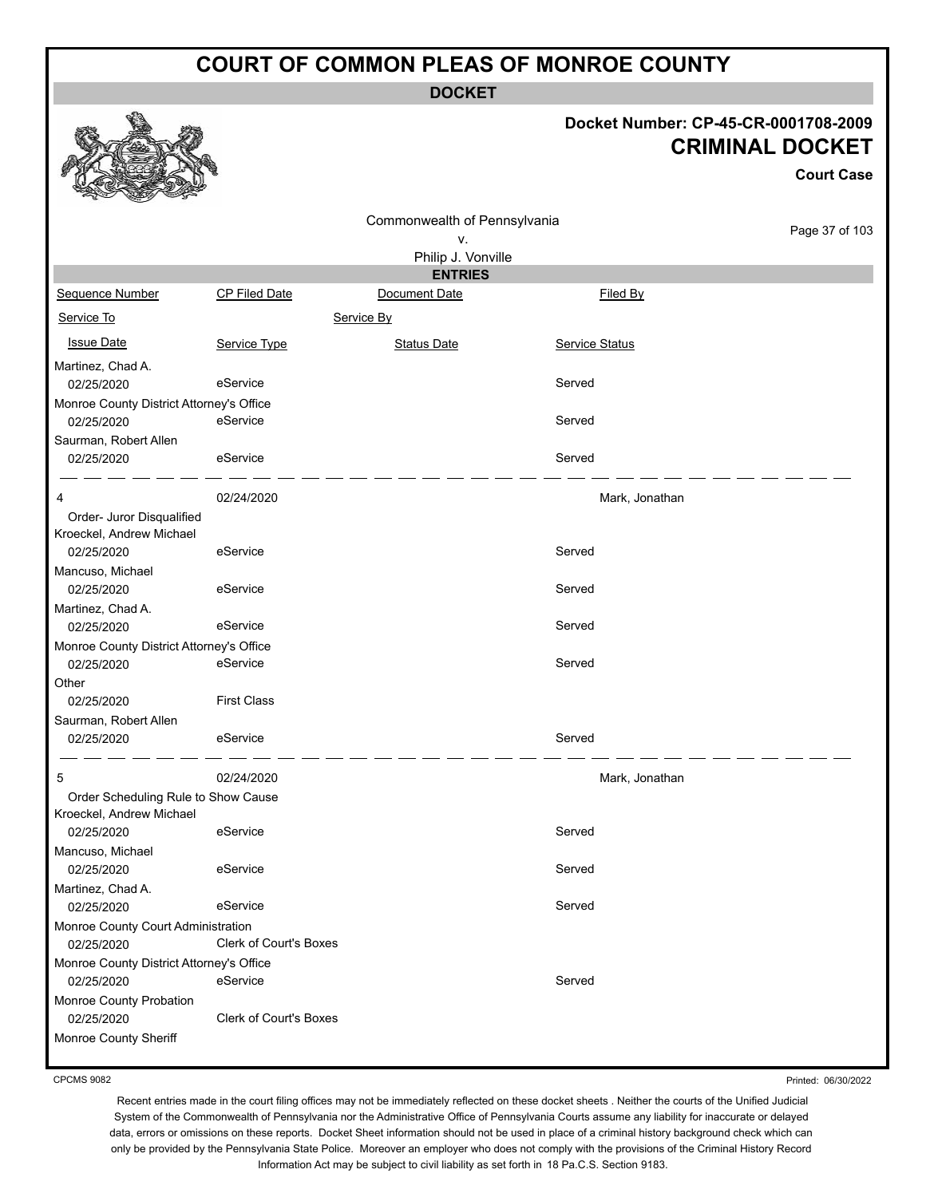**DOCKET**

#### **Docket Number: CP-45-CR-0001708-2009 CRIMINAL DOCKET**

|                                          |                        |                                                          |                | <b>CRIMINAL DOCKET</b><br><b>Court Case</b> |
|------------------------------------------|------------------------|----------------------------------------------------------|----------------|---------------------------------------------|
|                                          |                        | Commonwealth of Pennsylvania<br>٧.<br>Philip J. Vonville |                | Page 37 of 103                              |
|                                          |                        | <b>ENTRIES</b>                                           |                |                                             |
| Sequence Number                          | <b>CP Filed Date</b>   | Document Date                                            | Filed By       |                                             |
| Service To                               |                        | Service By                                               |                |                                             |
| <b>Issue Date</b>                        | Service Type           | <b>Status Date</b>                                       | Service Status |                                             |
| Martinez, Chad A.                        |                        |                                                          |                |                                             |
| 02/25/2020                               | eService               |                                                          | Served         |                                             |
| Monroe County District Attorney's Office |                        |                                                          |                |                                             |
| 02/25/2020                               | eService               |                                                          | Served         |                                             |
| Saurman, Robert Allen                    |                        |                                                          |                |                                             |
| 02/25/2020                               | eService               |                                                          | Served         |                                             |
| 4                                        | 02/24/2020             |                                                          | Mark, Jonathan |                                             |
| Order- Juror Disqualified                |                        |                                                          |                |                                             |
| Kroeckel, Andrew Michael                 |                        |                                                          |                |                                             |
| 02/25/2020                               | eService               |                                                          | Served         |                                             |
| Mancuso, Michael                         |                        |                                                          |                |                                             |
| 02/25/2020                               | eService               |                                                          | Served         |                                             |
| Martinez, Chad A.                        |                        |                                                          |                |                                             |
| 02/25/2020                               | eService               |                                                          | Served         |                                             |
| Monroe County District Attorney's Office |                        |                                                          |                |                                             |
| 02/25/2020                               | eService               |                                                          | Served         |                                             |
| Other                                    |                        |                                                          |                |                                             |
| 02/25/2020                               | <b>First Class</b>     |                                                          |                |                                             |
| Saurman, Robert Allen                    |                        |                                                          |                |                                             |
| 02/25/2020                               | eService               |                                                          | Served         |                                             |
| 5                                        | 02/24/2020             |                                                          | Mark, Jonathan |                                             |
| Order Scheduling Rule to Show Cause      |                        |                                                          |                |                                             |
| Kroeckel, Andrew Michael                 |                        |                                                          |                |                                             |
| 02/25/2020                               | eService               |                                                          | Served         |                                             |
| Mancuso, Michael                         |                        |                                                          |                |                                             |
| 02/25/2020                               | eService               |                                                          | Served         |                                             |
| Martinez, Chad A.                        |                        |                                                          |                |                                             |
| 02/25/2020                               | eService               |                                                          | Served         |                                             |
| Monroe County Court Administration       |                        |                                                          |                |                                             |
| 02/25/2020                               | Clerk of Court's Boxes |                                                          |                |                                             |
| Monroe County District Attorney's Office |                        |                                                          |                |                                             |
| 02/25/2020                               | eService               |                                                          | Served         |                                             |
| Monroe County Probation<br>02/25/2020    | Clerk of Court's Boxes |                                                          |                |                                             |
| Monroe County Sheriff                    |                        |                                                          |                |                                             |

CPCMS 9082

Printed: 06/30/2022

Recent entries made in the court filing offices may not be immediately reflected on these docket sheets . Neither the courts of the Unified Judicial System of the Commonwealth of Pennsylvania nor the Administrative Office of Pennsylvania Courts assume any liability for inaccurate or delayed data, errors or omissions on these reports. Docket Sheet information should not be used in place of a criminal history background check which can only be provided by the Pennsylvania State Police. Moreover an employer who does not comply with the provisions of the Criminal History Record Information Act may be subject to civil liability as set forth in 18 Pa.C.S. Section 9183.

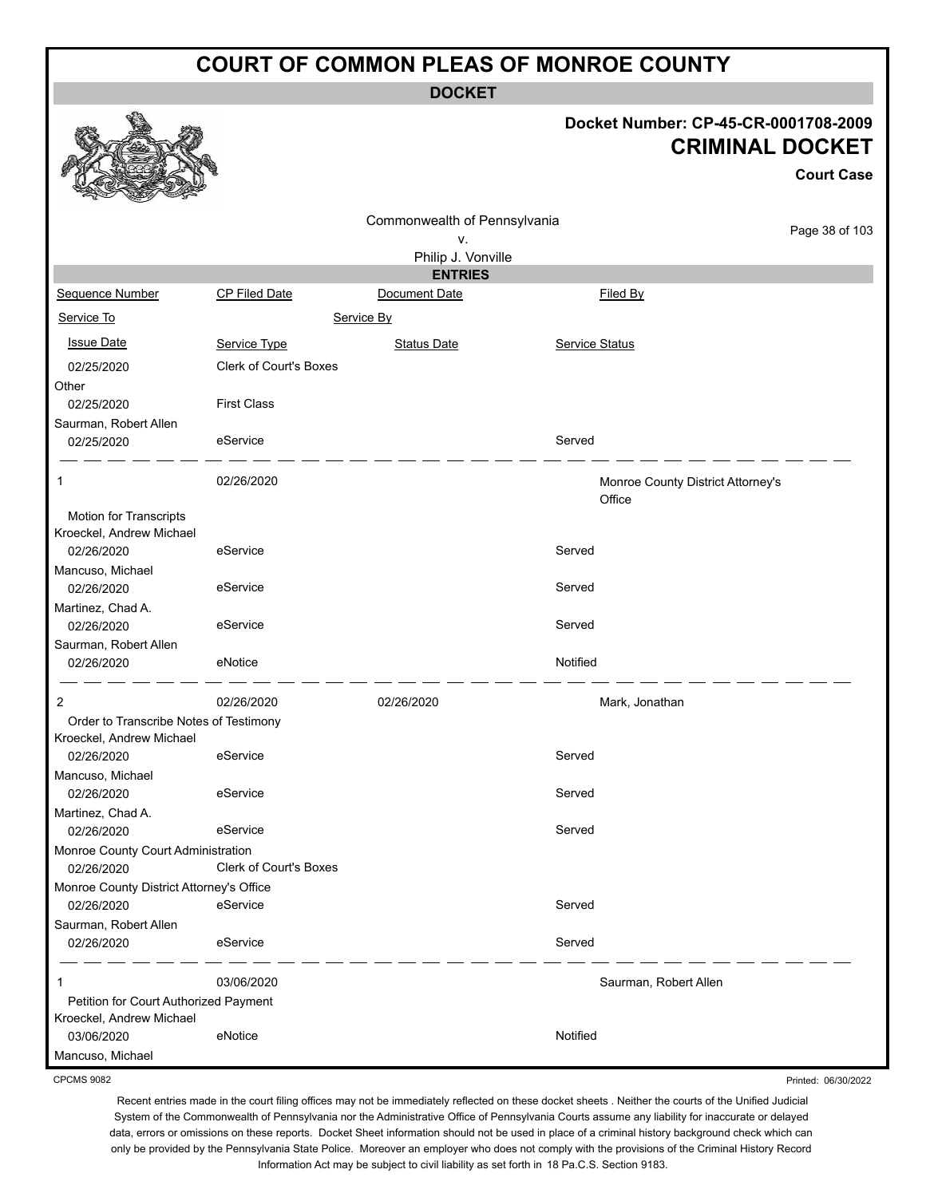**DOCKET**

#### **Docket Number: CP-45-CR-0001708-2009 CRIMINAL DOCKET**

**Court Case**

|                                          |                        |                              |                | <b>Court Case</b>                 |
|------------------------------------------|------------------------|------------------------------|----------------|-----------------------------------|
|                                          |                        | Commonwealth of Pennsylvania |                |                                   |
|                                          |                        | ٧.                           |                | Page 38 of 103                    |
|                                          |                        | Philip J. Vonville           |                |                                   |
|                                          |                        | <b>ENTRIES</b>               |                |                                   |
| Sequence Number                          | CP Filed Date          | Document Date                | Filed By       |                                   |
| Service To                               |                        | Service By                   |                |                                   |
| <b>Issue Date</b>                        | Service Type           | <b>Status Date</b>           | Service Status |                                   |
| 02/25/2020                               | Clerk of Court's Boxes |                              |                |                                   |
| Other                                    |                        |                              |                |                                   |
| 02/25/2020                               | <b>First Class</b>     |                              |                |                                   |
| Saurman, Robert Allen                    |                        |                              |                |                                   |
| 02/25/2020                               | eService               |                              | Served         |                                   |
| 1                                        | 02/26/2020             |                              |                | Monroe County District Attorney's |
|                                          |                        |                              | Office         |                                   |
| Motion for Transcripts                   |                        |                              |                |                                   |
| Kroeckel, Andrew Michael                 |                        |                              |                |                                   |
| 02/26/2020                               | eService               |                              | Served         |                                   |
| Mancuso, Michael                         |                        |                              |                |                                   |
| 02/26/2020                               | eService               |                              | Served         |                                   |
| Martinez, Chad A.                        |                        |                              |                |                                   |
| 02/26/2020                               | eService               |                              | Served         |                                   |
| Saurman, Robert Allen                    |                        |                              |                |                                   |
| 02/26/2020                               | eNotice                |                              | Notified       |                                   |
| 2                                        | 02/26/2020             | 02/26/2020                   |                | Mark, Jonathan                    |
| Order to Transcribe Notes of Testimony   |                        |                              |                |                                   |
| Kroeckel, Andrew Michael                 |                        |                              |                |                                   |
| 02/26/2020                               | eService               |                              | Served         |                                   |
| Mancuso, Michael                         |                        |                              |                |                                   |
| 02/26/2020                               | eService               |                              | Served         |                                   |
| Martinez, Chad A.                        |                        |                              |                |                                   |
| 02/26/2020                               | eService               |                              | Served         |                                   |
| Monroe County Court Administration       |                        |                              |                |                                   |
| 02/26/2020                               | Clerk of Court's Boxes |                              |                |                                   |
| Monroe County District Attorney's Office |                        |                              |                |                                   |
| 02/26/2020                               | eService               |                              | Served         |                                   |
| Saurman, Robert Allen                    |                        |                              |                |                                   |
| 02/26/2020                               | eService               |                              | Served         |                                   |
| 1                                        | 03/06/2020             |                              |                | Saurman, Robert Allen             |
| Petition for Court Authorized Payment    |                        |                              |                |                                   |
| Kroeckel, Andrew Michael                 |                        |                              |                |                                   |
| 03/06/2020                               | eNotice                |                              | Notified       |                                   |
| Mancuso, Michael                         |                        |                              |                |                                   |

CPCMS 9082

Printed: 06/30/2022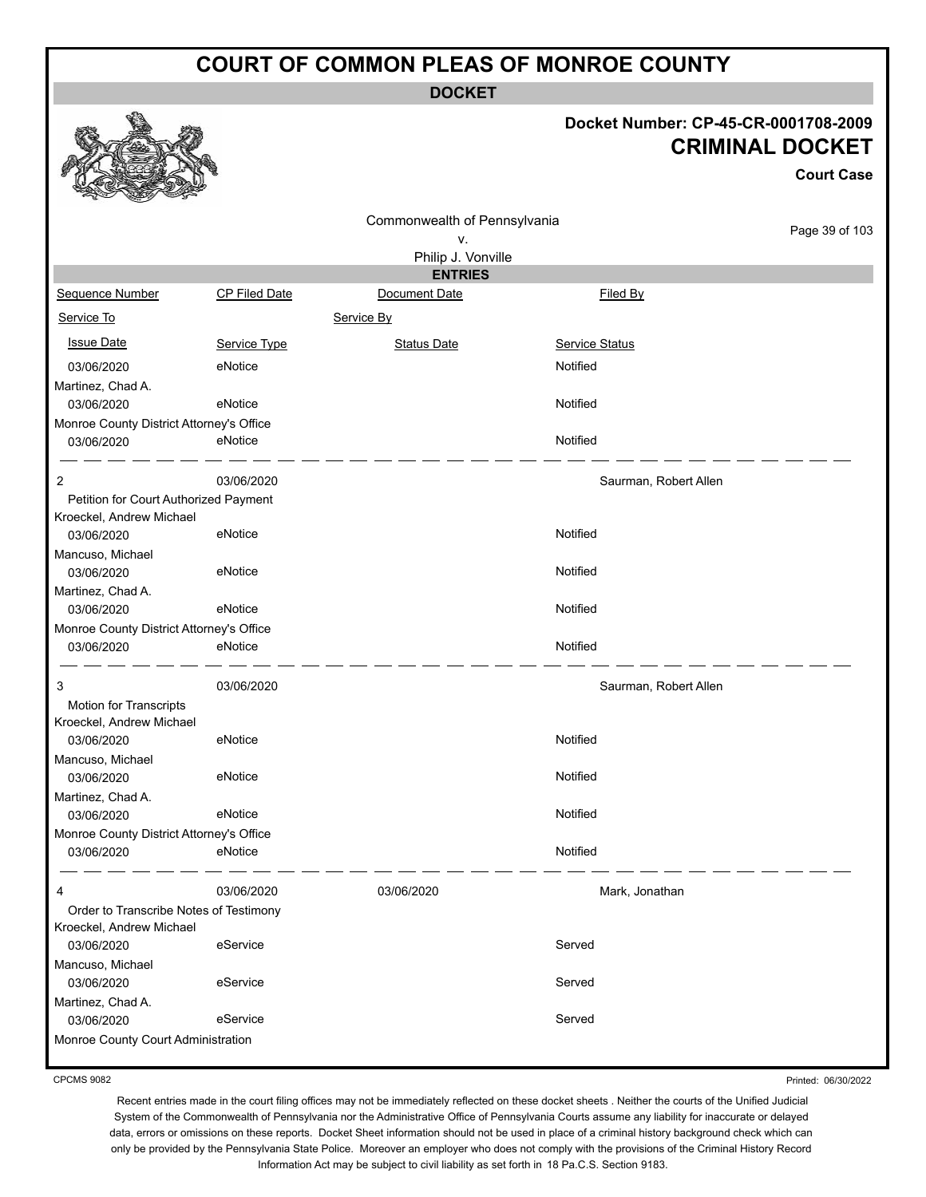**DOCKET**

#### **Docket Number: CP-45-CR-0001708-2009 CRIMINAL DOCKET**

**Court Case**

| Commonwealth of Pennsylvania             |                      |                    |                       |                |
|------------------------------------------|----------------------|--------------------|-----------------------|----------------|
|                                          |                      | ۷.                 |                       | Page 39 of 103 |
|                                          |                      | Philip J. Vonville |                       |                |
|                                          |                      | <b>ENTRIES</b>     |                       |                |
| Sequence Number                          | <b>CP Filed Date</b> | Document Date      | Filed By              |                |
| Service To                               |                      | Service By         |                       |                |
| <b>Issue Date</b>                        | Service Type         | <b>Status Date</b> | <b>Service Status</b> |                |
| 03/06/2020                               | eNotice              |                    | Notified              |                |
| Martinez, Chad A.                        |                      |                    |                       |                |
| 03/06/2020                               | eNotice              |                    | Notified              |                |
| Monroe County District Attorney's Office |                      |                    |                       |                |
| 03/06/2020                               | eNotice              |                    | Notified              |                |
| 2                                        | 03/06/2020           |                    | Saurman, Robert Allen |                |
| Petition for Court Authorized Payment    |                      |                    |                       |                |
| Kroeckel, Andrew Michael                 |                      |                    |                       |                |
| 03/06/2020                               | eNotice              |                    | Notified              |                |
| Mancuso, Michael                         |                      |                    |                       |                |
| 03/06/2020                               | eNotice              |                    | Notified              |                |
| Martinez, Chad A.                        |                      |                    |                       |                |
| 03/06/2020                               | eNotice              |                    | Notified              |                |
| Monroe County District Attorney's Office |                      |                    |                       |                |
| 03/06/2020                               | eNotice              |                    | Notified              |                |
| 3                                        | 03/06/2020           |                    | Saurman, Robert Allen |                |
| <b>Motion for Transcripts</b>            |                      |                    |                       |                |
| Kroeckel, Andrew Michael                 |                      |                    |                       |                |
| 03/06/2020                               | eNotice              |                    | Notified              |                |
| Mancuso, Michael                         |                      |                    |                       |                |
| 03/06/2020                               | eNotice              |                    | Notified              |                |
| Martinez, Chad A.                        |                      |                    |                       |                |
| 03/06/2020                               | eNotice              |                    | Notified              |                |
| Monroe County District Attorney's Office |                      |                    |                       |                |
| 03/06/2020                               | eNotice              |                    | Notified              |                |
|                                          | 03/06/2020           | 03/06/2020         | Mark, Jonathan        |                |
| Order to Transcribe Notes of Testimony   |                      |                    |                       |                |
| Kroeckel, Andrew Michael                 |                      |                    |                       |                |
| 03/06/2020                               | eService             |                    | Served                |                |
| Mancuso, Michael                         |                      |                    |                       |                |
| 03/06/2020                               | eService             |                    | Served                |                |
| Martinez, Chad A.                        |                      |                    |                       |                |
| 03/06/2020                               | eService             |                    | Served                |                |
| Monroe County Court Administration       |                      |                    |                       |                |

CPCMS 9082

Printed: 06/30/2022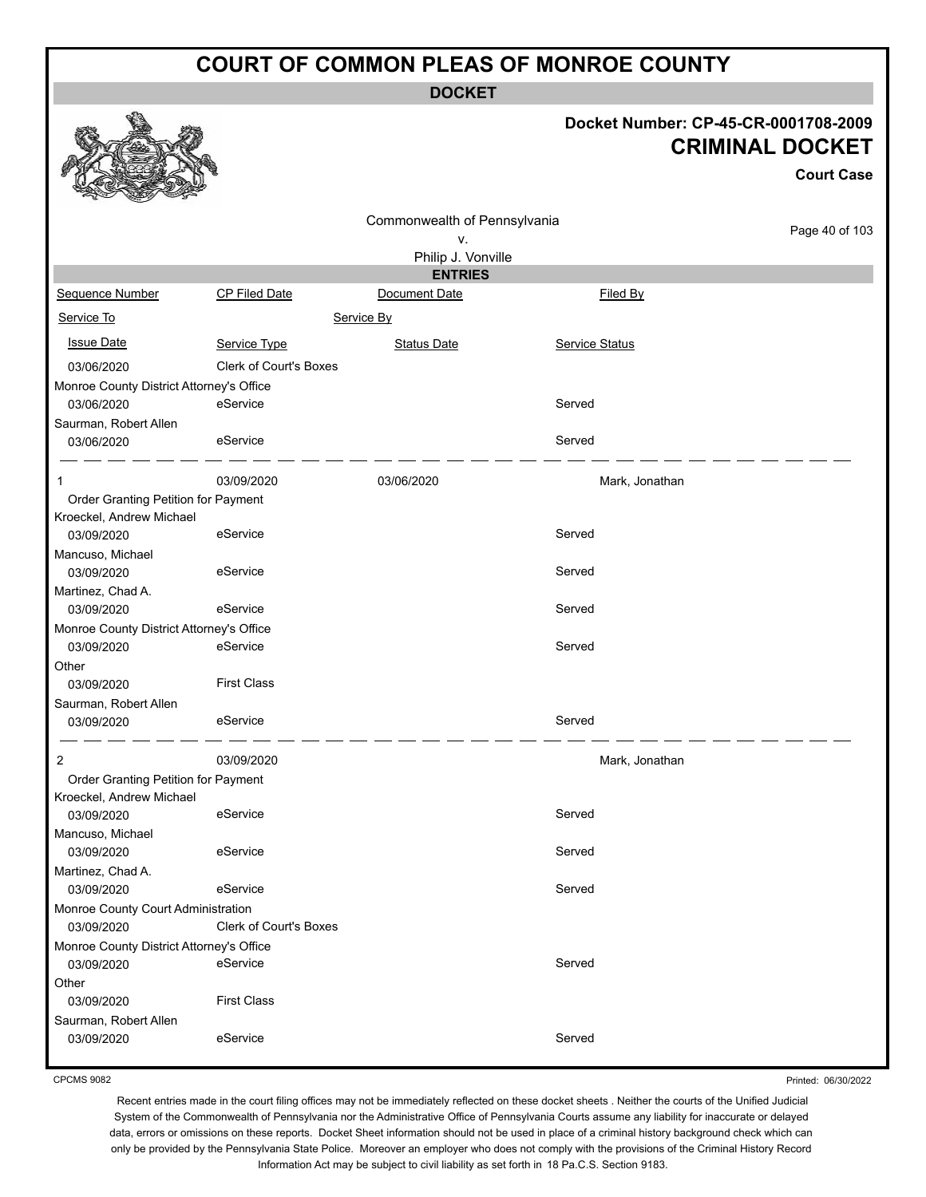**DOCKET**

#### **Docket Number: CP-45-CR-0001708-2009 CRIMINAL DOCKET**

|                                                        |                               |                                      |                       | <b>Court Case</b> |
|--------------------------------------------------------|-------------------------------|--------------------------------------|-----------------------|-------------------|
|                                                        |                               | Commonwealth of Pennsylvania         |                       | Page 40 of 103    |
|                                                        |                               | V.                                   |                       |                   |
|                                                        |                               | Philip J. Vonville<br><b>ENTRIES</b> |                       |                   |
| Sequence Number                                        | CP Filed Date                 | Document Date                        | Filed By              |                   |
| Service To                                             |                               | Service By                           |                       |                   |
|                                                        |                               |                                      |                       |                   |
| <b>Issue Date</b>                                      | Service Type                  | <b>Status Date</b>                   | <b>Service Status</b> |                   |
| 03/06/2020                                             | <b>Clerk of Court's Boxes</b> |                                      |                       |                   |
| Monroe County District Attorney's Office               |                               |                                      |                       |                   |
| 03/06/2020                                             | eService                      |                                      | Served                |                   |
| Saurman, Robert Allen                                  |                               |                                      |                       |                   |
| 03/06/2020                                             | eService                      |                                      | Served                |                   |
| 1                                                      | 03/09/2020                    | 03/06/2020                           | Mark, Jonathan        |                   |
| Order Granting Petition for Payment                    |                               |                                      |                       |                   |
| Kroeckel, Andrew Michael                               |                               |                                      |                       |                   |
| 03/09/2020                                             | eService                      |                                      | Served                |                   |
| Mancuso, Michael                                       |                               |                                      | Served                |                   |
| 03/09/2020                                             | eService                      |                                      |                       |                   |
| Martinez, Chad A.<br>03/09/2020                        | eService                      |                                      | Served                |                   |
|                                                        |                               |                                      |                       |                   |
| Monroe County District Attorney's Office<br>03/09/2020 | eService                      |                                      | Served                |                   |
| Other                                                  |                               |                                      |                       |                   |
| 03/09/2020                                             | <b>First Class</b>            |                                      |                       |                   |
|                                                        |                               |                                      |                       |                   |
| Saurman, Robert Allen<br>03/09/2020                    | eService                      |                                      | Served                |                   |
|                                                        |                               |                                      |                       |                   |
| 2                                                      | 03/09/2020                    |                                      | Mark, Jonathan        |                   |
| Order Granting Petition for Payment                    |                               |                                      |                       |                   |
| Kroeckel, Andrew Michael                               |                               |                                      |                       |                   |
| 03/09/2020                                             | eService                      |                                      | Served                |                   |
| Mancuso, Michael                                       |                               |                                      |                       |                   |
| 03/09/2020                                             | eService                      |                                      | Served                |                   |
| Martinez, Chad A.                                      |                               |                                      |                       |                   |
| 03/09/2020                                             | eService                      |                                      | Served                |                   |
| Monroe County Court Administration                     |                               |                                      |                       |                   |
| 03/09/2020                                             | Clerk of Court's Boxes        |                                      |                       |                   |
| Monroe County District Attorney's Office               |                               |                                      |                       |                   |
| 03/09/2020                                             | eService                      |                                      | Served                |                   |
| Other                                                  |                               |                                      |                       |                   |
| 03/09/2020                                             | <b>First Class</b>            |                                      |                       |                   |
| Saurman, Robert Allen                                  |                               |                                      |                       |                   |
| 03/09/2020                                             | eService                      |                                      | Served                |                   |
|                                                        |                               |                                      |                       |                   |

CPCMS 9082

Printed: 06/30/2022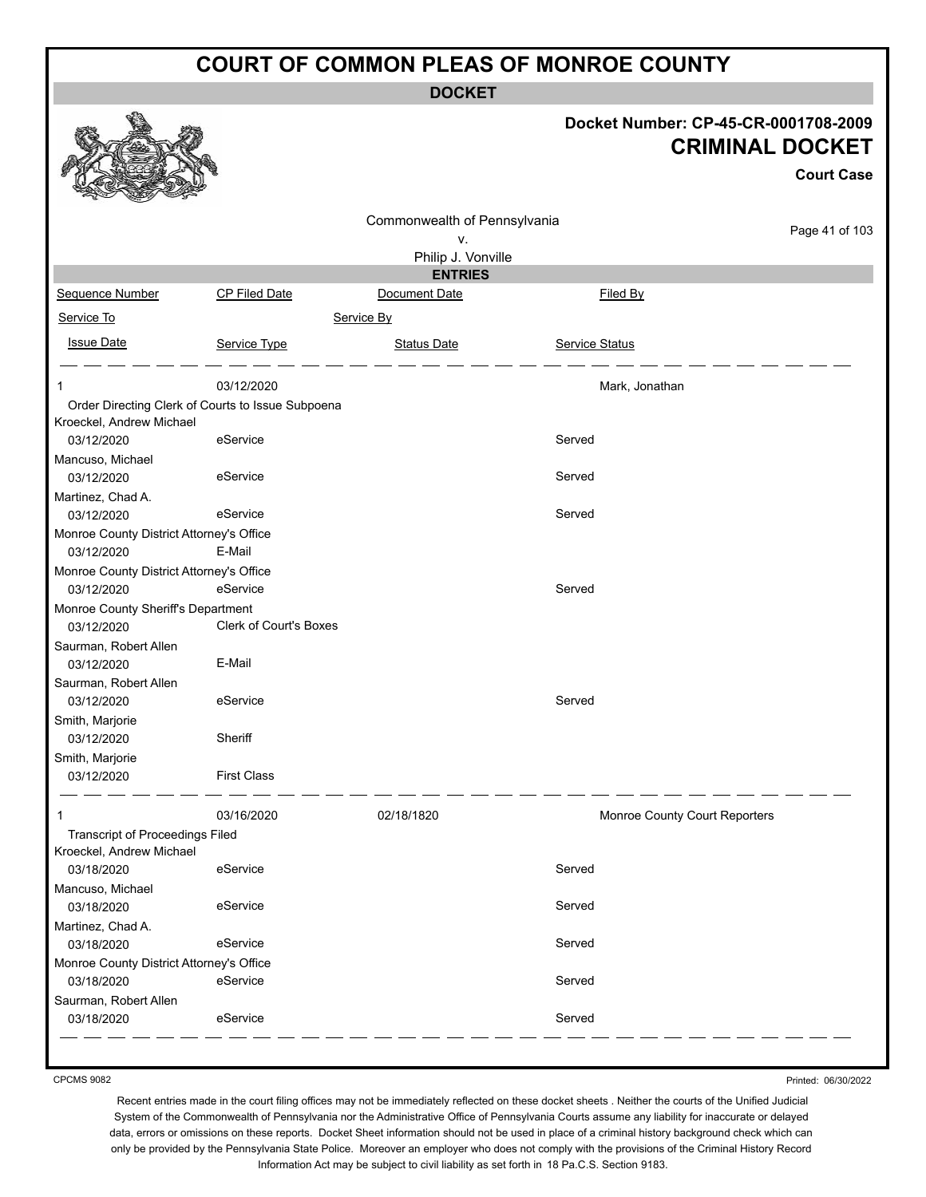**DOCKET**

| Docket Number: CP-45-CR-0001708-2009 |  |
|--------------------------------------|--|
| <b>CRIMINAL DOCKET</b>               |  |

**Court Case**

|                                          |                                                   | Commonwealth of Pennsylvania |                               |                |
|------------------------------------------|---------------------------------------------------|------------------------------|-------------------------------|----------------|
|                                          |                                                   | ۷.                           |                               | Page 41 of 103 |
|                                          |                                                   | Philip J. Vonville           |                               |                |
|                                          |                                                   | <b>ENTRIES</b>               |                               |                |
| Sequence Number                          | CP Filed Date                                     | Document Date                | Filed By                      |                |
| Service To                               |                                                   | Service By                   |                               |                |
| <b>Issue Date</b>                        | Service Type                                      | <b>Status Date</b>           | <b>Service Status</b>         |                |
| 1                                        | 03/12/2020                                        |                              | Mark, Jonathan                |                |
|                                          | Order Directing Clerk of Courts to Issue Subpoena |                              |                               |                |
| Kroeckel, Andrew Michael                 |                                                   |                              |                               |                |
| 03/12/2020                               | eService                                          |                              | Served                        |                |
| Mancuso, Michael                         | eService                                          |                              | Served                        |                |
| 03/12/2020<br>Martinez, Chad A.          |                                                   |                              |                               |                |
| 03/12/2020                               | eService                                          |                              | Served                        |                |
| Monroe County District Attorney's Office |                                                   |                              |                               |                |
| 03/12/2020                               | E-Mail                                            |                              |                               |                |
| Monroe County District Attorney's Office |                                                   |                              |                               |                |
| 03/12/2020                               | eService                                          |                              | Served                        |                |
| Monroe County Sheriff's Department       |                                                   |                              |                               |                |
| 03/12/2020                               | <b>Clerk of Court's Boxes</b>                     |                              |                               |                |
| Saurman, Robert Allen                    |                                                   |                              |                               |                |
| 03/12/2020                               | E-Mail                                            |                              |                               |                |
| Saurman, Robert Allen                    |                                                   |                              |                               |                |
| 03/12/2020                               | eService                                          |                              | Served                        |                |
| Smith, Marjorie                          |                                                   |                              |                               |                |
| 03/12/2020                               | Sheriff                                           |                              |                               |                |
| Smith, Marjorie                          | <b>First Class</b>                                |                              |                               |                |
| 03/12/2020                               |                                                   |                              |                               |                |
| 1                                        | 03/16/2020                                        | 02/18/1820                   | Monroe County Court Reporters |                |
| <b>Transcript of Proceedings Filed</b>   |                                                   |                              |                               |                |
| Kroeckel, Andrew Michael                 |                                                   |                              |                               |                |
| 03/18/2020                               | eService                                          |                              | Served                        |                |
| Mancuso, Michael<br>03/18/2020           | eService                                          |                              | Served                        |                |
| Martinez, Chad A.<br>03/18/2020          | eService                                          |                              | Served                        |                |
| Monroe County District Attorney's Office |                                                   |                              |                               |                |
| 03/18/2020                               | eService                                          |                              | Served                        |                |
| Saurman, Robert Allen                    |                                                   |                              |                               |                |
| 03/18/2020                               | eService                                          |                              | Served                        |                |

CPCMS 9082

Printed: 06/30/2022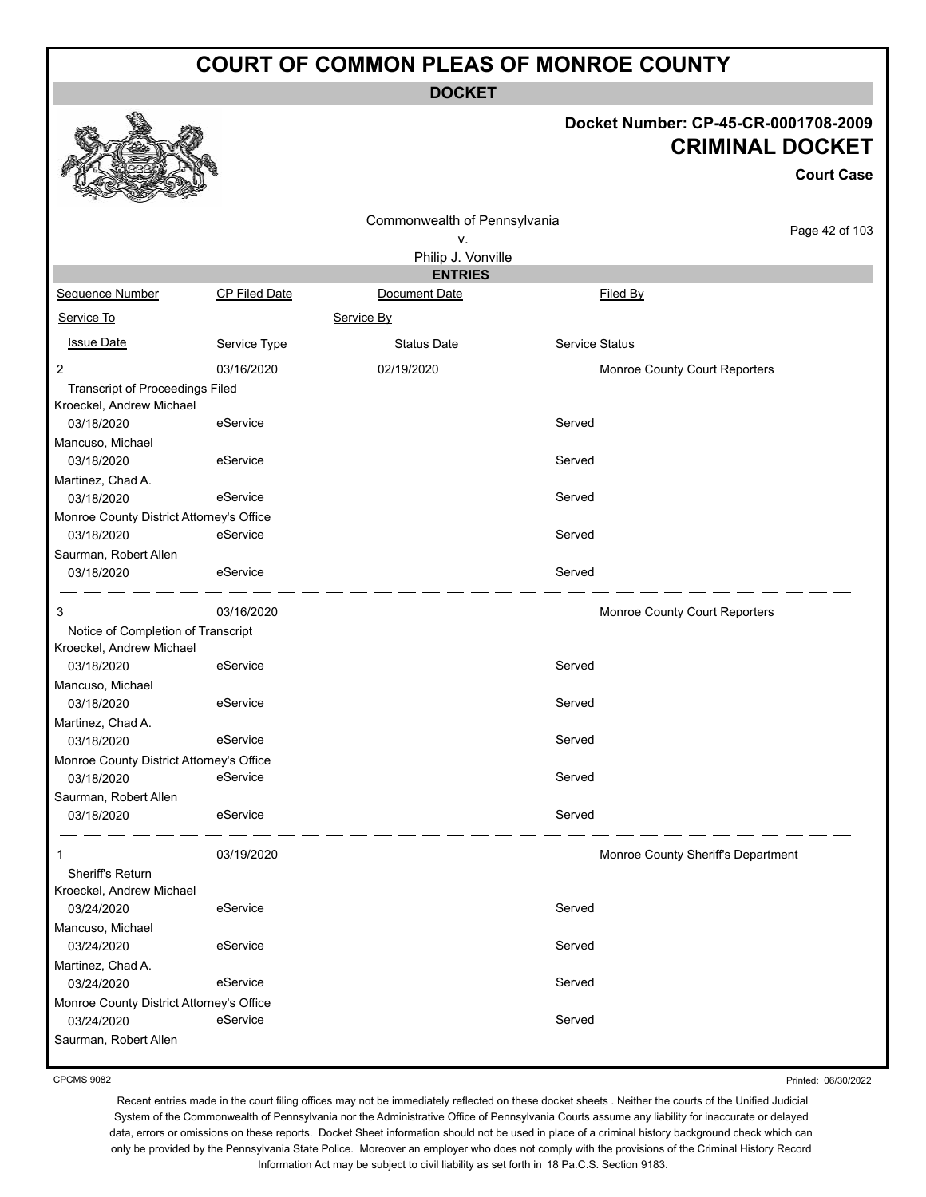**DOCKET**

#### **Docket Number: CP-45-CR-0001708-2009 CRIMINAL DOCKET**

**Court Case**

|                                                                    |                      |                              |                |                                    | <b>Court Case</b> |
|--------------------------------------------------------------------|----------------------|------------------------------|----------------|------------------------------------|-------------------|
|                                                                    |                      | Commonwealth of Pennsylvania |                |                                    | Page 42 of 103    |
|                                                                    |                      | ν.                           |                |                                    |                   |
|                                                                    |                      | Philip J. Vonville           |                |                                    |                   |
|                                                                    |                      | <b>ENTRIES</b>               |                |                                    |                   |
| Sequence Number                                                    | <b>CP Filed Date</b> | Document Date                |                | Filed By                           |                   |
| Service To                                                         |                      | Service By                   |                |                                    |                   |
| <b>Issue Date</b>                                                  | Service Type         | <b>Status Date</b>           | Service Status |                                    |                   |
| $\overline{2}$                                                     | 03/16/2020           | 02/19/2020                   |                | Monroe County Court Reporters      |                   |
| <b>Transcript of Proceedings Filed</b><br>Kroeckel, Andrew Michael |                      |                              |                |                                    |                   |
| 03/18/2020                                                         | eService             |                              | Served         |                                    |                   |
| Mancuso, Michael<br>03/18/2020                                     | eService             |                              | Served         |                                    |                   |
|                                                                    |                      |                              |                |                                    |                   |
| Martinez, Chad A.<br>03/18/2020                                    | eService             |                              | Served         |                                    |                   |
| Monroe County District Attorney's Office                           |                      |                              |                |                                    |                   |
| 03/18/2020                                                         | eService             |                              | Served         |                                    |                   |
| Saurman, Robert Allen<br>03/18/2020                                | eService             |                              | Served         |                                    |                   |
|                                                                    |                      |                              |                |                                    |                   |
| 3                                                                  | 03/16/2020           |                              |                | Monroe County Court Reporters      |                   |
| Notice of Completion of Transcript<br>Kroeckel, Andrew Michael     |                      |                              |                |                                    |                   |
| 03/18/2020                                                         | eService             |                              | Served         |                                    |                   |
| Mancuso, Michael                                                   | eService             |                              | Served         |                                    |                   |
| 03/18/2020<br>Martinez, Chad A.                                    |                      |                              |                |                                    |                   |
| 03/18/2020                                                         | eService             |                              | Served         |                                    |                   |
| Monroe County District Attorney's Office                           |                      |                              |                |                                    |                   |
| 03/18/2020                                                         | eService             |                              | Served         |                                    |                   |
| Saurman, Robert Allen                                              |                      |                              |                |                                    |                   |
| 03/18/2020                                                         | eService             |                              | Served         |                                    |                   |
| 1                                                                  | 03/19/2020           |                              |                | Monroe County Sheriff's Department |                   |
| Sheriff's Return                                                   |                      |                              |                |                                    |                   |
| Kroeckel, Andrew Michael                                           |                      |                              |                |                                    |                   |
| 03/24/2020                                                         | eService             |                              | Served         |                                    |                   |
| Mancuso, Michael                                                   |                      |                              |                |                                    |                   |
| 03/24/2020                                                         | eService             |                              | Served         |                                    |                   |
| Martinez, Chad A.<br>03/24/2020                                    | eService             |                              | Served         |                                    |                   |
| Monroe County District Attorney's Office                           |                      |                              |                |                                    |                   |
| 03/24/2020                                                         | eService             |                              | Served         |                                    |                   |
| Saurman, Robert Allen                                              |                      |                              |                |                                    |                   |

CPCMS 9082

Printed: 06/30/2022

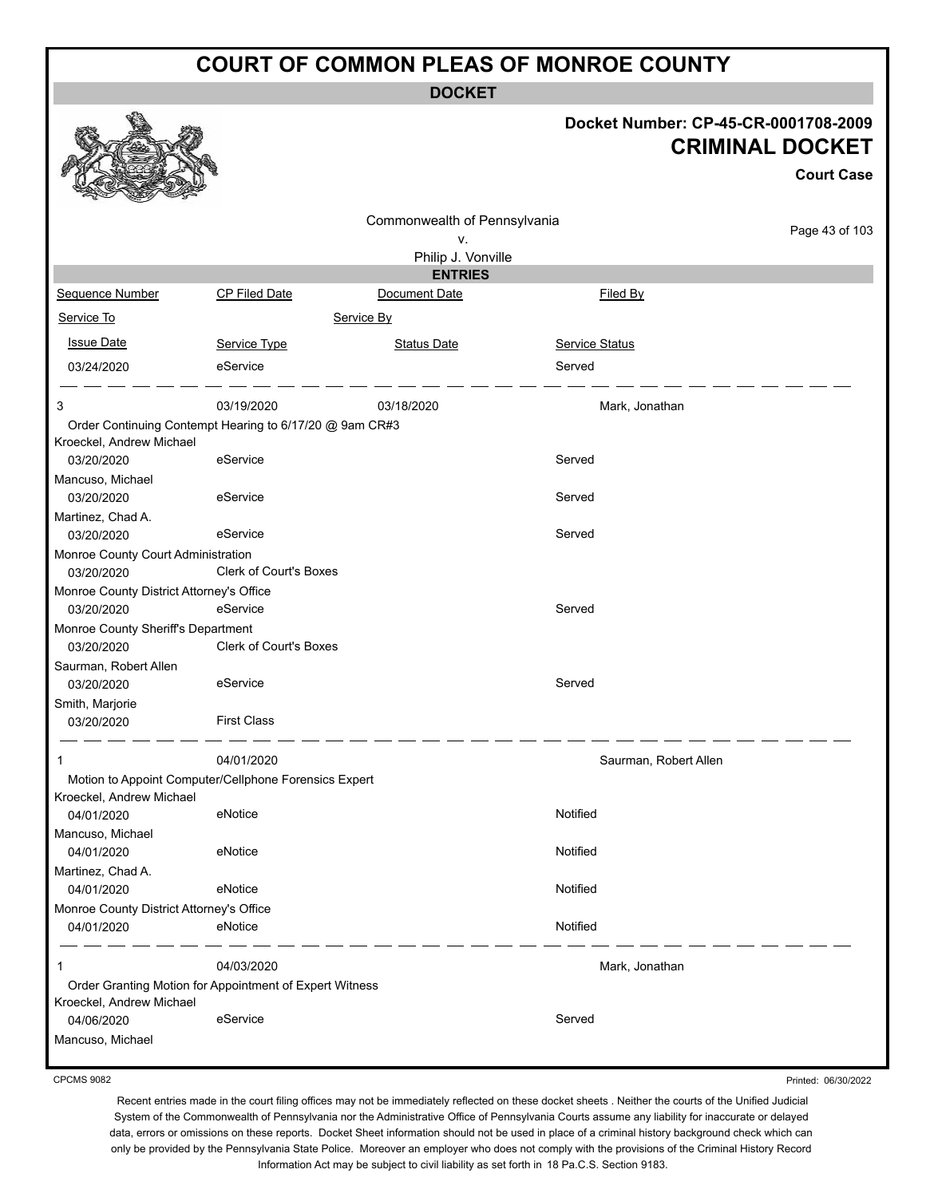**DOCKET**

#### **Docket Number: CP-45-CR-0001708-2009 CRIMINAL DOCKET**

**Court Case**

|                                          |                                                         |                              |                       | <b>Court Case</b> |
|------------------------------------------|---------------------------------------------------------|------------------------------|-----------------------|-------------------|
|                                          |                                                         | Commonwealth of Pennsylvania |                       |                   |
|                                          |                                                         | ۷.                           |                       | Page 43 of 103    |
|                                          |                                                         | Philip J. Vonville           |                       |                   |
|                                          |                                                         | <b>ENTRIES</b>               |                       |                   |
| Sequence Number                          | CP Filed Date                                           | Document Date                | Filed By              |                   |
| Service To                               |                                                         | Service By                   |                       |                   |
| <b>Issue Date</b>                        | Service Type                                            | <b>Status Date</b>           | <b>Service Status</b> |                   |
| 03/24/2020                               | eService                                                |                              | Served                |                   |
| 3                                        | 03/19/2020                                              | 03/18/2020                   | Mark, Jonathan        |                   |
|                                          | Order Continuing Contempt Hearing to 6/17/20 @ 9am CR#3 |                              |                       |                   |
| Kroeckel, Andrew Michael                 |                                                         |                              |                       |                   |
| 03/20/2020                               | eService                                                |                              | Served                |                   |
| Mancuso, Michael                         |                                                         |                              |                       |                   |
| 03/20/2020                               | eService                                                |                              | Served                |                   |
| Martinez, Chad A.                        |                                                         |                              |                       |                   |
| 03/20/2020                               | eService                                                |                              | Served                |                   |
| Monroe County Court Administration       |                                                         |                              |                       |                   |
| 03/20/2020                               | <b>Clerk of Court's Boxes</b>                           |                              |                       |                   |
| Monroe County District Attorney's Office |                                                         |                              |                       |                   |
| 03/20/2020                               | eService                                                |                              | Served                |                   |
| Monroe County Sheriff's Department       | <b>Clerk of Court's Boxes</b>                           |                              |                       |                   |
| 03/20/2020                               |                                                         |                              |                       |                   |
| Saurman, Robert Allen<br>03/20/2020      | eService                                                |                              | Served                |                   |
| Smith, Marjorie                          |                                                         |                              |                       |                   |
| 03/20/2020                               | <b>First Class</b>                                      |                              |                       |                   |
|                                          |                                                         |                              |                       |                   |
| 1                                        | 04/01/2020                                              |                              | Saurman, Robert Allen |                   |
|                                          | Motion to Appoint Computer/Cellphone Forensics Expert   |                              |                       |                   |
| Kroeckel, Andrew Michael<br>04/01/2020   | eNotice                                                 |                              | Notified              |                   |
| Mancuso, Michael                         |                                                         |                              |                       |                   |
| 04/01/2020                               | eNotice                                                 |                              | Notified              |                   |
| Martinez, Chad A.                        |                                                         |                              |                       |                   |
| 04/01/2020                               | eNotice                                                 |                              | Notified              |                   |
| Monroe County District Attorney's Office |                                                         |                              |                       |                   |
| 04/01/2020                               | eNotice                                                 |                              | Notified              |                   |
|                                          |                                                         |                              |                       |                   |
| 1                                        | 04/03/2020                                              |                              | Mark, Jonathan        |                   |
|                                          | Order Granting Motion for Appointment of Expert Witness |                              |                       |                   |
| Kroeckel, Andrew Michael                 |                                                         |                              |                       |                   |
| 04/06/2020                               | eService                                                |                              | Served                |                   |
| Mancuso, Michael                         |                                                         |                              |                       |                   |

CPCMS 9082

Printed: 06/30/2022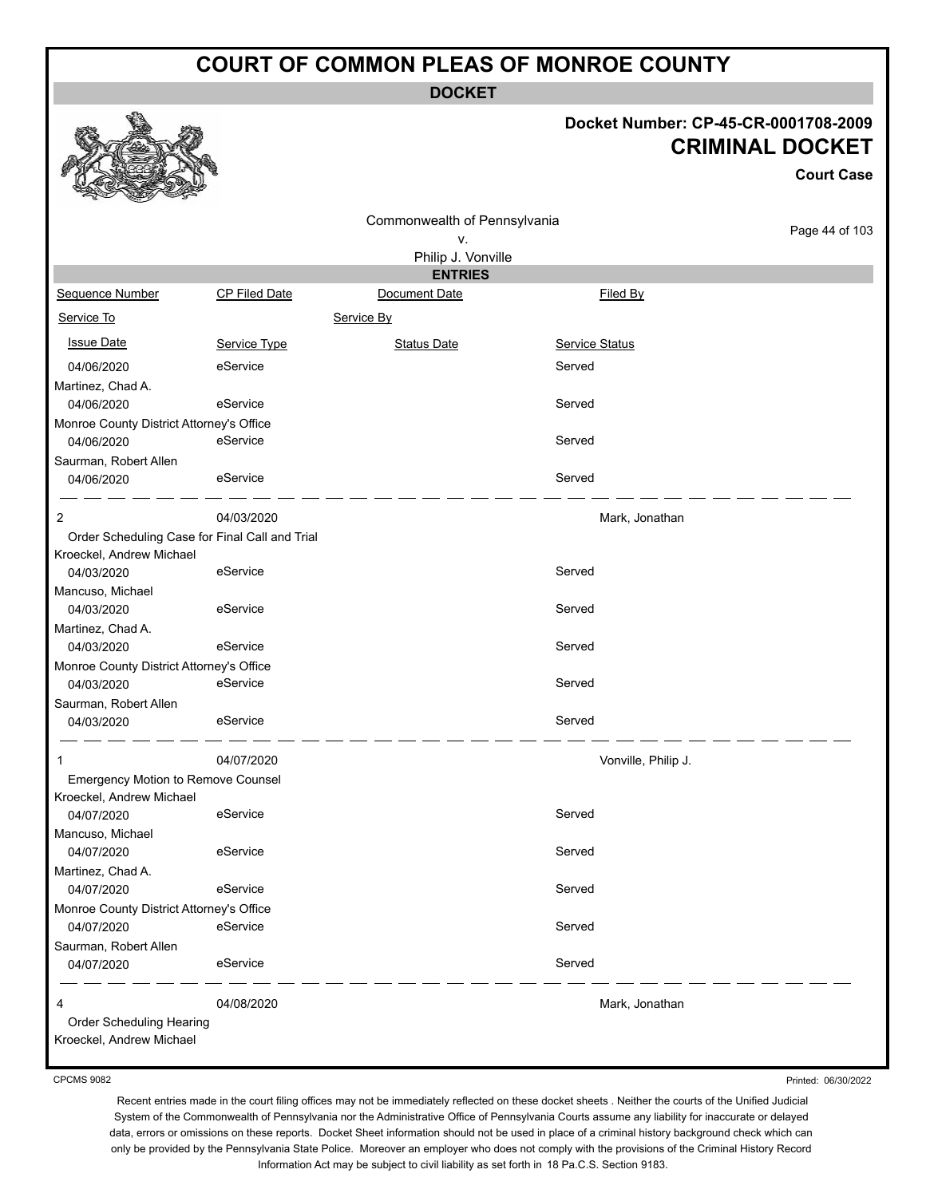**DOCKET**

#### **Docket Number: CP-45-CR-0001708-2009 CRIMINAL DOCKET**

**Court Case**

|                                                        |                                                | Commonwealth of Pennsylvania |                       | Page 44 of 103 |
|--------------------------------------------------------|------------------------------------------------|------------------------------|-----------------------|----------------|
|                                                        |                                                | ٧.                           |                       |                |
|                                                        |                                                | Philip J. Vonville           |                       |                |
| Sequence Number                                        |                                                | <b>ENTRIES</b>               |                       |                |
|                                                        | <b>CP Filed Date</b>                           | Document Date                | Filed By              |                |
| Service To                                             |                                                | Service By                   |                       |                |
| <b>Issue Date</b>                                      | Service Type                                   | <b>Status Date</b>           | <b>Service Status</b> |                |
| 04/06/2020                                             | eService                                       |                              | Served                |                |
| Martinez, Chad A.                                      |                                                |                              |                       |                |
| 04/06/2020                                             | eService                                       |                              | Served                |                |
| Monroe County District Attorney's Office               |                                                |                              |                       |                |
| 04/06/2020                                             | eService                                       |                              | Served                |                |
| Saurman, Robert Allen                                  |                                                |                              |                       |                |
| 04/06/2020                                             | eService                                       |                              | Served                |                |
| 2                                                      | 04/03/2020                                     |                              | Mark, Jonathan        |                |
|                                                        | Order Scheduling Case for Final Call and Trial |                              |                       |                |
| Kroeckel, Andrew Michael                               |                                                |                              |                       |                |
| 04/03/2020                                             | eService                                       |                              | Served                |                |
| Mancuso, Michael                                       |                                                |                              |                       |                |
| 04/03/2020                                             | eService                                       |                              | Served                |                |
| Martinez, Chad A.                                      |                                                |                              |                       |                |
| 04/03/2020                                             | eService                                       |                              | Served                |                |
| Monroe County District Attorney's Office               |                                                |                              |                       |                |
| 04/03/2020                                             | eService                                       |                              | Served                |                |
| Saurman, Robert Allen<br>04/03/2020                    | eService                                       |                              | Served                |                |
|                                                        |                                                |                              |                       |                |
| 1                                                      | 04/07/2020                                     |                              | Vonville, Philip J.   |                |
| Emergency Motion to Remove Counsel                     |                                                |                              |                       |                |
| Kroeckel, Andrew Michael                               |                                                |                              |                       |                |
| 04/07/2020                                             | eService                                       |                              | Served                |                |
| Mancuso, Michael                                       | eService                                       |                              |                       |                |
| 04/07/2020                                             |                                                |                              | Served                |                |
| Martinez, Chad A.                                      | eService                                       |                              | Served                |                |
| 04/07/2020                                             |                                                |                              |                       |                |
| Monroe County District Attorney's Office<br>04/07/2020 | eService                                       |                              | Served                |                |
|                                                        |                                                |                              |                       |                |
| Saurman, Robert Allen<br>04/07/2020                    | eService                                       |                              | Served                |                |
|                                                        |                                                |                              |                       |                |
| 4                                                      | 04/08/2020                                     |                              | Mark, Jonathan        |                |
| Order Scheduling Hearing                               |                                                |                              |                       |                |
| Kroeckel, Andrew Michael                               |                                                |                              |                       |                |

CPCMS 9082

Printed: 06/30/2022

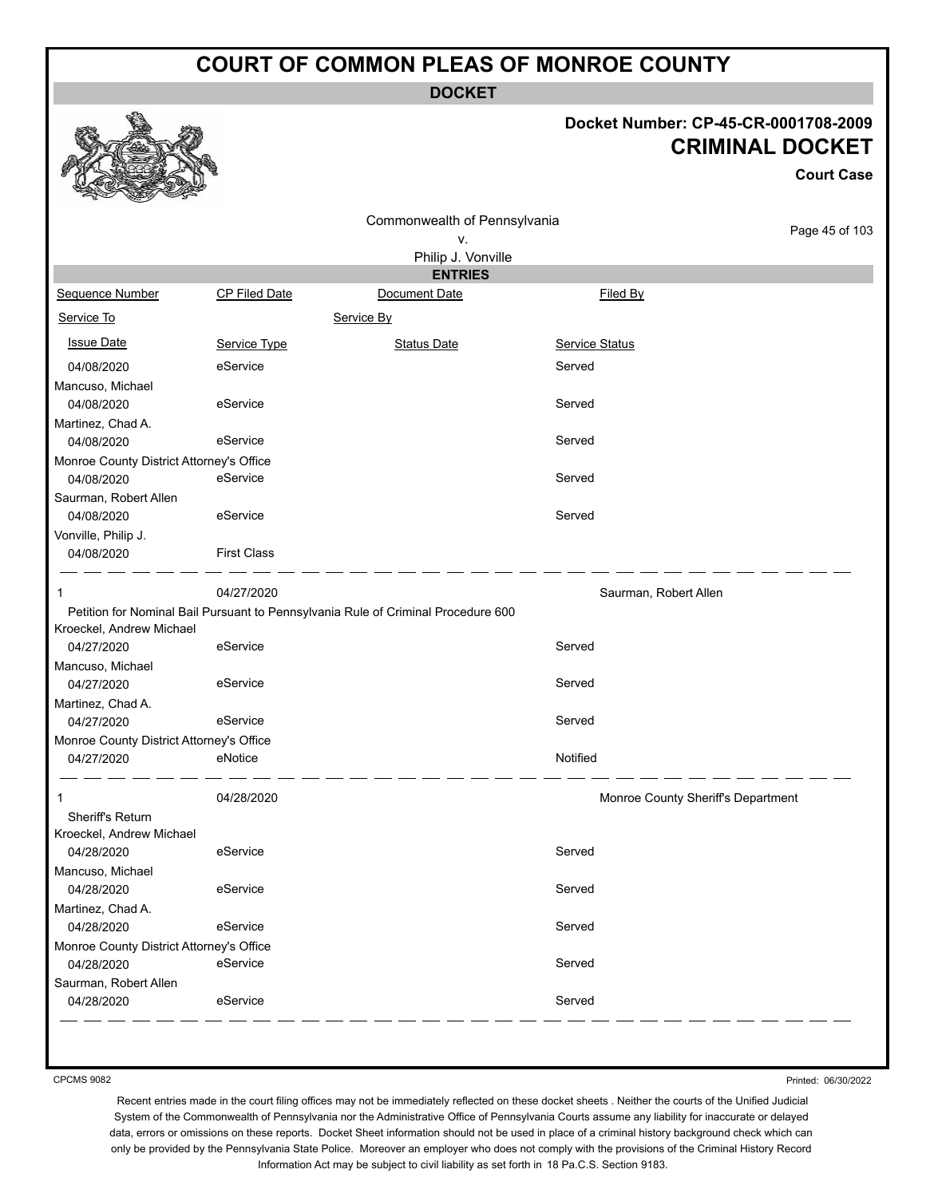**DOCKET**

#### **Docket Number: CP-45-CR-0001708-2009 CRIMINAL DOCKET**

**Court Case**

|                                          |                      | Commonwealth of Pennsylvania                                                      |                       |                                    |
|------------------------------------------|----------------------|-----------------------------------------------------------------------------------|-----------------------|------------------------------------|
|                                          |                      | ٧.                                                                                |                       | Page 45 of 103                     |
|                                          |                      | Philip J. Vonville                                                                |                       |                                    |
|                                          |                      | <b>ENTRIES</b>                                                                    |                       |                                    |
| Sequence Number                          | <b>CP Filed Date</b> | Document Date                                                                     | Filed By              |                                    |
| Service To                               |                      | Service By                                                                        |                       |                                    |
| <b>Issue Date</b>                        | Service Type         | <b>Status Date</b>                                                                | <b>Service Status</b> |                                    |
| 04/08/2020                               | eService             |                                                                                   | Served                |                                    |
| Mancuso, Michael                         |                      |                                                                                   |                       |                                    |
| 04/08/2020                               | eService             |                                                                                   | Served                |                                    |
| Martinez, Chad A.                        |                      |                                                                                   |                       |                                    |
| 04/08/2020                               | eService             |                                                                                   | Served                |                                    |
| Monroe County District Attorney's Office |                      |                                                                                   |                       |                                    |
| 04/08/2020                               | eService             |                                                                                   | Served                |                                    |
| Saurman, Robert Allen                    |                      |                                                                                   |                       |                                    |
| 04/08/2020                               | eService             |                                                                                   | Served                |                                    |
| Vonville, Philip J.                      |                      |                                                                                   |                       |                                    |
| 04/08/2020                               | <b>First Class</b>   |                                                                                   |                       |                                    |
| 1                                        | 04/27/2020           |                                                                                   | Saurman, Robert Allen |                                    |
|                                          |                      | Petition for Nominal Bail Pursuant to Pennsylvania Rule of Criminal Procedure 600 |                       |                                    |
| Kroeckel, Andrew Michael                 |                      |                                                                                   |                       |                                    |
| 04/27/2020                               | eService             |                                                                                   | Served                |                                    |
| Mancuso, Michael                         |                      |                                                                                   |                       |                                    |
| 04/27/2020                               | eService             |                                                                                   | Served                |                                    |
| Martinez, Chad A.                        |                      |                                                                                   |                       |                                    |
| 04/27/2020                               | eService             |                                                                                   | Served                |                                    |
| Monroe County District Attorney's Office |                      |                                                                                   |                       |                                    |
| 04/27/2020                               | eNotice              |                                                                                   | Notified              |                                    |
| 1                                        | 04/28/2020           |                                                                                   |                       | Monroe County Sheriff's Department |
| Sheriff's Return                         |                      |                                                                                   |                       |                                    |
| Kroeckel, Andrew Michael                 |                      |                                                                                   |                       |                                    |
| 04/28/2020                               | eService             |                                                                                   | Served                |                                    |
| Mancuso, Michael                         |                      |                                                                                   |                       |                                    |
| 04/28/2020                               | eService             |                                                                                   | Served                |                                    |
| Martinez, Chad A.                        |                      |                                                                                   |                       |                                    |
| 04/28/2020                               | eService             |                                                                                   | Served                |                                    |
| Monroe County District Attorney's Office |                      |                                                                                   |                       |                                    |
| 04/28/2020                               | eService             |                                                                                   | Served                |                                    |
| Saurman, Robert Allen                    |                      |                                                                                   |                       |                                    |
| 04/28/2020                               | eService             |                                                                                   | Served                |                                    |

CPCMS 9082

Printed: 06/30/2022

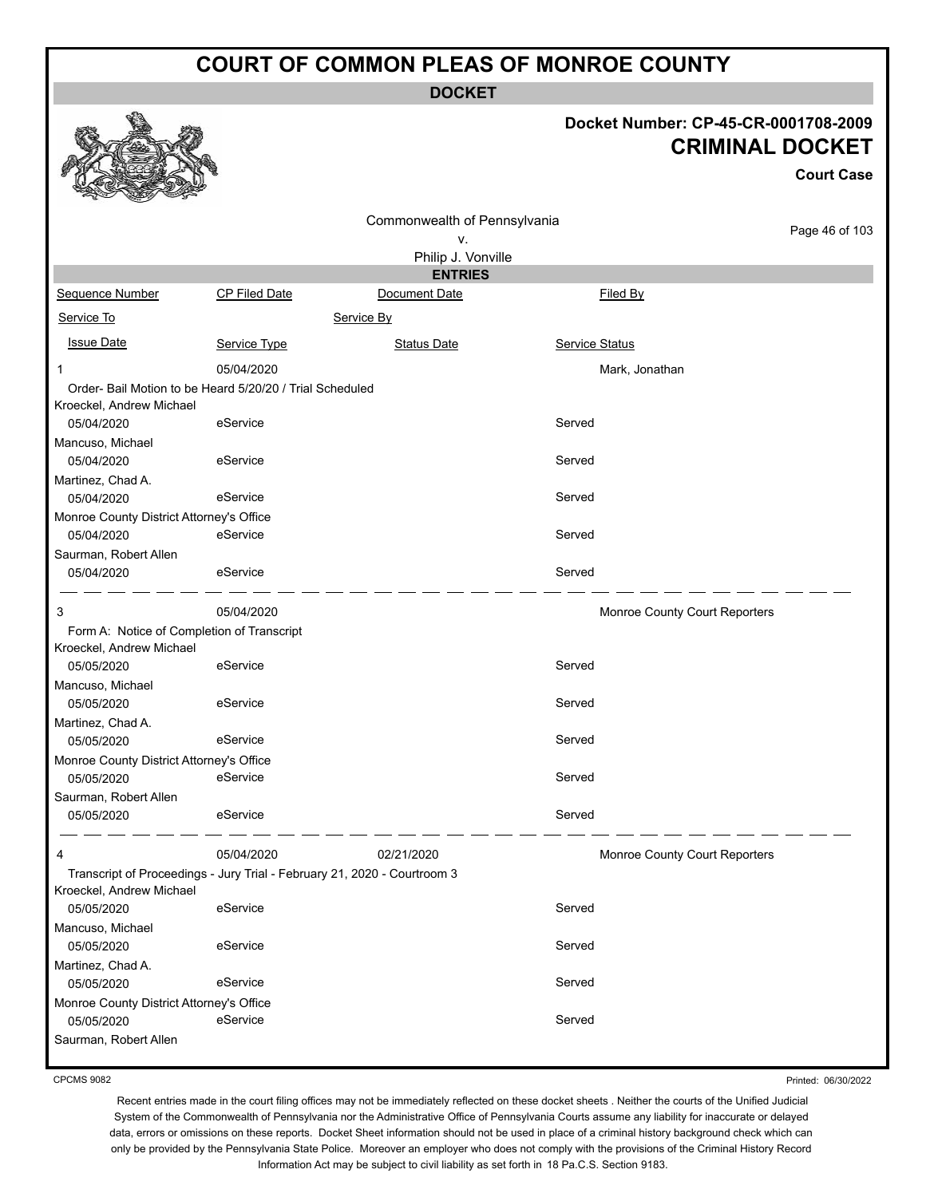**DOCKET**

#### **Docket Number: CP-45-CR-0001708-2009 CRIMINAL DOCKET**

**Court Case**

|                                                                                                      |               | Commonwealth of Pennsylvania |                |                               |
|------------------------------------------------------------------------------------------------------|---------------|------------------------------|----------------|-------------------------------|
|                                                                                                      |               | ٧.                           |                | Page 46 of 103                |
|                                                                                                      |               | Philip J. Vonville           |                |                               |
|                                                                                                      |               | <b>ENTRIES</b>               |                |                               |
| Sequence Number                                                                                      | CP Filed Date | Document Date                | Filed By       |                               |
| Service To                                                                                           |               | Service By                   |                |                               |
| <b>Issue Date</b>                                                                                    | Service Type  | <b>Status Date</b>           | Service Status |                               |
| 1                                                                                                    | 05/04/2020    |                              | Mark, Jonathan |                               |
| Order- Bail Motion to be Heard 5/20/20 / Trial Scheduled<br>Kroeckel, Andrew Michael                 |               |                              |                |                               |
| 05/04/2020                                                                                           | eService      |                              | Served         |                               |
| Mancuso, Michael                                                                                     |               |                              |                |                               |
| 05/04/2020                                                                                           | eService      |                              | Served         |                               |
| Martinez, Chad A.                                                                                    |               |                              |                |                               |
| 05/04/2020                                                                                           | eService      |                              | Served         |                               |
| Monroe County District Attorney's Office                                                             |               |                              |                |                               |
| 05/04/2020                                                                                           | eService      |                              | Served         |                               |
| Saurman, Robert Allen<br>05/04/2020                                                                  | eService      |                              | Served         |                               |
| 3                                                                                                    | 05/04/2020    |                              |                | Monroe County Court Reporters |
| Form A: Notice of Completion of Transcript<br>Kroeckel, Andrew Michael                               |               |                              |                |                               |
| 05/05/2020                                                                                           | eService      |                              | Served         |                               |
| Mancuso, Michael                                                                                     |               |                              |                |                               |
| 05/05/2020                                                                                           | eService      |                              | Served         |                               |
| Martinez, Chad A.                                                                                    |               |                              | Served         |                               |
| 05/05/2020                                                                                           | eService      |                              |                |                               |
| Monroe County District Attorney's Office<br>05/05/2020                                               | eService      |                              | Served         |                               |
| Saurman, Robert Allen                                                                                |               |                              |                |                               |
| 05/05/2020                                                                                           | eService      |                              | Served         |                               |
| 4                                                                                                    | 05/04/2020    | 02/21/2020                   |                | Monroe County Court Reporters |
| Transcript of Proceedings - Jury Trial - February 21, 2020 - Courtroom 3<br>Kroeckel, Andrew Michael |               |                              |                |                               |
| 05/05/2020                                                                                           | eService      |                              | Served         |                               |
| Mancuso, Michael<br>05/05/2020                                                                       | eService      |                              | Served         |                               |
| Martinez, Chad A.                                                                                    |               |                              |                |                               |
| 05/05/2020                                                                                           | eService      |                              | Served         |                               |
| Monroe County District Attorney's Office                                                             |               |                              |                |                               |
| 05/05/2020                                                                                           | eService      |                              | Served         |                               |
| Saurman, Robert Allen                                                                                |               |                              |                |                               |

CPCMS 9082

Printed: 06/30/2022

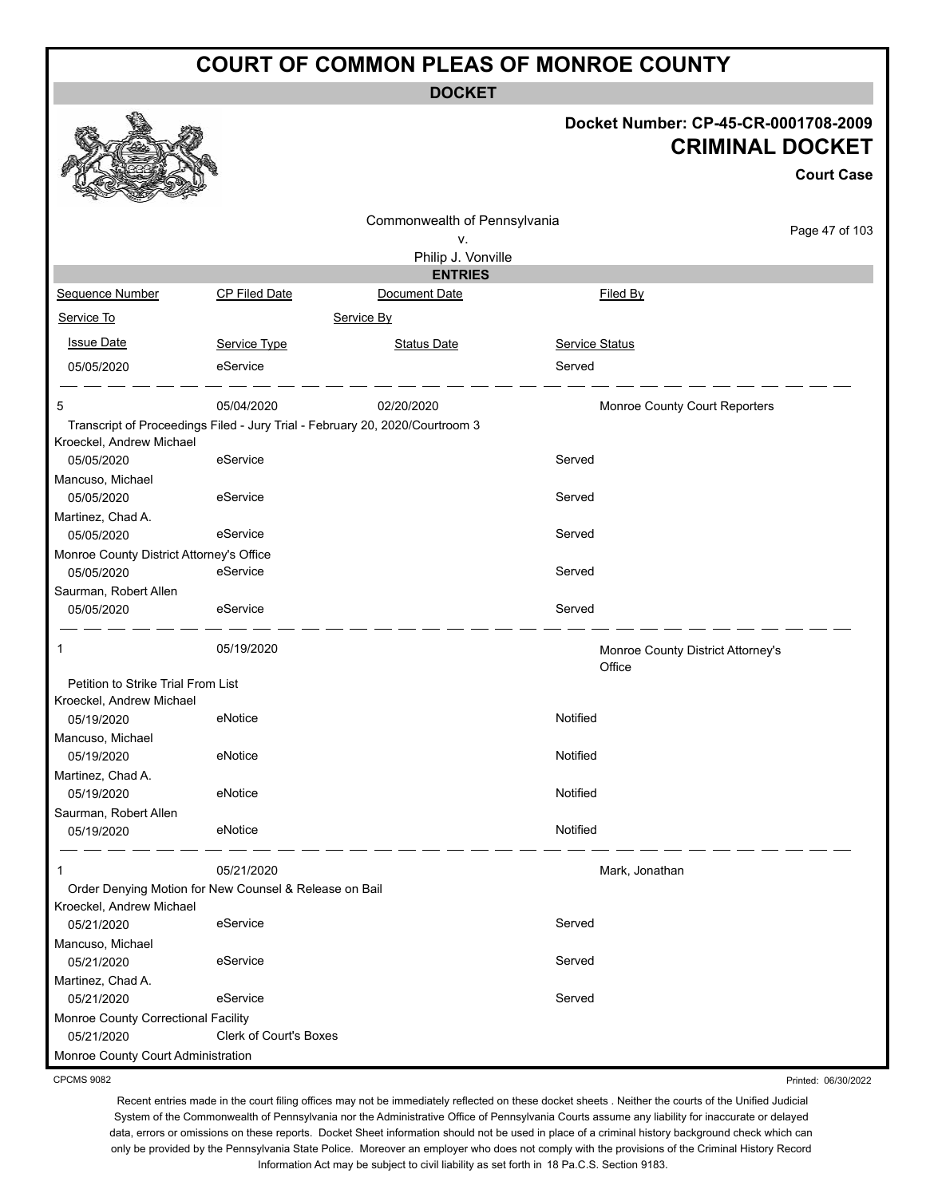**DOCKET**

#### **Docket Number: CP-45-CR-0001708-2009 CRIMINAL DOCKET**

**Court Case**

|                                                        |                                                        | Commonwealth of Pennsylvania                                                 |                                             |                     |
|--------------------------------------------------------|--------------------------------------------------------|------------------------------------------------------------------------------|---------------------------------------------|---------------------|
|                                                        |                                                        | ν.                                                                           |                                             | Page 47 of 103      |
|                                                        |                                                        | Philip J. Vonville                                                           |                                             |                     |
|                                                        |                                                        | <b>ENTRIES</b>                                                               |                                             |                     |
| Sequence Number                                        | CP Filed Date                                          | Document Date                                                                | Filed By                                    |                     |
| Service To                                             |                                                        | Service By                                                                   |                                             |                     |
| <b>Issue Date</b>                                      | Service Type                                           | <b>Status Date</b>                                                           | Service Status                              |                     |
| 05/05/2020                                             | eService                                               |                                                                              | Served                                      |                     |
| 5                                                      | 05/04/2020                                             | 02/20/2020                                                                   | Monroe County Court Reporters               |                     |
|                                                        |                                                        | Transcript of Proceedings Filed - Jury Trial - February 20, 2020/Courtroom 3 |                                             |                     |
| Kroeckel, Andrew Michael<br>05/05/2020                 | eService                                               |                                                                              | Served                                      |                     |
| Mancuso, Michael                                       |                                                        |                                                                              |                                             |                     |
| 05/05/2020                                             | eService                                               |                                                                              | Served                                      |                     |
| Martinez, Chad A.                                      |                                                        |                                                                              |                                             |                     |
| 05/05/2020                                             | eService                                               |                                                                              | Served                                      |                     |
| Monroe County District Attorney's Office<br>05/05/2020 | eService                                               |                                                                              | Served                                      |                     |
| Saurman, Robert Allen                                  |                                                        |                                                                              |                                             |                     |
| 05/05/2020                                             | eService                                               |                                                                              | Served                                      |                     |
| 1                                                      | 05/19/2020                                             |                                                                              | Monroe County District Attorney's<br>Office |                     |
| Petition to Strike Trial From List                     |                                                        |                                                                              |                                             |                     |
| Kroeckel, Andrew Michael<br>05/19/2020                 | eNotice                                                |                                                                              | Notified                                    |                     |
| Mancuso, Michael                                       |                                                        |                                                                              |                                             |                     |
| 05/19/2020                                             | eNotice                                                |                                                                              | Notified                                    |                     |
| Martinez, Chad A.                                      |                                                        |                                                                              |                                             |                     |
| 05/19/2020                                             | eNotice                                                |                                                                              | Notified                                    |                     |
| Saurman, Robert Allen                                  |                                                        |                                                                              |                                             |                     |
| 05/19/2020                                             | eNotice                                                |                                                                              | Notified                                    |                     |
| 1                                                      | 05/21/2020                                             |                                                                              | Mark, Jonathan                              |                     |
|                                                        | Order Denying Motion for New Counsel & Release on Bail |                                                                              |                                             |                     |
| Kroeckel, Andrew Michael                               |                                                        |                                                                              | Served                                      |                     |
| 05/21/2020<br>Mancuso, Michael                         | eService                                               |                                                                              |                                             |                     |
| 05/21/2020                                             | eService                                               |                                                                              | Served                                      |                     |
| Martinez, Chad A.                                      |                                                        |                                                                              |                                             |                     |
| 05/21/2020                                             | eService                                               |                                                                              | Served                                      |                     |
| Monroe County Correctional Facility                    |                                                        |                                                                              |                                             |                     |
| 05/21/2020                                             | Clerk of Court's Boxes                                 |                                                                              |                                             |                     |
| Monroe County Court Administration                     |                                                        |                                                                              |                                             |                     |
| <b>CPCMS 9082</b>                                      |                                                        |                                                                              |                                             | Printed: 06/30/2022 |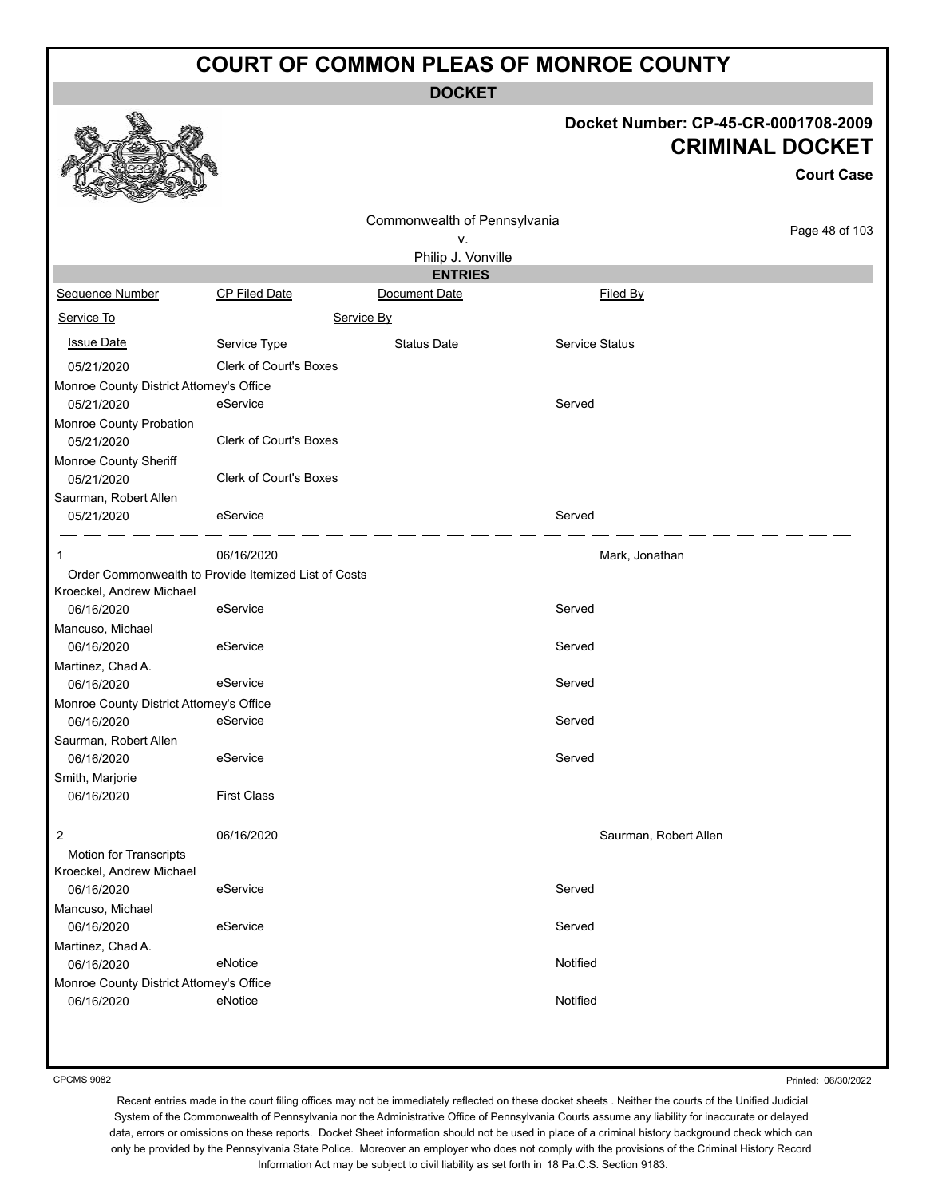**DOCKET**

#### **Docket Number: CP-45-CR-0001708-2009 CRIMINAL DOCKET**

|                                          |                                                      |                                    |                       | <b>Court Case</b> |
|------------------------------------------|------------------------------------------------------|------------------------------------|-----------------------|-------------------|
|                                          |                                                      |                                    |                       |                   |
|                                          |                                                      | Commonwealth of Pennsylvania<br>٧. |                       | Page 48 of 103    |
|                                          |                                                      | Philip J. Vonville                 |                       |                   |
|                                          |                                                      | <b>ENTRIES</b>                     |                       |                   |
| Sequence Number                          | <b>CP Filed Date</b>                                 | Document Date                      | Filed By              |                   |
| Service To                               |                                                      | Service By                         |                       |                   |
| <b>Issue Date</b>                        | Service Type                                         | <b>Status Date</b>                 | Service Status        |                   |
| 05/21/2020                               | <b>Clerk of Court's Boxes</b>                        |                                    |                       |                   |
|                                          |                                                      |                                    |                       |                   |
| Monroe County District Attorney's Office |                                                      |                                    |                       |                   |
| 05/21/2020                               | eService                                             |                                    | Served                |                   |
| Monroe County Probation                  |                                                      |                                    |                       |                   |
| 05/21/2020                               | <b>Clerk of Court's Boxes</b>                        |                                    |                       |                   |
| Monroe County Sheriff                    |                                                      |                                    |                       |                   |
| 05/21/2020                               | <b>Clerk of Court's Boxes</b>                        |                                    |                       |                   |
| Saurman, Robert Allen                    |                                                      |                                    |                       |                   |
| 05/21/2020                               | eService                                             |                                    | Served                |                   |
| 1                                        | 06/16/2020                                           |                                    | Mark, Jonathan        |                   |
|                                          | Order Commonwealth to Provide Itemized List of Costs |                                    |                       |                   |
| Kroeckel, Andrew Michael                 |                                                      |                                    |                       |                   |
| 06/16/2020                               | eService                                             |                                    | Served                |                   |
| Mancuso, Michael                         |                                                      |                                    |                       |                   |
| 06/16/2020                               | eService                                             |                                    | Served                |                   |
| Martinez, Chad A.                        |                                                      |                                    |                       |                   |
| 06/16/2020                               | eService                                             |                                    | Served                |                   |
| Monroe County District Attorney's Office |                                                      |                                    |                       |                   |
| 06/16/2020                               | eService                                             |                                    | Served                |                   |
|                                          |                                                      |                                    |                       |                   |
| Saurman, Robert Allen                    |                                                      |                                    |                       |                   |
| 06/16/2020                               | eService                                             |                                    | Served                |                   |
| Smith, Marjorie                          |                                                      |                                    |                       |                   |
| 06/16/2020                               | <b>First Class</b>                                   |                                    |                       |                   |
| 2                                        | 06/16/2020                                           |                                    | Saurman, Robert Allen |                   |
| Motion for Transcripts                   |                                                      |                                    |                       |                   |
| Kroeckel, Andrew Michael                 |                                                      |                                    |                       |                   |
| 06/16/2020                               | eService                                             |                                    | Served                |                   |
| Mancuso, Michael                         |                                                      |                                    |                       |                   |
| 06/16/2020                               | eService                                             |                                    | Served                |                   |
|                                          |                                                      |                                    |                       |                   |
| Martinez, Chad A.                        |                                                      |                                    |                       |                   |
| 06/16/2020                               | eNotice                                              |                                    | Notified              |                   |
| Monroe County District Attorney's Office |                                                      |                                    |                       |                   |
| 06/16/2020                               | eNotice                                              |                                    | Notified              |                   |
|                                          |                                                      |                                    |                       |                   |

CPCMS 9082

**BA** 

Printed: 06/30/2022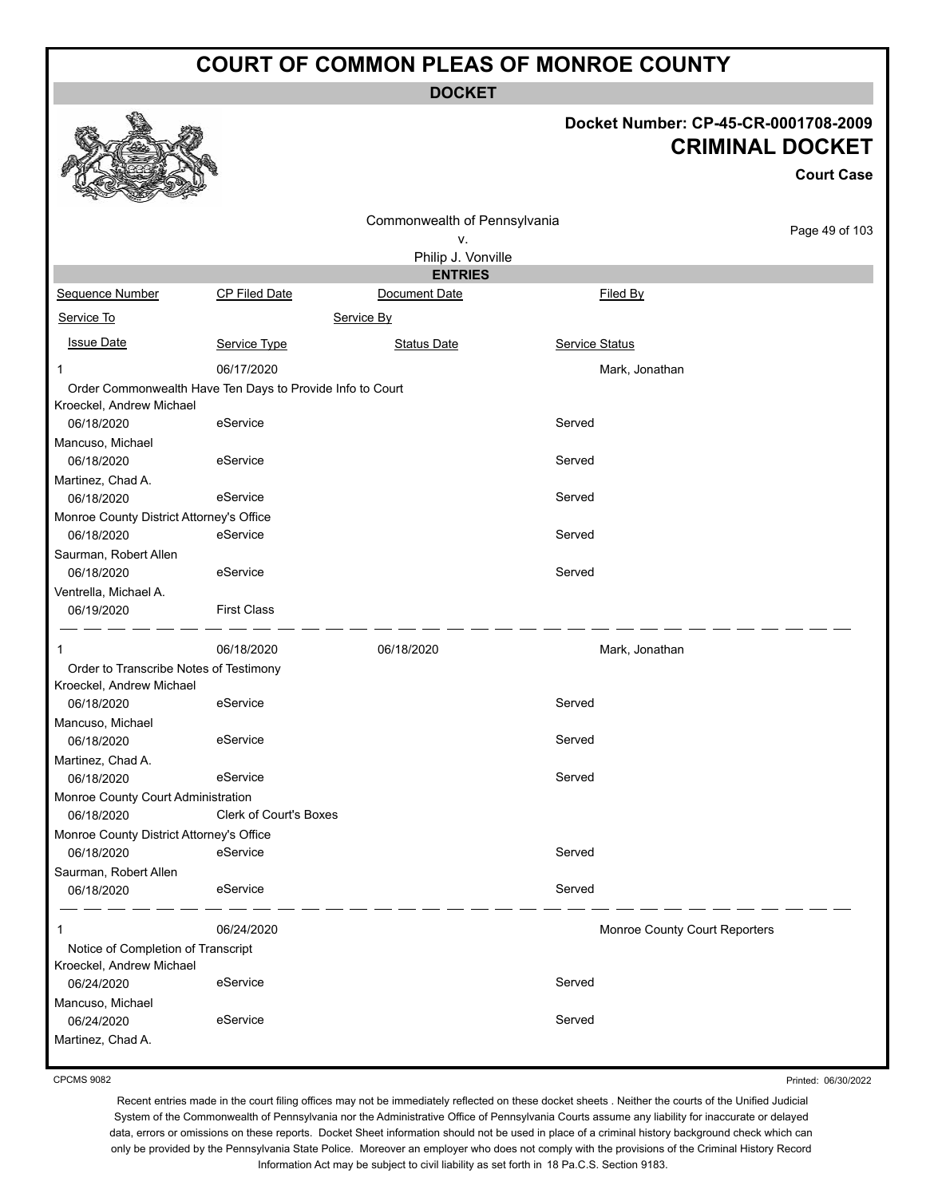**DOCKET**

#### **Docket Number: CP-45-CR-0001708-2009 CRIMINAL DOCKET**

**Court Case**

| over<br><b>COLORADO</b><br><b>Contract</b>                                            |                        |                              |                               |                |
|---------------------------------------------------------------------------------------|------------------------|------------------------------|-------------------------------|----------------|
|                                                                                       |                        | Commonwealth of Pennsylvania |                               |                |
|                                                                                       |                        | ٧.                           |                               | Page 49 of 103 |
|                                                                                       |                        | Philip J. Vonville           |                               |                |
|                                                                                       |                        | <b>ENTRIES</b>               |                               |                |
| Sequence Number                                                                       | <b>CP Filed Date</b>   | Document Date                | Filed By                      |                |
| Service To                                                                            |                        | Service By                   |                               |                |
| <b>Issue Date</b>                                                                     | Service Type           | Status Date                  | Service Status                |                |
| 1                                                                                     | 06/17/2020             |                              | Mark, Jonathan                |                |
| Order Commonwealth Have Ten Days to Provide Info to Court<br>Kroeckel, Andrew Michael |                        |                              |                               |                |
| 06/18/2020                                                                            | eService               |                              | Served                        |                |
| Mancuso, Michael                                                                      |                        |                              |                               |                |
| 06/18/2020                                                                            | eService               |                              | Served                        |                |
| Martinez, Chad A.<br>06/18/2020                                                       | eService               |                              | Served                        |                |
| Monroe County District Attorney's Office                                              |                        |                              |                               |                |
| 06/18/2020                                                                            | eService               |                              | Served                        |                |
| Saurman, Robert Allen<br>06/18/2020                                                   | eService               |                              | Served                        |                |
| Ventrella, Michael A.<br>06/19/2020                                                   | <b>First Class</b>     |                              |                               |                |
| 1                                                                                     | 06/18/2020             | 06/18/2020                   | Mark, Jonathan                |                |
| Order to Transcribe Notes of Testimony                                                |                        |                              |                               |                |
| Kroeckel, Andrew Michael                                                              |                        |                              |                               |                |
| 06/18/2020                                                                            | eService               |                              | Served                        |                |
| Mancuso, Michael                                                                      |                        |                              |                               |                |
| 06/18/2020                                                                            | eService               |                              | Served                        |                |
| Martinez, Chad A.<br>06/18/2020                                                       | eService               |                              | Served                        |                |
| Monroe County Court Administration                                                    |                        |                              |                               |                |
| 06/18/2020                                                                            | Clerk of Court's Boxes |                              |                               |                |
| Monroe County District Attorney's Office                                              |                        |                              |                               |                |
| 06/18/2020                                                                            | eService               |                              | Served                        |                |
| Saurman, Robert Allen                                                                 |                        |                              |                               |                |
| 06/18/2020                                                                            | eService               |                              | Served                        |                |
| 1                                                                                     | 06/24/2020             |                              | Monroe County Court Reporters |                |
| Notice of Completion of Transcript                                                    |                        |                              |                               |                |
| Kroeckel, Andrew Michael                                                              |                        |                              |                               |                |
| 06/24/2020                                                                            | eService               |                              | Served                        |                |
| Mancuso, Michael                                                                      |                        |                              |                               |                |
| 06/24/2020                                                                            | eService               |                              | Served                        |                |
| Martinez, Chad A.                                                                     |                        |                              |                               |                |

CPCMS 9082

Printed: 06/30/2022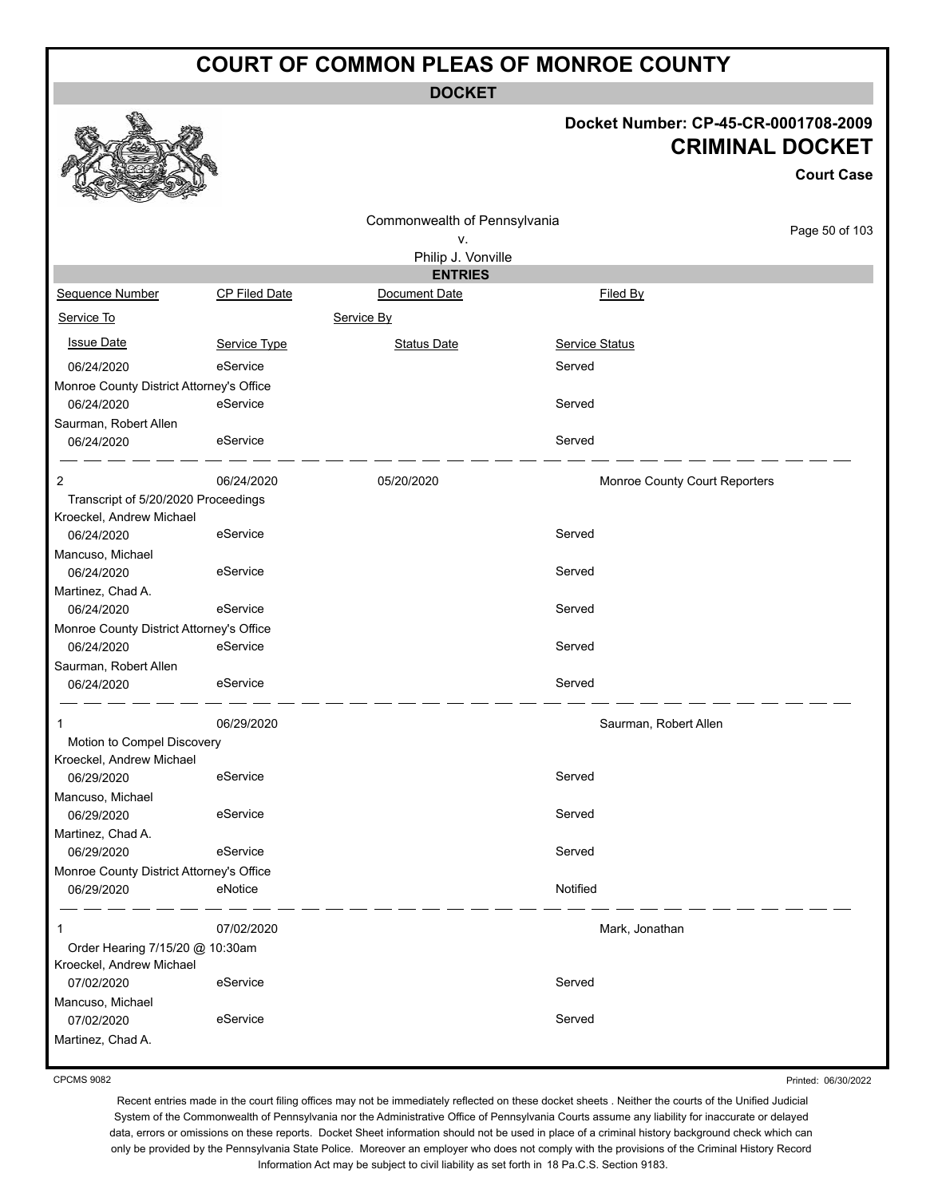**DOCKET**

### **Docket Number: CP-45-CR-0001708-2009 CRIMINAL DOCKET**

**Court Case**

|                                                        |               | Commonwealth of Pennsylvania |                       |                               |
|--------------------------------------------------------|---------------|------------------------------|-----------------------|-------------------------------|
|                                                        |               | ٧.                           |                       | Page 50 of 103                |
|                                                        |               | Philip J. Vonville           |                       |                               |
|                                                        |               | <b>ENTRIES</b>               |                       |                               |
| Sequence Number                                        | CP Filed Date | Document Date                | Filed By              |                               |
| Service To                                             |               | Service By                   |                       |                               |
| <b>Issue Date</b>                                      | Service Type  | <b>Status Date</b>           | <b>Service Status</b> |                               |
| 06/24/2020                                             | eService      |                              | Served                |                               |
| Monroe County District Attorney's Office               |               |                              |                       |                               |
| 06/24/2020                                             | eService      |                              | Served                |                               |
| Saurman, Robert Allen                                  |               |                              |                       |                               |
| 06/24/2020                                             | eService      |                              | Served                |                               |
| 2                                                      | 06/24/2020    | 05/20/2020                   |                       | Monroe County Court Reporters |
| Transcript of 5/20/2020 Proceedings                    |               |                              |                       |                               |
| Kroeckel, Andrew Michael                               |               |                              |                       |                               |
| 06/24/2020                                             | eService      |                              | Served                |                               |
| Mancuso, Michael                                       |               |                              |                       |                               |
| 06/24/2020                                             | eService      |                              | Served                |                               |
| Martinez, Chad A.<br>06/24/2020                        | eService      |                              | Served                |                               |
|                                                        |               |                              |                       |                               |
| Monroe County District Attorney's Office<br>06/24/2020 | eService      |                              | Served                |                               |
|                                                        |               |                              |                       |                               |
| Saurman, Robert Allen<br>06/24/2020                    | eService      |                              | Served                |                               |
|                                                        |               |                              |                       |                               |
| 1                                                      | 06/29/2020    |                              | Saurman, Robert Allen |                               |
| Motion to Compel Discovery                             |               |                              |                       |                               |
| Kroeckel, Andrew Michael                               | eService      |                              | Served                |                               |
| 06/29/2020                                             |               |                              |                       |                               |
| Mancuso, Michael<br>06/29/2020                         | eService      |                              | Served                |                               |
| Martinez, Chad A.                                      |               |                              |                       |                               |
| 06/29/2020                                             | eService      |                              | Served                |                               |
| Monroe County District Attorney's Office               |               |                              |                       |                               |
| 06/29/2020                                             | eNotice       |                              | Notified              |                               |
|                                                        |               |                              |                       |                               |
| 1                                                      | 07/02/2020    |                              | Mark, Jonathan        |                               |
| Order Hearing 7/15/20 @ 10:30am                        |               |                              |                       |                               |
| Kroeckel, Andrew Michael                               |               |                              |                       |                               |
| 07/02/2020                                             | eService      |                              | Served                |                               |
| Mancuso, Michael                                       |               |                              |                       |                               |
| 07/02/2020                                             | eService      |                              | Served                |                               |
| Martinez, Chad A.                                      |               |                              |                       |                               |

CPCMS 9082

Printed: 06/30/2022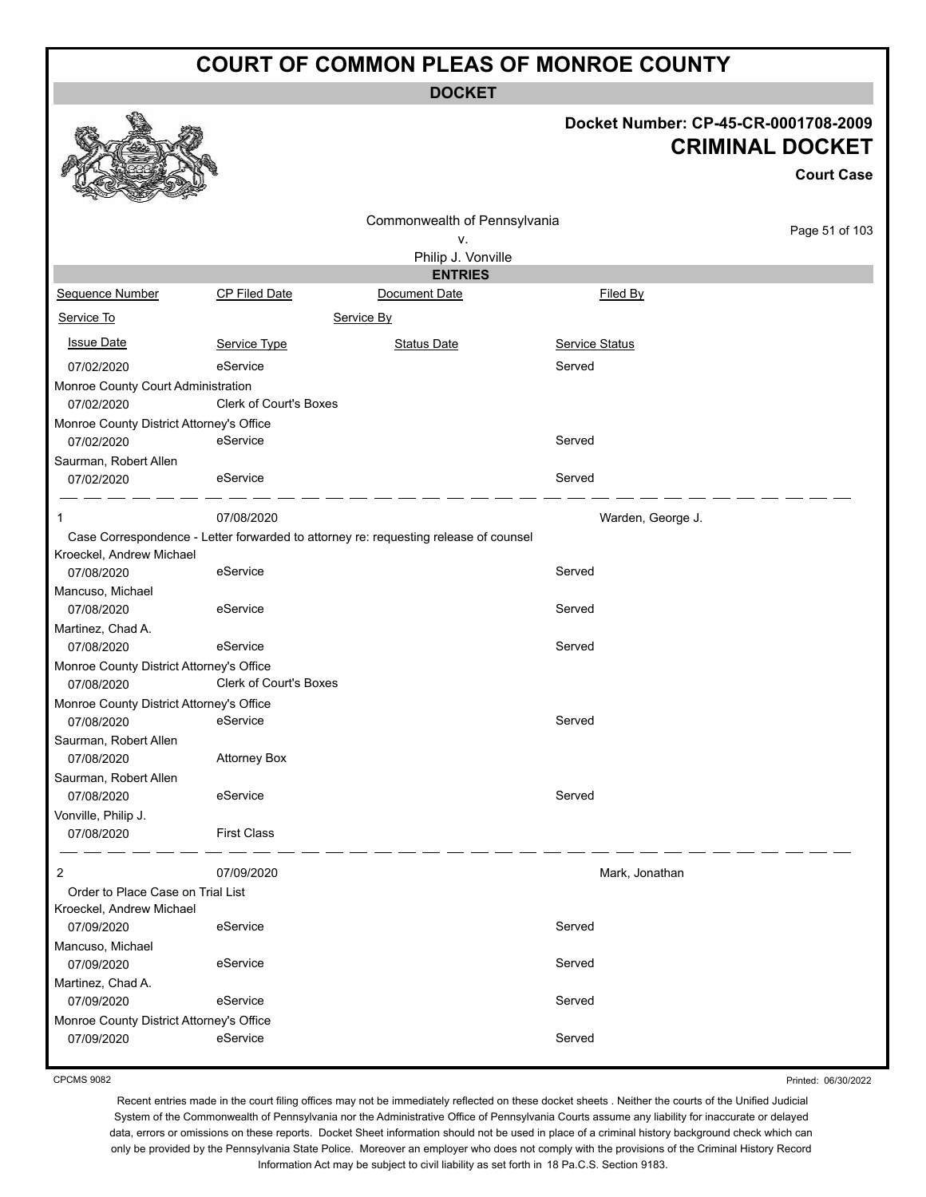**DOCKET**

#### **Docket Number: CP-45-CR-0001708-2009 CRIMINAL DOCKET**

|                                          |                               |                                                                                      |                       | <b>Court Case</b> |
|------------------------------------------|-------------------------------|--------------------------------------------------------------------------------------|-----------------------|-------------------|
|                                          |                               | Commonwealth of Pennsylvania                                                         |                       |                   |
|                                          |                               | ۷.                                                                                   |                       | Page 51 of 103    |
|                                          |                               | Philip J. Vonville                                                                   |                       |                   |
|                                          |                               | <b>ENTRIES</b>                                                                       |                       |                   |
| <b>Sequence Number</b>                   | <b>CP Filed Date</b>          | Document Date                                                                        | Filed By              |                   |
| Service To                               |                               | Service By                                                                           |                       |                   |
| <b>Issue Date</b>                        | Service Type                  | <b>Status Date</b>                                                                   | <b>Service Status</b> |                   |
| 07/02/2020                               | eService                      |                                                                                      | Served                |                   |
| Monroe County Court Administration       |                               |                                                                                      |                       |                   |
| 07/02/2020                               | Clerk of Court's Boxes        |                                                                                      |                       |                   |
| Monroe County District Attorney's Office |                               |                                                                                      |                       |                   |
| 07/02/2020                               | eService                      |                                                                                      | Served                |                   |
| Saurman, Robert Allen                    |                               |                                                                                      |                       |                   |
| 07/02/2020                               | eService                      |                                                                                      | Served                |                   |
| 1                                        | 07/08/2020                    |                                                                                      | Warden, George J.     |                   |
|                                          |                               | Case Correspondence - Letter forwarded to attorney re: requesting release of counsel |                       |                   |
| Kroeckel, Andrew Michael                 |                               |                                                                                      |                       |                   |
| 07/08/2020                               | eService                      |                                                                                      | Served                |                   |
| Mancuso, Michael                         |                               |                                                                                      |                       |                   |
| 07/08/2020                               | eService                      |                                                                                      | Served                |                   |
| Martinez, Chad A.                        |                               |                                                                                      |                       |                   |
| 07/08/2020                               | eService                      |                                                                                      | Served                |                   |
| Monroe County District Attorney's Office |                               |                                                                                      |                       |                   |
| 07/08/2020                               | <b>Clerk of Court's Boxes</b> |                                                                                      |                       |                   |
| Monroe County District Attorney's Office |                               |                                                                                      |                       |                   |
| 07/08/2020                               | eService                      |                                                                                      | Served                |                   |
| Saurman, Robert Allen                    |                               |                                                                                      |                       |                   |
| 07/08/2020                               | <b>Attorney Box</b>           |                                                                                      |                       |                   |
| Saurman, Robert Allen                    |                               |                                                                                      |                       |                   |
| 07/08/2020                               | eService                      |                                                                                      | Served                |                   |
| Vonville, Philip J.                      |                               |                                                                                      |                       |                   |
| 07/08/2020                               | <b>First Class</b>            |                                                                                      |                       |                   |
| 2                                        | 07/09/2020                    |                                                                                      | Mark, Jonathan        |                   |
| Order to Place Case on Trial List        |                               |                                                                                      |                       |                   |
| Kroeckel, Andrew Michael                 |                               |                                                                                      |                       |                   |
| 07/09/2020                               | eService                      |                                                                                      | Served                |                   |
| Mancuso, Michael                         |                               |                                                                                      |                       |                   |
| 07/09/2020                               | eService                      |                                                                                      | Served                |                   |
| Martinez, Chad A.                        |                               |                                                                                      |                       |                   |
| 07/09/2020                               | eService                      |                                                                                      | Served                |                   |
| Monroe County District Attorney's Office |                               |                                                                                      |                       |                   |
| 07/09/2020                               | eService                      |                                                                                      | Served                |                   |

CPCMS 9082

 $\mathbb{R}^2$ 

Printed: 06/30/2022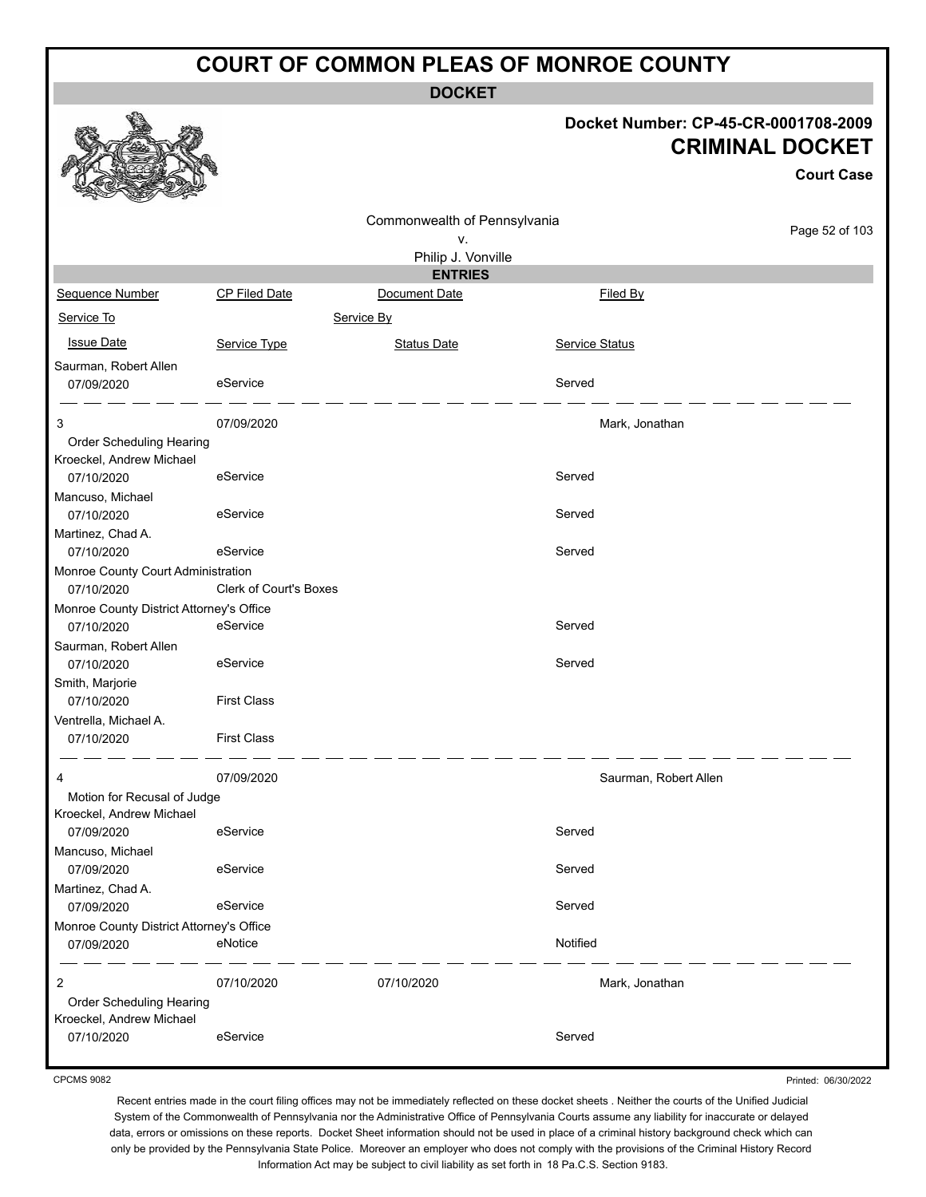**DOCKET**

#### **Docket Number: CP-45-CR-0001708-2009 CRIMINAL DOCKET**

**Court Case**

|                                                        |                               |                              |          |                       | <b>Court Case</b> |
|--------------------------------------------------------|-------------------------------|------------------------------|----------|-----------------------|-------------------|
|                                                        |                               | Commonwealth of Pennsylvania |          |                       |                   |
|                                                        |                               | ۷.                           |          |                       | Page 52 of 103    |
|                                                        |                               | Philip J. Vonville           |          |                       |                   |
|                                                        |                               | <b>ENTRIES</b>               |          |                       |                   |
| Sequence Number                                        | <b>CP Filed Date</b>          | Document Date                |          | Filed By              |                   |
| Service To                                             |                               | Service By                   |          |                       |                   |
| <b>Issue Date</b>                                      | Service Type                  | <b>Status Date</b>           |          | <b>Service Status</b> |                   |
| Saurman, Robert Allen<br>07/09/2020                    | eService                      |                              | Served   |                       |                   |
| 3                                                      | 07/09/2020                    |                              |          | Mark, Jonathan        |                   |
| Order Scheduling Hearing                               |                               |                              |          |                       |                   |
| Kroeckel, Andrew Michael                               |                               |                              |          |                       |                   |
| 07/10/2020                                             | eService                      |                              | Served   |                       |                   |
| Mancuso, Michael                                       |                               |                              | Served   |                       |                   |
| 07/10/2020                                             | eService                      |                              |          |                       |                   |
| Martinez, Chad A.<br>07/10/2020                        | eService                      |                              | Served   |                       |                   |
| Monroe County Court Administration                     |                               |                              |          |                       |                   |
| 07/10/2020                                             | <b>Clerk of Court's Boxes</b> |                              |          |                       |                   |
| Monroe County District Attorney's Office               |                               |                              |          |                       |                   |
| 07/10/2020                                             | eService                      |                              | Served   |                       |                   |
| Saurman, Robert Allen                                  |                               |                              |          |                       |                   |
| 07/10/2020                                             | eService                      |                              | Served   |                       |                   |
| Smith, Marjorie                                        |                               |                              |          |                       |                   |
| 07/10/2020                                             | <b>First Class</b>            |                              |          |                       |                   |
| Ventrella, Michael A.                                  |                               |                              |          |                       |                   |
| 07/10/2020                                             | <b>First Class</b>            |                              |          |                       |                   |
| 4                                                      | 07/09/2020                    |                              |          | Saurman, Robert Allen |                   |
| Motion for Recusal of Judge                            |                               |                              |          |                       |                   |
| Kroeckel, Andrew Michael                               |                               |                              |          |                       |                   |
| 07/09/2020                                             | eService                      |                              | Served   |                       |                   |
| Mancuso, Michael                                       |                               |                              |          |                       |                   |
| 07/09/2020                                             | eService                      |                              | Served   |                       |                   |
| Martinez, Chad A.                                      |                               |                              |          |                       |                   |
| 07/09/2020                                             | eService                      |                              | Served   |                       |                   |
| Monroe County District Attorney's Office<br>07/09/2020 | eNotice                       |                              | Notified |                       |                   |
| 2                                                      | 07/10/2020                    | 07/10/2020                   |          | Mark, Jonathan        |                   |
| Order Scheduling Hearing                               |                               |                              |          |                       |                   |
| Kroeckel, Andrew Michael                               |                               |                              |          |                       |                   |
| 07/10/2020                                             | eService                      |                              | Served   |                       |                   |
|                                                        |                               |                              |          |                       |                   |

CPCMS 9082

Printed: 06/30/2022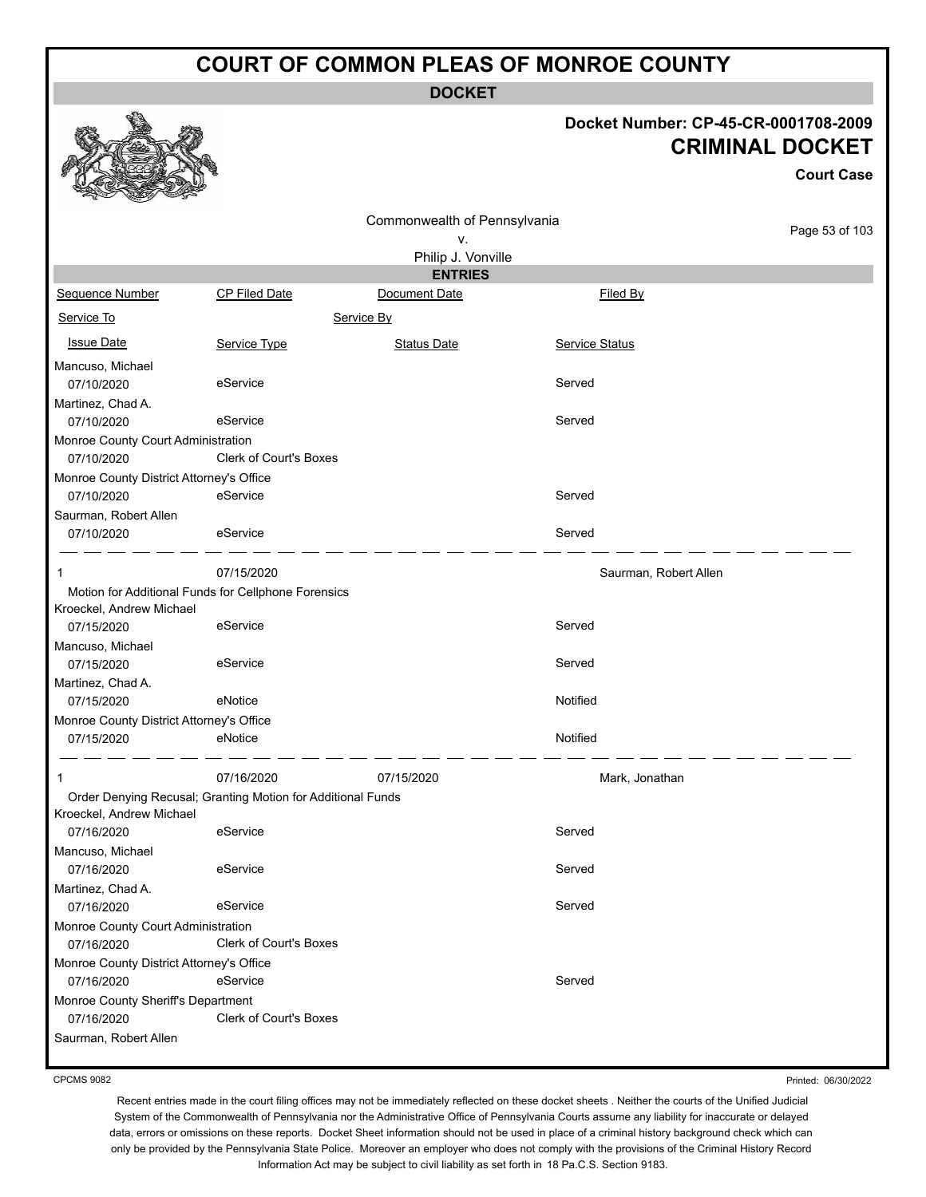**DOCKET**

#### **Docket Number: CP-45-CR-0001708-2009 CRIMINAL DOCKET**

**Court Case**

Page 53 of 103

|                                                             |                               | Commonwealth of Pennsylvania |                       |
|-------------------------------------------------------------|-------------------------------|------------------------------|-----------------------|
|                                                             |                               | ۷.                           |                       |
|                                                             |                               | Philip J. Vonville           |                       |
|                                                             |                               | <b>ENTRIES</b>               |                       |
| Sequence Number                                             | <b>CP Filed Date</b>          | Document Date                | Filed By              |
| Service To                                                  |                               | Service By                   |                       |
| <b>Issue Date</b>                                           | Service Type                  | <b>Status Date</b>           | Service Status        |
| Mancuso, Michael                                            |                               |                              |                       |
| 07/10/2020                                                  | eService                      |                              | Served                |
| Martinez, Chad A.                                           |                               |                              |                       |
| 07/10/2020                                                  | eService                      |                              | Served                |
| Monroe County Court Administration                          |                               |                              |                       |
| 07/10/2020                                                  | <b>Clerk of Court's Boxes</b> |                              |                       |
| Monroe County District Attorney's Office                    |                               |                              |                       |
| 07/10/2020                                                  | eService                      |                              | Served                |
| Saurman, Robert Allen                                       |                               |                              |                       |
| 07/10/2020                                                  | eService                      |                              | Served                |
| $\mathbf{1}$                                                | 07/15/2020                    |                              | Saurman, Robert Allen |
| Motion for Additional Funds for Cellphone Forensics         |                               |                              |                       |
| Kroeckel, Andrew Michael                                    |                               |                              |                       |
| 07/15/2020                                                  | eService                      |                              | Served                |
| Mancuso, Michael                                            |                               |                              |                       |
| 07/15/2020                                                  | eService                      |                              | Served                |
| Martinez, Chad A.                                           |                               |                              |                       |
| 07/15/2020                                                  | eNotice                       |                              | Notified              |
| Monroe County District Attorney's Office                    |                               |                              | Notified              |
| 07/15/2020                                                  | eNotice                       |                              |                       |
| 1                                                           | 07/16/2020                    | 07/15/2020                   | Mark, Jonathan        |
| Order Denying Recusal; Granting Motion for Additional Funds |                               |                              |                       |
| Kroeckel, Andrew Michael                                    |                               |                              |                       |
| 07/16/2020                                                  | eService                      |                              | Served                |
| Mancuso, Michael                                            |                               |                              |                       |
| 07/16/2020                                                  | eService                      |                              | Served                |
| Martinez, Chad A.                                           | eService                      |                              | Served                |
| 07/16/2020                                                  |                               |                              |                       |
| Monroe County Court Administration<br>07/16/2020            | <b>Clerk of Court's Boxes</b> |                              |                       |
|                                                             |                               |                              |                       |
| Monroe County District Attorney's Office<br>07/16/2020      | eService                      |                              | Served                |
| Monroe County Sheriff's Department                          |                               |                              |                       |
| 07/16/2020                                                  | Clerk of Court's Boxes        |                              |                       |
| Saurman, Robert Allen                                       |                               |                              |                       |
|                                                             |                               |                              |                       |

CPCMS 9082

Printed: 06/30/2022

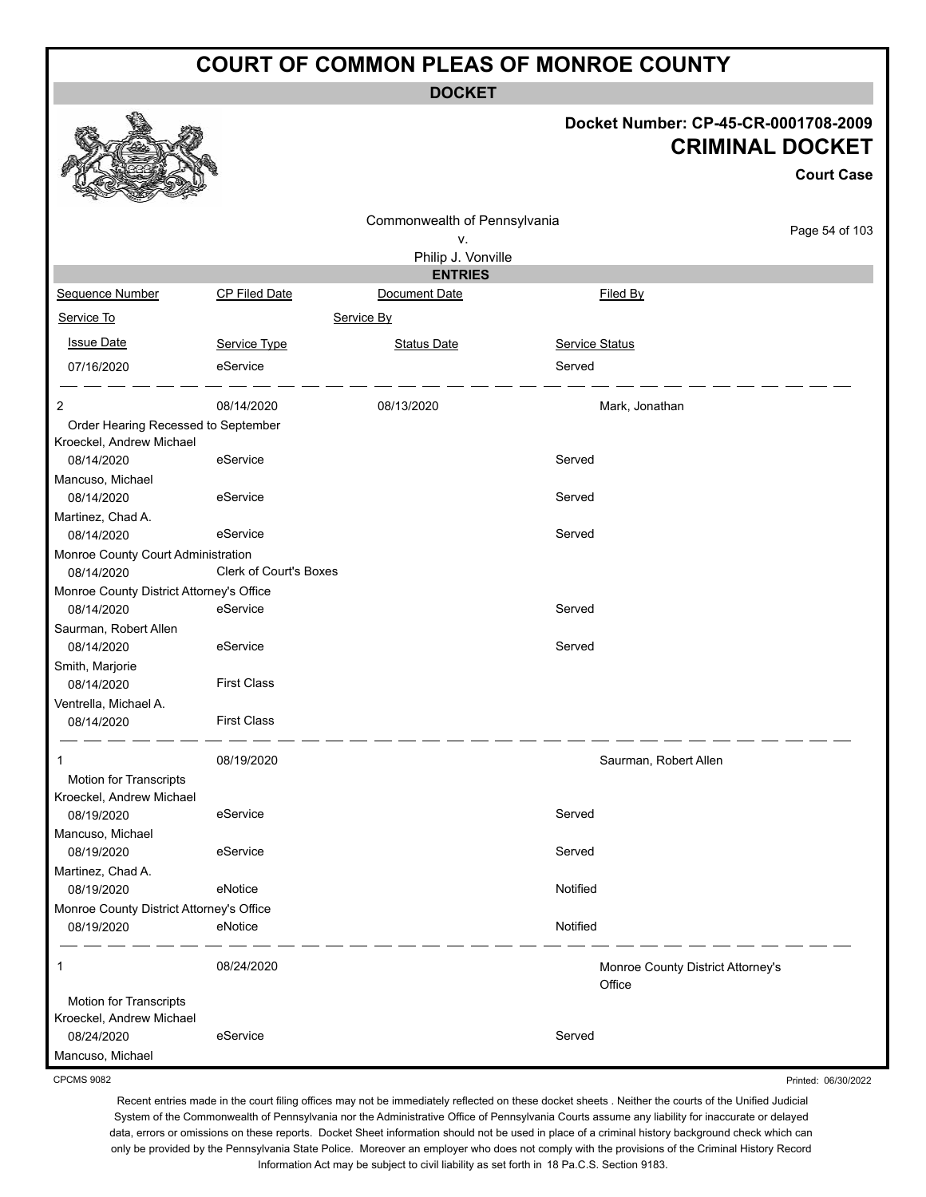**DOCKET**

#### **Docket Number: CP-45-CR-0001708-2009 CRIMINAL DOCKET**

**Court Case**

Printed: 06/30/2022

|                                                                 |                               |                                                          |                                             | <b>Court Case</b> |
|-----------------------------------------------------------------|-------------------------------|----------------------------------------------------------|---------------------------------------------|-------------------|
|                                                                 |                               | Commonwealth of Pennsylvania<br>۷.<br>Philip J. Vonville |                                             | Page 54 of 103    |
|                                                                 |                               | <b>ENTRIES</b>                                           |                                             |                   |
| Sequence Number                                                 | <b>CP Filed Date</b>          | Document Date                                            | Filed By                                    |                   |
| Service To                                                      |                               | Service By                                               |                                             |                   |
| <b>Issue Date</b>                                               | Service Type                  | <b>Status Date</b>                                       | <b>Service Status</b>                       |                   |
| 07/16/2020                                                      | eService                      |                                                          | Served                                      |                   |
| 2                                                               | 08/14/2020                    | 08/13/2020                                               | Mark, Jonathan                              |                   |
| Order Hearing Recessed to September<br>Kroeckel, Andrew Michael |                               |                                                          |                                             |                   |
| 08/14/2020                                                      | eService                      |                                                          | Served                                      |                   |
| Mancuso, Michael                                                |                               |                                                          |                                             |                   |
| 08/14/2020                                                      | eService                      |                                                          | Served                                      |                   |
| Martinez, Chad A.                                               |                               |                                                          |                                             |                   |
| 08/14/2020                                                      | eService                      |                                                          | Served                                      |                   |
| Monroe County Court Administration                              |                               |                                                          |                                             |                   |
| 08/14/2020                                                      | <b>Clerk of Court's Boxes</b> |                                                          |                                             |                   |
| Monroe County District Attorney's Office                        |                               |                                                          |                                             |                   |
| 08/14/2020                                                      | eService                      |                                                          | Served                                      |                   |
| Saurman, Robert Allen                                           |                               |                                                          |                                             |                   |
| 08/14/2020                                                      | eService                      |                                                          | Served                                      |                   |
| Smith, Marjorie                                                 |                               |                                                          |                                             |                   |
| 08/14/2020                                                      | <b>First Class</b>            |                                                          |                                             |                   |
| Ventrella, Michael A.                                           |                               |                                                          |                                             |                   |
| 08/14/2020                                                      | <b>First Class</b>            |                                                          |                                             |                   |
| 1                                                               | 08/19/2020                    |                                                          | Saurman, Robert Allen                       |                   |
| Motion for Transcripts                                          |                               |                                                          |                                             |                   |
| Kroeckel, Andrew Michael                                        |                               |                                                          |                                             |                   |
| 08/19/2020                                                      | eService                      |                                                          | Served                                      |                   |
| Mancuso, Michael                                                |                               |                                                          |                                             |                   |
| 08/19/2020                                                      | eService                      |                                                          | Served                                      |                   |
| Martinez, Chad A.                                               |                               |                                                          |                                             |                   |
| 08/19/2020                                                      | eNotice                       |                                                          | Notified                                    |                   |
| Monroe County District Attorney's Office                        |                               |                                                          |                                             |                   |
| 08/19/2020                                                      | eNotice                       |                                                          | Notified                                    |                   |
| 1                                                               | 08/24/2020                    |                                                          | Monroe County District Attorney's<br>Office |                   |
| Motion for Transcripts                                          |                               |                                                          |                                             |                   |
| Kroeckel, Andrew Michael                                        |                               |                                                          |                                             |                   |
| 08/24/2020                                                      | eService                      |                                                          | Served                                      |                   |
| Mancuso, Michael                                                |                               |                                                          |                                             |                   |

CPCMS 9082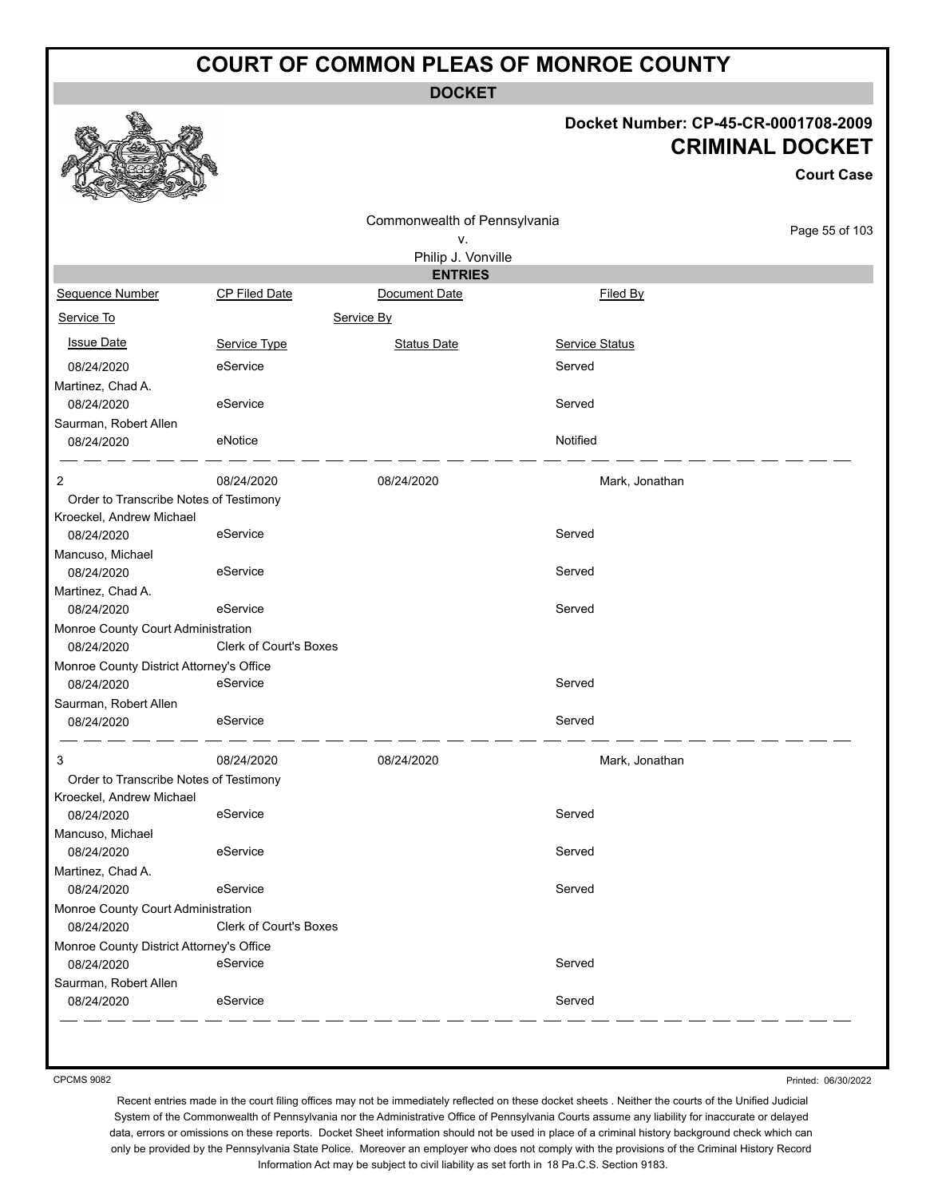**DOCKET**

#### **Docket Number: CP-45-CR-0001708-2009 CRIMINAL DOCKET**

**Court Case**

|                                          |                        | Commonwealth of Pennsylvania |                |                |
|------------------------------------------|------------------------|------------------------------|----------------|----------------|
|                                          |                        | ۷.                           |                | Page 55 of 103 |
|                                          |                        | Philip J. Vonville           |                |                |
|                                          |                        | <b>ENTRIES</b>               |                |                |
| Sequence Number                          | <b>CP Filed Date</b>   | Document Date                | Filed By       |                |
| Service To                               |                        | Service By                   |                |                |
| <b>Issue Date</b>                        | Service Type           | <b>Status Date</b>           | Service Status |                |
| 08/24/2020                               | eService               |                              | Served         |                |
| Martinez, Chad A.                        |                        |                              |                |                |
| 08/24/2020                               | eService               |                              | Served         |                |
| Saurman, Robert Allen                    |                        |                              |                |                |
| 08/24/2020                               | eNotice                |                              | Notified       |                |
| 2                                        | 08/24/2020             | 08/24/2020                   | Mark, Jonathan |                |
| Order to Transcribe Notes of Testimony   |                        |                              |                |                |
| Kroeckel, Andrew Michael                 |                        |                              |                |                |
| 08/24/2020                               | eService               |                              | Served         |                |
| Mancuso, Michael                         |                        |                              |                |                |
| 08/24/2020                               | eService               |                              | Served         |                |
| Martinez, Chad A.                        |                        |                              |                |                |
| 08/24/2020                               | eService               |                              | Served         |                |
| Monroe County Court Administration       |                        |                              |                |                |
| 08/24/2020                               | Clerk of Court's Boxes |                              |                |                |
| Monroe County District Attorney's Office |                        |                              |                |                |
| 08/24/2020                               | eService               |                              | Served         |                |
| Saurman, Robert Allen                    |                        |                              |                |                |
| 08/24/2020                               | eService               |                              | Served         |                |
| 3                                        | 08/24/2020             | 08/24/2020                   | Mark, Jonathan |                |
| Order to Transcribe Notes of Testimony   |                        |                              |                |                |
| Kroeckel, Andrew Michael                 |                        |                              |                |                |
| 08/24/2020                               | eService               |                              | Served         |                |
| Mancuso, Michael                         |                        |                              |                |                |
| 08/24/2020                               | eService               |                              | Served         |                |
| Martinez, Chad A.                        |                        |                              |                |                |
| 08/24/2020                               | eService               |                              | Served         |                |
| Monroe County Court Administration       |                        |                              |                |                |
| 08/24/2020                               | Clerk of Court's Boxes |                              |                |                |
| Monroe County District Attorney's Office |                        |                              |                |                |
| 08/24/2020                               | eService               |                              | Served         |                |
| Saurman, Robert Allen                    |                        |                              |                |                |
| 08/24/2020                               | eService               |                              | Served         |                |
|                                          |                        |                              |                |                |

CPCMS 9082

Printed: 06/30/2022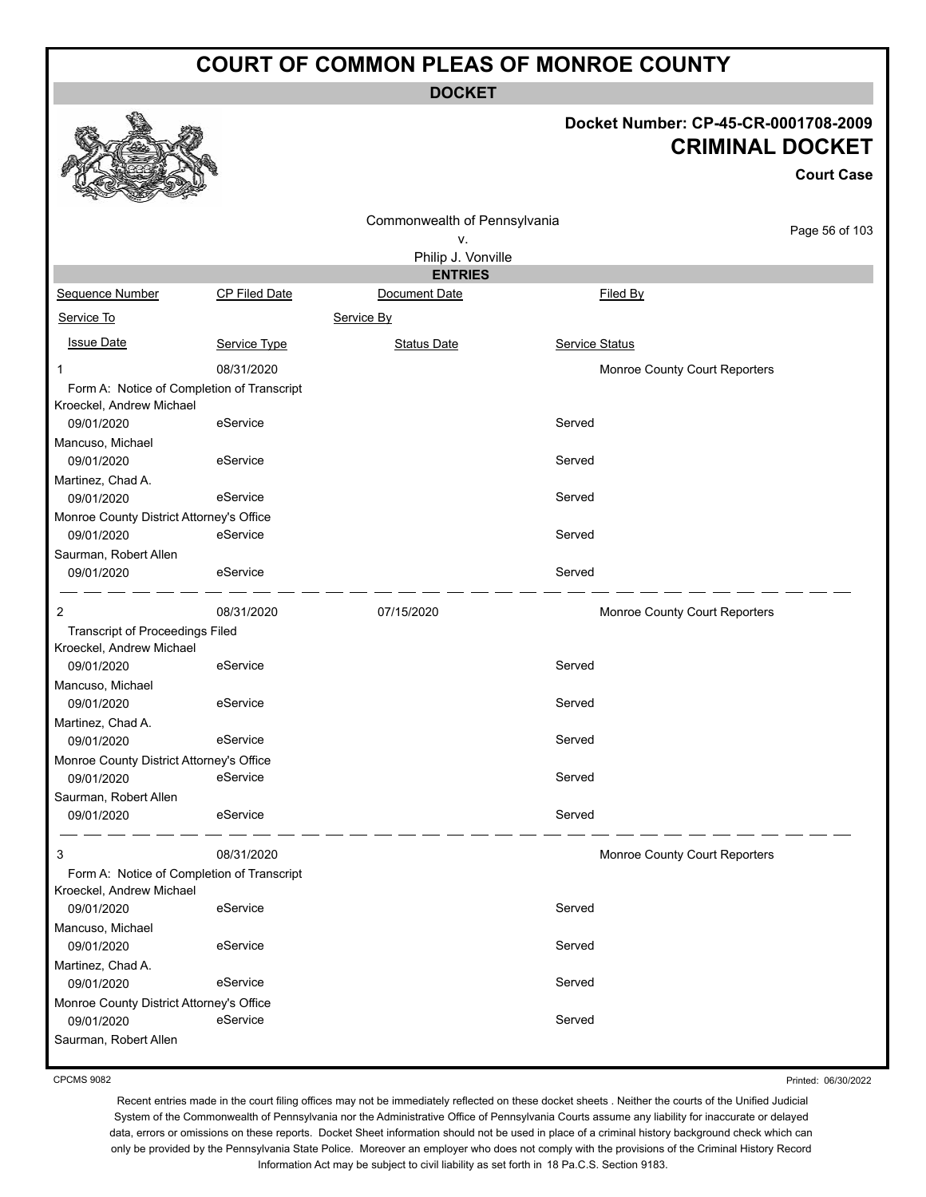**DOCKET**

#### **Docket Number: CP-45-CR-0001708-2009 CRIMINAL DOCKET**

**Court Case**

|                                          |                                            | Commonwealth of Pennsylvania |                               |                |
|------------------------------------------|--------------------------------------------|------------------------------|-------------------------------|----------------|
|                                          |                                            | ٧.                           |                               | Page 56 of 103 |
|                                          |                                            | Philip J. Vonville           |                               |                |
|                                          |                                            | <b>ENTRIES</b>               |                               |                |
| Sequence Number                          | CP Filed Date                              | Document Date                | Filed By                      |                |
| Service To                               |                                            | Service By                   |                               |                |
| <b>Issue Date</b>                        | Service Type                               | <b>Status Date</b>           | Service Status                |                |
| 1                                        | 08/31/2020                                 |                              | Monroe County Court Reporters |                |
| Kroeckel, Andrew Michael                 | Form A: Notice of Completion of Transcript |                              |                               |                |
| 09/01/2020                               | eService                                   |                              | Served                        |                |
| Mancuso, Michael<br>09/01/2020           | eService                                   |                              | Served                        |                |
| Martinez, Chad A.                        |                                            |                              |                               |                |
| 09/01/2020                               | eService                                   |                              | Served                        |                |
| Monroe County District Attorney's Office |                                            |                              |                               |                |
| 09/01/2020                               | eService                                   |                              | Served                        |                |
| Saurman, Robert Allen<br>09/01/2020      | eService                                   |                              | Served                        |                |
| $\overline{2}$                           | 08/31/2020                                 | 07/15/2020                   | Monroe County Court Reporters |                |
| <b>Transcript of Proceedings Filed</b>   |                                            |                              |                               |                |
| Kroeckel, Andrew Michael                 |                                            |                              | Served                        |                |
| 09/01/2020<br>Mancuso, Michael           | eService                                   |                              |                               |                |
| 09/01/2020                               | eService                                   |                              | Served                        |                |
| Martinez, Chad A.                        |                                            |                              |                               |                |
| 09/01/2020                               | eService                                   |                              | Served                        |                |
| Monroe County District Attorney's Office |                                            |                              |                               |                |
| 09/01/2020                               | eService                                   |                              | Served                        |                |
| Saurman, Robert Allen                    |                                            |                              |                               |                |
| 09/01/2020                               | eService                                   |                              | Served                        |                |
| 3                                        | 08/31/2020                                 |                              | Monroe County Court Reporters |                |
|                                          | Form A: Notice of Completion of Transcript |                              |                               |                |
| Kroeckel, Andrew Michael<br>09/01/2020   | eService                                   |                              | Served                        |                |
| Mancuso, Michael                         |                                            |                              |                               |                |
| 09/01/2020                               | eService                                   |                              | Served                        |                |
| Martinez, Chad A.<br>09/01/2020          | eService                                   |                              | Served                        |                |
| Monroe County District Attorney's Office |                                            |                              |                               |                |
| 09/01/2020                               | eService                                   |                              | Served                        |                |
| Saurman, Robert Allen                    |                                            |                              |                               |                |
|                                          |                                            |                              |                               |                |

CPCMS 9082

Printed: 06/30/2022

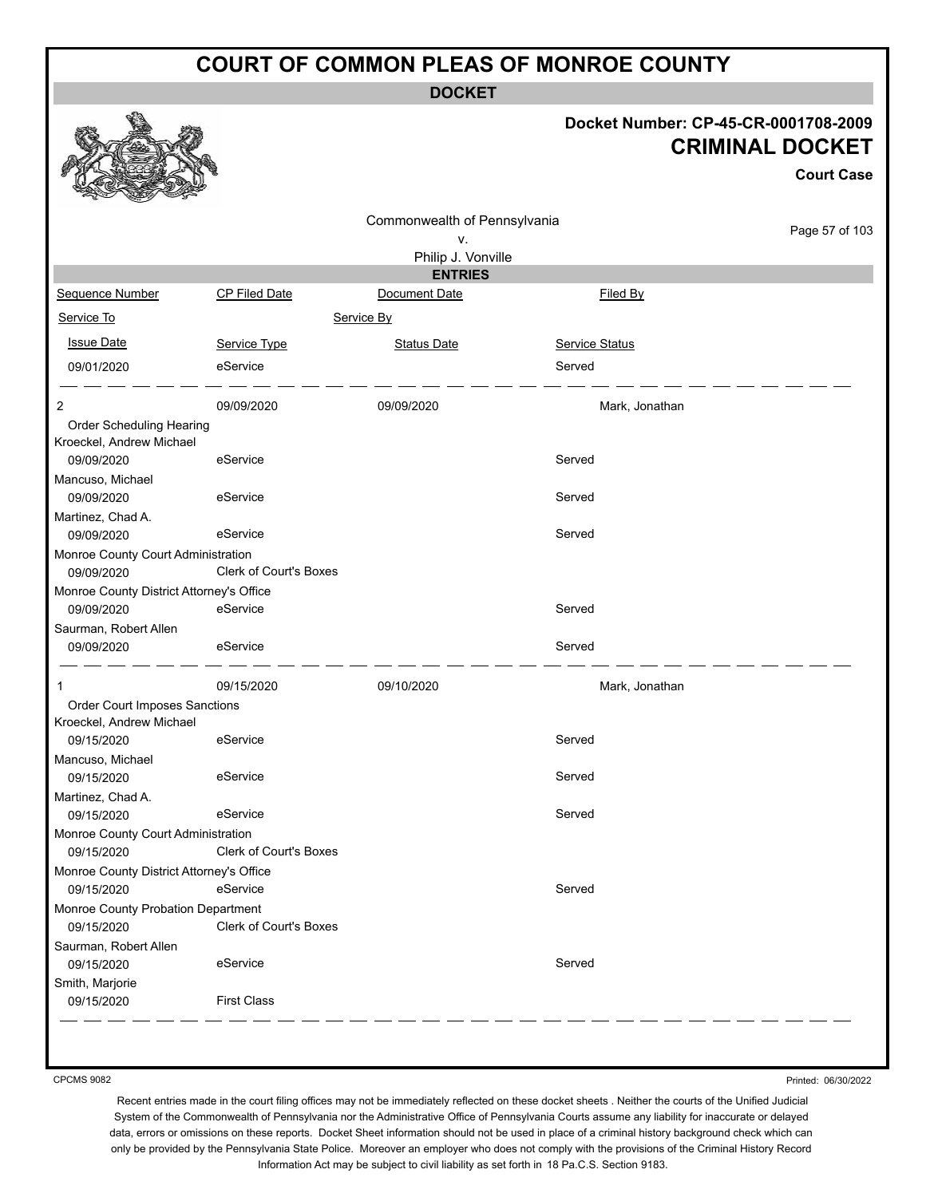**DOCKET**

#### **Docket Number: CP-45-CR-0001708-2009 CRIMINAL DOCKET**

**Court Case**

|                                                      |                               | Commonwealth of Pennsylvania |                       |                |
|------------------------------------------------------|-------------------------------|------------------------------|-----------------------|----------------|
|                                                      |                               | ۷.                           |                       | Page 57 of 103 |
|                                                      |                               | Philip J. Vonville           |                       |                |
|                                                      |                               | <b>ENTRIES</b>               |                       |                |
| Sequence Number                                      | CP Filed Date                 | Document Date                | Filed By              |                |
| Service To                                           |                               | Service By                   |                       |                |
| <b>Issue Date</b>                                    | Service Type                  | <b>Status Date</b>           | <b>Service Status</b> |                |
| 09/01/2020                                           | eService                      |                              | Served                |                |
| 2                                                    | 09/09/2020                    | 09/09/2020                   | Mark, Jonathan        |                |
| Order Scheduling Hearing<br>Kroeckel, Andrew Michael |                               |                              |                       |                |
| 09/09/2020                                           | eService                      |                              | Served                |                |
| Mancuso, Michael                                     |                               |                              |                       |                |
| 09/09/2020                                           | eService                      |                              | Served                |                |
| Martinez, Chad A.<br>09/09/2020                      | eService                      |                              | Served                |                |
| Monroe County Court Administration                   |                               |                              |                       |                |
| 09/09/2020                                           | <b>Clerk of Court's Boxes</b> |                              |                       |                |
| Monroe County District Attorney's Office             |                               |                              |                       |                |
| 09/09/2020                                           | eService                      |                              | Served                |                |
| Saurman, Robert Allen                                |                               |                              |                       |                |
| 09/09/2020                                           | eService                      |                              | Served                |                |
| 1                                                    | 09/15/2020                    | 09/10/2020                   | Mark, Jonathan        |                |
| Order Court Imposes Sanctions                        |                               |                              |                       |                |
| Kroeckel, Andrew Michael                             |                               |                              |                       |                |
| 09/15/2020                                           | eService                      |                              | Served                |                |
| Mancuso, Michael<br>09/15/2020                       | eService                      |                              | Served                |                |
| Martinez, Chad A.                                    |                               |                              |                       |                |
| 09/15/2020                                           | eService                      |                              | Served                |                |
| Monroe County Court Administration                   |                               |                              |                       |                |
| 09/15/2020                                           | <b>Clerk of Court's Boxes</b> |                              |                       |                |
| Monroe County District Attorney's Office             |                               |                              |                       |                |
| 09/15/2020                                           | eService                      |                              | Served                |                |
| Monroe County Probation Department                   |                               |                              |                       |                |
| 09/15/2020                                           | Clerk of Court's Boxes        |                              |                       |                |
| Saurman, Robert Allen                                |                               |                              |                       |                |
| 09/15/2020                                           | eService                      |                              | Served                |                |
| Smith, Marjorie                                      |                               |                              |                       |                |
| 09/15/2020                                           | <b>First Class</b>            |                              |                       |                |

CPCMS 9082

Printed: 06/30/2022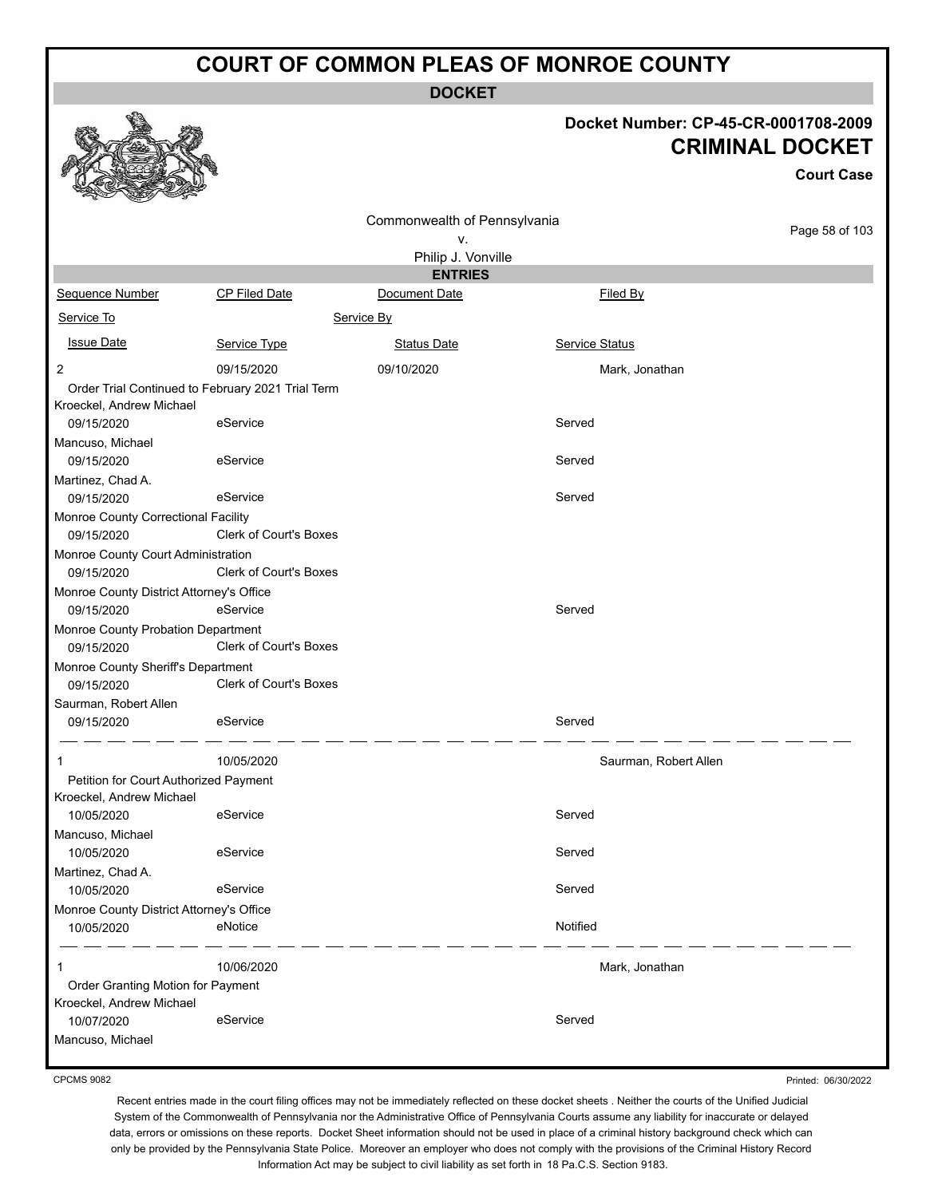**DOCKET**

#### **Docket Number: CP-45-CR-0001708-2009 CRIMINAL DOCKET**

**Court Case**

|                                                   |                               | Commonwealth of Pennsylvania |                       |                |
|---------------------------------------------------|-------------------------------|------------------------------|-----------------------|----------------|
|                                                   |                               | ν.                           |                       | Page 58 of 103 |
|                                                   |                               | Philip J. Vonville           |                       |                |
|                                                   |                               | <b>ENTRIES</b>               |                       |                |
| <b>Sequence Number</b>                            | <b>CP Filed Date</b>          | Document Date                | Filed By              |                |
| Service To                                        |                               | Service By                   |                       |                |
| <b>Issue Date</b>                                 | Service Type                  | <b>Status Date</b>           | Service Status        |                |
| $\overline{2}$                                    | 09/15/2020                    | 09/10/2020                   | Mark, Jonathan        |                |
| Order Trial Continued to February 2021 Trial Term |                               |                              |                       |                |
| Kroeckel, Andrew Michael                          |                               |                              |                       |                |
| 09/15/2020                                        | eService                      |                              | Served                |                |
| Mancuso, Michael                                  |                               |                              |                       |                |
| 09/15/2020                                        | eService                      |                              | Served                |                |
| Martinez, Chad A.                                 |                               |                              |                       |                |
| 09/15/2020                                        | eService                      |                              | Served                |                |
| Monroe County Correctional Facility               |                               |                              |                       |                |
| 09/15/2020                                        | <b>Clerk of Court's Boxes</b> |                              |                       |                |
| Monroe County Court Administration                |                               |                              |                       |                |
| 09/15/2020                                        | <b>Clerk of Court's Boxes</b> |                              |                       |                |
| Monroe County District Attorney's Office          |                               |                              |                       |                |
| 09/15/2020                                        | eService                      |                              | Served                |                |
| Monroe County Probation Department                |                               |                              |                       |                |
| 09/15/2020                                        | <b>Clerk of Court's Boxes</b> |                              |                       |                |
| Monroe County Sheriff's Department                |                               |                              |                       |                |
| 09/15/2020                                        | <b>Clerk of Court's Boxes</b> |                              |                       |                |
| Saurman, Robert Allen                             |                               |                              |                       |                |
| 09/15/2020                                        | eService                      |                              | Served                |                |
| 1                                                 | 10/05/2020                    |                              | Saurman, Robert Allen |                |
| Petition for Court Authorized Payment             |                               |                              |                       |                |
| Kroeckel, Andrew Michael                          |                               |                              |                       |                |
| 10/05/2020                                        | eService                      |                              | Served                |                |
| Mancuso, Michael                                  |                               |                              |                       |                |
| 10/05/2020                                        | eService                      |                              | Served                |                |
| Martinez, Chad A.                                 |                               |                              |                       |                |
| 10/05/2020                                        | eService                      |                              | Served                |                |
| Monroe County District Attorney's Office          |                               |                              |                       |                |
| 10/05/2020                                        | eNotice                       |                              | Notified              |                |
| 1                                                 | 10/06/2020                    |                              | Mark, Jonathan        |                |
| Order Granting Motion for Payment                 |                               |                              |                       |                |
| Kroeckel, Andrew Michael                          |                               |                              |                       |                |
| 10/07/2020                                        | eService                      |                              | Served                |                |
| Mancuso, Michael                                  |                               |                              |                       |                |

CPCMS 9082

Printed: 06/30/2022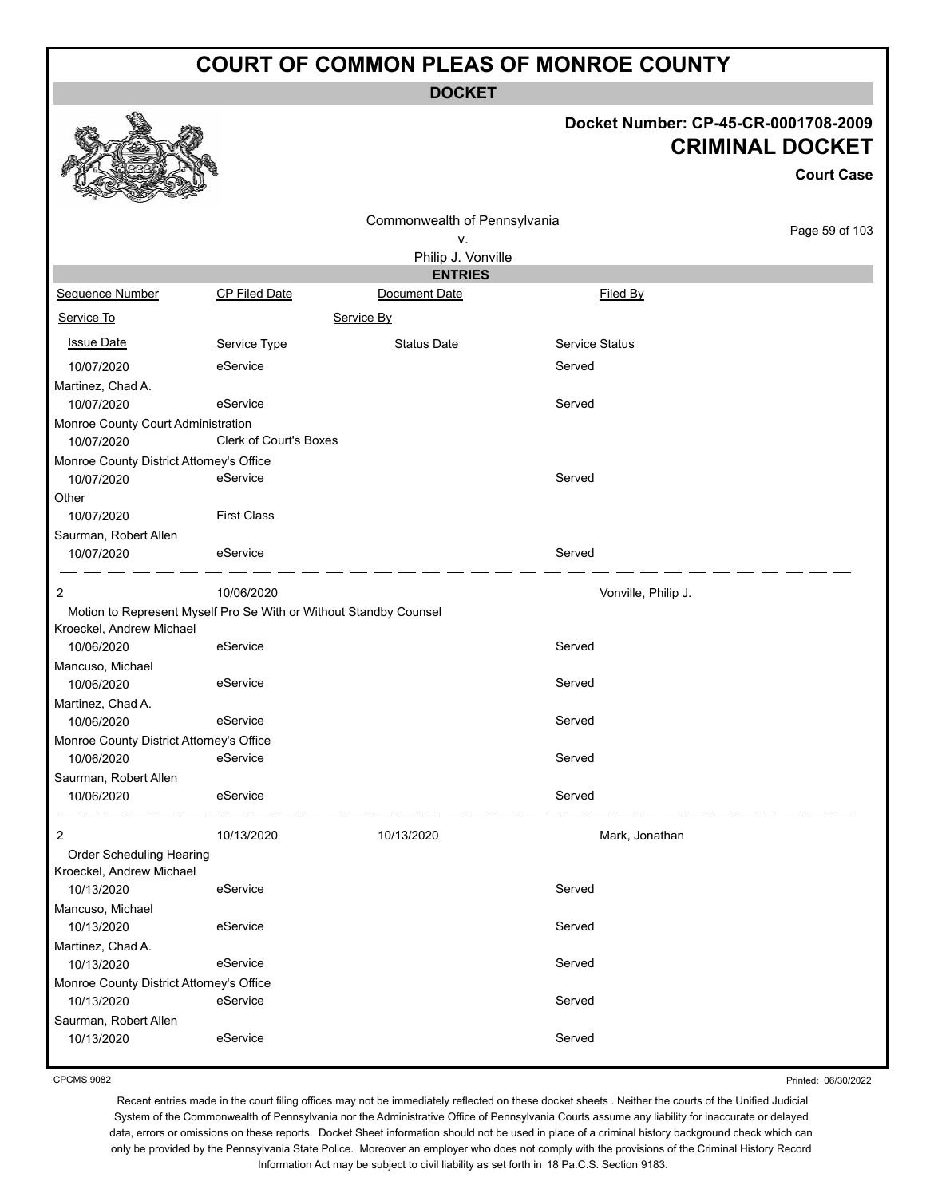**DOCKET**

#### **Docket Number: CP-45-CR-0001708-2009 CRIMINAL DOCKET**

**Court Case**

| Commonwealth of Pennsylvania                     |                                                                   |                    |                     |                |
|--------------------------------------------------|-------------------------------------------------------------------|--------------------|---------------------|----------------|
|                                                  |                                                                   | ٧.                 |                     | Page 59 of 103 |
|                                                  |                                                                   | Philip J. Vonville |                     |                |
|                                                  |                                                                   | <b>ENTRIES</b>     |                     |                |
| Sequence Number                                  | <b>CP Filed Date</b>                                              | Document Date      | Filed By            |                |
| Service To                                       |                                                                   | Service By         |                     |                |
| <b>Issue Date</b>                                | Service Type                                                      | <b>Status Date</b> | Service Status      |                |
| 10/07/2020                                       | eService                                                          |                    | Served              |                |
| Martinez, Chad A.                                |                                                                   |                    |                     |                |
| 10/07/2020                                       | eService                                                          |                    | Served              |                |
| Monroe County Court Administration<br>10/07/2020 | <b>Clerk of Court's Boxes</b>                                     |                    |                     |                |
| Monroe County District Attorney's Office         |                                                                   |                    |                     |                |
| 10/07/2020                                       | eService                                                          |                    | Served              |                |
| Other                                            |                                                                   |                    |                     |                |
| 10/07/2020                                       | <b>First Class</b>                                                |                    |                     |                |
| Saurman, Robert Allen                            |                                                                   |                    |                     |                |
| 10/07/2020                                       | eService                                                          |                    | Served              |                |
| 2                                                | 10/06/2020                                                        |                    | Vonville, Philip J. |                |
|                                                  | Motion to Represent Myself Pro Se With or Without Standby Counsel |                    |                     |                |
| Kroeckel, Andrew Michael                         |                                                                   |                    |                     |                |
| 10/06/2020                                       | eService                                                          |                    | Served              |                |
| Mancuso, Michael                                 |                                                                   |                    |                     |                |
| 10/06/2020                                       | eService                                                          |                    | Served              |                |
| Martinez, Chad A.<br>10/06/2020                  | eService                                                          |                    | Served              |                |
| Monroe County District Attorney's Office         |                                                                   |                    |                     |                |
| 10/06/2020                                       | eService                                                          |                    | Served              |                |
| Saurman, Robert Allen                            |                                                                   |                    |                     |                |
| 10/06/2020                                       | eService                                                          |                    | Served              |                |
| 2                                                | 10/13/2020                                                        | 10/13/2020         | Mark, Jonathan      |                |
| Order Scheduling Hearing                         |                                                                   |                    |                     |                |
| Kroeckel, Andrew Michael                         |                                                                   |                    |                     |                |
| 10/13/2020                                       | eService                                                          |                    | Served              |                |
| Mancuso, Michael                                 |                                                                   |                    |                     |                |
| 10/13/2020                                       | eService                                                          |                    | Served              |                |
| Martinez, Chad A.                                |                                                                   |                    |                     |                |
| 10/13/2020                                       | eService                                                          |                    | Served              |                |
| Monroe County District Attorney's Office         |                                                                   |                    |                     |                |
| 10/13/2020                                       | eService                                                          |                    | Served              |                |
| Saurman, Robert Allen                            | eService                                                          |                    | Served              |                |
| 10/13/2020                                       |                                                                   |                    |                     |                |

CPCMS 9082

Printed: 06/30/2022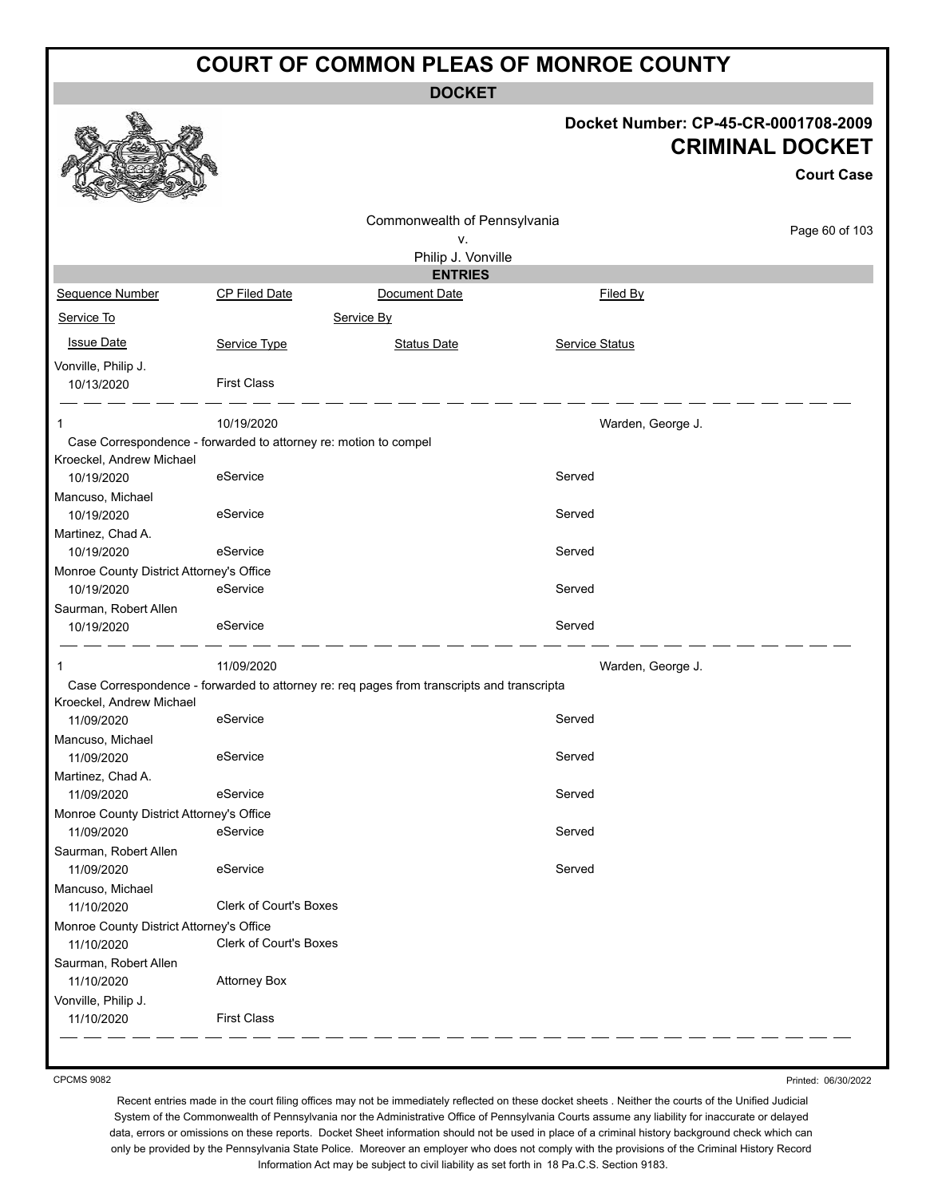**DOCKET**

| Docket Number: CP-45-CR-0001708-2009 |
|--------------------------------------|
| <b>CRIMINAL DOCKET</b>               |

**Court Case**

|                                          |                                                                  |                                                                                            |                   | <b>Court Case</b> |
|------------------------------------------|------------------------------------------------------------------|--------------------------------------------------------------------------------------------|-------------------|-------------------|
|                                          |                                                                  | Commonwealth of Pennsylvania                                                               |                   |                   |
|                                          |                                                                  | ٧.                                                                                         |                   | Page 60 of 103    |
|                                          |                                                                  | Philip J. Vonville                                                                         |                   |                   |
|                                          |                                                                  | <b>ENTRIES</b>                                                                             |                   |                   |
| Sequence Number                          | <b>CP Filed Date</b>                                             | Document Date                                                                              | Filed By          |                   |
| Service To                               |                                                                  | Service By                                                                                 |                   |                   |
| <b>Issue Date</b>                        | Service Type                                                     | <b>Status Date</b>                                                                         | Service Status    |                   |
| Vonville, Philip J.<br>10/13/2020        | <b>First Class</b>                                               |                                                                                            |                   |                   |
| 1                                        | 10/19/2020                                                       |                                                                                            | Warden, George J. |                   |
| Kroeckel, Andrew Michael                 | Case Correspondence - forwarded to attorney re: motion to compel |                                                                                            |                   |                   |
| 10/19/2020                               | eService                                                         |                                                                                            | Served            |                   |
| Mancuso, Michael                         |                                                                  |                                                                                            |                   |                   |
| 10/19/2020                               | eService                                                         |                                                                                            | Served            |                   |
| Martinez, Chad A.                        |                                                                  |                                                                                            |                   |                   |
| 10/19/2020                               | eService                                                         |                                                                                            | Served            |                   |
| Monroe County District Attorney's Office |                                                                  |                                                                                            |                   |                   |
| 10/19/2020                               | eService                                                         |                                                                                            | Served            |                   |
| Saurman, Robert Allen                    |                                                                  |                                                                                            |                   |                   |
| 10/19/2020                               | eService                                                         |                                                                                            | Served            |                   |
| -1                                       | 11/09/2020                                                       |                                                                                            | Warden, George J. |                   |
|                                          |                                                                  | Case Correspondence - forwarded to attorney re: req pages from transcripts and transcripta |                   |                   |
| Kroeckel, Andrew Michael                 |                                                                  |                                                                                            |                   |                   |
| 11/09/2020                               | eService                                                         |                                                                                            | Served            |                   |
| Mancuso, Michael<br>11/09/2020           | eService                                                         |                                                                                            | Served            |                   |
| Martinez, Chad A.                        |                                                                  |                                                                                            |                   |                   |
| 11/09/2020                               | eService                                                         |                                                                                            | Served            |                   |
| Monroe County District Attorney's Office |                                                                  |                                                                                            |                   |                   |
| 11/09/2020                               | eService                                                         |                                                                                            | Served            |                   |
| Saurman, Robert Allen                    |                                                                  |                                                                                            |                   |                   |
| 11/09/2020                               | eService                                                         |                                                                                            | Served            |                   |
| Mancuso, Michael                         |                                                                  |                                                                                            |                   |                   |
| 11/10/2020                               | <b>Clerk of Court's Boxes</b>                                    |                                                                                            |                   |                   |
| Monroe County District Attorney's Office |                                                                  |                                                                                            |                   |                   |
| 11/10/2020                               | Clerk of Court's Boxes                                           |                                                                                            |                   |                   |
| Saurman, Robert Allen                    |                                                                  |                                                                                            |                   |                   |
| 11/10/2020                               | <b>Attorney Box</b>                                              |                                                                                            |                   |                   |
| Vonville, Philip J.                      |                                                                  |                                                                                            |                   |                   |
| 11/10/2020                               | <b>First Class</b>                                               |                                                                                            |                   |                   |
|                                          |                                                                  |                                                                                            |                   |                   |

CPCMS 9082

Recent entries made in the court filing offices may not be immediately reflected on these docket sheets . Neither the courts of the Unified Judicial System of the Commonwealth of Pennsylvania nor the Administrative Office of Pennsylvania Courts assume any liability for inaccurate or delayed data, errors or omissions on these reports. Docket Sheet information should not be used in place of a criminal history background check which can only be provided by the Pennsylvania State Police. Moreover an employer who does not comply with the provisions of the Criminal History Record Information Act may be subject to civil liability as set forth in 18 Pa.C.S. Section 9183.

Printed: 06/30/2022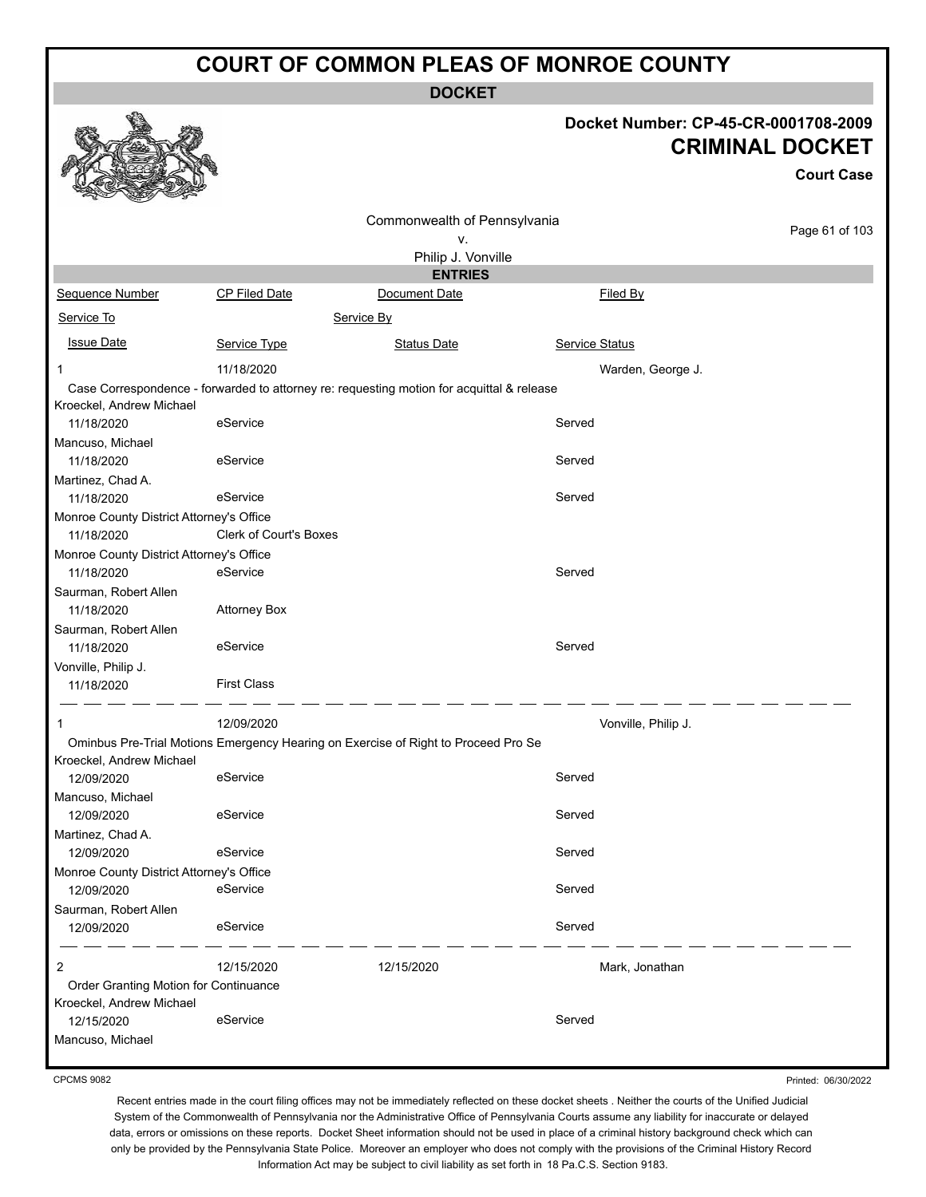**DOCKET**

#### **Docket Number: CP-45-CR-0001708-2009 CRIMINAL DOCKET**

**Court Case**

|                                          |                               | Commonwealth of Pennsylvania                                                              |                     |                |
|------------------------------------------|-------------------------------|-------------------------------------------------------------------------------------------|---------------------|----------------|
|                                          |                               | ٧.                                                                                        |                     | Page 61 of 103 |
|                                          |                               | Philip J. Vonville                                                                        |                     |                |
|                                          |                               | <b>ENTRIES</b>                                                                            |                     |                |
| Sequence Number                          | <b>CP Filed Date</b>          | Document Date                                                                             | Filed By            |                |
| Service To                               |                               | Service By                                                                                |                     |                |
| <b>Issue Date</b>                        | Service Type                  | <b>Status Date</b>                                                                        | Service Status      |                |
| 1                                        | 11/18/2020                    |                                                                                           | Warden, George J.   |                |
|                                          |                               | Case Correspondence - forwarded to attorney re: requesting motion for acquittal & release |                     |                |
| Kroeckel, Andrew Michael                 |                               |                                                                                           |                     |                |
| 11/18/2020                               | eService                      |                                                                                           | Served              |                |
| Mancuso, Michael                         |                               |                                                                                           |                     |                |
| 11/18/2020                               | eService                      |                                                                                           | Served              |                |
| Martinez, Chad A.                        |                               |                                                                                           |                     |                |
| 11/18/2020                               | eService                      |                                                                                           | Served              |                |
| Monroe County District Attorney's Office |                               |                                                                                           |                     |                |
| 11/18/2020                               | <b>Clerk of Court's Boxes</b> |                                                                                           |                     |                |
| Monroe County District Attorney's Office |                               |                                                                                           |                     |                |
| 11/18/2020                               | eService                      |                                                                                           | Served              |                |
| Saurman, Robert Allen                    |                               |                                                                                           |                     |                |
| 11/18/2020                               | <b>Attorney Box</b>           |                                                                                           |                     |                |
| Saurman, Robert Allen                    |                               |                                                                                           |                     |                |
| 11/18/2020                               | eService                      |                                                                                           | Served              |                |
| Vonville, Philip J.                      |                               |                                                                                           |                     |                |
| 11/18/2020                               | <b>First Class</b>            |                                                                                           |                     |                |
|                                          |                               |                                                                                           |                     |                |
| 1                                        | 12/09/2020                    |                                                                                           | Vonville, Philip J. |                |
|                                          |                               | Ominbus Pre-Trial Motions Emergency Hearing on Exercise of Right to Proceed Pro Se        |                     |                |
| Kroeckel, Andrew Michael                 |                               |                                                                                           |                     |                |
| 12/09/2020                               | eService                      |                                                                                           | Served              |                |
| Mancuso, Michael                         |                               |                                                                                           |                     |                |
| 12/09/2020                               | eService                      |                                                                                           | Served              |                |
| Martinez, Chad A.                        |                               |                                                                                           |                     |                |
| 12/09/2020                               | eService                      |                                                                                           | Served              |                |
| Monroe County District Attorney's Office |                               |                                                                                           |                     |                |
| 12/09/2020                               | eService                      |                                                                                           | Served              |                |
| Saurman, Robert Allen                    |                               |                                                                                           |                     |                |
| 12/09/2020                               | eService                      |                                                                                           | Served              |                |
| 2                                        | 12/15/2020                    | 12/15/2020                                                                                | Mark, Jonathan      |                |
| Order Granting Motion for Continuance    |                               |                                                                                           |                     |                |
| Kroeckel, Andrew Michael                 |                               |                                                                                           |                     |                |
| 12/15/2020                               | eService                      |                                                                                           | Served              |                |
| Mancuso, Michael                         |                               |                                                                                           |                     |                |
|                                          |                               |                                                                                           |                     |                |

CPCMS 9082

Printed: 06/30/2022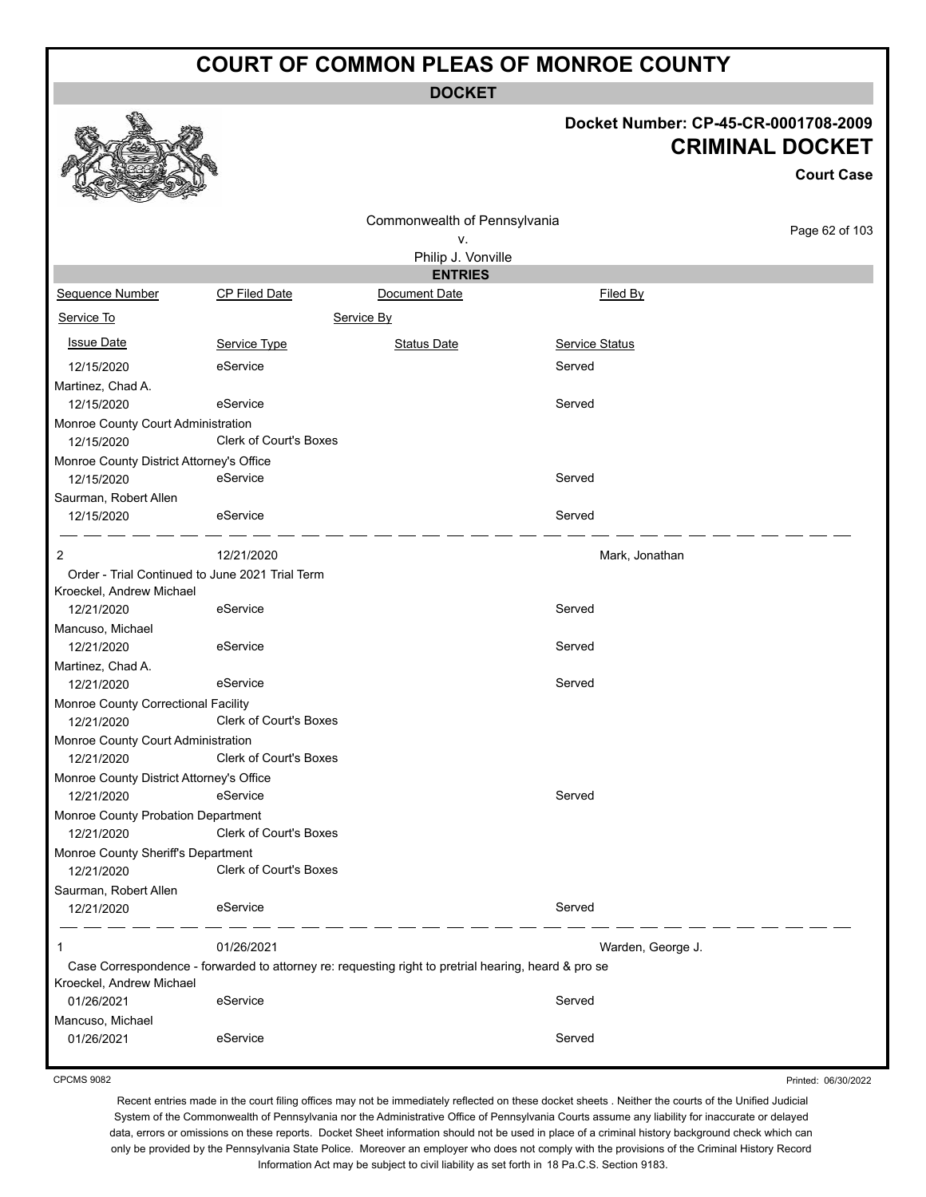**DOCKET**

#### **Docket Number: CP-45-CR-0001708-2009 CRIMINAL DOCKET**

**Court Case**

|                                                  |                                                 | Commonwealth of Pennsylvania                                                                         |                       |                |
|--------------------------------------------------|-------------------------------------------------|------------------------------------------------------------------------------------------------------|-----------------------|----------------|
|                                                  |                                                 | ٧.                                                                                                   |                       | Page 62 of 103 |
|                                                  |                                                 | Philip J. Vonville                                                                                   |                       |                |
|                                                  |                                                 | <b>ENTRIES</b>                                                                                       |                       |                |
| Sequence Number                                  | <b>CP Filed Date</b>                            | Document Date                                                                                        | Filed By              |                |
| Service To                                       |                                                 | Service By                                                                                           |                       |                |
| <b>Issue Date</b>                                | Service Type                                    | <b>Status Date</b>                                                                                   | <b>Service Status</b> |                |
| 12/15/2020                                       | eService                                        |                                                                                                      | Served                |                |
| Martinez, Chad A.                                |                                                 |                                                                                                      |                       |                |
| 12/15/2020                                       | eService                                        |                                                                                                      | Served                |                |
| Monroe County Court Administration<br>12/15/2020 | Clerk of Court's Boxes                          |                                                                                                      |                       |                |
| Monroe County District Attorney's Office         |                                                 |                                                                                                      |                       |                |
| 12/15/2020                                       | eService                                        |                                                                                                      | Served                |                |
| Saurman, Robert Allen                            |                                                 |                                                                                                      |                       |                |
| 12/15/2020                                       | eService                                        |                                                                                                      | Served                |                |
| 2                                                | 12/21/2020                                      |                                                                                                      | Mark, Jonathan        |                |
|                                                  | Order - Trial Continued to June 2021 Trial Term |                                                                                                      |                       |                |
| Kroeckel, Andrew Michael                         |                                                 |                                                                                                      |                       |                |
| 12/21/2020                                       | eService                                        |                                                                                                      | Served                |                |
| Mancuso, Michael                                 |                                                 |                                                                                                      |                       |                |
| 12/21/2020                                       | eService                                        |                                                                                                      | Served                |                |
| Martinez, Chad A.                                |                                                 |                                                                                                      |                       |                |
| 12/21/2020                                       | eService                                        |                                                                                                      | Served                |                |
| Monroe County Correctional Facility              | Clerk of Court's Boxes                          |                                                                                                      |                       |                |
| 12/21/2020                                       |                                                 |                                                                                                      |                       |                |
| Monroe County Court Administration<br>12/21/2020 | <b>Clerk of Court's Boxes</b>                   |                                                                                                      |                       |                |
| Monroe County District Attorney's Office         |                                                 |                                                                                                      |                       |                |
| 12/21/2020                                       | eService                                        |                                                                                                      | Served                |                |
| Monroe County Probation Department               |                                                 |                                                                                                      |                       |                |
| 12/21/2020                                       | Clerk of Court's Boxes                          |                                                                                                      |                       |                |
| Monroe County Sheriff's Department               |                                                 |                                                                                                      |                       |                |
| 12/21/2020                                       | <b>Clerk of Court's Boxes</b>                   |                                                                                                      |                       |                |
| Saurman, Robert Allen                            |                                                 |                                                                                                      |                       |                |
| 12/21/2020                                       | eService                                        |                                                                                                      | Served                |                |
| 1                                                | 01/26/2021                                      |                                                                                                      | Warden, George J.     |                |
|                                                  |                                                 | Case Correspondence - forwarded to attorney re: requesting right to pretrial hearing, heard & pro se |                       |                |
| Kroeckel, Andrew Michael                         |                                                 |                                                                                                      |                       |                |
| 01/26/2021                                       | eService                                        |                                                                                                      | Served                |                |
| Mancuso, Michael                                 |                                                 |                                                                                                      |                       |                |
| 01/26/2021                                       | eService                                        |                                                                                                      | Served                |                |

CPCMS 9082

Printed: 06/30/2022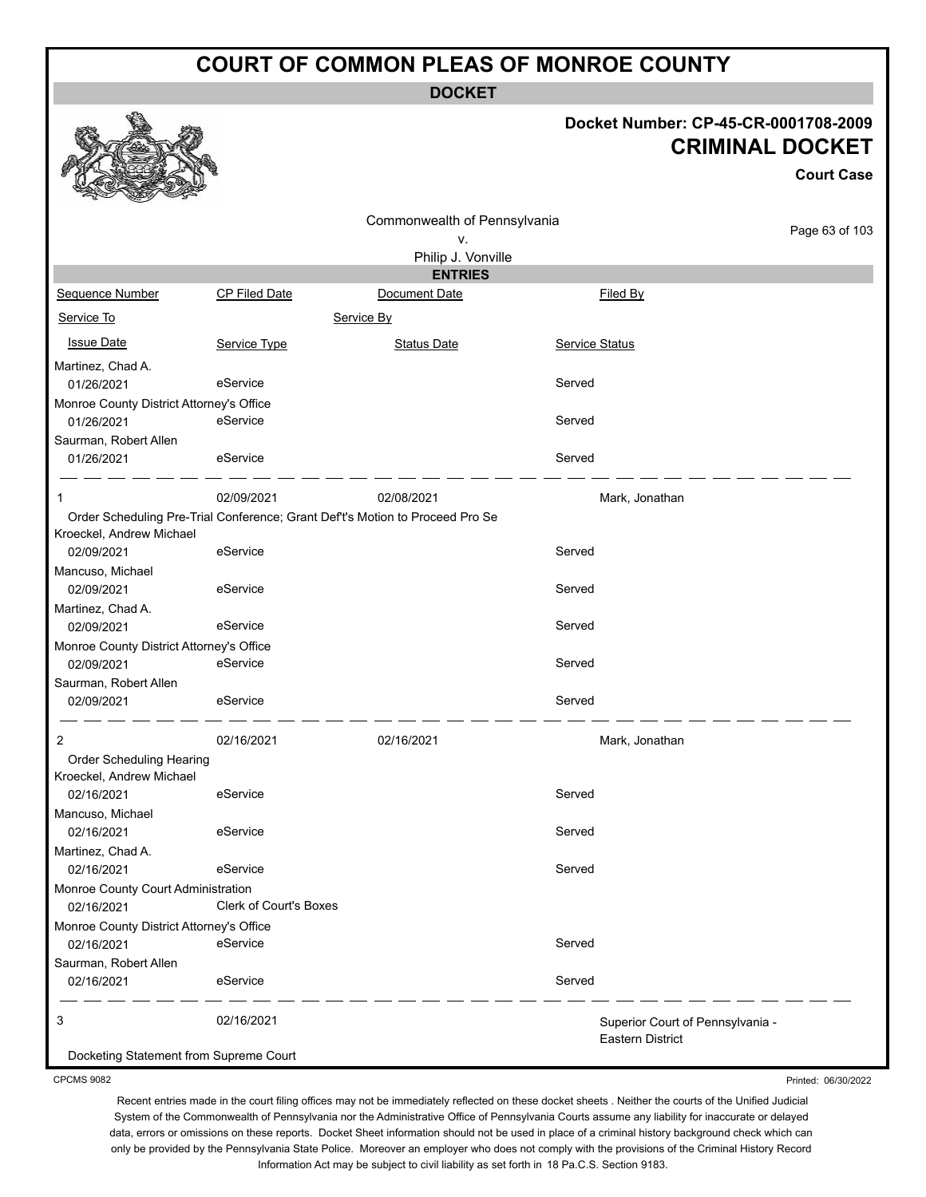**DOCKET**

#### **Docket Number: CP-45-CR-0001708-2009 CRIMINAL DOCKET**

**Court Case**

|                                          |                        |                                                                              |                                  | UUUI LUQSU     |
|------------------------------------------|------------------------|------------------------------------------------------------------------------|----------------------------------|----------------|
|                                          |                        | Commonwealth of Pennsylvania                                                 |                                  |                |
|                                          |                        | ۷.                                                                           |                                  | Page 63 of 103 |
|                                          |                        | Philip J. Vonville                                                           |                                  |                |
|                                          |                        | <b>ENTRIES</b>                                                               |                                  |                |
| Sequence Number                          | <b>CP Filed Date</b>   | Document Date                                                                | Filed By                         |                |
| Service To                               |                        | Service By                                                                   |                                  |                |
| <b>Issue Date</b>                        | Service Type           | <b>Status Date</b>                                                           | <b>Service Status</b>            |                |
| Martinez, Chad A.                        |                        |                                                                              |                                  |                |
| 01/26/2021                               | eService               |                                                                              | Served                           |                |
| Monroe County District Attorney's Office |                        |                                                                              |                                  |                |
| 01/26/2021                               | eService               |                                                                              | Served                           |                |
| Saurman, Robert Allen                    |                        |                                                                              |                                  |                |
| 01/26/2021                               | eService               |                                                                              | Served                           |                |
|                                          | 02/09/2021             | 02/08/2021                                                                   | Mark, Jonathan                   |                |
|                                          |                        | Order Scheduling Pre-Trial Conference; Grant Deft's Motion to Proceed Pro Se |                                  |                |
| Kroeckel, Andrew Michael                 |                        |                                                                              |                                  |                |
| 02/09/2021                               | eService               |                                                                              | Served                           |                |
| Mancuso, Michael                         |                        |                                                                              |                                  |                |
| 02/09/2021                               | eService               |                                                                              | Served                           |                |
| Martinez, Chad A.                        |                        |                                                                              |                                  |                |
| 02/09/2021                               | eService               |                                                                              | Served                           |                |
| Monroe County District Attorney's Office |                        |                                                                              |                                  |                |
| 02/09/2021                               | eService               |                                                                              | Served                           |                |
| Saurman, Robert Allen                    |                        |                                                                              |                                  |                |
| 02/09/2021                               | eService               |                                                                              | Served                           |                |
| 2                                        | 02/16/2021             | 02/16/2021                                                                   | Mark, Jonathan                   |                |
| Order Scheduling Hearing                 |                        |                                                                              |                                  |                |
| Kroeckel, Andrew Michael                 |                        |                                                                              |                                  |                |
| 02/16/2021                               | eService               |                                                                              | Served                           |                |
| Mancuso, Michael                         |                        |                                                                              |                                  |                |
| 02/16/2021                               | eService               |                                                                              | Served                           |                |
| Martinez, Chad A.                        |                        |                                                                              |                                  |                |
| 02/16/2021                               | eService               |                                                                              | Served                           |                |
| Monroe County Court Administration       |                        |                                                                              |                                  |                |
| 02/16/2021                               | Clerk of Court's Boxes |                                                                              |                                  |                |
| Monroe County District Attorney's Office |                        |                                                                              |                                  |                |
| 02/16/2021                               | eService               |                                                                              | Served                           |                |
| Saurman, Robert Allen                    |                        |                                                                              |                                  |                |
| 02/16/2021                               | eService               |                                                                              | Served                           |                |
| 3                                        | 02/16/2021             |                                                                              | Superior Court of Pennsylvania - |                |
| Docketing Statement from Supreme Court   |                        |                                                                              | Eastern District                 |                |

CPCMS 9082

Printed: 06/30/2022

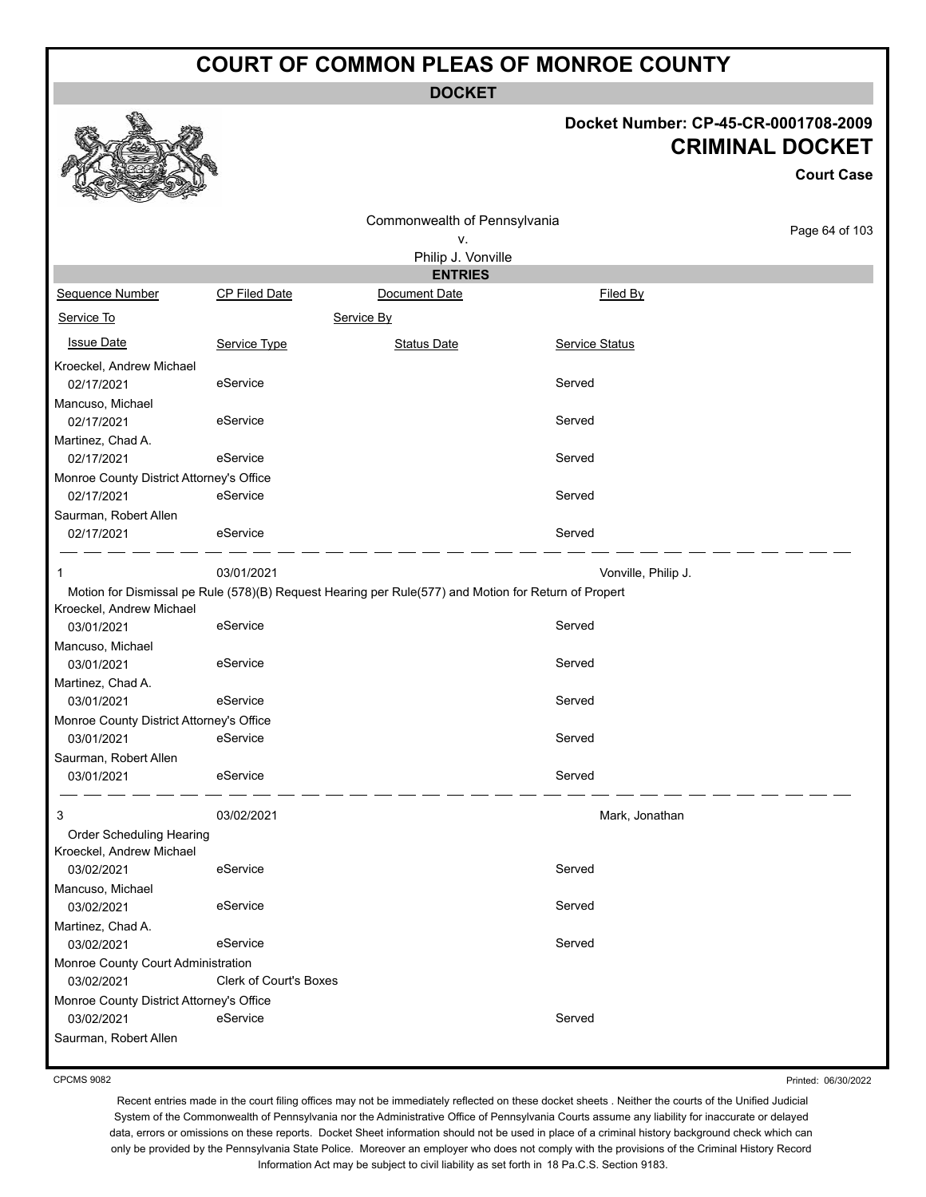**DOCKET**

### **Docket Number: CP-45-CR-0001708-2009 CRIMINAL DOCKET**

**Court Case**

|                                          |                        |                                                                                                      |                     | UUUI LUQSU     |
|------------------------------------------|------------------------|------------------------------------------------------------------------------------------------------|---------------------|----------------|
|                                          |                        | Commonwealth of Pennsylvania                                                                         |                     |                |
|                                          |                        | ٧.                                                                                                   |                     | Page 64 of 103 |
|                                          |                        | Philip J. Vonville                                                                                   |                     |                |
|                                          |                        | <b>ENTRIES</b>                                                                                       |                     |                |
| Sequence Number                          | <b>CP Filed Date</b>   | Document Date                                                                                        | Filed By            |                |
| Service To                               |                        | Service By                                                                                           |                     |                |
| <b>Issue Date</b>                        | Service Type           | <b>Status Date</b>                                                                                   | Service Status      |                |
| Kroeckel, Andrew Michael                 |                        |                                                                                                      |                     |                |
| 02/17/2021                               | eService               |                                                                                                      | Served              |                |
| Mancuso, Michael                         |                        |                                                                                                      |                     |                |
| 02/17/2021                               | eService               |                                                                                                      | Served              |                |
| Martinez, Chad A.                        |                        |                                                                                                      |                     |                |
| 02/17/2021                               | eService               |                                                                                                      | Served              |                |
| Monroe County District Attorney's Office |                        |                                                                                                      |                     |                |
| 02/17/2021                               | eService               |                                                                                                      | Served              |                |
| Saurman, Robert Allen                    |                        |                                                                                                      |                     |                |
| 02/17/2021                               | eService               |                                                                                                      | Served              |                |
|                                          | 03/01/2021             |                                                                                                      |                     |                |
|                                          |                        |                                                                                                      | Vonville, Philip J. |                |
| Kroeckel, Andrew Michael                 |                        | Motion for Dismissal pe Rule (578)(B) Request Hearing per Rule(577) and Motion for Return of Propert |                     |                |
| 03/01/2021                               | eService               |                                                                                                      | Served              |                |
|                                          |                        |                                                                                                      |                     |                |
| Mancuso, Michael                         |                        |                                                                                                      | Served              |                |
| 03/01/2021                               | eService               |                                                                                                      |                     |                |
| Martinez, Chad A.                        |                        |                                                                                                      |                     |                |
| 03/01/2021                               | eService               |                                                                                                      | Served              |                |
| Monroe County District Attorney's Office |                        |                                                                                                      |                     |                |
| 03/01/2021                               | eService               |                                                                                                      | Served              |                |
| Saurman, Robert Allen                    |                        |                                                                                                      |                     |                |
| 03/01/2021                               | eService               |                                                                                                      | Served              |                |
| 3                                        | 03/02/2021             |                                                                                                      | Mark, Jonathan      |                |
| Order Scheduling Hearing                 |                        |                                                                                                      |                     |                |
| Kroeckel, Andrew Michael                 |                        |                                                                                                      |                     |                |
| 03/02/2021                               | eService               |                                                                                                      | Served              |                |
| Mancuso, Michael                         |                        |                                                                                                      |                     |                |
| 03/02/2021                               | eService               |                                                                                                      | Served              |                |
| Martinez, Chad A.                        |                        |                                                                                                      |                     |                |
| 03/02/2021                               | eService               |                                                                                                      | Served              |                |
| Monroe County Court Administration       |                        |                                                                                                      |                     |                |
| 03/02/2021                               | Clerk of Court's Boxes |                                                                                                      |                     |                |
| Monroe County District Attorney's Office |                        |                                                                                                      |                     |                |
| 03/02/2021                               | eService               |                                                                                                      | Served              |                |
| Saurman, Robert Allen                    |                        |                                                                                                      |                     |                |
|                                          |                        |                                                                                                      |                     |                |

CPCMS 9082

Printed: 06/30/2022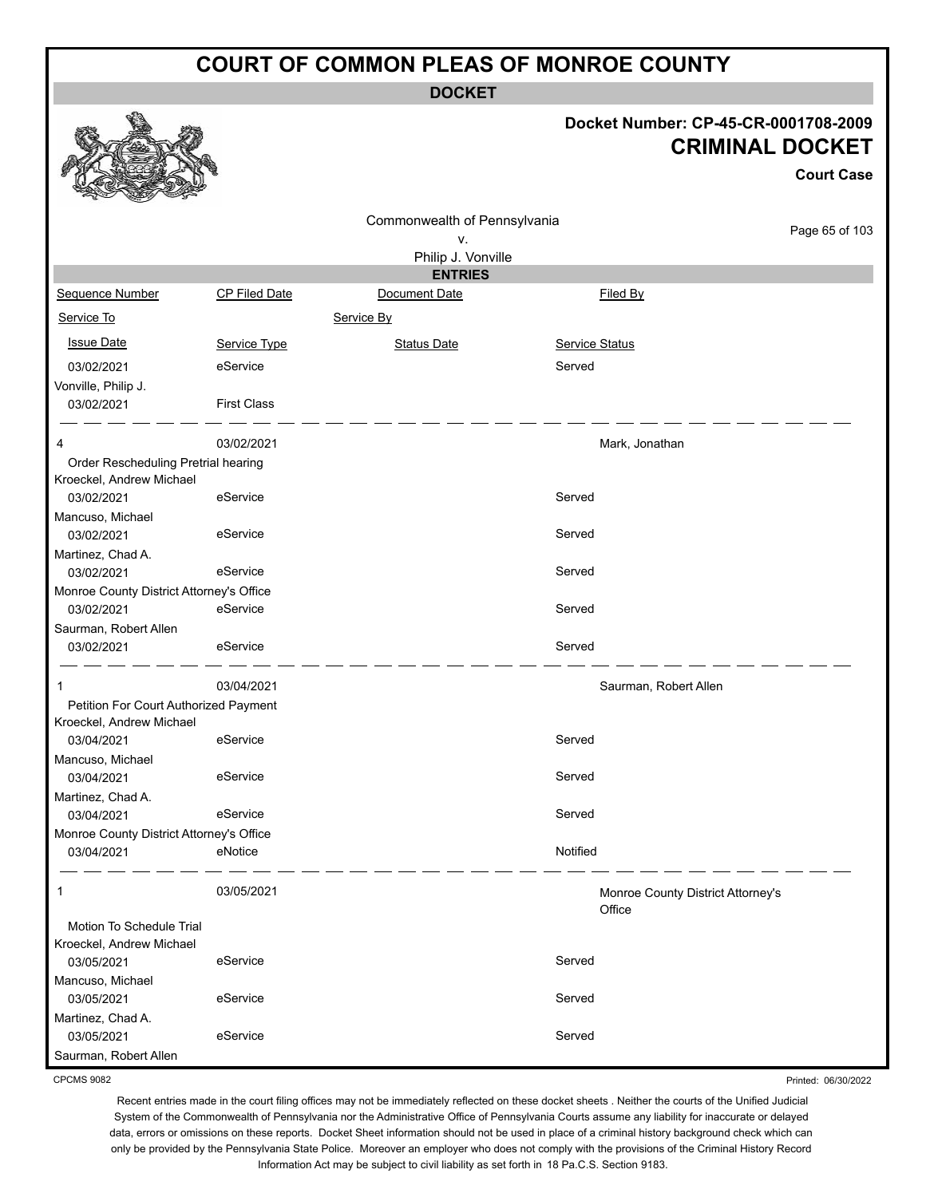**DOCKET**

#### **Docket Number: CP-45-CR-0001708-2009 CRIMINAL DOCKET**

**Court Case**

|                                                      |                      | Commonwealth of Pennsylvania |                       |                                             |                |
|------------------------------------------------------|----------------------|------------------------------|-----------------------|---------------------------------------------|----------------|
|                                                      |                      | v.                           |                       |                                             | Page 65 of 103 |
|                                                      |                      | Philip J. Vonville           |                       |                                             |                |
|                                                      |                      | <b>ENTRIES</b>               |                       |                                             |                |
| Sequence Number                                      | <b>CP Filed Date</b> | Document Date                |                       | Filed By                                    |                |
| Service To                                           |                      | Service By                   |                       |                                             |                |
| <b>Issue Date</b>                                    | Service Type         | <b>Status Date</b>           | <b>Service Status</b> |                                             |                |
| 03/02/2021                                           | eService             |                              | Served                |                                             |                |
| Vonville, Philip J.                                  |                      |                              |                       |                                             |                |
| 03/02/2021                                           | <b>First Class</b>   |                              |                       |                                             |                |
| 4                                                    | 03/02/2021           |                              |                       | Mark, Jonathan                              |                |
| Order Rescheduling Pretrial hearing                  |                      |                              |                       |                                             |                |
| Kroeckel, Andrew Michael                             |                      |                              |                       |                                             |                |
| 03/02/2021                                           | eService             |                              | Served                |                                             |                |
| Mancuso, Michael                                     |                      |                              |                       |                                             |                |
| 03/02/2021                                           | eService             |                              | Served                |                                             |                |
| Martinez, Chad A.                                    |                      |                              |                       |                                             |                |
| 03/02/2021                                           | eService             |                              | Served                |                                             |                |
| Monroe County District Attorney's Office             |                      |                              |                       |                                             |                |
| 03/02/2021                                           | eService             |                              | Served                |                                             |                |
| Saurman, Robert Allen                                |                      |                              |                       |                                             |                |
| 03/02/2021                                           | eService             |                              | Served                |                                             |                |
| 1                                                    | 03/04/2021           |                              |                       | Saurman, Robert Allen                       |                |
| Petition For Court Authorized Payment                |                      |                              |                       |                                             |                |
| Kroeckel, Andrew Michael                             |                      |                              |                       |                                             |                |
| 03/04/2021                                           | eService             |                              | Served                |                                             |                |
| Mancuso, Michael                                     |                      |                              |                       |                                             |                |
| 03/04/2021                                           | eService             |                              | Served                |                                             |                |
| Martinez, Chad A.                                    |                      |                              |                       |                                             |                |
| 03/04/2021                                           | eService             |                              | Served                |                                             |                |
| Monroe County District Attorney's Office             |                      |                              |                       |                                             |                |
| 03/04/2021                                           | eNotice              |                              | Notified              |                                             |                |
| 1                                                    | 03/05/2021           |                              |                       | Monroe County District Attorney's<br>Office |                |
| Motion To Schedule Trial<br>Kroeckel, Andrew Michael |                      |                              |                       |                                             |                |
| 03/05/2021                                           | eService             |                              | Served                |                                             |                |
| Mancuso, Michael                                     |                      |                              |                       |                                             |                |
| 03/05/2021                                           | eService             |                              | Served                |                                             |                |
| Martinez, Chad A.<br>03/05/2021                      | eService             |                              | Served                |                                             |                |
| Saurman, Robert Allen                                |                      |                              |                       |                                             |                |
|                                                      |                      |                              |                       |                                             |                |

CPCMS 9082

Recent entries made in the court filing offices may not be immediately reflected on these docket sheets . Neither the courts of the Unified Judicial System of the Commonwealth of Pennsylvania nor the Administrative Office of Pennsylvania Courts assume any liability for inaccurate or delayed data, errors or omissions on these reports. Docket Sheet information should not be used in place of a criminal history background check which can only be provided by the Pennsylvania State Police. Moreover an employer who does not comply with the provisions of the Criminal History Record Information Act may be subject to civil liability as set forth in 18 Pa.C.S. Section 9183.

Printed: 06/30/2022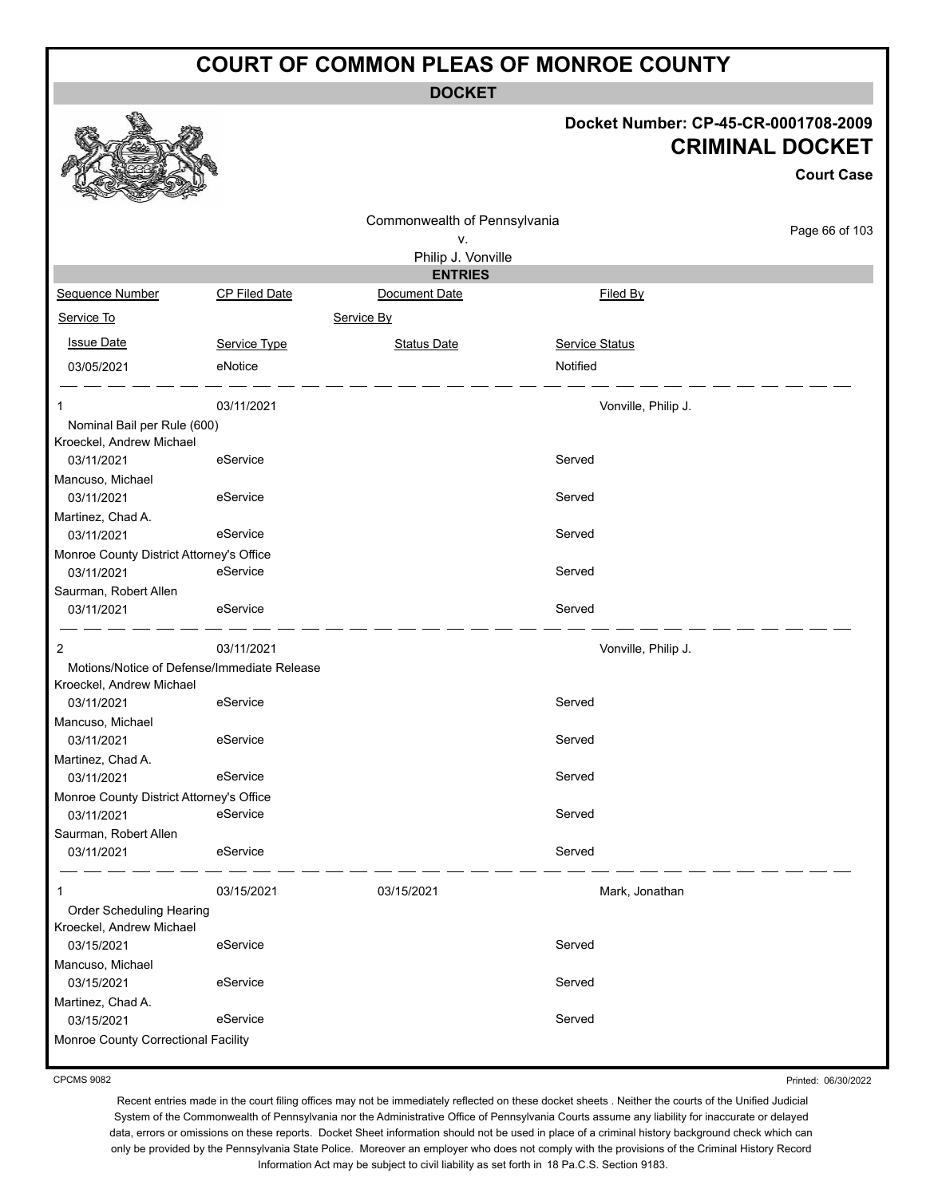**DOCKET**

#### **Docket Number: CP-45-CR-0001708-2009 CRIMINAL DOCKET**

**Court Case**

Printed: 06/30/2022

|                                                         |                                             | Commonwealth of Pennsylvania |                       |                |
|---------------------------------------------------------|---------------------------------------------|------------------------------|-----------------------|----------------|
|                                                         |                                             | ٧.                           |                       | Page 66 of 103 |
|                                                         |                                             | Philip J. Vonville           |                       |                |
|                                                         |                                             | <b>ENTRIES</b>               |                       |                |
| Sequence Number                                         | CP Filed Date                               | Document Date                | Filed By              |                |
| Service To                                              |                                             | Service By                   |                       |                |
| <b>Issue Date</b>                                       | Service Type                                | <b>Status Date</b>           | <b>Service Status</b> |                |
| 03/05/2021                                              | eNotice                                     |                              | Notified              |                |
| 1                                                       | 03/11/2021                                  |                              | Vonville, Philip J.   |                |
| Nominal Bail per Rule (600)<br>Kroeckel, Andrew Michael |                                             |                              |                       |                |
| 03/11/2021                                              | eService                                    |                              | Served                |                |
| Mancuso, Michael                                        |                                             |                              |                       |                |
| 03/11/2021                                              | eService                                    |                              | Served                |                |
| Martinez, Chad A.                                       |                                             |                              |                       |                |
| 03/11/2021                                              | eService                                    |                              | Served                |                |
| Monroe County District Attorney's Office                |                                             |                              |                       |                |
| 03/11/2021                                              | eService                                    |                              | Served                |                |
| Saurman, Robert Allen                                   |                                             |                              |                       |                |
| 03/11/2021                                              | eService                                    |                              | Served                |                |
| 2                                                       | 03/11/2021                                  |                              | Vonville, Philip J.   |                |
|                                                         | Motions/Notice of Defense/Immediate Release |                              |                       |                |
| Kroeckel, Andrew Michael                                |                                             |                              |                       |                |
| 03/11/2021                                              | eService                                    |                              | Served                |                |
| Mancuso, Michael                                        |                                             |                              |                       |                |
| 03/11/2021                                              | eService                                    |                              | Served                |                |
| Martinez, Chad A.<br>03/11/2021                         | eService                                    |                              | Served                |                |
| Monroe County District Attorney's Office                |                                             |                              |                       |                |
| 03/11/2021                                              | eService                                    |                              | Served                |                |
| Saurman, Robert Allen                                   |                                             |                              |                       |                |
| 03/11/2021                                              | eService                                    |                              | Served                |                |
| 1                                                       | 03/15/2021                                  | 03/15/2021                   | Mark, Jonathan        |                |
| Order Scheduling Hearing                                |                                             |                              |                       |                |
| Kroeckel, Andrew Michael                                |                                             |                              |                       |                |
| 03/15/2021                                              | eService                                    |                              | Served                |                |
| Mancuso, Michael                                        |                                             |                              |                       |                |
| 03/15/2021                                              | eService                                    |                              | Served                |                |
| Martinez, Chad A.<br>03/15/2021                         | eService                                    |                              | Served                |                |
| Monroe County Correctional Facility                     |                                             |                              |                       |                |
|                                                         |                                             |                              |                       |                |

CPCMS 9082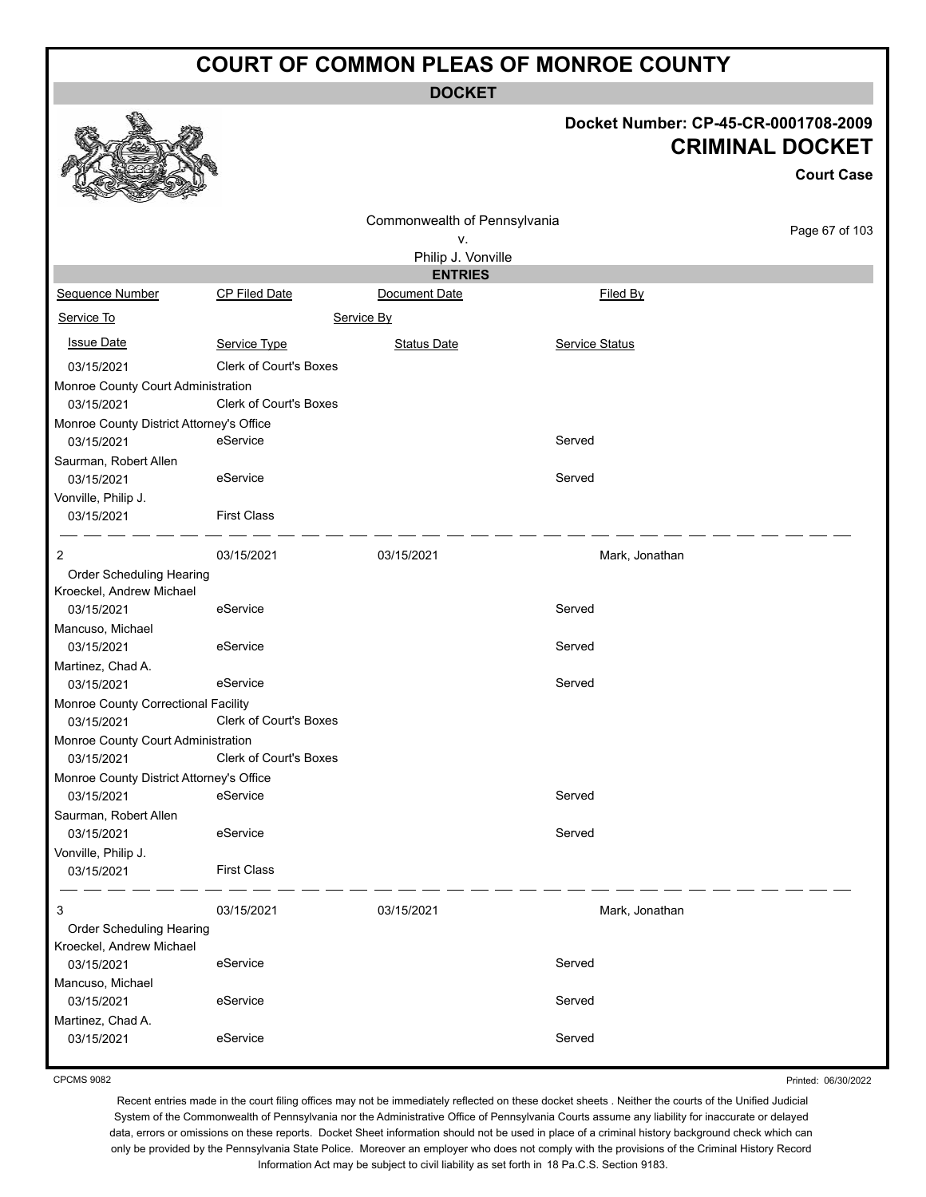**DOCKET**

#### **Docket Number: CP-45-CR-0001708-2009 CRIMINAL DOCKET**

|                                                   |                               |                              |                       | <b>Court Case</b> |
|---------------------------------------------------|-------------------------------|------------------------------|-----------------------|-------------------|
|                                                   |                               | Commonwealth of Pennsylvania |                       |                   |
|                                                   |                               | ۷.                           |                       | Page 67 of 103    |
|                                                   |                               | Philip J. Vonville           |                       |                   |
|                                                   |                               | <b>ENTRIES</b>               |                       |                   |
| Sequence Number                                   | <b>CP Filed Date</b>          | Document Date                | Filed By              |                   |
| Service To                                        |                               | Service By                   |                       |                   |
| <b>Issue Date</b>                                 | Service Type                  | <b>Status Date</b>           | <b>Service Status</b> |                   |
| 03/15/2021                                        | <b>Clerk of Court's Boxes</b> |                              |                       |                   |
| Monroe County Court Administration                |                               |                              |                       |                   |
| 03/15/2021                                        | <b>Clerk of Court's Boxes</b> |                              |                       |                   |
| Monroe County District Attorney's Office          |                               |                              |                       |                   |
| 03/15/2021                                        | eService                      |                              | Served                |                   |
| Saurman, Robert Allen                             |                               |                              |                       |                   |
| 03/15/2021                                        | eService                      |                              | Served                |                   |
| Vonville, Philip J.                               |                               |                              |                       |                   |
| 03/15/2021                                        | <b>First Class</b>            |                              |                       |                   |
| 2                                                 | 03/15/2021                    | 03/15/2021                   | Mark, Jonathan        |                   |
| Order Scheduling Hearing                          |                               |                              |                       |                   |
| Kroeckel, Andrew Michael                          |                               |                              |                       |                   |
| 03/15/2021                                        | eService                      |                              | Served                |                   |
| Mancuso, Michael                                  |                               |                              |                       |                   |
| 03/15/2021                                        | eService                      |                              | Served                |                   |
| Martinez, Chad A.                                 |                               |                              |                       |                   |
| 03/15/2021                                        | eService                      |                              | Served                |                   |
| Monroe County Correctional Facility<br>03/15/2021 | Clerk of Court's Boxes        |                              |                       |                   |
| Monroe County Court Administration                |                               |                              |                       |                   |
| 03/15/2021                                        | <b>Clerk of Court's Boxes</b> |                              |                       |                   |
| Monroe County District Attorney's Office          |                               |                              |                       |                   |
| 03/15/2021                                        | eService                      |                              | Served                |                   |
| Saurman, Robert Allen                             |                               |                              |                       |                   |
| 03/15/2021                                        | eService                      |                              | Served                |                   |
| Vonville, Philip J.                               |                               |                              |                       |                   |
| 03/15/2021                                        | <b>First Class</b>            |                              |                       |                   |
| 3                                                 | 03/15/2021                    | 03/15/2021                   | Mark, Jonathan        |                   |
| Order Scheduling Hearing                          |                               |                              |                       |                   |
| Kroeckel, Andrew Michael                          |                               |                              |                       |                   |
| 03/15/2021                                        | eService                      |                              | Served                |                   |
| Mancuso, Michael                                  |                               |                              |                       |                   |
| 03/15/2021                                        | eService                      |                              | Served                |                   |
| Martinez, Chad A.                                 |                               |                              |                       |                   |
| 03/15/2021                                        | eService                      |                              | Served                |                   |
|                                                   |                               |                              |                       |                   |

CPCMS 9082

Printed: 06/30/2022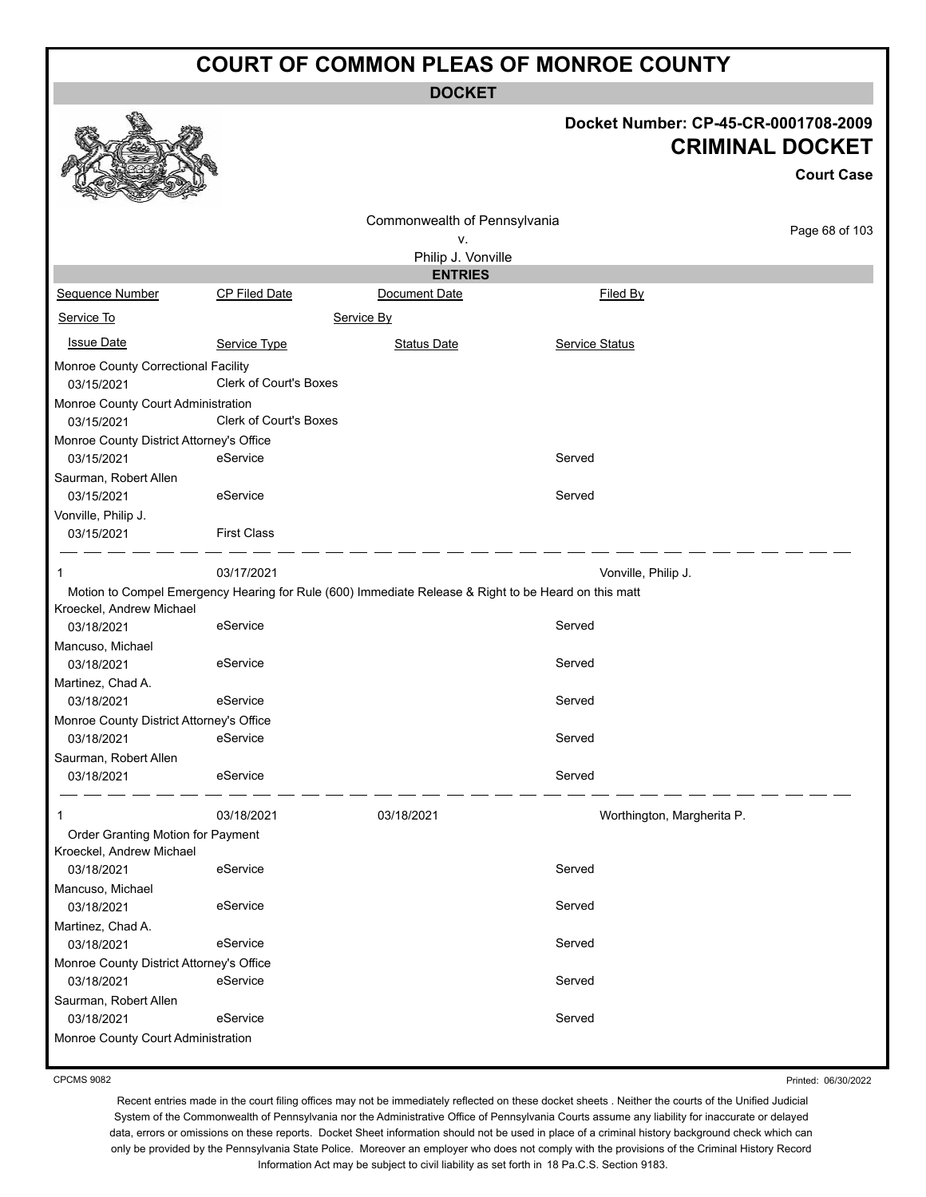**DOCKET**

#### **Docket Number: CP-45-CR-0001708-2009 CRIMINAL DOCKET**

| Commonwealth of Pennsylvania<br>٧.                                                                   | Page 68 of 103 |
|------------------------------------------------------------------------------------------------------|----------------|
| Philip J. Vonville                                                                                   |                |
| <b>ENTRIES</b>                                                                                       |                |
| Sequence Number<br><b>CP Filed Date</b><br>Document Date<br>Filed By                                 |                |
| Service To<br>Service By                                                                             |                |
| <b>Issue Date</b><br>Service Type<br><b>Status Date</b><br>Service Status                            |                |
| Monroe County Correctional Facility<br>Clerk of Court's Boxes<br>03/15/2021                          |                |
| Monroe County Court Administration<br><b>Clerk of Court's Boxes</b><br>03/15/2021                    |                |
| Monroe County District Attorney's Office                                                             |                |
| eService<br>Served<br>03/15/2021                                                                     |                |
| Saurman, Robert Allen                                                                                |                |
| eService<br>Served<br>03/15/2021                                                                     |                |
| Vonville, Philip J.                                                                                  |                |
| <b>First Class</b><br>03/15/2021                                                                     |                |
| 03/17/2021<br>Vonville, Philip J.<br>1                                                               |                |
| Motion to Compel Emergency Hearing for Rule (600) Immediate Release & Right to be Heard on this matt |                |
| Kroeckel, Andrew Michael                                                                             |                |
| eService<br>Served<br>03/18/2021                                                                     |                |
| Mancuso, Michael<br>eService<br>Served                                                               |                |
| 03/18/2021                                                                                           |                |
| Martinez, Chad A.<br>Served<br>03/18/2021<br>eService                                                |                |
| Monroe County District Attorney's Office                                                             |                |
| eService<br>Served<br>03/18/2021                                                                     |                |
| Saurman, Robert Allen                                                                                |                |
| 03/18/2021<br>eService<br>Served                                                                     |                |
|                                                                                                      |                |
| 03/18/2021<br>03/18/2021<br>Worthington, Margherita P.                                               |                |
| Order Granting Motion for Payment<br>Kroeckel, Andrew Michael                                        |                |
| Served<br>03/18/2021<br>eService                                                                     |                |
| Mancuso, Michael                                                                                     |                |
| Served<br>eService<br>03/18/2021                                                                     |                |
| Martinez, Chad A.                                                                                    |                |
| Served<br>03/18/2021<br>eService                                                                     |                |
| Monroe County District Attorney's Office                                                             |                |
| eService<br>Served<br>03/18/2021                                                                     |                |
| Saurman, Robert Allen                                                                                |                |
| Served<br>03/18/2021<br>eService                                                                     |                |
| Monroe County Court Administration                                                                   |                |

CPCMS 9082

Printed: 06/30/2022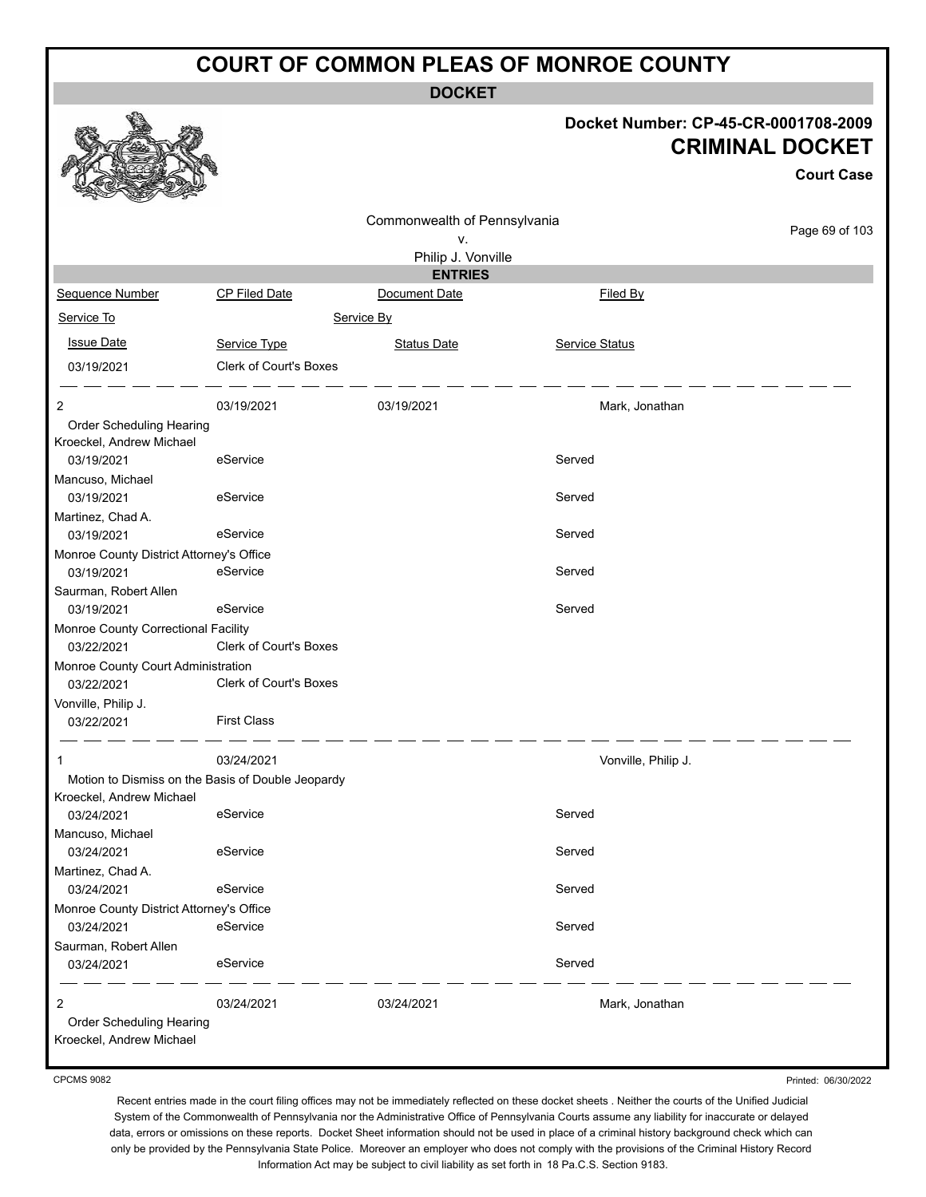**DOCKET**

#### **Docket Number: CP-45-CR-0001708-2009 CRIMINAL DOCKET**

**Court Case**

|                                          |                                                   |                              |                     | <b>Court Case</b> |
|------------------------------------------|---------------------------------------------------|------------------------------|---------------------|-------------------|
|                                          |                                                   | Commonwealth of Pennsylvania |                     |                   |
|                                          |                                                   | ۷.                           |                     | Page 69 of 103    |
|                                          |                                                   | Philip J. Vonville           |                     |                   |
|                                          |                                                   | <b>ENTRIES</b>               |                     |                   |
| Sequence Number                          | <b>CP Filed Date</b>                              | Document Date                | Filed By            |                   |
| Service To                               |                                                   | Service By                   |                     |                   |
| <b>Issue Date</b>                        | Service Type                                      | <b>Status Date</b>           | Service Status      |                   |
| 03/19/2021                               | Clerk of Court's Boxes                            |                              |                     |                   |
| 2                                        | 03/19/2021                                        | 03/19/2021                   | Mark, Jonathan      |                   |
| Order Scheduling Hearing                 |                                                   |                              |                     |                   |
| Kroeckel, Andrew Michael                 |                                                   |                              |                     |                   |
| 03/19/2021                               | eService                                          |                              | Served              |                   |
| Mancuso, Michael                         |                                                   |                              |                     |                   |
| 03/19/2021                               | eService                                          |                              | Served              |                   |
|                                          |                                                   |                              |                     |                   |
| Martinez, Chad A.                        |                                                   |                              |                     |                   |
| 03/19/2021                               | eService                                          |                              | Served              |                   |
| Monroe County District Attorney's Office |                                                   |                              |                     |                   |
| 03/19/2021                               | eService                                          |                              | Served              |                   |
| Saurman, Robert Allen                    |                                                   |                              |                     |                   |
| 03/19/2021                               | eService                                          |                              | Served              |                   |
| Monroe County Correctional Facility      |                                                   |                              |                     |                   |
| 03/22/2021                               | <b>Clerk of Court's Boxes</b>                     |                              |                     |                   |
| Monroe County Court Administration       |                                                   |                              |                     |                   |
| 03/22/2021                               | Clerk of Court's Boxes                            |                              |                     |                   |
| Vonville, Philip J.                      |                                                   |                              |                     |                   |
| 03/22/2021                               | <b>First Class</b>                                |                              |                     |                   |
| $\mathbf{1}$                             | 03/24/2021                                        |                              | Vonville, Philip J. |                   |
|                                          | Motion to Dismiss on the Basis of Double Jeopardy |                              |                     |                   |
| Kroeckel, Andrew Michael                 |                                                   |                              |                     |                   |
| 03/24/2021                               | eService                                          |                              | Served              |                   |
| Mancuso, Michael                         |                                                   |                              |                     |                   |
| 03/24/2021                               | eService                                          |                              | Served              |                   |
| Martinez, Chad A.                        |                                                   |                              |                     |                   |
| 03/24/2021                               | eService                                          |                              | Served              |                   |
| Monroe County District Attorney's Office |                                                   |                              |                     |                   |
|                                          | eService                                          |                              | Served              |                   |
| 03/24/2021                               |                                                   |                              |                     |                   |
| Saurman, Robert Allen                    |                                                   |                              |                     |                   |
| 03/24/2021                               | eService                                          |                              | Served              |                   |
| 2                                        | 03/24/2021                                        | 03/24/2021                   | Mark, Jonathan      |                   |
| Order Scheduling Hearing                 |                                                   |                              |                     |                   |
| Kroeckel, Andrew Michael                 |                                                   |                              |                     |                   |

CPCMS 9082

Printed: 06/30/2022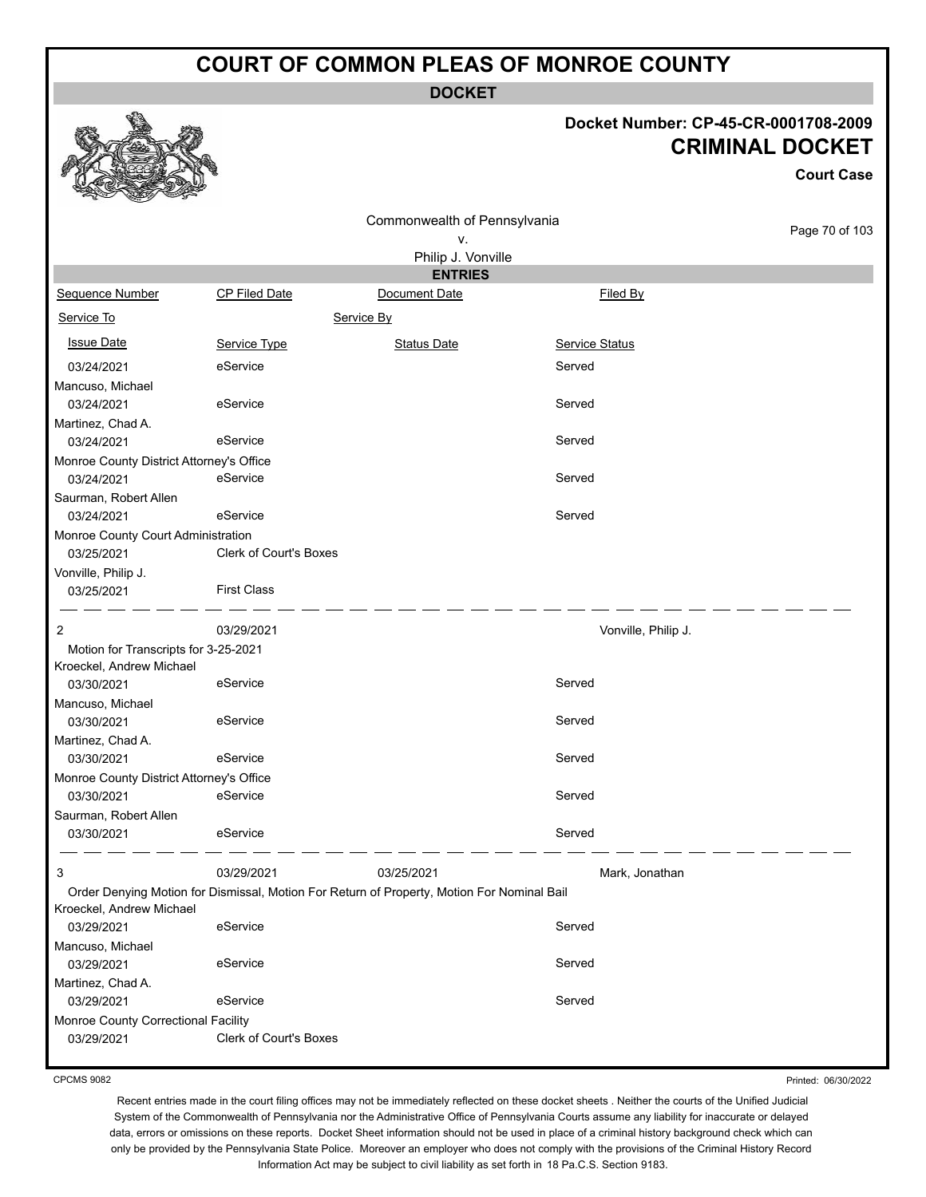**DOCKET**

#### **Docket Number: CP-45-CR-0001708-2009 CRIMINAL DOCKET**

**Court Case**

|                                          |                               | Commonwealth of Pennsylvania                                                               |                     |                |
|------------------------------------------|-------------------------------|--------------------------------------------------------------------------------------------|---------------------|----------------|
|                                          |                               | ν.                                                                                         |                     | Page 70 of 103 |
|                                          |                               | Philip J. Vonville                                                                         |                     |                |
|                                          |                               | <b>ENTRIES</b>                                                                             |                     |                |
| Sequence Number                          | CP Filed Date                 | Document Date                                                                              | Filed By            |                |
| Service To                               |                               | Service By                                                                                 |                     |                |
| <b>Issue Date</b>                        | Service Type                  | <b>Status Date</b>                                                                         | Service Status      |                |
| 03/24/2021                               | eService                      |                                                                                            | Served              |                |
| Mancuso, Michael                         |                               |                                                                                            |                     |                |
| 03/24/2021                               | eService                      |                                                                                            | Served              |                |
| Martinez, Chad A.                        |                               |                                                                                            |                     |                |
| 03/24/2021                               | eService                      |                                                                                            | Served              |                |
| Monroe County District Attorney's Office |                               |                                                                                            |                     |                |
| 03/24/2021                               | eService                      |                                                                                            | Served              |                |
| Saurman, Robert Allen<br>03/24/2021      | eService                      |                                                                                            | Served              |                |
| Monroe County Court Administration       |                               |                                                                                            |                     |                |
| 03/25/2021                               | <b>Clerk of Court's Boxes</b> |                                                                                            |                     |                |
| Vonville, Philip J.                      |                               |                                                                                            |                     |                |
| 03/25/2021                               | <b>First Class</b>            |                                                                                            |                     |                |
|                                          |                               |                                                                                            |                     |                |
| 2                                        | 03/29/2021                    |                                                                                            | Vonville, Philip J. |                |
| Motion for Transcripts for 3-25-2021     |                               |                                                                                            |                     |                |
| Kroeckel, Andrew Michael                 | eService                      |                                                                                            | Served              |                |
| 03/30/2021                               |                               |                                                                                            |                     |                |
| Mancuso, Michael<br>03/30/2021           | eService                      |                                                                                            | Served              |                |
| Martinez, Chad A.                        |                               |                                                                                            |                     |                |
| 03/30/2021                               | eService                      |                                                                                            | Served              |                |
| Monroe County District Attorney's Office |                               |                                                                                            |                     |                |
| 03/30/2021                               | eService                      |                                                                                            | Served              |                |
| Saurman, Robert Allen                    |                               |                                                                                            |                     |                |
| 03/30/2021                               | eService                      |                                                                                            | Served              |                |
|                                          |                               |                                                                                            |                     |                |
| 3                                        | 03/29/2021                    | 03/25/2021                                                                                 | Mark, Jonathan      |                |
|                                          |                               | Order Denying Motion for Dismissal, Motion For Return of Property, Motion For Nominal Bail |                     |                |
| Kroeckel, Andrew Michael                 |                               |                                                                                            |                     |                |
| 03/29/2021                               | eService                      |                                                                                            | Served              |                |
| Mancuso, Michael                         |                               |                                                                                            |                     |                |
| 03/29/2021                               | eService                      |                                                                                            | Served              |                |
| Martinez, Chad A.                        |                               |                                                                                            |                     |                |
| 03/29/2021                               | eService                      |                                                                                            | Served              |                |
| Monroe County Correctional Facility      |                               |                                                                                            |                     |                |
| 03/29/2021                               | Clerk of Court's Boxes        |                                                                                            |                     |                |
|                                          |                               |                                                                                            |                     |                |

CPCMS 9082

Printed: 06/30/2022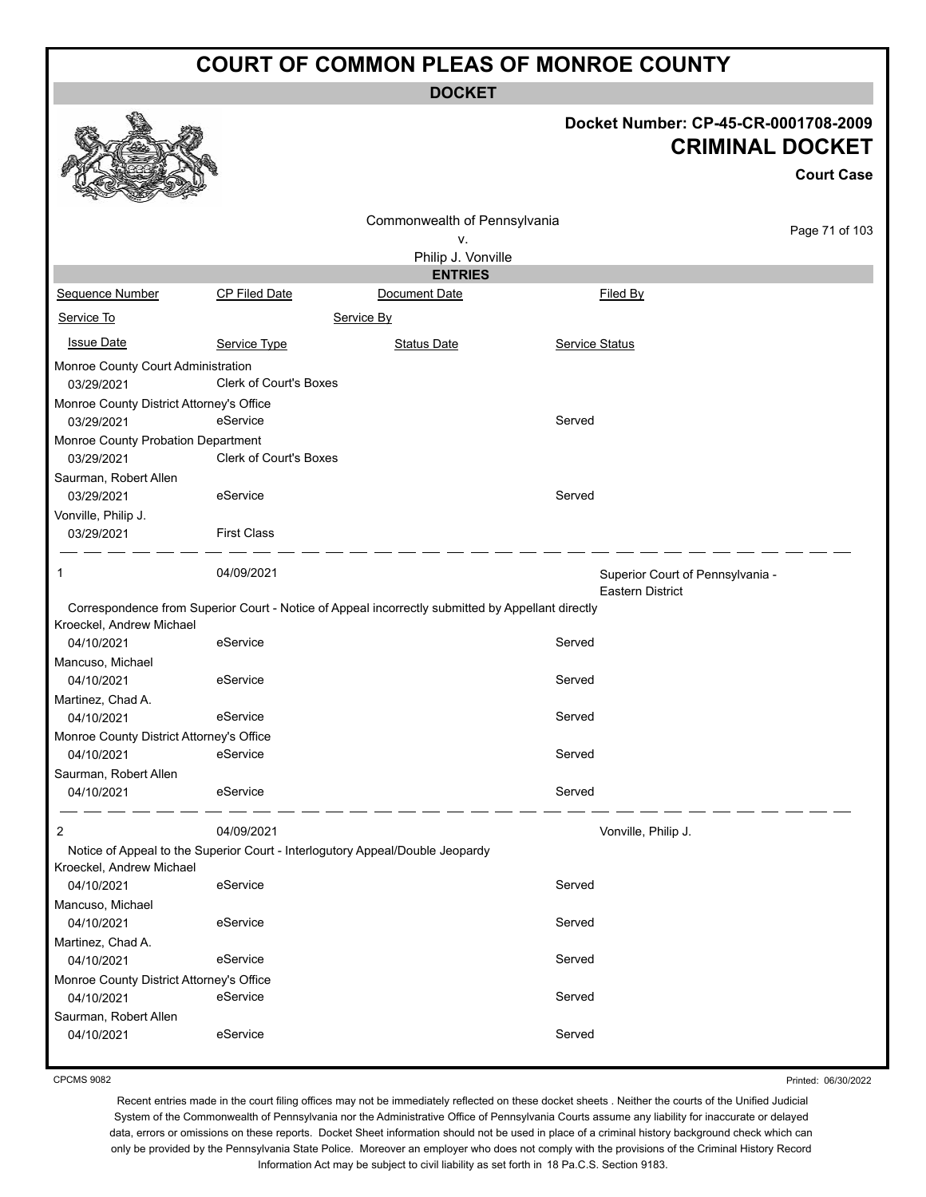**DOCKET**

#### **Docket Number: CP-45-CR-0001708-2009 CRIMINAL DOCKET**

|                                                        |                               |                                                                                                   |                       | <b>Court Case</b>                                    |
|--------------------------------------------------------|-------------------------------|---------------------------------------------------------------------------------------------------|-----------------------|------------------------------------------------------|
|                                                        |                               | Commonwealth of Pennsylvania                                                                      |                       |                                                      |
|                                                        |                               | ٧.                                                                                                |                       | Page 71 of 103                                       |
|                                                        |                               | Philip J. Vonville                                                                                |                       |                                                      |
|                                                        |                               | <b>ENTRIES</b>                                                                                    |                       |                                                      |
| Sequence Number                                        | CP Filed Date                 | Document Date                                                                                     | Filed By              |                                                      |
| Service To                                             |                               | Service By                                                                                        |                       |                                                      |
| <b>Issue Date</b>                                      | Service Type                  | <b>Status Date</b>                                                                                | <b>Service Status</b> |                                                      |
| Monroe County Court Administration<br>03/29/2021       | <b>Clerk of Court's Boxes</b> |                                                                                                   |                       |                                                      |
| Monroe County District Attorney's Office<br>03/29/2021 | eService                      |                                                                                                   | Served                |                                                      |
| Monroe County Probation Department<br>03/29/2021       | <b>Clerk of Court's Boxes</b> |                                                                                                   |                       |                                                      |
| Saurman, Robert Allen<br>03/29/2021                    | eService                      |                                                                                                   | Served                |                                                      |
| Vonville, Philip J.<br>03/29/2021                      | <b>First Class</b>            |                                                                                                   |                       |                                                      |
| 1                                                      | 04/09/2021                    |                                                                                                   |                       | Superior Court of Pennsylvania -<br>Eastern District |
|                                                        |                               | Correspondence from Superior Court - Notice of Appeal incorrectly submitted by Appellant directly |                       |                                                      |
| Kroeckel, Andrew Michael<br>04/10/2021                 | eService                      |                                                                                                   | Served                |                                                      |
| Mancuso, Michael                                       |                               |                                                                                                   |                       |                                                      |
| 04/10/2021                                             | eService                      |                                                                                                   | Served                |                                                      |
| Martinez, Chad A.                                      |                               |                                                                                                   |                       |                                                      |
| 04/10/2021                                             | eService                      |                                                                                                   | Served                |                                                      |
| Monroe County District Attorney's Office               |                               |                                                                                                   |                       |                                                      |
| 04/10/2021                                             | eService                      |                                                                                                   | Served                |                                                      |
| Saurman, Robert Allen<br>04/10/2021                    | eService                      |                                                                                                   | Served                |                                                      |
|                                                        |                               |                                                                                                   |                       |                                                      |
| 2                                                      | 04/09/2021                    |                                                                                                   |                       | Vonville, Philip J.                                  |
| Kroeckel, Andrew Michael                               |                               | Notice of Appeal to the Superior Court - Interlogutory Appeal/Double Jeopardy                     |                       |                                                      |
| 04/10/2021                                             | eService                      |                                                                                                   | Served                |                                                      |
| Mancuso, Michael                                       |                               |                                                                                                   |                       |                                                      |
| 04/10/2021                                             | eService                      |                                                                                                   | Served                |                                                      |
| Martinez, Chad A.                                      |                               |                                                                                                   |                       |                                                      |
| 04/10/2021                                             | eService                      |                                                                                                   | Served                |                                                      |
| Monroe County District Attorney's Office               |                               |                                                                                                   |                       |                                                      |
| 04/10/2021                                             | eService                      |                                                                                                   | Served                |                                                      |
| Saurman, Robert Allen                                  |                               |                                                                                                   |                       |                                                      |
| 04/10/2021                                             | eService                      |                                                                                                   | Served                |                                                      |

CPCMS 9082

Printed: 06/30/2022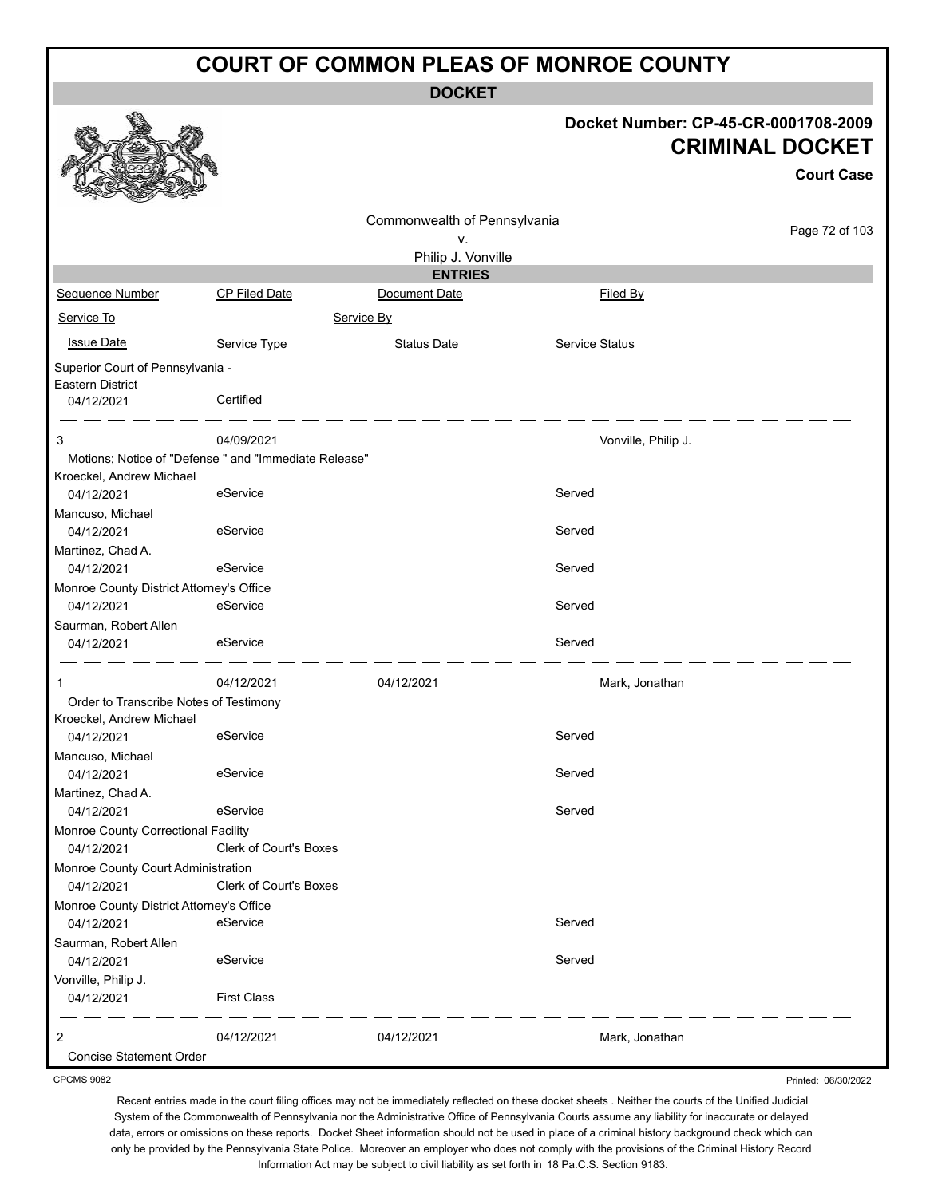**DOCKET**

| Docket Number: CP-45-CR-0001708-2009<br><b>CRIMINAL DOCKET</b><br>Commonwealth of Pennsylvania<br>Page 72 of 103<br>v.<br>Philip J. Vonville<br><b>ENTRIES</b><br>Sequence Number<br>CP Filed Date<br>Document Date<br>Filed By<br>Service To<br>Service By<br><b>Issue Date</b><br>Service Type<br>Service Status<br><b>Status Date</b><br>Superior Court of Pennsylvania -<br>Certified<br>04/12/2021<br>04/09/2021<br>Vonville, Philip J.<br>Motions; Notice of "Defense " and "Immediate Release"<br>Kroeckel, Andrew Michael<br>eService<br>Served<br>04/12/2021<br>eService<br>Served<br>04/12/2021<br>Served<br>04/12/2021<br>eService<br>Monroe County District Attorney's Office<br>eService<br>04/12/2021<br>Served<br>Saurman, Robert Allen<br>eService<br>Served<br>04/12/2021<br>04/12/2021<br>04/12/2021<br>Mark, Jonathan<br>Order to Transcribe Notes of Testimony<br>eService<br>Served<br>04/12/2021<br>04/12/2021<br>eService<br>Served<br>eService<br>Served<br>04/12/2021<br>Monroe County Correctional Facility<br>Clerk of Court's Boxes<br>04/12/2021<br>Monroe County Court Administration<br>Clerk of Court's Boxes<br>04/12/2021<br>Monroe County District Attorney's Office<br>eService<br>Served<br>04/12/2021<br>eService<br>Served<br>04/12/2021<br><b>First Class</b><br>04/12/2021<br>04/12/2021<br>04/12/2021<br>Mark, Jonathan |                          | <b>DUUNEI</b> |                   |
|-------------------------------------------------------------------------------------------------------------------------------------------------------------------------------------------------------------------------------------------------------------------------------------------------------------------------------------------------------------------------------------------------------------------------------------------------------------------------------------------------------------------------------------------------------------------------------------------------------------------------------------------------------------------------------------------------------------------------------------------------------------------------------------------------------------------------------------------------------------------------------------------------------------------------------------------------------------------------------------------------------------------------------------------------------------------------------------------------------------------------------------------------------------------------------------------------------------------------------------------------------------------------------------------------------------------------------------------------------------------|--------------------------|---------------|-------------------|
|                                                                                                                                                                                                                                                                                                                                                                                                                                                                                                                                                                                                                                                                                                                                                                                                                                                                                                                                                                                                                                                                                                                                                                                                                                                                                                                                                                   |                          |               | <b>Court Case</b> |
|                                                                                                                                                                                                                                                                                                                                                                                                                                                                                                                                                                                                                                                                                                                                                                                                                                                                                                                                                                                                                                                                                                                                                                                                                                                                                                                                                                   |                          |               |                   |
|                                                                                                                                                                                                                                                                                                                                                                                                                                                                                                                                                                                                                                                                                                                                                                                                                                                                                                                                                                                                                                                                                                                                                                                                                                                                                                                                                                   |                          |               |                   |
|                                                                                                                                                                                                                                                                                                                                                                                                                                                                                                                                                                                                                                                                                                                                                                                                                                                                                                                                                                                                                                                                                                                                                                                                                                                                                                                                                                   |                          |               |                   |
|                                                                                                                                                                                                                                                                                                                                                                                                                                                                                                                                                                                                                                                                                                                                                                                                                                                                                                                                                                                                                                                                                                                                                                                                                                                                                                                                                                   |                          |               |                   |
|                                                                                                                                                                                                                                                                                                                                                                                                                                                                                                                                                                                                                                                                                                                                                                                                                                                                                                                                                                                                                                                                                                                                                                                                                                                                                                                                                                   |                          |               |                   |
|                                                                                                                                                                                                                                                                                                                                                                                                                                                                                                                                                                                                                                                                                                                                                                                                                                                                                                                                                                                                                                                                                                                                                                                                                                                                                                                                                                   |                          |               |                   |
|                                                                                                                                                                                                                                                                                                                                                                                                                                                                                                                                                                                                                                                                                                                                                                                                                                                                                                                                                                                                                                                                                                                                                                                                                                                                                                                                                                   |                          |               |                   |
|                                                                                                                                                                                                                                                                                                                                                                                                                                                                                                                                                                                                                                                                                                                                                                                                                                                                                                                                                                                                                                                                                                                                                                                                                                                                                                                                                                   | Eastern District         |               |                   |
|                                                                                                                                                                                                                                                                                                                                                                                                                                                                                                                                                                                                                                                                                                                                                                                                                                                                                                                                                                                                                                                                                                                                                                                                                                                                                                                                                                   |                          |               |                   |
|                                                                                                                                                                                                                                                                                                                                                                                                                                                                                                                                                                                                                                                                                                                                                                                                                                                                                                                                                                                                                                                                                                                                                                                                                                                                                                                                                                   | 3                        |               |                   |
|                                                                                                                                                                                                                                                                                                                                                                                                                                                                                                                                                                                                                                                                                                                                                                                                                                                                                                                                                                                                                                                                                                                                                                                                                                                                                                                                                                   |                          |               |                   |
|                                                                                                                                                                                                                                                                                                                                                                                                                                                                                                                                                                                                                                                                                                                                                                                                                                                                                                                                                                                                                                                                                                                                                                                                                                                                                                                                                                   |                          |               |                   |
|                                                                                                                                                                                                                                                                                                                                                                                                                                                                                                                                                                                                                                                                                                                                                                                                                                                                                                                                                                                                                                                                                                                                                                                                                                                                                                                                                                   | Mancuso, Michael         |               |                   |
|                                                                                                                                                                                                                                                                                                                                                                                                                                                                                                                                                                                                                                                                                                                                                                                                                                                                                                                                                                                                                                                                                                                                                                                                                                                                                                                                                                   |                          |               |                   |
|                                                                                                                                                                                                                                                                                                                                                                                                                                                                                                                                                                                                                                                                                                                                                                                                                                                                                                                                                                                                                                                                                                                                                                                                                                                                                                                                                                   | Martinez, Chad A.        |               |                   |
|                                                                                                                                                                                                                                                                                                                                                                                                                                                                                                                                                                                                                                                                                                                                                                                                                                                                                                                                                                                                                                                                                                                                                                                                                                                                                                                                                                   |                          |               |                   |
|                                                                                                                                                                                                                                                                                                                                                                                                                                                                                                                                                                                                                                                                                                                                                                                                                                                                                                                                                                                                                                                                                                                                                                                                                                                                                                                                                                   |                          |               |                   |
|                                                                                                                                                                                                                                                                                                                                                                                                                                                                                                                                                                                                                                                                                                                                                                                                                                                                                                                                                                                                                                                                                                                                                                                                                                                                                                                                                                   |                          |               |                   |
|                                                                                                                                                                                                                                                                                                                                                                                                                                                                                                                                                                                                                                                                                                                                                                                                                                                                                                                                                                                                                                                                                                                                                                                                                                                                                                                                                                   |                          |               |                   |
|                                                                                                                                                                                                                                                                                                                                                                                                                                                                                                                                                                                                                                                                                                                                                                                                                                                                                                                                                                                                                                                                                                                                                                                                                                                                                                                                                                   | -1                       |               |                   |
|                                                                                                                                                                                                                                                                                                                                                                                                                                                                                                                                                                                                                                                                                                                                                                                                                                                                                                                                                                                                                                                                                                                                                                                                                                                                                                                                                                   | Kroeckel, Andrew Michael |               |                   |
|                                                                                                                                                                                                                                                                                                                                                                                                                                                                                                                                                                                                                                                                                                                                                                                                                                                                                                                                                                                                                                                                                                                                                                                                                                                                                                                                                                   |                          |               |                   |
|                                                                                                                                                                                                                                                                                                                                                                                                                                                                                                                                                                                                                                                                                                                                                                                                                                                                                                                                                                                                                                                                                                                                                                                                                                                                                                                                                                   | Mancuso, Michael         |               |                   |
|                                                                                                                                                                                                                                                                                                                                                                                                                                                                                                                                                                                                                                                                                                                                                                                                                                                                                                                                                                                                                                                                                                                                                                                                                                                                                                                                                                   | Martinez, Chad A.        |               |                   |
|                                                                                                                                                                                                                                                                                                                                                                                                                                                                                                                                                                                                                                                                                                                                                                                                                                                                                                                                                                                                                                                                                                                                                                                                                                                                                                                                                                   |                          |               |                   |
|                                                                                                                                                                                                                                                                                                                                                                                                                                                                                                                                                                                                                                                                                                                                                                                                                                                                                                                                                                                                                                                                                                                                                                                                                                                                                                                                                                   |                          |               |                   |
|                                                                                                                                                                                                                                                                                                                                                                                                                                                                                                                                                                                                                                                                                                                                                                                                                                                                                                                                                                                                                                                                                                                                                                                                                                                                                                                                                                   |                          |               |                   |
|                                                                                                                                                                                                                                                                                                                                                                                                                                                                                                                                                                                                                                                                                                                                                                                                                                                                                                                                                                                                                                                                                                                                                                                                                                                                                                                                                                   |                          |               |                   |
|                                                                                                                                                                                                                                                                                                                                                                                                                                                                                                                                                                                                                                                                                                                                                                                                                                                                                                                                                                                                                                                                                                                                                                                                                                                                                                                                                                   | Saurman, Robert Allen    |               |                   |
|                                                                                                                                                                                                                                                                                                                                                                                                                                                                                                                                                                                                                                                                                                                                                                                                                                                                                                                                                                                                                                                                                                                                                                                                                                                                                                                                                                   |                          |               |                   |
|                                                                                                                                                                                                                                                                                                                                                                                                                                                                                                                                                                                                                                                                                                                                                                                                                                                                                                                                                                                                                                                                                                                                                                                                                                                                                                                                                                   | Vonville, Philip J.      |               |                   |
|                                                                                                                                                                                                                                                                                                                                                                                                                                                                                                                                                                                                                                                                                                                                                                                                                                                                                                                                                                                                                                                                                                                                                                                                                                                                                                                                                                   |                          |               |                   |
|                                                                                                                                                                                                                                                                                                                                                                                                                                                                                                                                                                                                                                                                                                                                                                                                                                                                                                                                                                                                                                                                                                                                                                                                                                                                                                                                                                   | 2                        |               |                   |
|                                                                                                                                                                                                                                                                                                                                                                                                                                                                                                                                                                                                                                                                                                                                                                                                                                                                                                                                                                                                                                                                                                                                                                                                                                                                                                                                                                   | Concise Statement Order  |               |                   |

CPCMS 9082

Recent entries made in the court filing offices may not be immediately reflected on these docket sheets . Neither the courts of the Unified Judicial System of the Commonwealth of Pennsylvania nor the Administrative Office of Pennsylvania Courts assume any liability for inaccurate or delayed data, errors or omissions on these reports. Docket Sheet information should not be used in place of a criminal history background check which can only be provided by the Pennsylvania State Police. Moreover an employer who does not comply with the provisions of the Criminal History Record Information Act may be subject to civil liability as set forth in 18 Pa.C.S. Section 9183.

Printed: 06/30/2022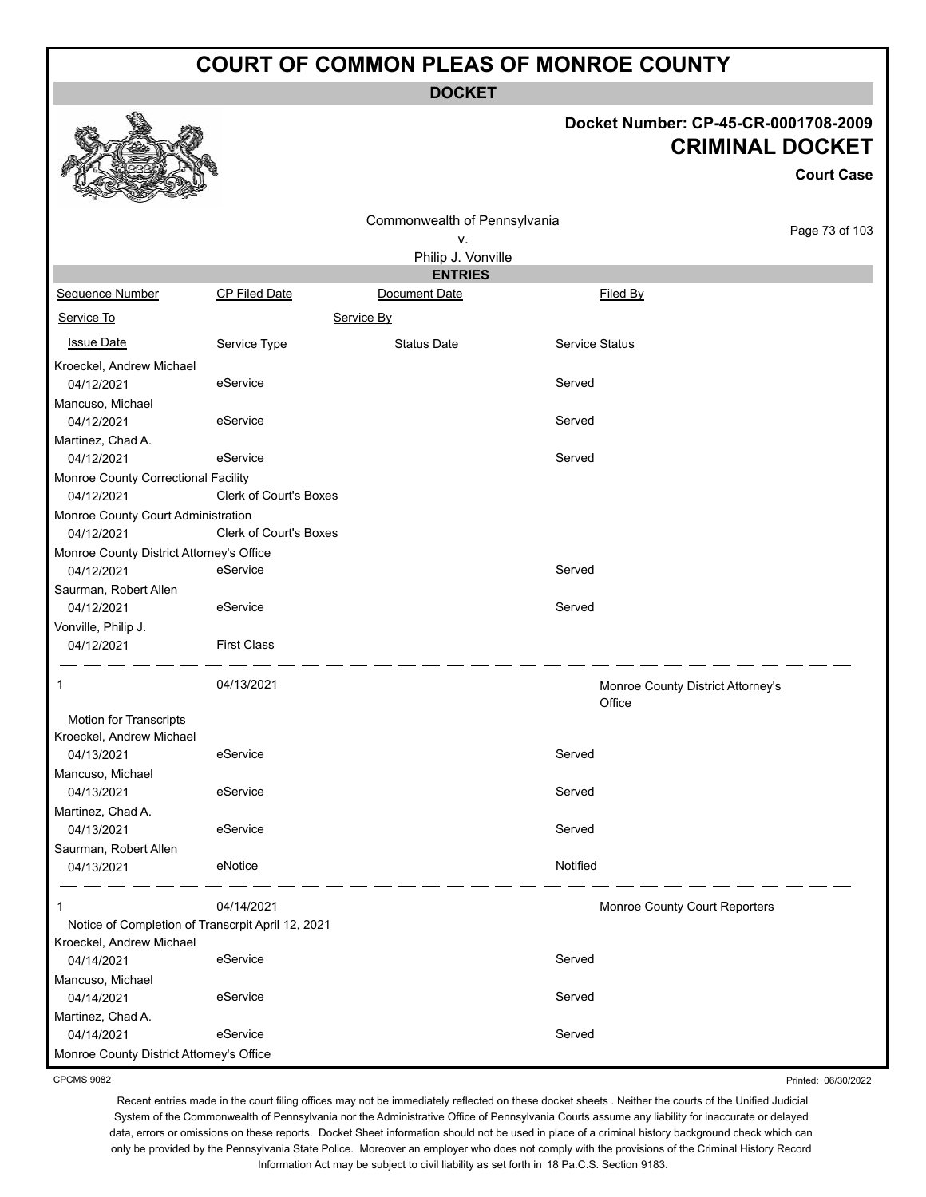**DOCKET**

#### **Docket Number: CP-45-CR-0001708-2009 CRIMINAL DOCKET**

|                                                                               |                        |                                    |                                             | <b>Court Case</b> |
|-------------------------------------------------------------------------------|------------------------|------------------------------------|---------------------------------------------|-------------------|
|                                                                               |                        | Commonwealth of Pennsylvania<br>٧. |                                             | Page 73 of 103    |
|                                                                               |                        | Philip J. Vonville                 |                                             |                   |
|                                                                               |                        | <b>ENTRIES</b>                     |                                             |                   |
| Sequence Number                                                               | CP Filed Date          | Document Date                      | Filed By                                    |                   |
| Service To                                                                    |                        | Service By                         |                                             |                   |
| <b>Issue Date</b>                                                             | Service Type           | <b>Status Date</b>                 | <b>Service Status</b>                       |                   |
| Kroeckel, Andrew Michael                                                      |                        |                                    |                                             |                   |
| 04/12/2021                                                                    | eService               |                                    | Served                                      |                   |
| Mancuso, Michael                                                              |                        |                                    |                                             |                   |
| 04/12/2021                                                                    | eService               |                                    | Served                                      |                   |
| Martinez, Chad A.                                                             |                        |                                    |                                             |                   |
| 04/12/2021                                                                    | eService               |                                    | Served                                      |                   |
| Monroe County Correctional Facility                                           |                        |                                    |                                             |                   |
| 04/12/2021                                                                    | Clerk of Court's Boxes |                                    |                                             |                   |
| Monroe County Court Administration                                            |                        |                                    |                                             |                   |
| 04/12/2021                                                                    | Clerk of Court's Boxes |                                    |                                             |                   |
| Monroe County District Attorney's Office                                      |                        |                                    |                                             |                   |
| 04/12/2021                                                                    | eService               |                                    | Served                                      |                   |
| Saurman, Robert Allen                                                         |                        |                                    |                                             |                   |
| 04/12/2021                                                                    | eService               |                                    | Served                                      |                   |
| Vonville, Philip J.                                                           |                        |                                    |                                             |                   |
| 04/12/2021                                                                    | <b>First Class</b>     |                                    |                                             |                   |
| 1                                                                             | 04/13/2021             |                                    | Monroe County District Attorney's<br>Office |                   |
| <b>Motion for Transcripts</b>                                                 |                        |                                    |                                             |                   |
| Kroeckel, Andrew Michael                                                      |                        |                                    |                                             |                   |
| 04/13/2021                                                                    | eService               |                                    | Served                                      |                   |
| Mancuso, Michael                                                              |                        |                                    |                                             |                   |
| 04/13/2021                                                                    | eService               |                                    | Served                                      |                   |
| Martinez, Chad A.                                                             |                        |                                    |                                             |                   |
| 04/13/2021                                                                    | eService               |                                    | Served                                      |                   |
| Saurman, Robert Allen                                                         |                        |                                    |                                             |                   |
| 04/13/2021                                                                    | eNotice                |                                    | Notified                                    |                   |
| $\mathbf{1}$                                                                  | 04/14/2021             |                                    | Monroe County Court Reporters               |                   |
| Notice of Completion of Transcrpit April 12, 2021<br>Kroeckel, Andrew Michael |                        |                                    |                                             |                   |
| 04/14/2021                                                                    | eService               |                                    | Served                                      |                   |
| Mancuso, Michael                                                              |                        |                                    |                                             |                   |
| 04/14/2021                                                                    | eService               |                                    | Served                                      |                   |
| Martinez, Chad A.                                                             |                        |                                    |                                             |                   |
| 04/14/2021                                                                    | eService               |                                    | Served                                      |                   |
| Monroe County District Attorney's Office                                      |                        |                                    |                                             |                   |

CPCMS 9082

Recent entries made in the court filing offices may not be immediately reflected on these docket sheets . Neither the courts of the Unified Judicial System of the Commonwealth of Pennsylvania nor the Administrative Office of Pennsylvania Courts assume any liability for inaccurate or delayed data, errors or omissions on these reports. Docket Sheet information should not be used in place of a criminal history background check which can only be provided by the Pennsylvania State Police. Moreover an employer who does not comply with the provisions of the Criminal History Record Information Act may be subject to civil liability as set forth in 18 Pa.C.S. Section 9183.

Printed: 06/30/2022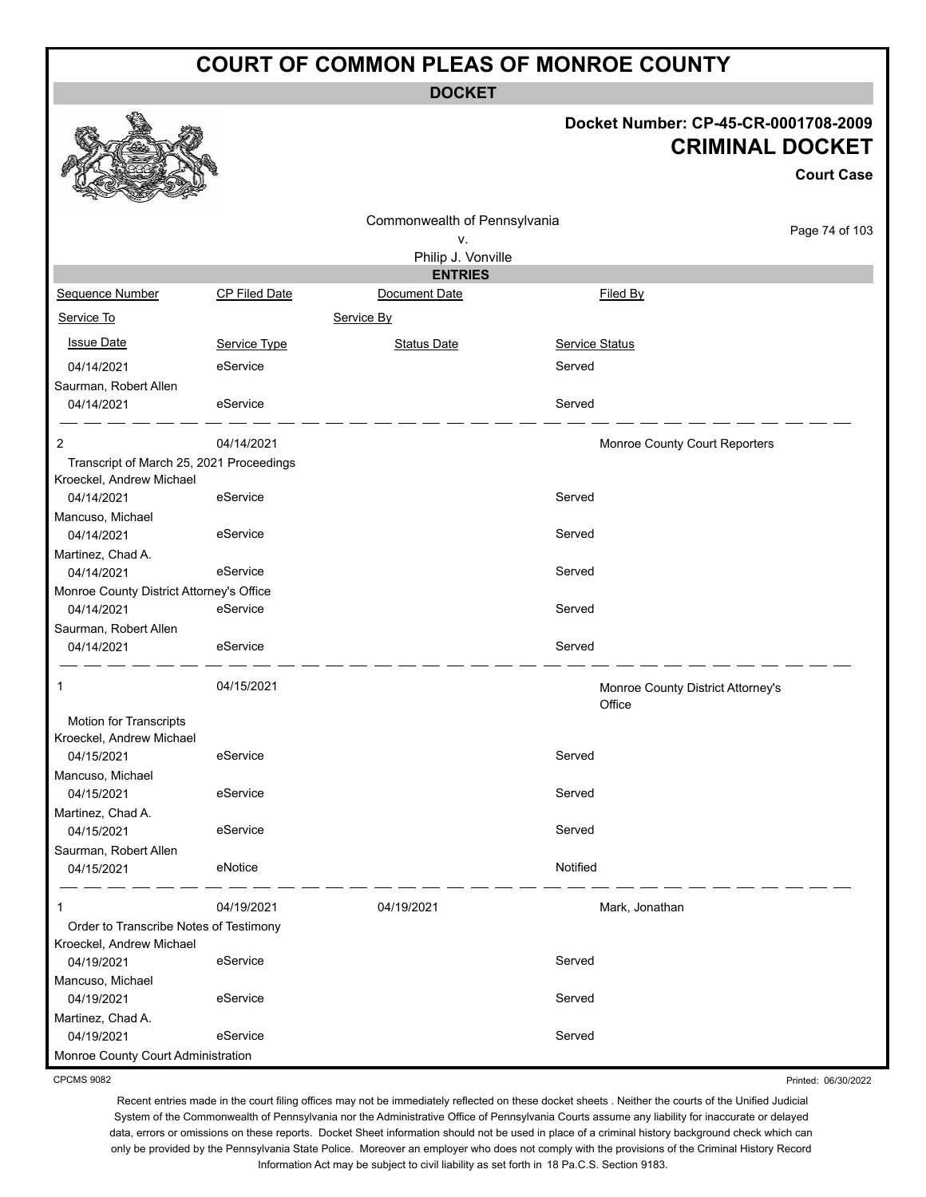**DOCKET**

#### **Docket Number: CP-45-CR-0001708-2009 CRIMINAL DOCKET**

**Court Case**

|                                          |                      | Commonwealth of Pennsylvania |                |                                   |
|------------------------------------------|----------------------|------------------------------|----------------|-----------------------------------|
|                                          |                      | ν.                           |                | Page 74 of 103                    |
|                                          |                      | Philip J. Vonville           |                |                                   |
|                                          |                      | <b>ENTRIES</b>               |                |                                   |
| Sequence Number                          | <b>CP Filed Date</b> | Document Date                | Filed By       |                                   |
| Service To                               |                      | Service By                   |                |                                   |
| <b>Issue Date</b>                        | Service Type         | <b>Status Date</b>           | Service Status |                                   |
| 04/14/2021                               | eService             |                              | Served         |                                   |
| Saurman, Robert Allen                    |                      |                              |                |                                   |
| 04/14/2021                               | eService             |                              | Served         |                                   |
| 2                                        | 04/14/2021           |                              |                | Monroe County Court Reporters     |
| Transcript of March 25, 2021 Proceedings |                      |                              |                |                                   |
| Kroeckel, Andrew Michael                 |                      |                              |                |                                   |
| 04/14/2021                               | eService             |                              | Served         |                                   |
| Mancuso, Michael                         |                      |                              |                |                                   |
| 04/14/2021                               | eService             |                              | Served         |                                   |
| Martinez, Chad A.                        |                      |                              |                |                                   |
| 04/14/2021                               | eService             |                              | Served         |                                   |
| Monroe County District Attorney's Office |                      |                              |                |                                   |
| 04/14/2021                               | eService             |                              | Served         |                                   |
| Saurman, Robert Allen                    |                      |                              |                |                                   |
| 04/14/2021                               | eService             |                              | Served         |                                   |
| 1                                        | 04/15/2021           |                              |                | Monroe County District Attorney's |
|                                          |                      |                              | Office         |                                   |
| Motion for Transcripts                   |                      |                              |                |                                   |
| Kroeckel, Andrew Michael                 |                      |                              |                |                                   |
| 04/15/2021                               | eService             |                              | Served         |                                   |
| Mancuso, Michael<br>04/15/2021           | eService             |                              | Served         |                                   |
| Martinez, Chad A.                        |                      |                              |                |                                   |
| 04/15/2021                               | eService             |                              | Served         |                                   |
| Saurman, Robert Allen                    |                      |                              |                |                                   |
| 04/15/2021                               | eNotice              |                              | Notified       |                                   |
| 1                                        | 04/19/2021           | 04/19/2021                   | Mark, Jonathan |                                   |
| Order to Transcribe Notes of Testimony   |                      |                              |                |                                   |
| Kroeckel, Andrew Michael                 |                      |                              |                |                                   |
| 04/19/2021                               | eService             |                              | Served         |                                   |
| Mancuso, Michael                         |                      |                              |                |                                   |
| 04/19/2021                               | eService             |                              | Served         |                                   |
| Martinez, Chad A.                        |                      |                              |                |                                   |
| 04/19/2021                               | eService             |                              | Served         |                                   |
| Monroe County Court Administration       |                      |                              |                |                                   |

CPCMS 9082

Printed: 06/30/2022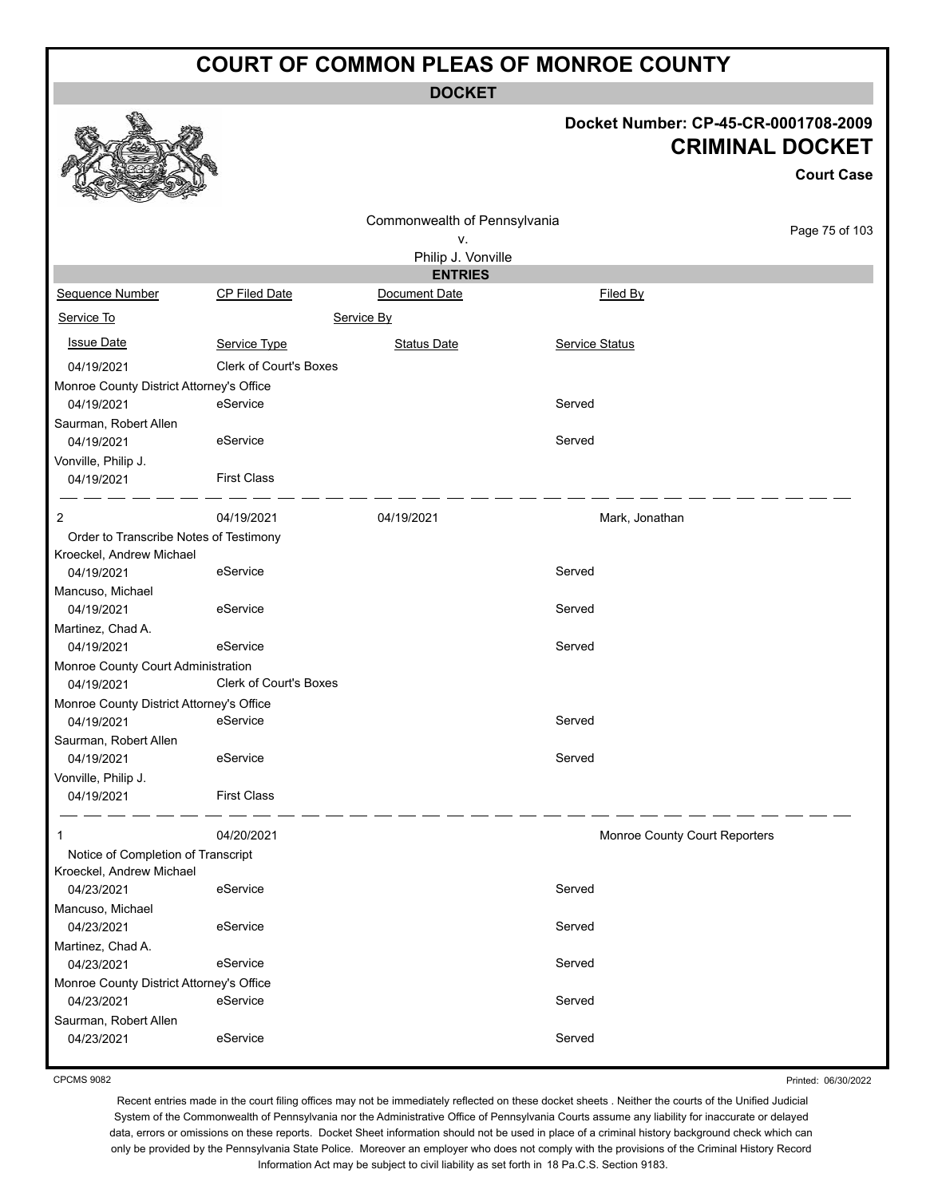**DOCKET**

#### **Docket Number: CP-45-CR-0001708-2009 CRIMINAL DOCKET**

|                                          |                               | UKIMINAL DUUNE I             |                               |                   |  |
|------------------------------------------|-------------------------------|------------------------------|-------------------------------|-------------------|--|
|                                          |                               |                              |                               | <b>Court Case</b> |  |
|                                          |                               | Commonwealth of Pennsylvania |                               |                   |  |
|                                          |                               | ٧.                           |                               | Page 75 of 103    |  |
|                                          |                               | Philip J. Vonville           |                               |                   |  |
|                                          |                               | <b>ENTRIES</b>               |                               |                   |  |
| Sequence Number                          | <b>CP Filed Date</b>          | Document Date                | Filed By                      |                   |  |
| Service To                               |                               | Service By                   |                               |                   |  |
| <b>Issue Date</b>                        | Service Type                  | <b>Status Date</b>           | Service Status                |                   |  |
| 04/19/2021                               | <b>Clerk of Court's Boxes</b> |                              |                               |                   |  |
| Monroe County District Attorney's Office |                               |                              |                               |                   |  |
| 04/19/2021                               | eService                      |                              | Served                        |                   |  |
| Saurman, Robert Allen                    |                               |                              |                               |                   |  |
| 04/19/2021                               | eService                      |                              | Served                        |                   |  |
| Vonville, Philip J.                      |                               |                              |                               |                   |  |
| 04/19/2021                               | <b>First Class</b>            |                              |                               |                   |  |
| 2                                        | 04/19/2021                    | 04/19/2021                   | Mark, Jonathan                |                   |  |
| Order to Transcribe Notes of Testimony   |                               |                              |                               |                   |  |
| Kroeckel, Andrew Michael                 |                               |                              |                               |                   |  |
| 04/19/2021                               | eService                      |                              | Served                        |                   |  |
| Mancuso, Michael                         |                               |                              |                               |                   |  |
| 04/19/2021                               | eService                      |                              | Served                        |                   |  |
| Martinez, Chad A.                        |                               |                              |                               |                   |  |
| 04/19/2021                               | eService                      |                              | Served                        |                   |  |
| Monroe County Court Administration       |                               |                              |                               |                   |  |
| 04/19/2021                               | <b>Clerk of Court's Boxes</b> |                              |                               |                   |  |
| Monroe County District Attorney's Office |                               |                              |                               |                   |  |
| 04/19/2021                               | eService                      |                              | Served                        |                   |  |
| Saurman, Robert Allen                    |                               |                              |                               |                   |  |
| 04/19/2021                               | eService                      |                              | Served                        |                   |  |
| Vonville, Philip J.                      |                               |                              |                               |                   |  |
| 04/19/2021                               | <b>First Class</b>            |                              |                               |                   |  |
| $\mathbf{1}$                             | 04/20/2021                    |                              | Monroe County Court Reporters |                   |  |
| Notice of Completion of Transcript       |                               |                              |                               |                   |  |
| Kroeckel, Andrew Michael                 |                               |                              |                               |                   |  |
| 04/23/2021                               | eService                      |                              | Served                        |                   |  |
| Mancuso, Michael                         |                               |                              |                               |                   |  |
| 04/23/2021                               | eService                      |                              | Served                        |                   |  |
| Martinez, Chad A.                        |                               |                              |                               |                   |  |
| 04/23/2021                               | eService                      |                              | Served                        |                   |  |
| Monroe County District Attorney's Office |                               |                              |                               |                   |  |
| 04/23/2021                               | eService                      |                              | Served                        |                   |  |
| Saurman, Robert Allen                    |                               |                              |                               |                   |  |
| 04/23/2021                               | eService                      |                              | Served                        |                   |  |

CPCMS 9082

**RAA** 

Printed: 06/30/2022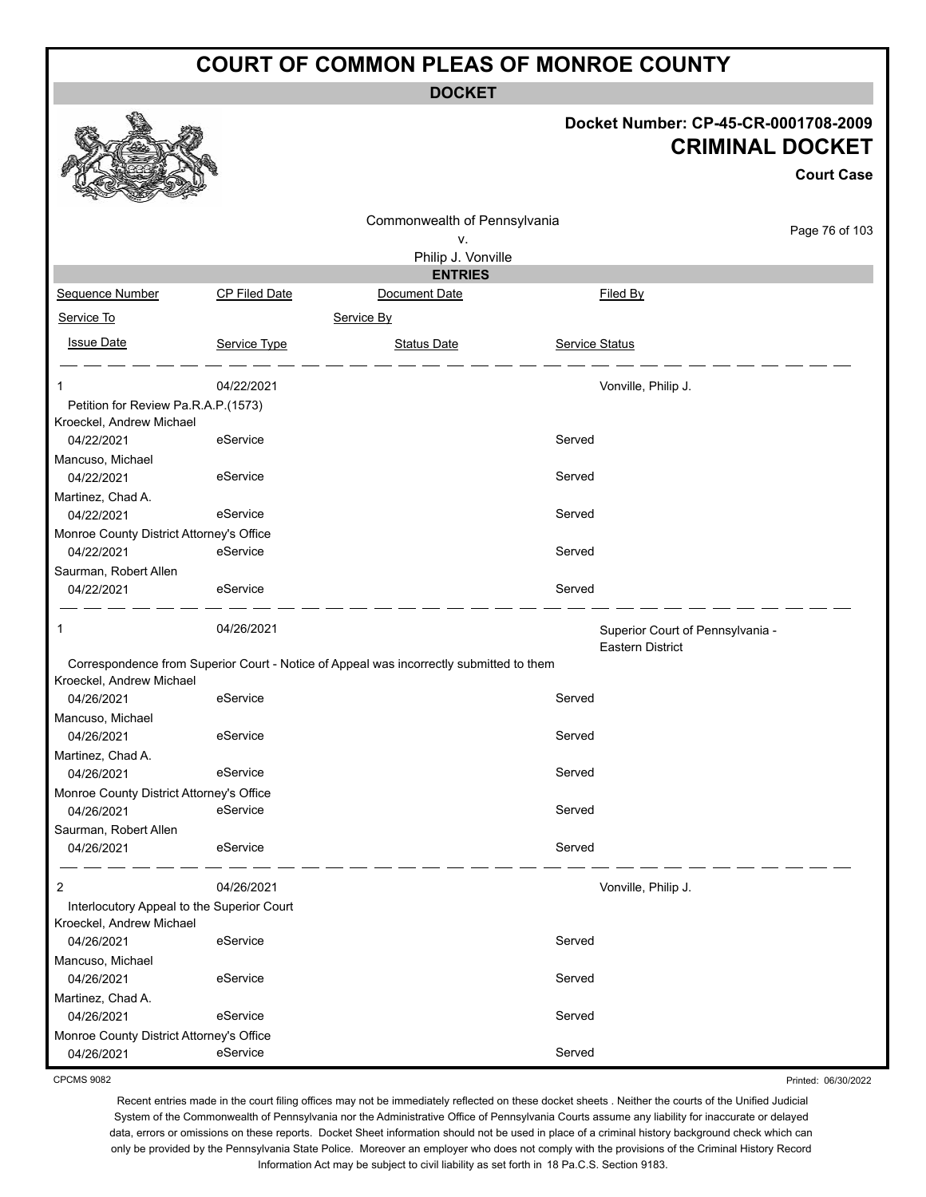**DOCKET**

#### **Docket Number: CP-45-CR-0001708-2009 CRIMINAL DOCKET**

**Court Case**

Printed: 06/30/2022

|                                                                 |                      | Commonwealth of Pennsylvania                                                            |                |                                                             |                |
|-----------------------------------------------------------------|----------------------|-----------------------------------------------------------------------------------------|----------------|-------------------------------------------------------------|----------------|
| ۷.                                                              |                      |                                                                                         |                |                                                             | Page 76 of 103 |
|                                                                 |                      | Philip J. Vonville                                                                      |                |                                                             |                |
|                                                                 |                      | <b>ENTRIES</b>                                                                          |                |                                                             |                |
| Sequence Number                                                 | <b>CP Filed Date</b> | Document Date                                                                           |                | Filed By                                                    |                |
| Service To                                                      |                      | Service By                                                                              |                |                                                             |                |
| <b>Issue Date</b>                                               | Service Type         | <b>Status Date</b>                                                                      | Service Status |                                                             |                |
| 1                                                               | 04/22/2021           |                                                                                         |                | Vonville, Philip J.                                         |                |
| Petition for Review Pa.R.A.P.(1573)<br>Kroeckel, Andrew Michael |                      |                                                                                         |                |                                                             |                |
| 04/22/2021                                                      | eService             |                                                                                         | Served         |                                                             |                |
| Mancuso, Michael                                                |                      |                                                                                         |                |                                                             |                |
| 04/22/2021                                                      | eService             |                                                                                         | Served         |                                                             |                |
| Martinez, Chad A.<br>04/22/2021                                 | eService             |                                                                                         | Served         |                                                             |                |
| Monroe County District Attorney's Office                        |                      |                                                                                         |                |                                                             |                |
| 04/22/2021                                                      | eService             |                                                                                         | Served         |                                                             |                |
| Saurman, Robert Allen                                           |                      |                                                                                         |                |                                                             |                |
| 04/22/2021                                                      | eService             |                                                                                         | Served         |                                                             |                |
| 1                                                               | 04/26/2021           |                                                                                         |                | Superior Court of Pennsylvania -<br><b>Eastern District</b> |                |
| Kroeckel, Andrew Michael                                        |                      | Correspondence from Superior Court - Notice of Appeal was incorrectly submitted to them |                |                                                             |                |
| 04/26/2021                                                      | eService             |                                                                                         | Served         |                                                             |                |
| Mancuso, Michael                                                |                      |                                                                                         |                |                                                             |                |
| 04/26/2021                                                      | eService             |                                                                                         | Served         |                                                             |                |
| Martinez, Chad A.<br>04/26/2021                                 | eService             |                                                                                         | Served         |                                                             |                |
| Monroe County District Attorney's Office                        |                      |                                                                                         |                |                                                             |                |
| 04/26/2021                                                      | eService             |                                                                                         | Served         |                                                             |                |
| Saurman, Robert Allen                                           |                      |                                                                                         |                |                                                             |                |
| 04/26/2021                                                      | eService             |                                                                                         | Served         |                                                             |                |
| $\overline{2}$                                                  | 04/26/2021           |                                                                                         |                | Vonville, Philip J.                                         |                |
| Interlocutory Appeal to the Superior Court                      |                      |                                                                                         |                |                                                             |                |
| Kroeckel, Andrew Michael<br>04/26/2021                          | eService             |                                                                                         | Served         |                                                             |                |
| Mancuso, Michael                                                |                      |                                                                                         |                |                                                             |                |
| 04/26/2021                                                      | eService             |                                                                                         | Served         |                                                             |                |
| Martinez, Chad A.                                               |                      |                                                                                         |                |                                                             |                |
| 04/26/2021                                                      | eService             |                                                                                         | Served         |                                                             |                |
| Monroe County District Attorney's Office                        |                      |                                                                                         |                |                                                             |                |
| 04/26/2021                                                      | eService             |                                                                                         | Served         |                                                             |                |

CPCMS 9082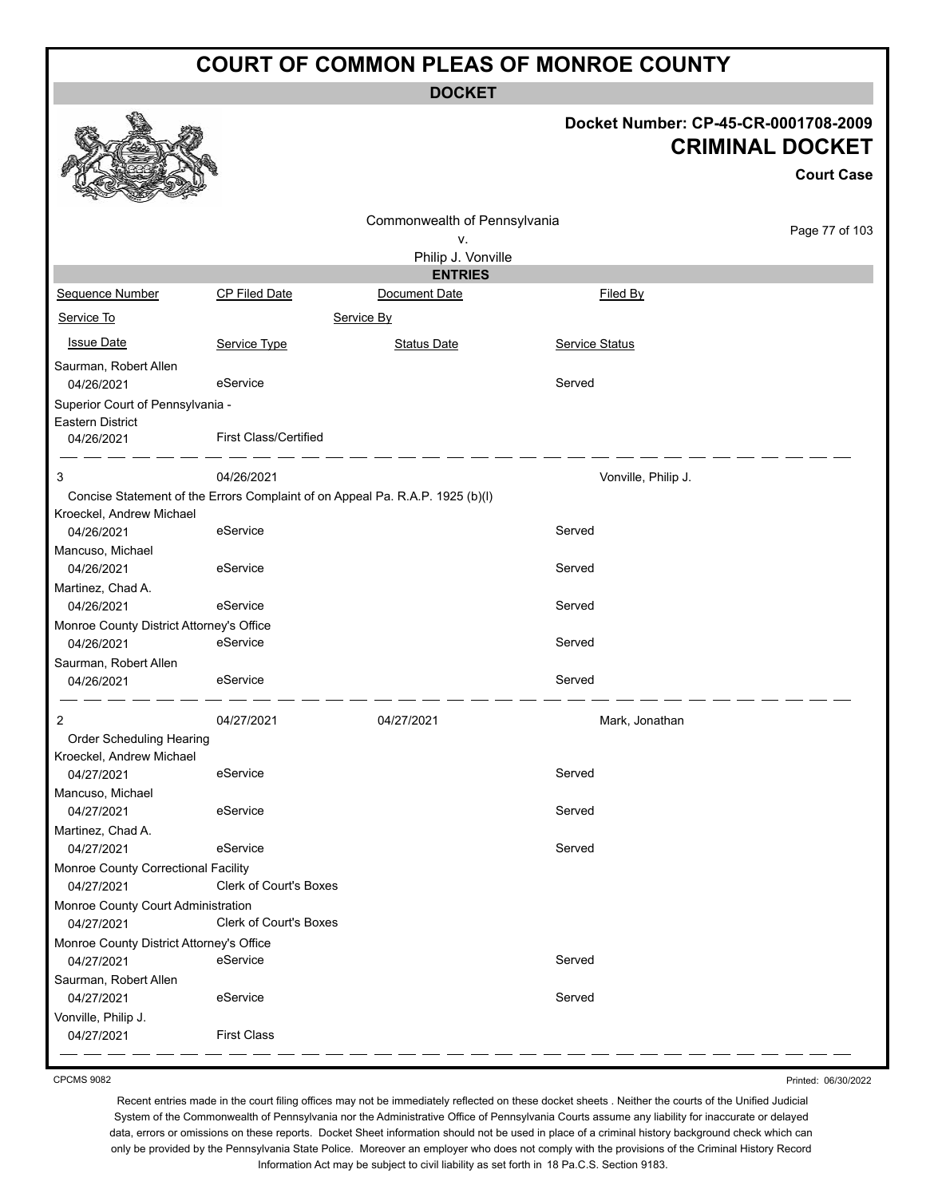**DOCKET**

**Issue Date Service Type** Service Status Date Service Status Date Service Status

04/26/2021 eService Served

|                 |                      | -----                        |                                      |                                             |
|-----------------|----------------------|------------------------------|--------------------------------------|---------------------------------------------|
|                 |                      |                              | Docket Number: CP-45-CR-0001708-2009 | <b>CRIMINAL DOCKET</b><br><b>Court Case</b> |
|                 |                      | Commonwealth of Pennsylvania |                                      |                                             |
|                 |                      | v.                           |                                      | Page 77 of 103                              |
|                 |                      | Philip J. Vonville           |                                      |                                             |
|                 |                      | <b>ENTRIES</b>               |                                      |                                             |
| Sequence Number | <b>CP Filed Date</b> | Document Date                | Filed By                             |                                             |
| Service To      |                      | Service By                   |                                      |                                             |



Saurman, Robert Allen

Eastern District

Superior Court of Pennsylvania -

04/26/2021 First Class/Certified

|                                          | 04/26/2021                    |                                                                               |                     |  |
|------------------------------------------|-------------------------------|-------------------------------------------------------------------------------|---------------------|--|
| 3                                        |                               | Concise Statement of the Errors Complaint of on Appeal Pa. R.A.P. 1925 (b)(l) | Vonville, Philip J. |  |
| Kroeckel, Andrew Michael                 |                               |                                                                               |                     |  |
| 04/26/2021                               | eService                      |                                                                               | Served              |  |
| Mancuso, Michael                         |                               |                                                                               |                     |  |
| 04/26/2021                               | eService                      |                                                                               | Served              |  |
| Martinez, Chad A.                        |                               |                                                                               |                     |  |
| 04/26/2021                               | eService                      |                                                                               | Served              |  |
| Monroe County District Attorney's Office |                               |                                                                               |                     |  |
| 04/26/2021                               | eService                      |                                                                               | Served              |  |
| Saurman, Robert Allen                    |                               |                                                                               |                     |  |
| 04/26/2021                               | eService                      |                                                                               | Served              |  |
| $\overline{2}$                           | 04/27/2021                    | 04/27/2021                                                                    | Mark, Jonathan      |  |
| Order Scheduling Hearing                 |                               |                                                                               |                     |  |
| Kroeckel, Andrew Michael                 |                               |                                                                               |                     |  |
| 04/27/2021                               | eService                      |                                                                               | Served              |  |
| Mancuso, Michael                         |                               |                                                                               |                     |  |
| 04/27/2021                               | eService                      |                                                                               | Served              |  |
| Martinez, Chad A.                        |                               |                                                                               |                     |  |
| 04/27/2021                               | eService                      |                                                                               | Served              |  |
| Monroe County Correctional Facility      |                               |                                                                               |                     |  |
| 04/27/2021                               | Clerk of Court's Boxes        |                                                                               |                     |  |
| Monroe County Court Administration       |                               |                                                                               |                     |  |
| 04/27/2021                               | <b>Clerk of Court's Boxes</b> |                                                                               |                     |  |
| Monroe County District Attorney's Office |                               |                                                                               |                     |  |
| 04/27/2021                               | eService                      |                                                                               | Served              |  |
| Saurman, Robert Allen                    |                               |                                                                               |                     |  |
| 04/27/2021                               | eService                      |                                                                               | Served              |  |
| Vonville, Philip J.                      |                               |                                                                               |                     |  |
| 04/27/2021                               | <b>First Class</b>            |                                                                               |                     |  |

CPCMS 9082

Printed: 06/30/2022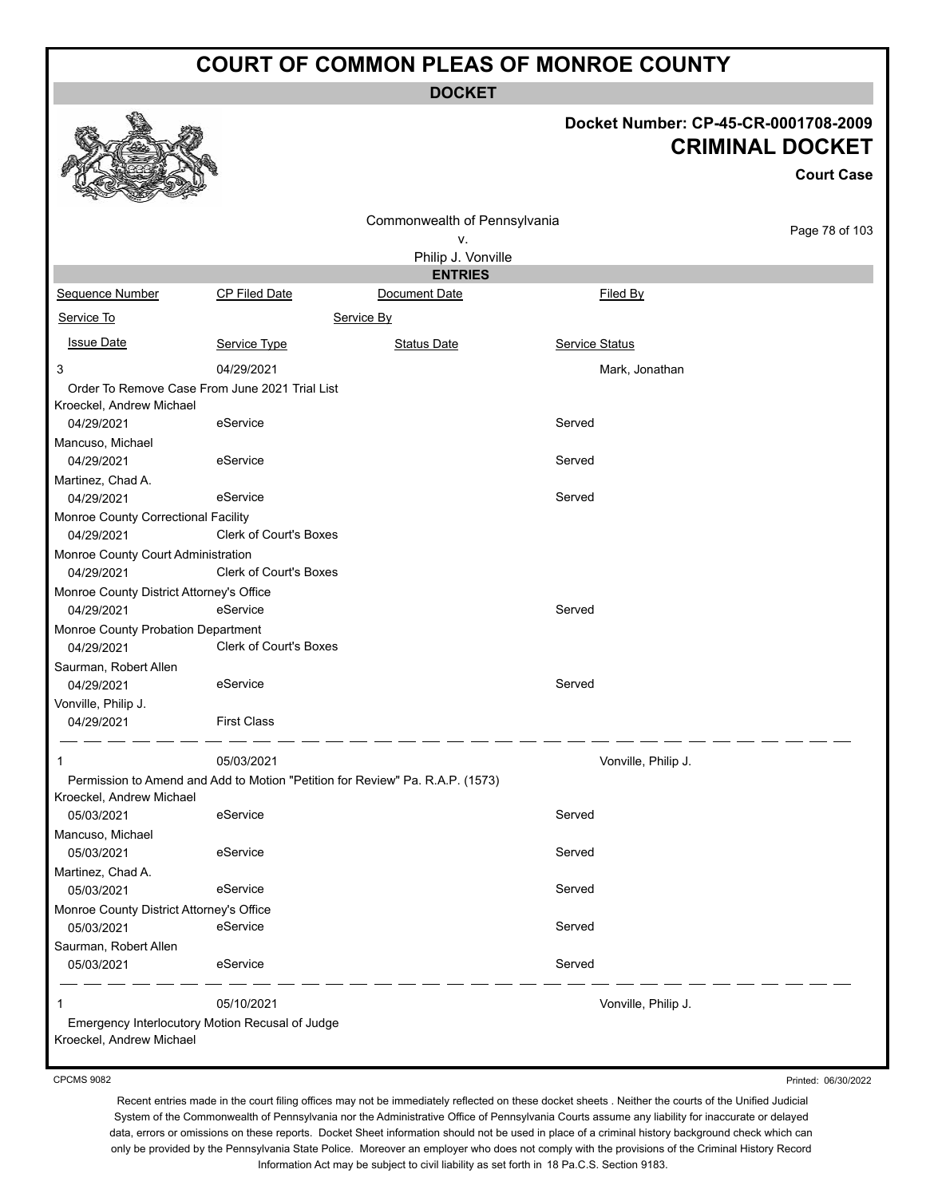**DOCKET**

#### **Docket Number: CP-45-CR-0001708-2009 CRIMINAL DOCKET**

|                                                  |                                                 | UUUIVAL P<br>$\checkmark$                                                     |                       |                   |
|--------------------------------------------------|-------------------------------------------------|-------------------------------------------------------------------------------|-----------------------|-------------------|
|                                                  |                                                 |                                                                               |                       | <b>Court Case</b> |
|                                                  |                                                 | Commonwealth of Pennsylvania                                                  |                       |                   |
|                                                  |                                                 | v.                                                                            |                       | Page 78 of 103    |
|                                                  |                                                 | Philip J. Vonville                                                            |                       |                   |
|                                                  |                                                 | <b>ENTRIES</b>                                                                |                       |                   |
| Sequence Number                                  | CP Filed Date                                   | Document Date                                                                 | Filed By              |                   |
| Service To                                       |                                                 | Service By                                                                    |                       |                   |
| <b>Issue Date</b>                                | Service Type                                    | <b>Status Date</b>                                                            | <b>Service Status</b> |                   |
| 3                                                | 04/29/2021                                      |                                                                               | Mark, Jonathan        |                   |
|                                                  | Order To Remove Case From June 2021 Trial List  |                                                                               |                       |                   |
| Kroeckel, Andrew Michael                         |                                                 |                                                                               |                       |                   |
| 04/29/2021                                       | eService                                        |                                                                               | Served                |                   |
| Mancuso, Michael                                 |                                                 |                                                                               |                       |                   |
| 04/29/2021                                       | eService                                        |                                                                               | Served                |                   |
| Martinez, Chad A.                                |                                                 |                                                                               |                       |                   |
| 04/29/2021                                       | eService                                        |                                                                               | Served                |                   |
| Monroe County Correctional Facility              |                                                 |                                                                               |                       |                   |
| 04/29/2021                                       | Clerk of Court's Boxes                          |                                                                               |                       |                   |
| Monroe County Court Administration               |                                                 |                                                                               |                       |                   |
| 04/29/2021                                       | Clerk of Court's Boxes                          |                                                                               |                       |                   |
| Monroe County District Attorney's Office         |                                                 |                                                                               |                       |                   |
| 04/29/2021                                       | eService                                        |                                                                               | Served                |                   |
| Monroe County Probation Department<br>04/29/2021 | Clerk of Court's Boxes                          |                                                                               |                       |                   |
| Saurman, Robert Allen                            |                                                 |                                                                               |                       |                   |
| 04/29/2021                                       | eService                                        |                                                                               | Served                |                   |
|                                                  |                                                 |                                                                               |                       |                   |
| Vonville, Philip J.<br>04/29/2021                | <b>First Class</b>                              |                                                                               |                       |                   |
|                                                  |                                                 |                                                                               |                       |                   |
| 1                                                | 05/03/2021                                      |                                                                               | Vonville, Philip J.   |                   |
|                                                  |                                                 | Permission to Amend and Add to Motion "Petition for Review" Pa. R.A.P. (1573) |                       |                   |
| Kroeckel, Andrew Michael                         |                                                 |                                                                               |                       |                   |
| 05/03/2021                                       | eService                                        |                                                                               | Served                |                   |
| Mancuso, Michael                                 |                                                 |                                                                               |                       |                   |
| 05/03/2021                                       | eService                                        |                                                                               | Served                |                   |
| Martinez, Chad A.                                |                                                 |                                                                               |                       |                   |
| 05/03/2021                                       | eService                                        |                                                                               | Served                |                   |
| Monroe County District Attorney's Office         |                                                 |                                                                               |                       |                   |
| 05/03/2021                                       | eService                                        |                                                                               | Served                |                   |
| Saurman, Robert Allen                            |                                                 |                                                                               |                       |                   |
| 05/03/2021                                       | eService                                        |                                                                               | Served                |                   |
| 1                                                | 05/10/2021                                      |                                                                               | Vonville, Philip J.   |                   |
| Kroeckel, Andrew Michael                         | Emergency Interlocutory Motion Recusal of Judge |                                                                               |                       |                   |
|                                                  |                                                 |                                                                               |                       |                   |

CPCMS 9082

Printed: 06/30/2022

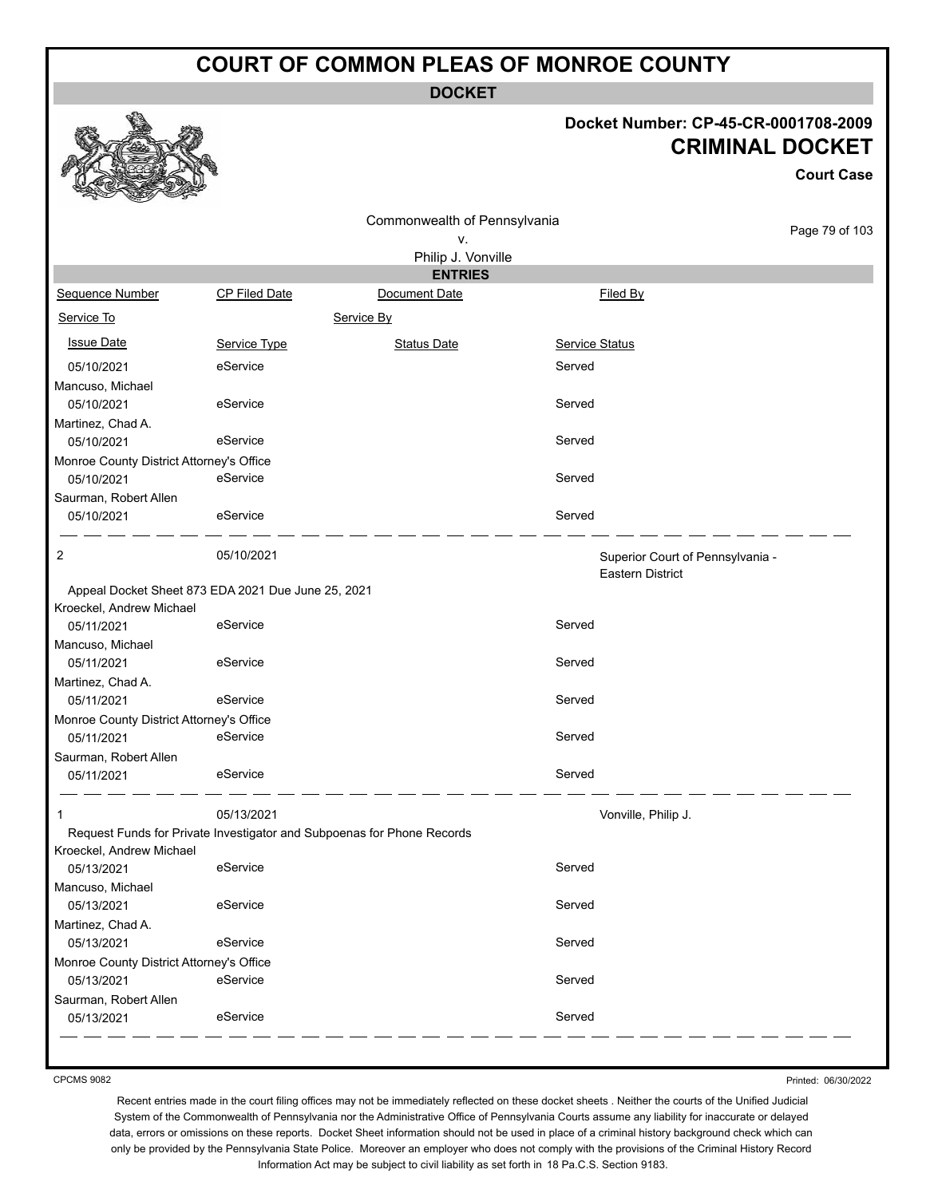**DOCKET**

#### **Docket Number: CP-45-CR-0001708-2009 CRIMINAL DOCKET**

**Court Case**

|                                                    |               | Commonwealth of Pennsylvania                                           |                |                                                             |
|----------------------------------------------------|---------------|------------------------------------------------------------------------|----------------|-------------------------------------------------------------|
|                                                    |               | ٧.                                                                     |                | Page 79 of 103                                              |
|                                                    |               | Philip J. Vonville                                                     |                |                                                             |
|                                                    |               | <b>ENTRIES</b>                                                         |                |                                                             |
| Sequence Number                                    | CP Filed Date | Document Date                                                          | Filed By       |                                                             |
| Service To                                         |               | Service By                                                             |                |                                                             |
| <b>Issue Date</b>                                  | Service Type  | <b>Status Date</b>                                                     | Service Status |                                                             |
| 05/10/2021                                         | eService      |                                                                        | Served         |                                                             |
| Mancuso, Michael                                   |               |                                                                        |                |                                                             |
| 05/10/2021                                         | eService      |                                                                        | Served         |                                                             |
| Martinez, Chad A.                                  |               |                                                                        |                |                                                             |
| 05/10/2021                                         | eService      |                                                                        | Served         |                                                             |
| Monroe County District Attorney's Office           |               |                                                                        |                |                                                             |
| 05/10/2021                                         | eService      |                                                                        | Served         |                                                             |
| Saurman, Robert Allen                              | eService      |                                                                        | Served         |                                                             |
| 05/10/2021                                         |               |                                                                        |                |                                                             |
| 2                                                  | 05/10/2021    |                                                                        |                | Superior Court of Pennsylvania -<br><b>Eastern District</b> |
| Appeal Docket Sheet 873 EDA 2021 Due June 25, 2021 |               |                                                                        |                |                                                             |
| Kroeckel, Andrew Michael                           |               |                                                                        |                |                                                             |
| 05/11/2021                                         | eService      |                                                                        | Served         |                                                             |
| Mancuso, Michael                                   |               |                                                                        |                |                                                             |
| 05/11/2021                                         | eService      |                                                                        | Served         |                                                             |
| Martinez, Chad A.                                  |               |                                                                        |                |                                                             |
| 05/11/2021                                         | eService      |                                                                        | Served         |                                                             |
| Monroe County District Attorney's Office           |               |                                                                        |                |                                                             |
| 05/11/2021                                         | eService      |                                                                        | Served         |                                                             |
| Saurman, Robert Allen                              |               |                                                                        |                |                                                             |
| 05/11/2021                                         | eService      |                                                                        | Served         |                                                             |
| 1                                                  | 05/13/2021    |                                                                        |                | Vonville, Philip J.                                         |
|                                                    |               | Request Funds for Private Investigator and Subpoenas for Phone Records |                |                                                             |
| Kroeckel, Andrew Michael<br>05/13/2021             | eService      |                                                                        | Served         |                                                             |
| Mancuso, Michael<br>05/13/2021                     | eService      |                                                                        | Served         |                                                             |
| Martinez, Chad A.<br>05/13/2021                    | eService      |                                                                        | Served         |                                                             |
| Monroe County District Attorney's Office           |               |                                                                        |                |                                                             |
| 05/13/2021                                         | eService      |                                                                        | Served         |                                                             |
| Saurman, Robert Allen<br>05/13/2021                | eService      |                                                                        | Served         |                                                             |
|                                                    |               |                                                                        |                |                                                             |

CPCMS 9082

Printed: 06/30/2022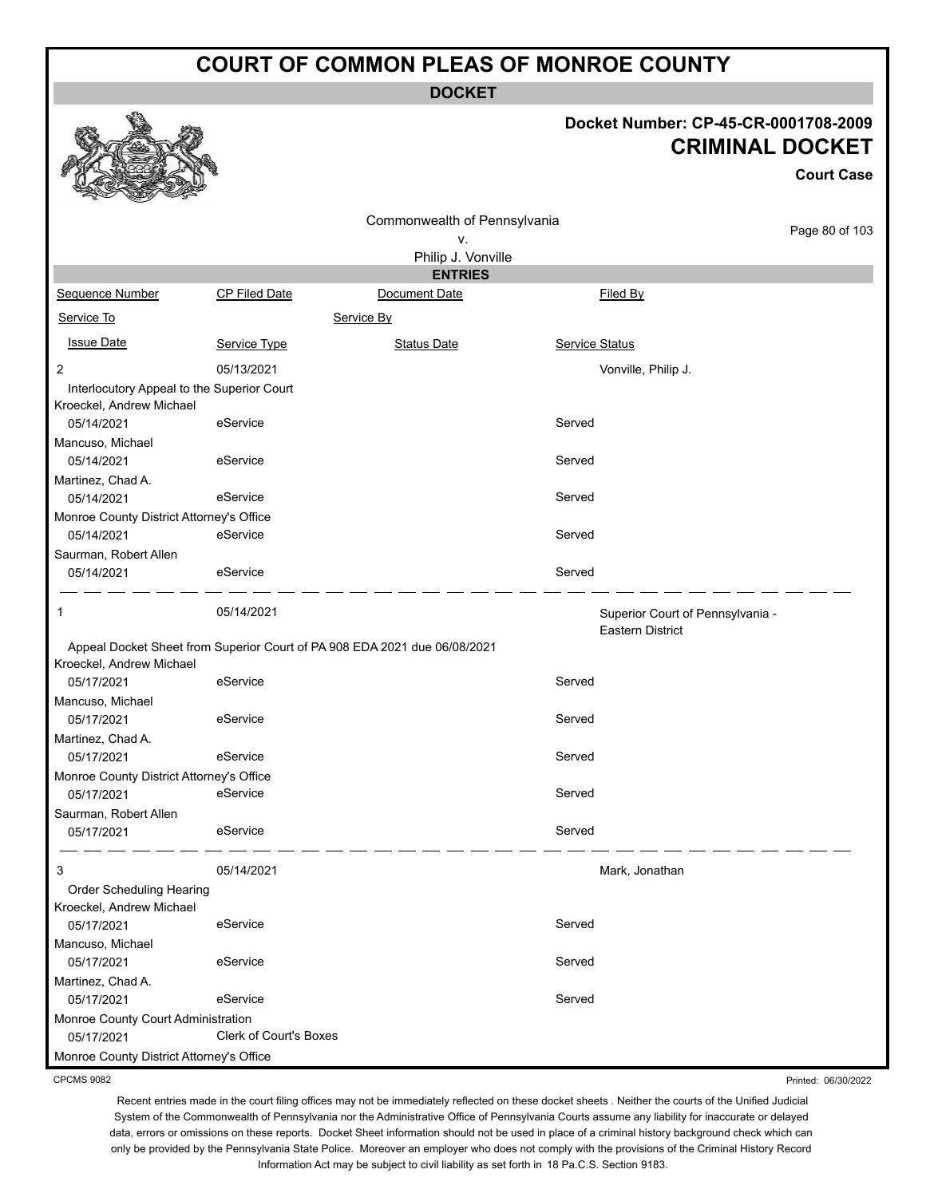**DOCKET**

#### **Docket Number: CP-45-CR-0001708-2009 CRIMINAL DOCKET**

**Court Case**

Printed: 06/30/2022

|                                                                        |                        | Commonwealth of Pennsylvania                                              |                                                             | Page 80 of 103 |
|------------------------------------------------------------------------|------------------------|---------------------------------------------------------------------------|-------------------------------------------------------------|----------------|
|                                                                        |                        | v.                                                                        |                                                             |                |
|                                                                        |                        | Philip J. Vonville<br><b>ENTRIES</b>                                      |                                                             |                |
| Sequence Number                                                        | CP Filed Date          | Document Date                                                             | Filed By                                                    |                |
| Service To                                                             |                        | Service By                                                                |                                                             |                |
|                                                                        |                        |                                                                           |                                                             |                |
| <b>Issue Date</b>                                                      | Service Type           | <b>Status Date</b>                                                        | Service Status                                              |                |
| $\overline{2}$                                                         | 05/13/2021             |                                                                           | Vonville, Philip J.                                         |                |
| Interlocutory Appeal to the Superior Court<br>Kroeckel, Andrew Michael |                        |                                                                           |                                                             |                |
| 05/14/2021                                                             | eService               |                                                                           | Served                                                      |                |
| Mancuso, Michael                                                       |                        |                                                                           |                                                             |                |
| 05/14/2021                                                             | eService               |                                                                           | Served                                                      |                |
| Martinez, Chad A.<br>05/14/2021                                        | eService               |                                                                           | Served                                                      |                |
| Monroe County District Attorney's Office                               |                        |                                                                           |                                                             |                |
| 05/14/2021                                                             | eService               |                                                                           | Served                                                      |                |
| Saurman, Robert Allen<br>05/14/2021                                    | eService               |                                                                           | Served                                                      |                |
| 1                                                                      | 05/14/2021             |                                                                           | Superior Court of Pennsylvania -<br><b>Eastern District</b> |                |
| Kroeckel, Andrew Michael                                               |                        | Appeal Docket Sheet from Superior Court of PA 908 EDA 2021 due 06/08/2021 |                                                             |                |
| 05/17/2021                                                             | eService               |                                                                           | Served                                                      |                |
| Mancuso, Michael                                                       |                        |                                                                           |                                                             |                |
| 05/17/2021                                                             | eService               |                                                                           | Served                                                      |                |
| Martinez, Chad A.<br>05/17/2021                                        | eService               |                                                                           | Served                                                      |                |
| Monroe County District Attorney's Office                               |                        |                                                                           |                                                             |                |
| 05/17/2021                                                             | eService               |                                                                           | Served                                                      |                |
| Saurman, Robert Allen                                                  |                        |                                                                           |                                                             |                |
| 05/17/2021                                                             | eService               |                                                                           | Served                                                      |                |
| 3                                                                      | 05/14/2021             |                                                                           | Mark, Jonathan                                              |                |
| Order Scheduling Hearing                                               |                        |                                                                           |                                                             |                |
| Kroeckel, Andrew Michael<br>05/17/2021                                 | eService               |                                                                           | Served                                                      |                |
| Mancuso, Michael                                                       |                        |                                                                           |                                                             |                |
| 05/17/2021                                                             | eService               |                                                                           | Served                                                      |                |
| Martinez, Chad A.                                                      |                        |                                                                           |                                                             |                |
| 05/17/2021                                                             | eService               |                                                                           | Served                                                      |                |
| Monroe County Court Administration                                     |                        |                                                                           |                                                             |                |
| 05/17/2021                                                             | Clerk of Court's Boxes |                                                                           |                                                             |                |
| Monroe County District Attorney's Office                               |                        |                                                                           |                                                             |                |

CPCMS 9082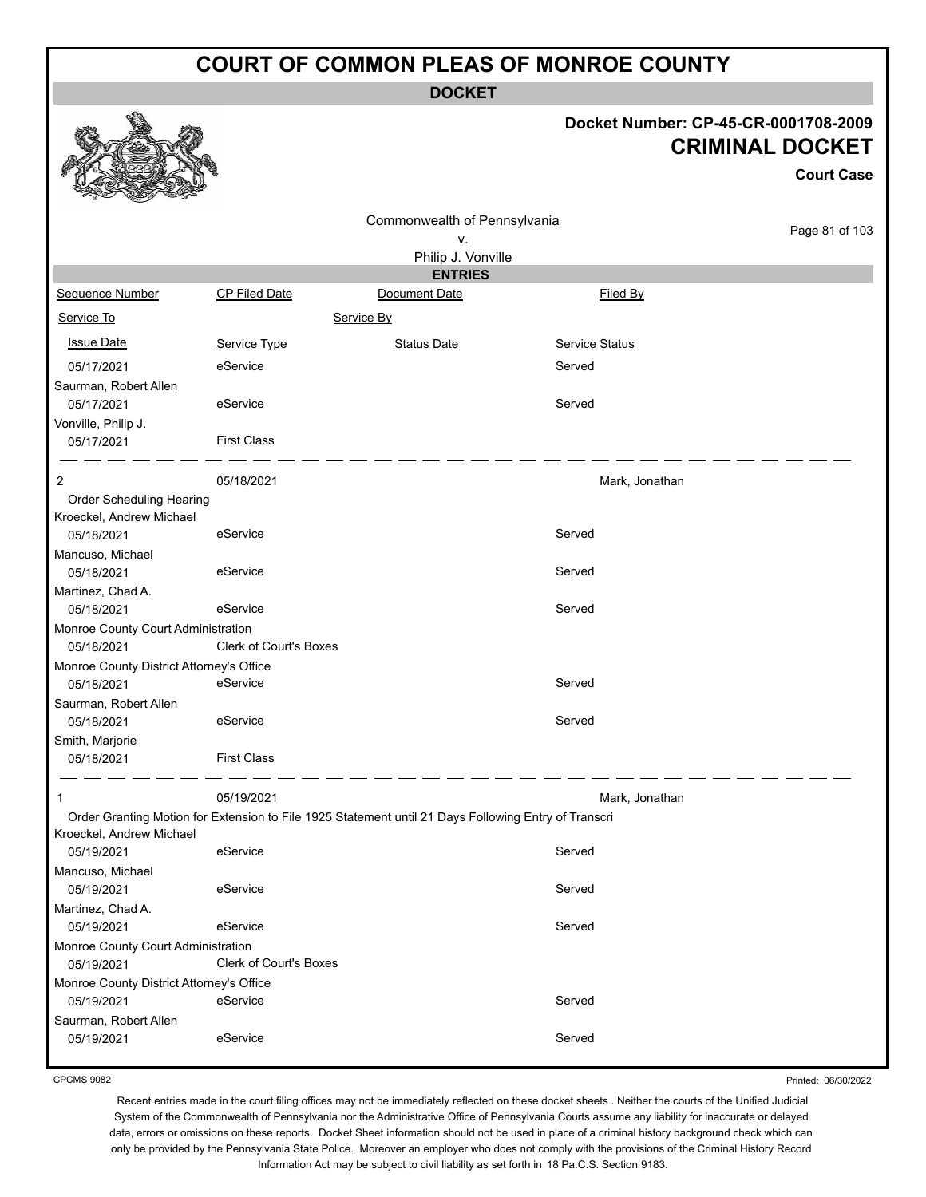**DOCKET**

#### **Docket Number: CP-45-CR-0001708-2009 CRIMINAL DOCKET**

|                                          |                        |                                                                                                      |                | <b>Court Case</b> |
|------------------------------------------|------------------------|------------------------------------------------------------------------------------------------------|----------------|-------------------|
|                                          |                        | Commonwealth of Pennsylvania                                                                         |                |                   |
|                                          |                        | ν.                                                                                                   |                | Page 81 of 103    |
|                                          |                        | Philip J. Vonville                                                                                   |                |                   |
|                                          |                        | <b>ENTRIES</b>                                                                                       |                |                   |
| Sequence Number                          | <b>CP Filed Date</b>   | Document Date                                                                                        | Filed By       |                   |
| Service To                               |                        | Service By                                                                                           |                |                   |
| <b>Issue Date</b>                        | Service Type           | <b>Status Date</b>                                                                                   | Service Status |                   |
| 05/17/2021                               | eService               |                                                                                                      | Served         |                   |
| Saurman, Robert Allen                    |                        |                                                                                                      |                |                   |
| 05/17/2021                               | eService               |                                                                                                      | Served         |                   |
| Vonville, Philip J.                      |                        |                                                                                                      |                |                   |
| 05/17/2021                               | <b>First Class</b>     |                                                                                                      |                |                   |
| 2                                        | 05/18/2021             |                                                                                                      | Mark, Jonathan |                   |
| Order Scheduling Hearing                 |                        |                                                                                                      |                |                   |
| Kroeckel, Andrew Michael                 |                        |                                                                                                      |                |                   |
| 05/18/2021                               | eService               |                                                                                                      | Served         |                   |
| Mancuso, Michael                         |                        |                                                                                                      |                |                   |
| 05/18/2021                               | eService               |                                                                                                      | Served         |                   |
| Martinez, Chad A.                        |                        |                                                                                                      |                |                   |
| 05/18/2021                               | eService               |                                                                                                      | Served         |                   |
| Monroe County Court Administration       |                        |                                                                                                      |                |                   |
| 05/18/2021                               | Clerk of Court's Boxes |                                                                                                      |                |                   |
| Monroe County District Attorney's Office |                        |                                                                                                      |                |                   |
| 05/18/2021                               | eService               |                                                                                                      | Served         |                   |
| Saurman, Robert Allen                    |                        |                                                                                                      |                |                   |
| 05/18/2021                               | eService               |                                                                                                      | Served         |                   |
| Smith, Marjorie                          |                        |                                                                                                      |                |                   |
| 05/18/2021                               | <b>First Class</b>     |                                                                                                      |                |                   |
|                                          |                        |                                                                                                      |                |                   |
| 1                                        | 05/19/2021             |                                                                                                      | Mark, Jonathan |                   |
|                                          |                        | Order Granting Motion for Extension to File 1925 Statement until 21 Days Following Entry of Transcri |                |                   |
| Kroeckel, Andrew Michael                 |                        |                                                                                                      |                |                   |
| 05/19/2021                               | eService               |                                                                                                      | Served         |                   |
| Mancuso, Michael                         |                        |                                                                                                      |                |                   |
| 05/19/2021                               | eService               |                                                                                                      | Served         |                   |
| Martinez, Chad A.                        |                        |                                                                                                      |                |                   |
| 05/19/2021                               | eService               |                                                                                                      | Served         |                   |
| Monroe County Court Administration       |                        |                                                                                                      |                |                   |
| 05/19/2021                               | Clerk of Court's Boxes |                                                                                                      |                |                   |
| Monroe County District Attorney's Office |                        |                                                                                                      |                |                   |
| 05/19/2021                               | eService               |                                                                                                      | Served         |                   |
| Saurman, Robert Allen                    |                        |                                                                                                      |                |                   |
| 05/19/2021                               | eService               |                                                                                                      | Served         |                   |
|                                          |                        |                                                                                                      |                |                   |

CPCMS 9082

Printed: 06/30/2022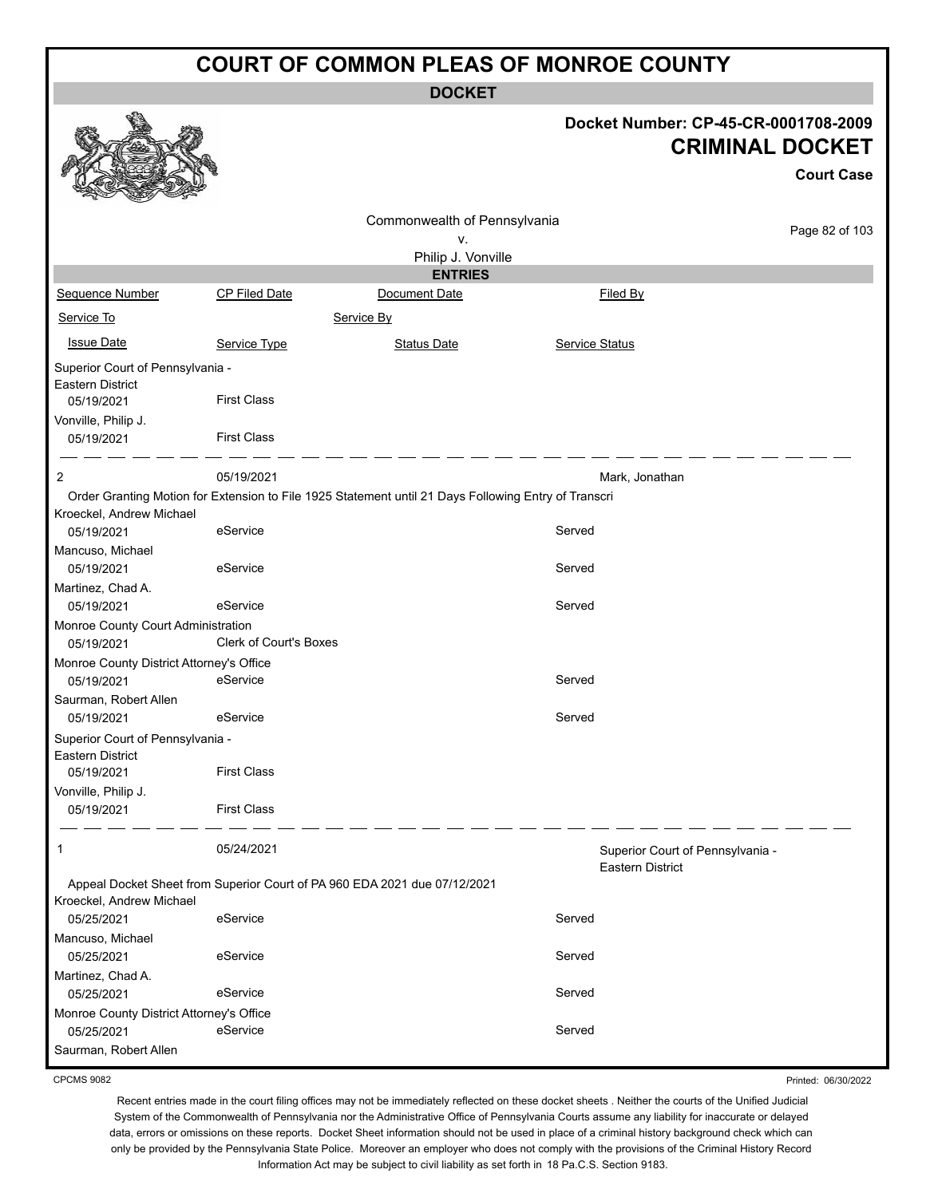**DOCKET**

|                                                                                                  |                               | <b>DOCKET</b>                                                                                        |                         |                                                                                     |
|--------------------------------------------------------------------------------------------------|-------------------------------|------------------------------------------------------------------------------------------------------|-------------------------|-------------------------------------------------------------------------------------|
|                                                                                                  |                               |                                                                                                      |                         | Docket Number: CP-45-CR-0001708-2009<br><b>CRIMINAL DOCKET</b><br><b>Court Case</b> |
|                                                                                                  |                               | Commonwealth of Pennsylvania                                                                         |                         | Page 82 of 103                                                                      |
|                                                                                                  |                               | ν.                                                                                                   |                         |                                                                                     |
|                                                                                                  |                               | Philip J. Vonville                                                                                   |                         |                                                                                     |
| Sequence Number                                                                                  | <b>CP Filed Date</b>          | <b>ENTRIES</b><br>Document Date                                                                      | Filed By                |                                                                                     |
|                                                                                                  |                               |                                                                                                      |                         |                                                                                     |
| Service To                                                                                       |                               | Service By                                                                                           |                         |                                                                                     |
| <b>Issue Date</b>                                                                                | Service Type                  | <b>Status Date</b>                                                                                   | Service Status          |                                                                                     |
| Superior Court of Pennsylvania -<br><b>Eastern District</b><br>05/19/2021<br>Vonville, Philip J. | <b>First Class</b>            |                                                                                                      |                         |                                                                                     |
| 05/19/2021                                                                                       | <b>First Class</b>            |                                                                                                      |                         |                                                                                     |
|                                                                                                  |                               |                                                                                                      |                         |                                                                                     |
| 2                                                                                                | 05/19/2021                    |                                                                                                      | Mark, Jonathan          |                                                                                     |
| Kroeckel, Andrew Michael                                                                         |                               | Order Granting Motion for Extension to File 1925 Statement until 21 Days Following Entry of Transcri |                         |                                                                                     |
| 05/19/2021                                                                                       | eService                      |                                                                                                      | Served                  |                                                                                     |
| Mancuso, Michael<br>05/19/2021                                                                   | eService                      |                                                                                                      | Served                  |                                                                                     |
| Martinez, Chad A.<br>05/19/2021                                                                  | eService                      |                                                                                                      | Served                  |                                                                                     |
| Monroe County Court Administration                                                               |                               |                                                                                                      |                         |                                                                                     |
| 05/19/2021                                                                                       | <b>Clerk of Court's Boxes</b> |                                                                                                      |                         |                                                                                     |
| Monroe County District Attorney's Office<br>05/19/2021                                           | eService                      |                                                                                                      | Served                  |                                                                                     |
| Saurman, Robert Allen                                                                            |                               |                                                                                                      |                         |                                                                                     |
| 05/19/2021                                                                                       | eService                      |                                                                                                      | Served                  |                                                                                     |
| Superior Court of Pennsylvania -                                                                 |                               |                                                                                                      |                         |                                                                                     |
| Eastern District<br>05/19/2021                                                                   | <b>First Class</b>            |                                                                                                      |                         |                                                                                     |
| Vonville, Philip J.                                                                              |                               |                                                                                                      |                         |                                                                                     |
| 05/19/2021                                                                                       | <b>First Class</b>            |                                                                                                      |                         |                                                                                     |
| 1                                                                                                | 05/24/2021                    |                                                                                                      | <b>Eastern District</b> | Superior Court of Pennsylvania -                                                    |
| Kroeckel, Andrew Michael                                                                         |                               | Appeal Docket Sheet from Superior Court of PA 960 EDA 2021 due 07/12/2021                            |                         |                                                                                     |
| 05/25/2021                                                                                       | eService                      |                                                                                                      | Served                  |                                                                                     |
| Mancuso, Michael<br>05/25/2021                                                                   | eService                      |                                                                                                      | Served                  |                                                                                     |
| Martinez, Chad A.                                                                                |                               |                                                                                                      |                         |                                                                                     |
| 05/25/2021                                                                                       | eService                      |                                                                                                      | Served                  |                                                                                     |
| Monroe County District Attorney's Office                                                         |                               |                                                                                                      |                         |                                                                                     |
| 05/25/2021<br>Saurman, Robert Allen                                                              | eService                      |                                                                                                      | Served                  |                                                                                     |
|                                                                                                  |                               |                                                                                                      |                         |                                                                                     |

CPCMS 9082

Recent entries made in the court filing offices may not be immediately reflected on these docket sheets . Neither the courts of the Unified Judicial System of the Commonwealth of Pennsylvania nor the Administrative Office of Pennsylvania Courts assume any liability for inaccurate or delayed data, errors or omissions on these reports. Docket Sheet information should not be used in place of a criminal history background check which can only be provided by the Pennsylvania State Police. Moreover an employer who does not comply with the provisions of the Criminal History Record Information Act may be subject to civil liability as set forth in 18 Pa.C.S. Section 9183.

Printed: 06/30/2022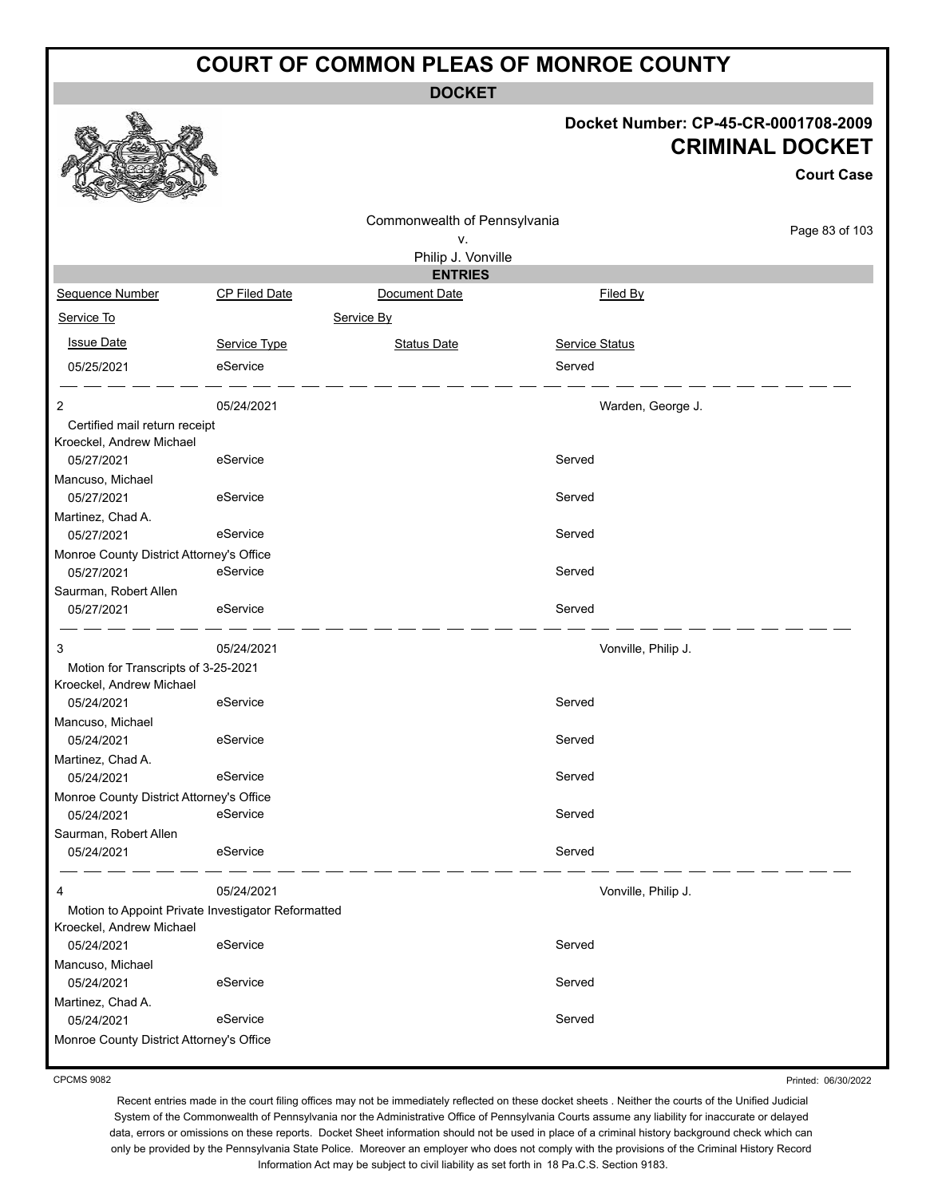**DOCKET**

#### **Docket Number: CP-45-CR-0001708-2009 CRIMINAL DOCKET**

**Court Case**

|                                          |                                                    | Commonwealth of Pennsylvania |                |                     |
|------------------------------------------|----------------------------------------------------|------------------------------|----------------|---------------------|
|                                          | Page 83 of 103                                     |                              |                |                     |
|                                          |                                                    | Philip J. Vonville           |                |                     |
|                                          |                                                    | <b>ENTRIES</b>               |                |                     |
| Sequence Number                          | CP Filed Date                                      | Document Date                | Filed By       |                     |
| Service To                               |                                                    | Service By                   |                |                     |
| <b>Issue Date</b>                        | Service Type                                       | <b>Status Date</b>           | Service Status |                     |
| 05/25/2021                               | eService                                           |                              | Served         |                     |
| 2                                        | 05/24/2021                                         |                              |                | Warden, George J.   |
| Certified mail return receipt            |                                                    |                              |                |                     |
| Kroeckel, Andrew Michael                 |                                                    |                              |                |                     |
| 05/27/2021                               | eService                                           |                              | Served         |                     |
| Mancuso, Michael                         |                                                    |                              |                |                     |
| 05/27/2021                               | eService                                           |                              | Served         |                     |
| Martinez, Chad A.                        |                                                    |                              |                |                     |
| 05/27/2021                               | eService                                           |                              | Served         |                     |
| Monroe County District Attorney's Office |                                                    |                              |                |                     |
| 05/27/2021                               | eService                                           |                              | Served         |                     |
| Saurman, Robert Allen                    |                                                    |                              |                |                     |
| 05/27/2021                               | eService                                           |                              | Served         |                     |
| 3                                        | 05/24/2021                                         |                              |                | Vonville, Philip J. |
| Motion for Transcripts of 3-25-2021      |                                                    |                              |                |                     |
| Kroeckel, Andrew Michael                 |                                                    |                              |                |                     |
| 05/24/2021                               | eService                                           |                              | Served         |                     |
| Mancuso, Michael                         |                                                    |                              |                |                     |
| 05/24/2021                               | eService                                           |                              | Served         |                     |
| Martinez, Chad A.                        |                                                    |                              |                |                     |
| 05/24/2021                               | eService                                           |                              | Served         |                     |
| Monroe County District Attorney's Office |                                                    |                              |                |                     |
| 05/24/2021                               | eService                                           |                              | Served         |                     |
| Saurman, Robert Allen                    |                                                    |                              |                |                     |
| 05/24/2021                               | eService                                           |                              | Served         |                     |
| 4                                        | 05/24/2021                                         |                              |                | Vonville, Philip J. |
|                                          | Motion to Appoint Private Investigator Reformatted |                              |                |                     |
| Kroeckel, Andrew Michael                 |                                                    |                              |                |                     |
| 05/24/2021                               | eService                                           |                              | Served         |                     |
| Mancuso, Michael                         |                                                    |                              |                |                     |
| 05/24/2021                               | eService                                           |                              | Served         |                     |
| Martinez, Chad A.                        |                                                    |                              |                |                     |
| 05/24/2021                               | eService                                           |                              | Served         |                     |
| Monroe County District Attorney's Office |                                                    |                              |                |                     |

CPCMS 9082

Printed: 06/30/2022

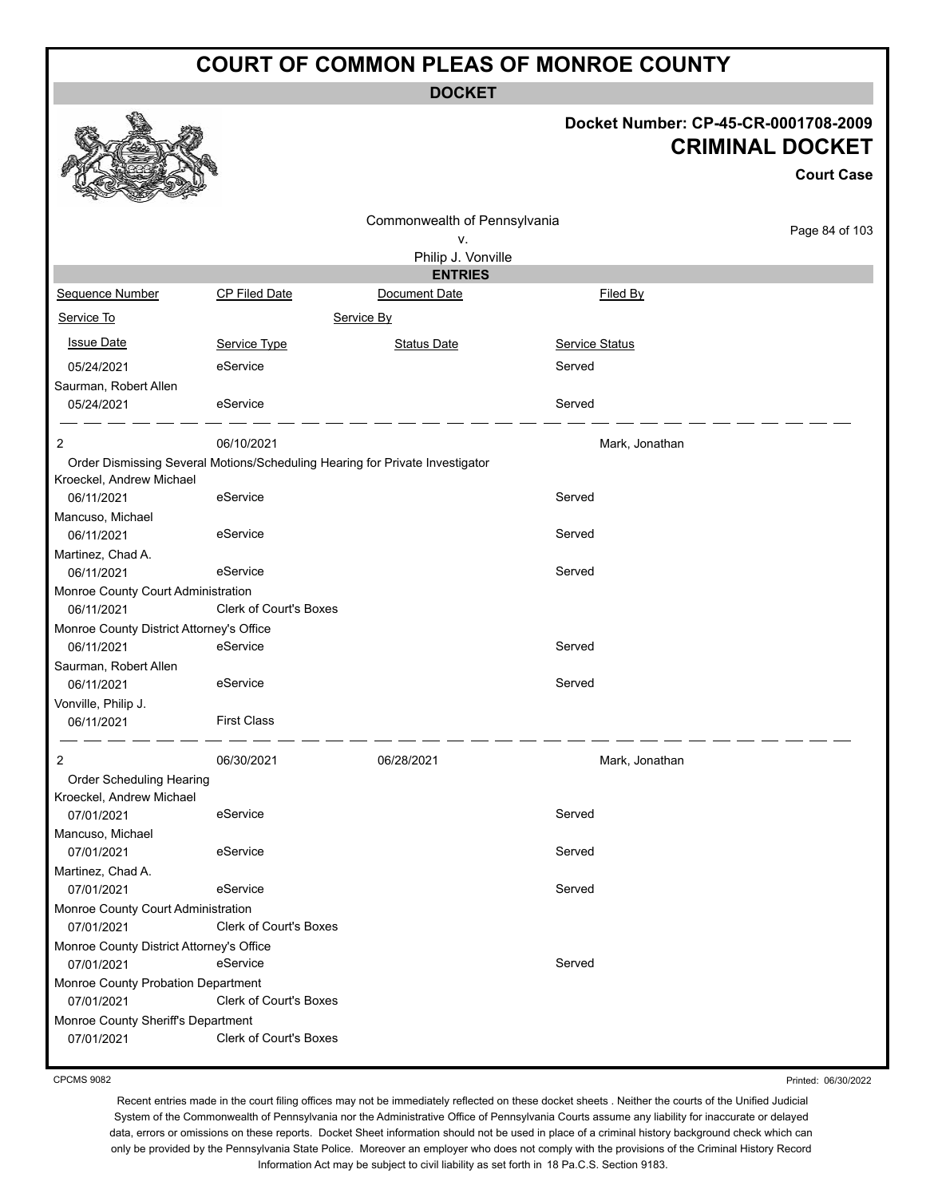**DOCKET**

#### **Docket Number: CP-45-CR-0001708-2009 CRIMINAL DOCKET**

**Court Case**

|                                                  |                               | Commonwealth of Pennsylvania                                                 |                |                |
|--------------------------------------------------|-------------------------------|------------------------------------------------------------------------------|----------------|----------------|
|                                                  |                               | ٧.                                                                           |                | Page 84 of 103 |
|                                                  |                               | Philip J. Vonville                                                           |                |                |
|                                                  |                               | <b>ENTRIES</b>                                                               |                |                |
| Sequence Number                                  | CP Filed Date                 | Document Date                                                                | Filed By       |                |
| Service To                                       |                               | Service By                                                                   |                |                |
| <b>Issue Date</b>                                | Service Type                  | <b>Status Date</b>                                                           | Service Status |                |
| 05/24/2021                                       | eService                      |                                                                              | Served         |                |
| Saurman, Robert Allen                            |                               |                                                                              |                |                |
| 05/24/2021                                       | eService                      |                                                                              | Served         |                |
|                                                  |                               |                                                                              |                |                |
| 2                                                | 06/10/2021                    |                                                                              | Mark, Jonathan |                |
| Kroeckel, Andrew Michael                         |                               | Order Dismissing Several Motions/Scheduling Hearing for Private Investigator |                |                |
| 06/11/2021                                       | eService                      |                                                                              | Served         |                |
| Mancuso, Michael                                 |                               |                                                                              |                |                |
| 06/11/2021                                       | eService                      |                                                                              | Served         |                |
| Martinez, Chad A.                                |                               |                                                                              |                |                |
| 06/11/2021                                       | eService                      |                                                                              | Served         |                |
| Monroe County Court Administration               |                               |                                                                              |                |                |
| 06/11/2021                                       | <b>Clerk of Court's Boxes</b> |                                                                              |                |                |
| Monroe County District Attorney's Office         |                               |                                                                              |                |                |
| 06/11/2021                                       | eService                      |                                                                              | Served         |                |
| Saurman, Robert Allen                            |                               |                                                                              |                |                |
| 06/11/2021                                       | eService                      |                                                                              | Served         |                |
| Vonville, Philip J.                              | <b>First Class</b>            |                                                                              |                |                |
| 06/11/2021                                       |                               |                                                                              |                |                |
| 2                                                | 06/30/2021                    | 06/28/2021                                                                   | Mark, Jonathan |                |
| Order Scheduling Hearing                         |                               |                                                                              |                |                |
| Kroeckel, Andrew Michael                         |                               |                                                                              |                |                |
| 07/01/2021                                       | eService                      |                                                                              | Served         |                |
| Mancuso, Michael                                 |                               |                                                                              |                |                |
| 07/01/2021                                       | eService                      |                                                                              | Served         |                |
| Martinez, Chad A.                                |                               |                                                                              |                |                |
| 07/01/2021                                       | eService                      |                                                                              | Served         |                |
| Monroe County Court Administration<br>07/01/2021 | Clerk of Court's Boxes        |                                                                              |                |                |
| Monroe County District Attorney's Office         |                               |                                                                              |                |                |
| 07/01/2021                                       | eService                      |                                                                              | Served         |                |
| Monroe County Probation Department               |                               |                                                                              |                |                |
| 07/01/2021                                       | Clerk of Court's Boxes        |                                                                              |                |                |
| Monroe County Sheriff's Department               |                               |                                                                              |                |                |
| 07/01/2021                                       | <b>Clerk of Court's Boxes</b> |                                                                              |                |                |
|                                                  |                               |                                                                              |                |                |

CPCMS 9082

Printed: 06/30/2022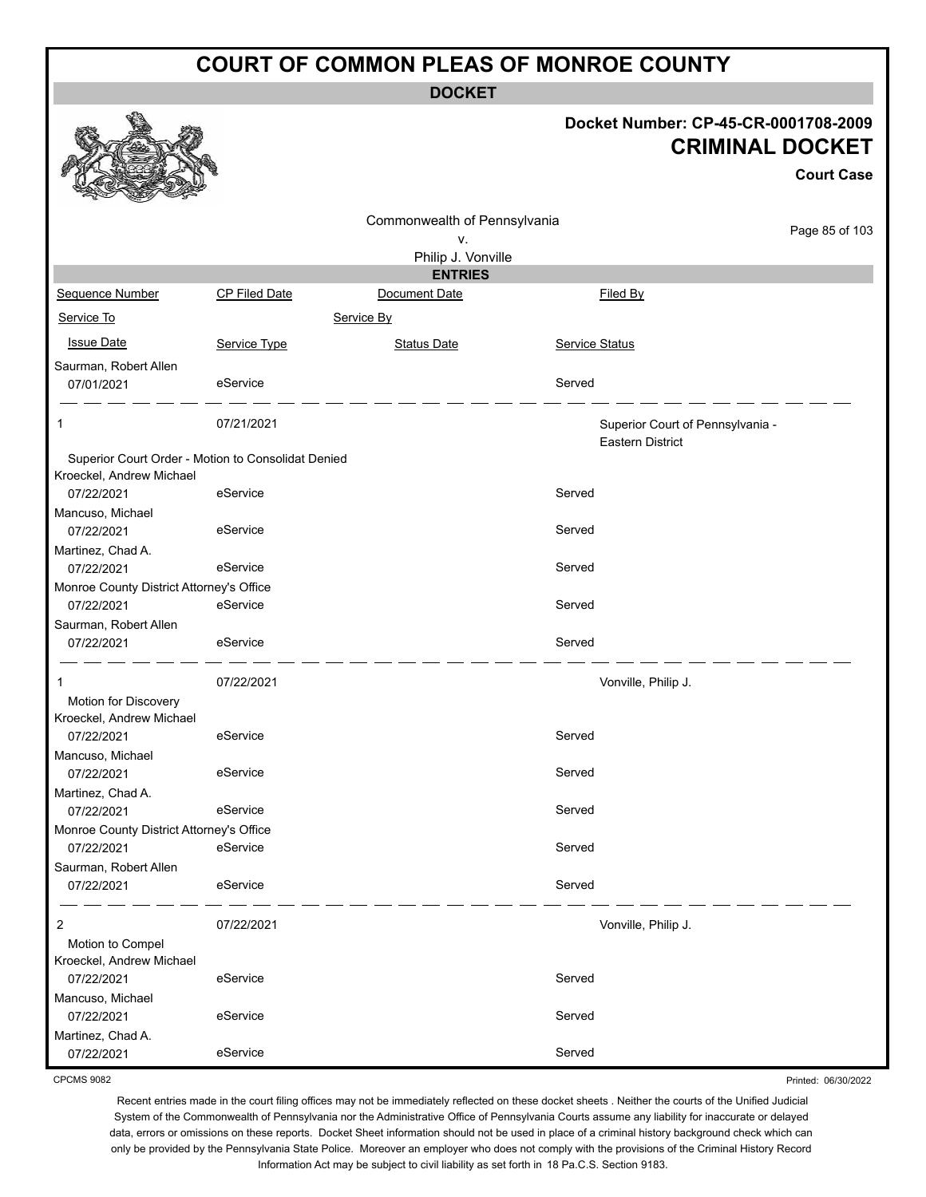**DOCKET**

|                                          |                                                                | <b>DOCKEI</b>                |                                                      |                                                                                     |
|------------------------------------------|----------------------------------------------------------------|------------------------------|------------------------------------------------------|-------------------------------------------------------------------------------------|
|                                          |                                                                |                              |                                                      | Docket Number: CP-45-CR-0001708-2009<br><b>CRIMINAL DOCKET</b><br><b>Court Case</b> |
|                                          |                                                                | Commonwealth of Pennsylvania |                                                      | Page 85 of 103                                                                      |
|                                          |                                                                | ٧.                           |                                                      |                                                                                     |
|                                          |                                                                | Philip J. Vonville           |                                                      |                                                                                     |
|                                          |                                                                | <b>ENTRIES</b>               |                                                      |                                                                                     |
| Sequence Number                          | <b>CP Filed Date</b>                                           | Document Date                | Filed By                                             |                                                                                     |
| Service To                               |                                                                | Service By                   |                                                      |                                                                                     |
| <b>Issue Date</b>                        | Service Type                                                   | <b>Status Date</b>           | Service Status                                       |                                                                                     |
| Saurman, Robert Allen<br>07/01/2021      | eService                                                       |                              | Served                                               |                                                                                     |
| 1                                        | 07/21/2021                                                     |                              | Superior Court of Pennsylvania -<br>Eastern District |                                                                                     |
| Kroeckel, Andrew Michael<br>07/22/2021   | Superior Court Order - Motion to Consolidat Denied<br>eService |                              | Served                                               |                                                                                     |
| Mancuso, Michael                         |                                                                |                              |                                                      |                                                                                     |
| 07/22/2021                               | eService                                                       |                              | Served                                               |                                                                                     |
| Martinez, Chad A.                        |                                                                |                              |                                                      |                                                                                     |
| 07/22/2021                               | eService                                                       |                              | Served                                               |                                                                                     |
| Monroe County District Attorney's Office |                                                                |                              |                                                      |                                                                                     |
| 07/22/2021                               | eService                                                       |                              | Served                                               |                                                                                     |
| Saurman, Robert Allen                    |                                                                |                              |                                                      |                                                                                     |
| 07/22/2021                               | eService                                                       |                              | Served                                               |                                                                                     |
| 1<br>Motion for Discovery                | 07/22/2021                                                     |                              | Vonville, Philip J.                                  |                                                                                     |
| Kroeckel, Andrew Michael                 |                                                                |                              |                                                      |                                                                                     |
| 07/22/2021                               | eService                                                       |                              | Served                                               |                                                                                     |
| Mancuso, Michael<br>07/22/2021           | eService                                                       |                              | Served                                               |                                                                                     |
| Martinez, Chad A.<br>07/22/2021          | eService                                                       |                              | Served                                               |                                                                                     |
| Monroe County District Attorney's Office |                                                                |                              |                                                      |                                                                                     |

Martinez, Chad A. 07/22/2021 eService Served

Mancuso, Michael

Saurman, Robert Allen

Motion to Compel Kroeckel, Andrew Michael

CPCMS 9082

Recent entries made in the court filing offices may not be immediately reflected on these docket sheets . Neither the courts of the Unified Judicial System of the Commonwealth of Pennsylvania nor the Administrative Office of Pennsylvania Courts assume any liability for inaccurate or delayed data, errors or omissions on these reports. Docket Sheet information should not be used in place of a criminal history background check which can only be provided by the Pennsylvania State Police. Moreover an employer who does not comply with the provisions of the Criminal History Record Information Act may be subject to civil liability as set forth in 18 Pa.C.S. Section 9183.

07/22/2021 eService entertainment of the Served

07/22/2021 eService Served

07/22/2021 eService Served

07/22/2021 eService entertainment of the Served

2 07/22/2021 Vonville, Philip J.

Printed: 06/30/2022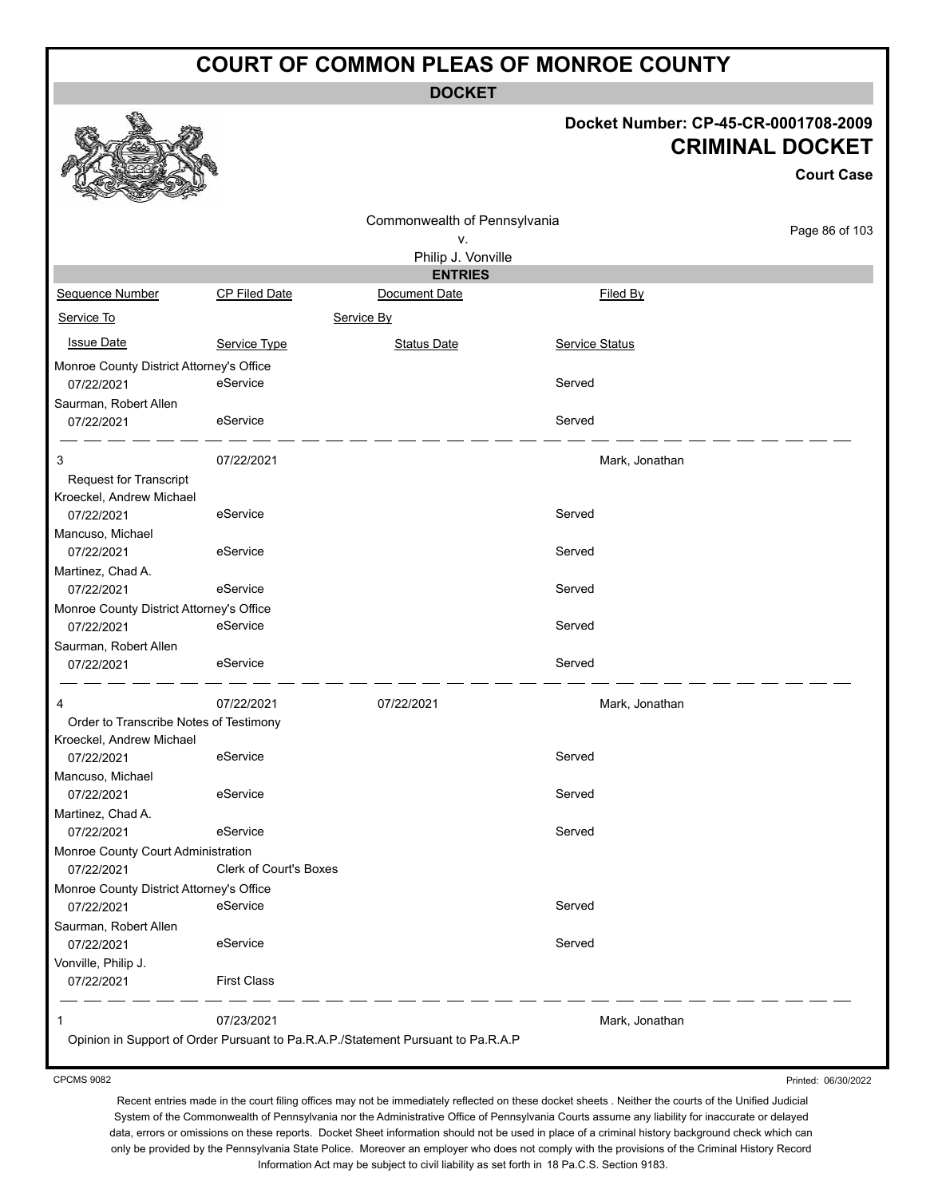**DOCKET**

#### **Docket Number: CP-45-CR-0001708-2009 CRIMINAL DOCKET**

**Court Case**

|                                          |                                                                                  |                                      |                | <b>Court Case</b> |
|------------------------------------------|----------------------------------------------------------------------------------|--------------------------------------|----------------|-------------------|
|                                          |                                                                                  | Commonwealth of Pennsylvania         |                | Page 86 of 103    |
|                                          |                                                                                  | ۷.                                   |                |                   |
|                                          |                                                                                  | Philip J. Vonville<br><b>ENTRIES</b> |                |                   |
| Sequence Number                          | CP Filed Date                                                                    | Document Date                        | Filed By       |                   |
| Service To                               |                                                                                  | Service By                           |                |                   |
| <b>Issue Date</b>                        | Service Type                                                                     | <b>Status Date</b>                   | Service Status |                   |
| Monroe County District Attorney's Office |                                                                                  |                                      |                |                   |
| 07/22/2021                               | eService                                                                         |                                      | Served         |                   |
| Saurman, Robert Allen                    |                                                                                  |                                      |                |                   |
| 07/22/2021                               | eService                                                                         |                                      | Served         |                   |
| 3                                        | 07/22/2021                                                                       |                                      | Mark, Jonathan |                   |
| <b>Request for Transcript</b>            |                                                                                  |                                      |                |                   |
| Kroeckel, Andrew Michael                 |                                                                                  |                                      |                |                   |
| 07/22/2021                               | eService                                                                         |                                      | Served         |                   |
| Mancuso, Michael                         |                                                                                  |                                      |                |                   |
| 07/22/2021                               | eService                                                                         |                                      | Served         |                   |
| Martinez, Chad A.                        |                                                                                  |                                      |                |                   |
| 07/22/2021                               | eService                                                                         |                                      | Served         |                   |
| Monroe County District Attorney's Office |                                                                                  |                                      |                |                   |
| 07/22/2021                               | eService                                                                         |                                      | Served         |                   |
| Saurman, Robert Allen                    |                                                                                  |                                      |                |                   |
| 07/22/2021                               | eService                                                                         |                                      | Served         |                   |
| 4                                        | 07/22/2021                                                                       | 07/22/2021                           | Mark, Jonathan |                   |
| Order to Transcribe Notes of Testimony   |                                                                                  |                                      |                |                   |
| Kroeckel, Andrew Michael                 |                                                                                  |                                      |                |                   |
| 07/22/2021                               | eService                                                                         |                                      | Served         |                   |
| Mancuso, Michael                         |                                                                                  |                                      |                |                   |
| 07/22/2021                               | eService                                                                         |                                      | Served         |                   |
| Martinez, Chad A.                        |                                                                                  |                                      |                |                   |
| 07/22/2021                               | eService                                                                         |                                      | Served         |                   |
| Monroe County Court Administration       |                                                                                  |                                      |                |                   |
| 07/22/2021                               | Clerk of Court's Boxes                                                           |                                      |                |                   |
| Monroe County District Attorney's Office |                                                                                  |                                      |                |                   |
| 07/22/2021                               | eService                                                                         |                                      | Served         |                   |
| Saurman, Robert Allen                    |                                                                                  |                                      |                |                   |
| 07/22/2021                               | eService                                                                         |                                      | Served         |                   |
| Vonville, Philip J.                      |                                                                                  |                                      |                |                   |
| 07/22/2021                               | <b>First Class</b>                                                               | $   -$                               |                |                   |
| 1                                        | 07/23/2021                                                                       |                                      | Mark, Jonathan |                   |
|                                          | Opinion in Support of Order Pursuant to Pa.R.A.P./Statement Pursuant to Pa.R.A.P |                                      |                |                   |
|                                          |                                                                                  |                                      |                |                   |

CPCMS 9082

Recent entries made in the court filing offices may not be immediately reflected on these docket sheets . Neither the courts of the Unified Judicial System of the Commonwealth of Pennsylvania nor the Administrative Office of Pennsylvania Courts assume any liability for inaccurate or delayed data, errors or omissions on these reports. Docket Sheet information should not be used in place of a criminal history background check which can only be provided by the Pennsylvania State Police. Moreover an employer who does not comply with the provisions of the Criminal History Record Information Act may be subject to civil liability as set forth in 18 Pa.C.S. Section 9183.

Printed: 06/30/2022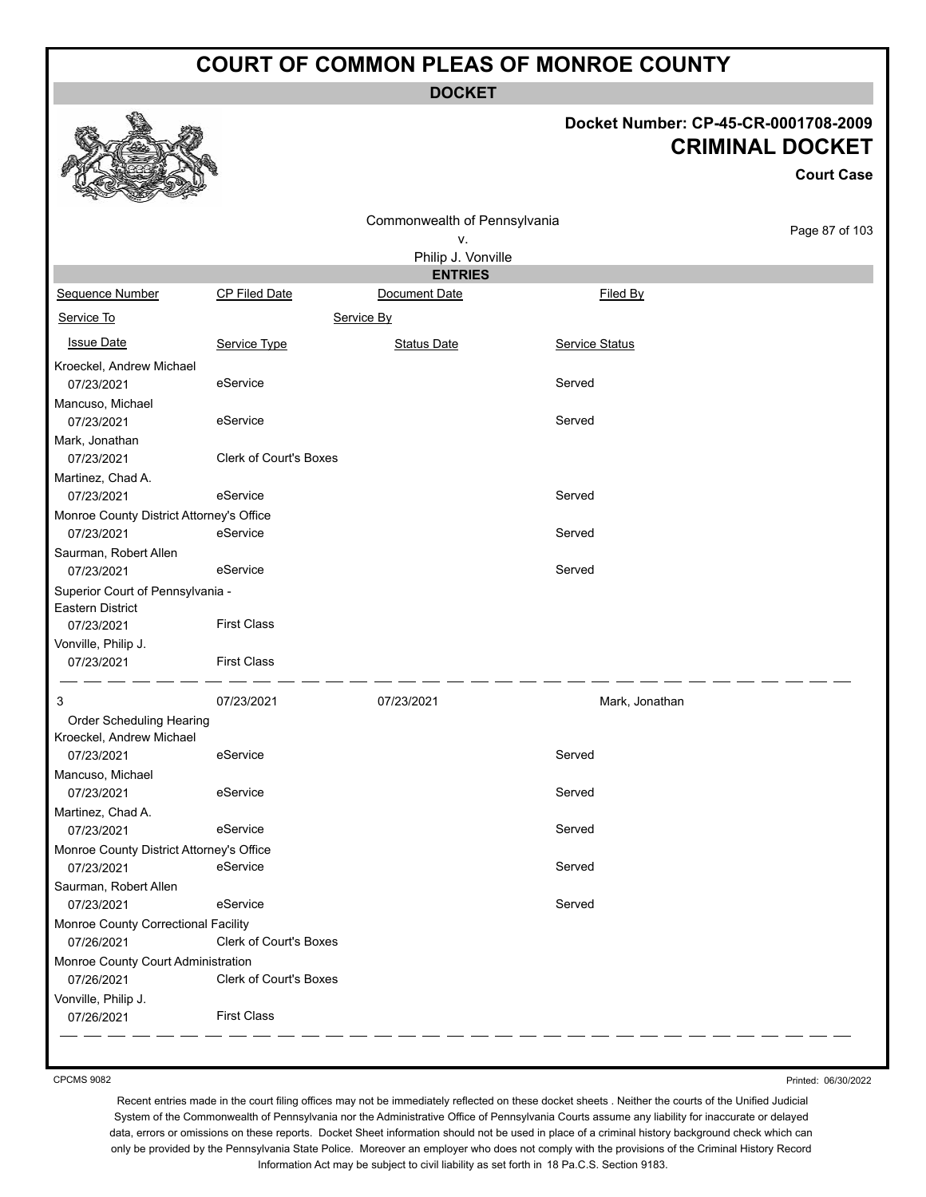**DOCKET**

#### **Docket Number: CP-45-CR-0001708-2009 CRIMINAL DOCKET**

ase

 $103$ 

|                                                        |                               |                                      |                | URIMINAL DUUN<br><b>Court C</b> |
|--------------------------------------------------------|-------------------------------|--------------------------------------|----------------|---------------------------------|
|                                                        |                               |                                      |                |                                 |
|                                                        |                               | Commonwealth of Pennsylvania         |                | Page 87 of                      |
|                                                        |                               | ν.                                   |                |                                 |
|                                                        |                               | Philip J. Vonville<br><b>ENTRIES</b> |                |                                 |
| Sequence Number                                        | CP Filed Date                 | Document Date                        | Filed By       |                                 |
|                                                        |                               |                                      |                |                                 |
| Service To                                             |                               | Service By                           |                |                                 |
| <b>Issue Date</b>                                      | Service Type                  | <b>Status Date</b>                   | Service Status |                                 |
| Kroeckel, Andrew Michael                               |                               |                                      |                |                                 |
| 07/23/2021                                             | eService                      |                                      | Served         |                                 |
| Mancuso, Michael                                       |                               |                                      |                |                                 |
| 07/23/2021                                             | eService                      |                                      | Served         |                                 |
| Mark, Jonathan                                         |                               |                                      |                |                                 |
| 07/23/2021                                             | <b>Clerk of Court's Boxes</b> |                                      |                |                                 |
| Martinez, Chad A.                                      |                               |                                      |                |                                 |
| 07/23/2021                                             | eService                      |                                      | Served         |                                 |
| Monroe County District Attorney's Office               |                               |                                      |                |                                 |
| 07/23/2021                                             | eService                      |                                      | Served         |                                 |
| Saurman, Robert Allen<br>07/23/2021                    | eService                      |                                      | Served         |                                 |
| Superior Court of Pennsylvania -                       |                               |                                      |                |                                 |
| Eastern District                                       |                               |                                      |                |                                 |
| 07/23/2021                                             | <b>First Class</b>            |                                      |                |                                 |
| Vonville, Philip J.                                    |                               |                                      |                |                                 |
| 07/23/2021                                             | <b>First Class</b>            |                                      |                |                                 |
| 3                                                      | 07/23/2021                    | 07/23/2021                           | Mark, Jonathan |                                 |
| Order Scheduling Hearing                               |                               |                                      |                |                                 |
| Kroeckel, Andrew Michael                               |                               |                                      |                |                                 |
| 07/23/2021                                             | eService                      |                                      | Served         |                                 |
| Mancuso, Michael                                       |                               |                                      |                |                                 |
| 07/23/2021                                             | eService                      |                                      | Served         |                                 |
| Martinez, Chad A.                                      |                               |                                      |                |                                 |
| 07/23/2021                                             | eService                      |                                      | Served         |                                 |
| Monroe County District Attorney's Office<br>07/23/2021 | eService                      |                                      | Served         |                                 |
| Saurman, Robert Allen                                  |                               |                                      |                |                                 |
| 07/23/2021                                             | eService                      |                                      | Served         |                                 |
| Monroe County Correctional Facility                    |                               |                                      |                |                                 |
| 07/26/2021                                             | Clerk of Court's Boxes        |                                      |                |                                 |
| Monroe County Court Administration                     |                               |                                      |                |                                 |
| 07/26/2021                                             | Clerk of Court's Boxes        |                                      |                |                                 |
| Vonville, Philip J.                                    |                               |                                      |                |                                 |
| 07/26/2021                                             | <b>First Class</b>            |                                      |                |                                 |

Printed: 06/30/2022

Recent entries made in the court filing offices may not be immediately reflected on these docket sheets . Neither the courts of the Unified Judicial System of the Commonwealth of Pennsylvania nor the Administrative Office of Pennsylvania Courts assume any liability for inaccurate or delayed data, errors or omissions on these reports. Docket Sheet information should not be used in place of a criminal history background check which can only be provided by the Pennsylvania State Police. Moreover an employer who does not comply with the provisions of the Criminal History Record Information Act may be subject to civil liability as set forth in 18 Pa.C.S. Section 9183.



CPCMS 9082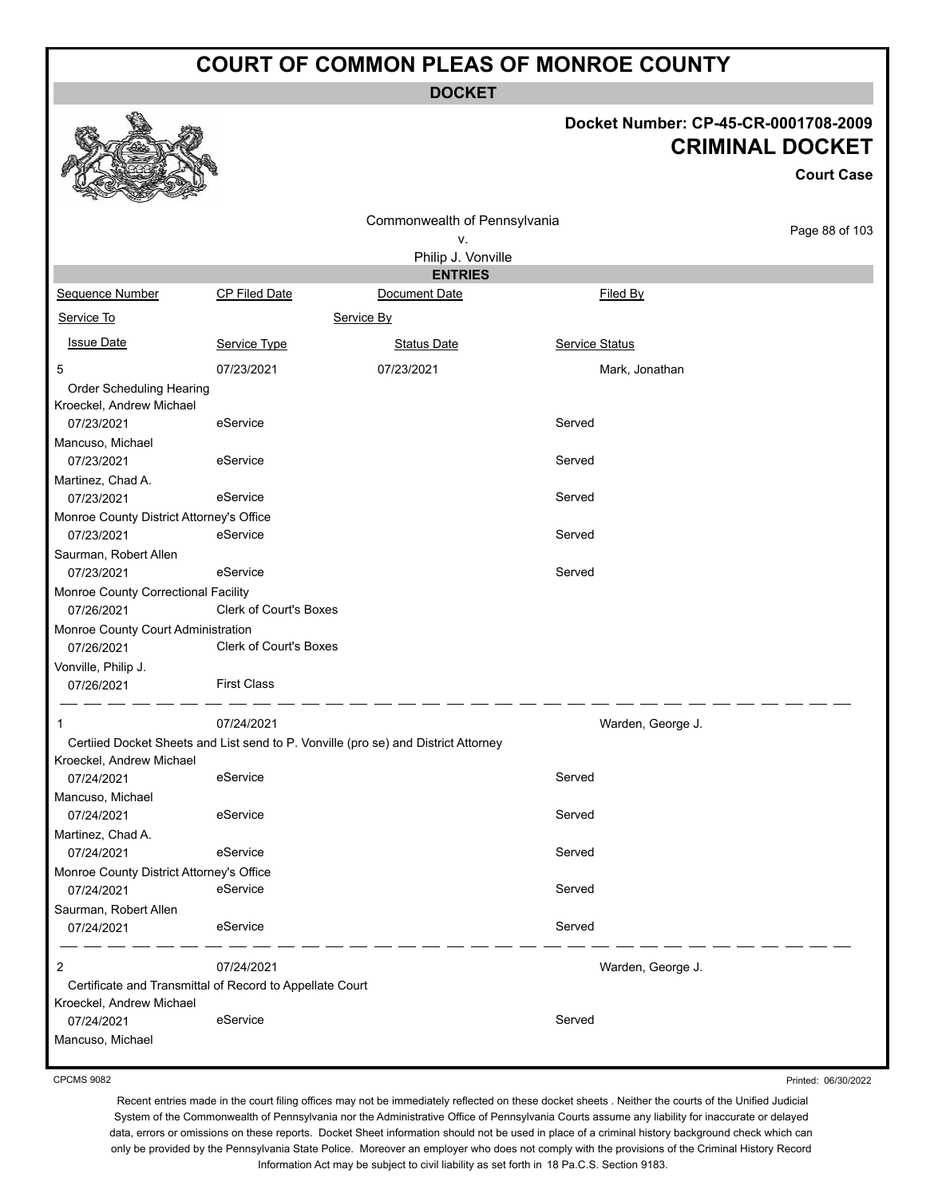**DOCKET**

#### **Docket Number: CP-45-CR-0001708-2009 CRIMINAL DOCKET**

**Court Case**

|                                                          |                               | Commonwealth of Pennsylvania                                                       |                   |                |
|----------------------------------------------------------|-------------------------------|------------------------------------------------------------------------------------|-------------------|----------------|
|                                                          |                               | ۷.                                                                                 |                   | Page 88 of 103 |
|                                                          |                               | Philip J. Vonville                                                                 |                   |                |
|                                                          |                               | <b>ENTRIES</b>                                                                     |                   |                |
| Sequence Number                                          | CP Filed Date                 | Document Date                                                                      | Filed By          |                |
| Service To                                               |                               | Service By                                                                         |                   |                |
| <b>Issue Date</b>                                        | Service Type                  | <b>Status Date</b>                                                                 | Service Status    |                |
| 5                                                        | 07/23/2021                    | 07/23/2021                                                                         | Mark, Jonathan    |                |
| Order Scheduling Hearing<br>Kroeckel, Andrew Michael     |                               |                                                                                    |                   |                |
| 07/23/2021                                               | eService                      |                                                                                    | Served            |                |
| Mancuso, Michael                                         |                               |                                                                                    |                   |                |
| 07/23/2021                                               | eService                      |                                                                                    | Served            |                |
| Martinez, Chad A.                                        |                               |                                                                                    |                   |                |
| 07/23/2021                                               | eService                      |                                                                                    | Served            |                |
| Monroe County District Attorney's Office<br>07/23/2021   | eService                      |                                                                                    | Served            |                |
| Saurman, Robert Allen                                    |                               |                                                                                    |                   |                |
| 07/23/2021                                               | eService                      |                                                                                    | Served            |                |
| Monroe County Correctional Facility                      |                               |                                                                                    |                   |                |
| 07/26/2021                                               | <b>Clerk of Court's Boxes</b> |                                                                                    |                   |                |
| Monroe County Court Administration                       |                               |                                                                                    |                   |                |
| 07/26/2021                                               | <b>Clerk of Court's Boxes</b> |                                                                                    |                   |                |
| Vonville, Philip J.<br>07/26/2021                        | <b>First Class</b>            |                                                                                    |                   |                |
|                                                          |                               |                                                                                    |                   |                |
| 1                                                        | 07/24/2021                    |                                                                                    | Warden, George J. |                |
|                                                          |                               | Certiied Docket Sheets and List send to P. Vonville (pro se) and District Attorney |                   |                |
| Kroeckel, Andrew Michael                                 |                               |                                                                                    |                   |                |
| 07/24/2021                                               | eService                      |                                                                                    | Served            |                |
| Mancuso, Michael<br>07/24/2021                           | eService                      |                                                                                    | Served            |                |
| Martinez, Chad A.                                        |                               |                                                                                    |                   |                |
| 07/24/2021                                               | eService                      |                                                                                    | Served            |                |
| Monroe County District Attorney's Office                 |                               |                                                                                    |                   |                |
| 07/24/2021                                               | eService                      |                                                                                    | Served            |                |
| Saurman, Robert Allen                                    |                               |                                                                                    |                   |                |
| 07/24/2021                                               | eService                      |                                                                                    | Served            |                |
| 2                                                        | 07/24/2021                    |                                                                                    | Warden, George J. |                |
| Certificate and Transmittal of Record to Appellate Court |                               |                                                                                    |                   |                |
| Kroeckel, Andrew Michael                                 |                               |                                                                                    |                   |                |
| 07/24/2021                                               | eService                      |                                                                                    | Served            |                |
| Mancuso, Michael                                         |                               |                                                                                    |                   |                |

CPCMS 9082

Printed: 06/30/2022

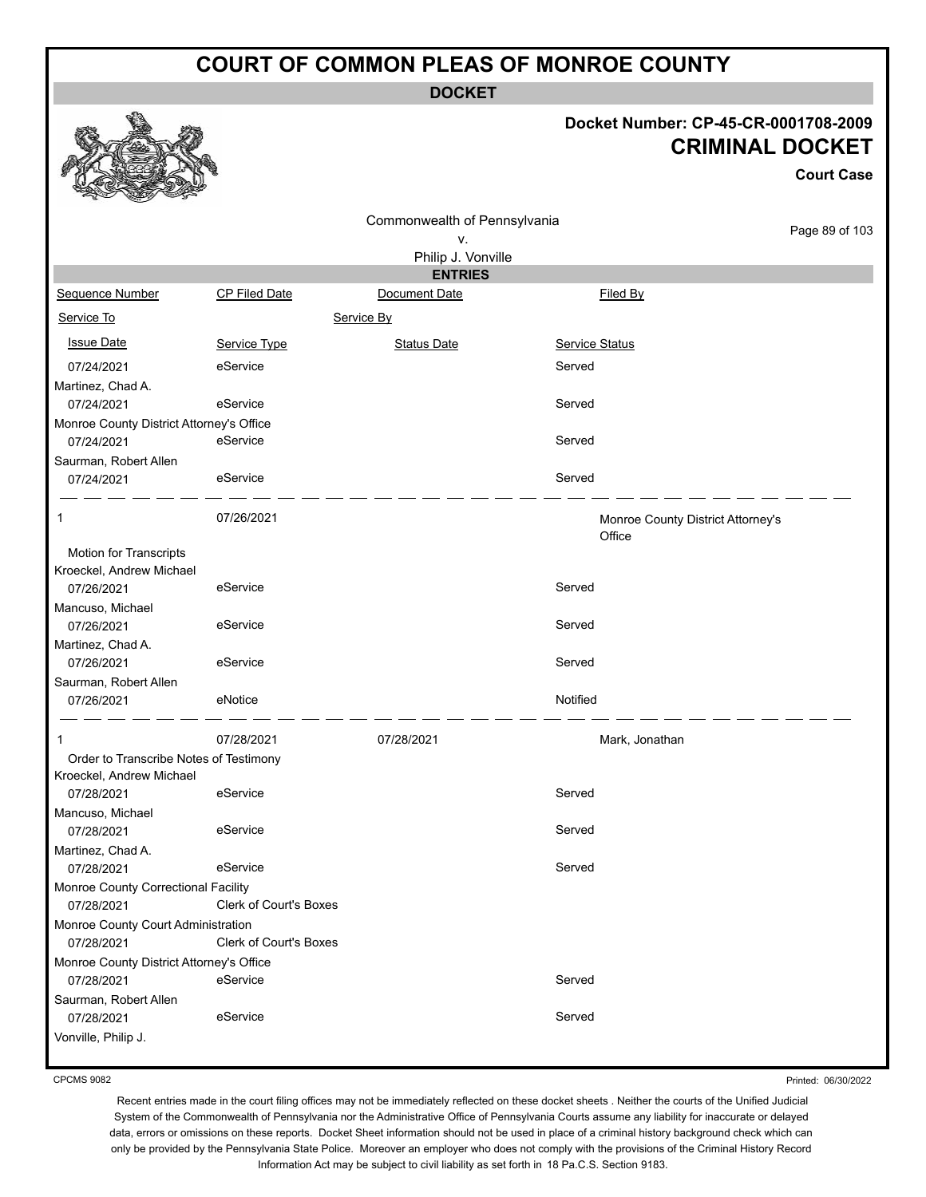**DOCKET**

#### **Docket Number: CP-45-CR-0001708-2009 CRIMINAL DOCKET**

|                                                        |                               |                                    |                       |                                             | <b>Court Case</b> |
|--------------------------------------------------------|-------------------------------|------------------------------------|-----------------------|---------------------------------------------|-------------------|
|                                                        |                               | Commonwealth of Pennsylvania<br>۷. |                       |                                             | Page 89 of 103    |
|                                                        |                               | Philip J. Vonville                 |                       |                                             |                   |
|                                                        |                               | <b>ENTRIES</b>                     |                       |                                             |                   |
| <b>Sequence Number</b>                                 | <b>CP Filed Date</b>          | Document Date                      |                       | Filed By                                    |                   |
| Service To                                             |                               | Service By                         |                       |                                             |                   |
| <b>Issue Date</b>                                      | Service Type                  | <b>Status Date</b>                 | <b>Service Status</b> |                                             |                   |
| 07/24/2021                                             | eService                      |                                    | Served                |                                             |                   |
| Martinez, Chad A.                                      |                               |                                    |                       |                                             |                   |
| 07/24/2021                                             | eService                      |                                    | Served                |                                             |                   |
| Monroe County District Attorney's Office               | eService                      |                                    | Served                |                                             |                   |
| 07/24/2021<br>Saurman, Robert Allen                    |                               |                                    |                       |                                             |                   |
| 07/24/2021                                             | eService                      |                                    | Served                |                                             |                   |
|                                                        |                               |                                    |                       |                                             |                   |
| 1                                                      | 07/26/2021                    |                                    |                       | Monroe County District Attorney's<br>Office |                   |
| Motion for Transcripts                                 |                               |                                    |                       |                                             |                   |
| Kroeckel, Andrew Michael                               |                               |                                    |                       |                                             |                   |
| 07/26/2021                                             | eService                      |                                    | Served                |                                             |                   |
| Mancuso, Michael<br>07/26/2021                         | eService                      |                                    | Served                |                                             |                   |
| Martinez, Chad A.                                      |                               |                                    |                       |                                             |                   |
| 07/26/2021                                             | eService                      |                                    | Served                |                                             |                   |
| Saurman, Robert Allen                                  |                               |                                    |                       |                                             |                   |
| 07/26/2021                                             | eNotice                       |                                    | Notified              |                                             |                   |
| 1                                                      | 07/28/2021                    | 07/28/2021                         |                       | Mark, Jonathan                              |                   |
| Order to Transcribe Notes of Testimony                 |                               |                                    |                       |                                             |                   |
| Kroeckel, Andrew Michael<br>07/28/2021                 | eService                      |                                    | Served                |                                             |                   |
| Mancuso, Michael                                       |                               |                                    |                       |                                             |                   |
| 07/28/2021                                             | eService                      |                                    | Served                |                                             |                   |
| Martinez, Chad A.                                      |                               |                                    |                       |                                             |                   |
| 07/28/2021                                             | eService                      |                                    | Served                |                                             |                   |
| Monroe County Correctional Facility                    |                               |                                    |                       |                                             |                   |
| 07/28/2021                                             | Clerk of Court's Boxes        |                                    |                       |                                             |                   |
| Monroe County Court Administration                     |                               |                                    |                       |                                             |                   |
| 07/28/2021                                             | <b>Clerk of Court's Boxes</b> |                                    |                       |                                             |                   |
| Monroe County District Attorney's Office<br>07/28/2021 | eService                      |                                    | Served                |                                             |                   |
| Saurman, Robert Allen                                  |                               |                                    |                       |                                             |                   |
| 07/28/2021                                             | eService                      |                                    | Served                |                                             |                   |
| Vonville, Philip J.                                    |                               |                                    |                       |                                             |                   |
|                                                        |                               |                                    |                       |                                             |                   |

CPCMS 9082

Printed: 06/30/2022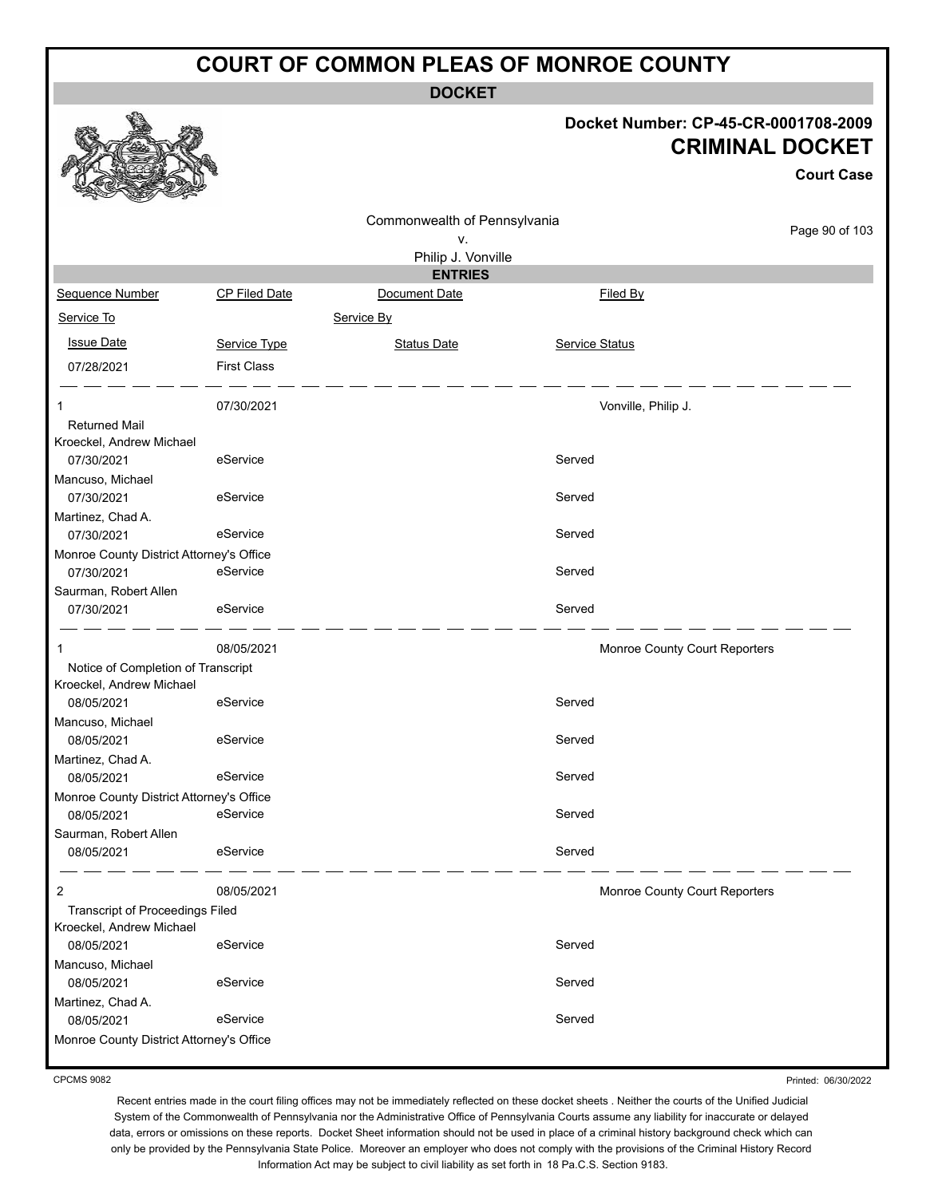**DOCKET**

#### **Docket Number: CP-45-CR-0001708-2009 CRIMINAL DOCKET**

**Court Case**

|                                          |                      |                              |                     | UUUI LUQSE                    |
|------------------------------------------|----------------------|------------------------------|---------------------|-------------------------------|
|                                          |                      | Commonwealth of Pennsylvania |                     |                               |
|                                          |                      | ٧.                           |                     | Page 90 of 103                |
|                                          |                      | Philip J. Vonville           |                     |                               |
|                                          |                      | <b>ENTRIES</b>               |                     |                               |
| Sequence Number                          | <b>CP Filed Date</b> | Document Date                | Filed By            |                               |
| Service To                               |                      | Service By                   |                     |                               |
| <b>Issue Date</b>                        | Service Type         | <b>Status Date</b>           | Service Status      |                               |
| 07/28/2021                               | <b>First Class</b>   |                              |                     |                               |
|                                          | 07/30/2021           |                              | Vonville, Philip J. |                               |
| <b>Returned Mail</b>                     |                      |                              |                     |                               |
| Kroeckel, Andrew Michael                 |                      |                              |                     |                               |
| 07/30/2021                               | eService             |                              | Served              |                               |
| Mancuso, Michael                         |                      |                              |                     |                               |
| 07/30/2021                               | eService             |                              | Served              |                               |
| Martinez, Chad A.                        |                      |                              |                     |                               |
| 07/30/2021                               | eService             |                              | Served              |                               |
| Monroe County District Attorney's Office |                      |                              |                     |                               |
| 07/30/2021                               | eService             |                              | Served              |                               |
| Saurman, Robert Allen                    |                      |                              |                     |                               |
| 07/30/2021                               | eService             |                              | Served              |                               |
| 1                                        | 08/05/2021           |                              |                     | Monroe County Court Reporters |
| Notice of Completion of Transcript       |                      |                              |                     |                               |
| Kroeckel, Andrew Michael                 |                      |                              |                     |                               |
| 08/05/2021                               | eService             |                              | Served              |                               |
| Mancuso, Michael                         |                      |                              |                     |                               |
| 08/05/2021                               | eService             |                              | Served              |                               |
| Martinez, Chad A.                        |                      |                              |                     |                               |
| 08/05/2021                               | eService             |                              | Served              |                               |
| Monroe County District Attorney's Office |                      |                              |                     |                               |
| 08/05/2021                               | eService             |                              | Served              |                               |
| Saurman, Robert Allen                    |                      |                              |                     |                               |
| 08/05/2021                               | eService             |                              | Served              |                               |
| 2                                        | 08/05/2021           |                              |                     | Monroe County Court Reporters |
| Transcript of Proceedings Filed          |                      |                              |                     |                               |
| Kroeckel, Andrew Michael                 |                      |                              |                     |                               |
| 08/05/2021                               | eService             |                              | Served              |                               |
| Mancuso, Michael                         |                      |                              |                     |                               |
| 08/05/2021                               | eService             |                              | Served              |                               |
| Martinez, Chad A.                        |                      |                              |                     |                               |
| 08/05/2021                               | eService             |                              | Served              |                               |
| Monroe County District Attorney's Office |                      |                              |                     |                               |
|                                          |                      |                              |                     |                               |

CPCMS 9082

Printed: 06/30/2022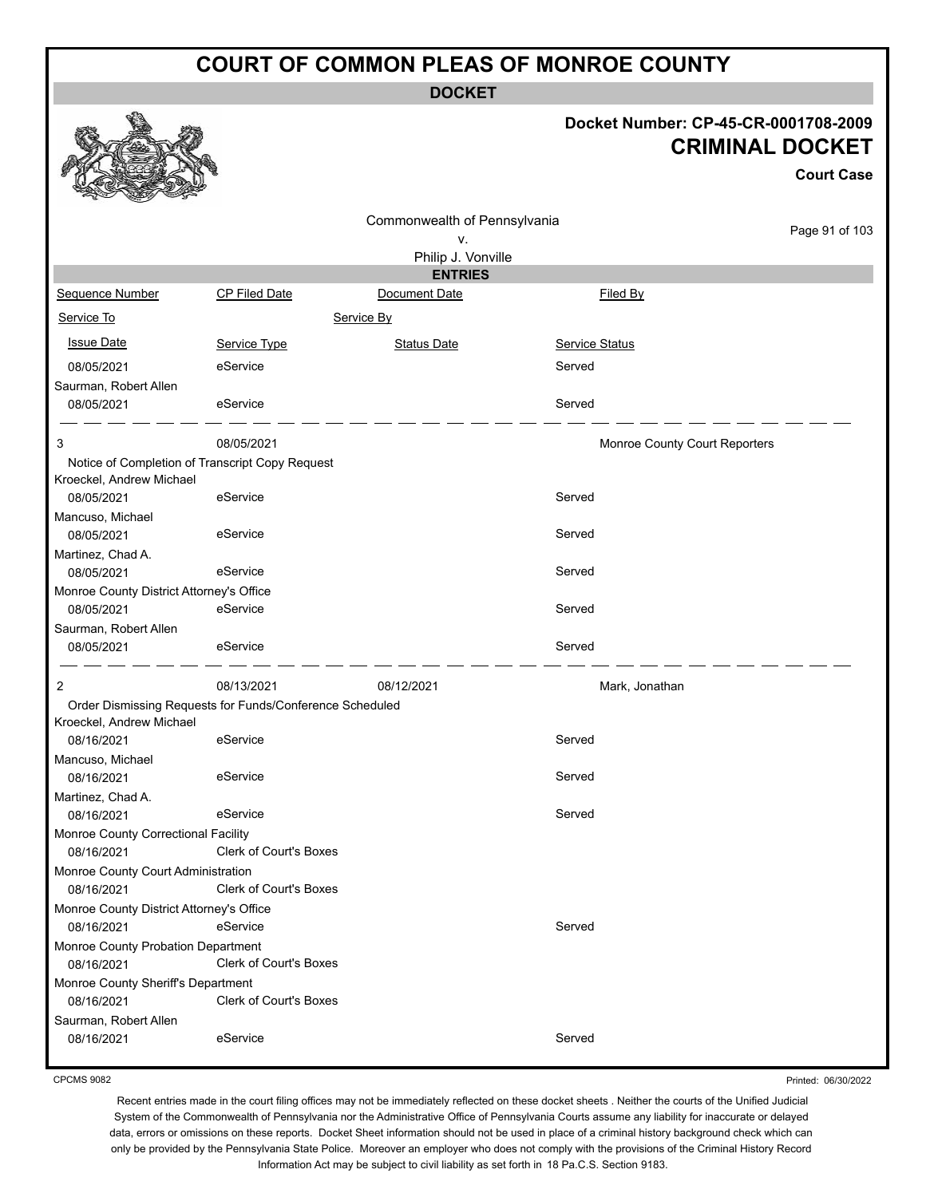**DOCKET**

#### **Docket Number: CP-45-CR-0001708-2009 CRIMINAL DOCKET**

**Court Case**

|                                                  |                                                          | Commonwealth of Pennsylvania |                               |                |
|--------------------------------------------------|----------------------------------------------------------|------------------------------|-------------------------------|----------------|
|                                                  |                                                          | ۷.                           |                               | Page 91 of 103 |
|                                                  |                                                          | Philip J. Vonville           |                               |                |
|                                                  |                                                          | <b>ENTRIES</b>               |                               |                |
| Sequence Number                                  | CP Filed Date                                            | Document Date                | Filed By                      |                |
| Service To                                       |                                                          | Service By                   |                               |                |
|                                                  |                                                          |                              |                               |                |
| <b>Issue Date</b>                                | Service Type                                             | <b>Status Date</b>           | Service Status                |                |
| 08/05/2021                                       | eService                                                 |                              | Served                        |                |
| Saurman, Robert Allen                            |                                                          |                              |                               |                |
| 08/05/2021                                       | eService                                                 |                              | Served                        |                |
| 3                                                | 08/05/2021                                               |                              |                               |                |
| Notice of Completion of Transcript Copy Request  |                                                          |                              | Monroe County Court Reporters |                |
| Kroeckel, Andrew Michael                         |                                                          |                              |                               |                |
| 08/05/2021                                       | eService                                                 |                              | Served                        |                |
| Mancuso, Michael                                 |                                                          |                              |                               |                |
| 08/05/2021                                       | eService                                                 |                              | Served                        |                |
| Martinez, Chad A.                                |                                                          |                              |                               |                |
| 08/05/2021                                       | eService                                                 |                              | Served                        |                |
| Monroe County District Attorney's Office         |                                                          |                              |                               |                |
| 08/05/2021                                       | eService                                                 |                              | Served                        |                |
| Saurman, Robert Allen                            |                                                          |                              |                               |                |
| 08/05/2021                                       | eService                                                 |                              | Served                        |                |
| 2                                                | 08/13/2021                                               | 08/12/2021                   | Mark, Jonathan                |                |
|                                                  | Order Dismissing Requests for Funds/Conference Scheduled |                              |                               |                |
| Kroeckel, Andrew Michael                         |                                                          |                              |                               |                |
| 08/16/2021                                       | eService                                                 |                              | Served                        |                |
| Mancuso, Michael                                 |                                                          |                              |                               |                |
| 08/16/2021                                       | eService                                                 |                              | Served                        |                |
| Martinez, Chad A.                                |                                                          |                              |                               |                |
| 08/16/2021                                       | eService                                                 |                              | Served                        |                |
| Monroe County Correctional Facility              |                                                          |                              |                               |                |
| 08/16/2021                                       | <b>Clerk of Court's Boxes</b>                            |                              |                               |                |
| Monroe County Court Administration               |                                                          |                              |                               |                |
| 08/16/2021                                       | Clerk of Court's Boxes                                   |                              |                               |                |
| Monroe County District Attorney's Office         |                                                          |                              |                               |                |
| 08/16/2021                                       | eService                                                 |                              | Served                        |                |
| Monroe County Probation Department               |                                                          |                              |                               |                |
| 08/16/2021                                       | Clerk of Court's Boxes                                   |                              |                               |                |
| Monroe County Sheriff's Department<br>08/16/2021 | <b>Clerk of Court's Boxes</b>                            |                              |                               |                |
| Saurman, Robert Allen                            |                                                          |                              |                               |                |
| 08/16/2021                                       | eService                                                 |                              | Served                        |                |
|                                                  |                                                          |                              |                               |                |

CPCMS 9082

Printed: 06/30/2022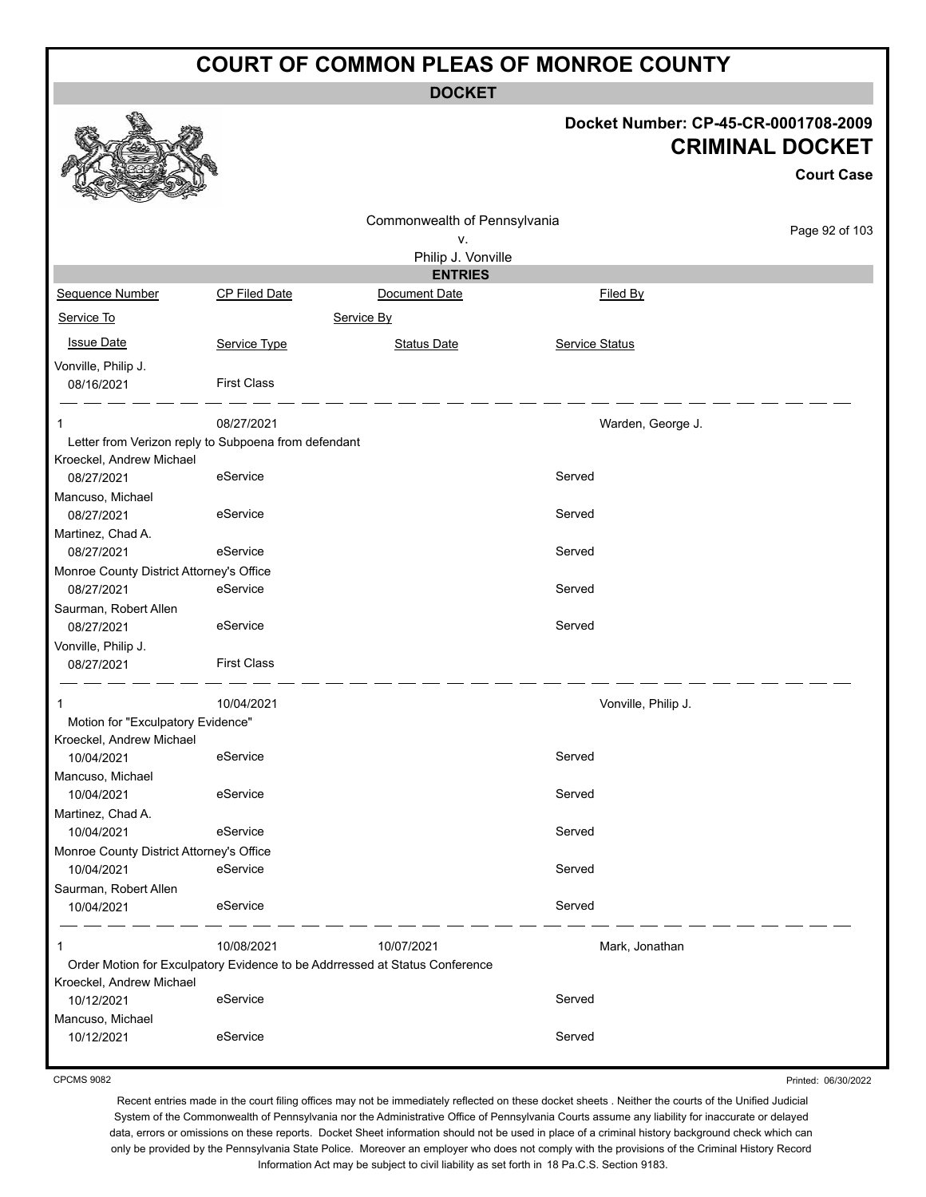**DOCKET**

| Docket Number: CP-45-CR-0001708-2009 |
|--------------------------------------|
| <b>CRIMINAL DOCKET</b>               |

**Court Case**

|                                          |                                                      |                                                                             |                     | GOUIL GASE     |
|------------------------------------------|------------------------------------------------------|-----------------------------------------------------------------------------|---------------------|----------------|
|                                          |                                                      | Commonwealth of Pennsylvania                                                |                     |                |
|                                          |                                                      | ۷.                                                                          |                     | Page 92 of 103 |
|                                          |                                                      | Philip J. Vonville                                                          |                     |                |
|                                          |                                                      | <b>ENTRIES</b>                                                              |                     |                |
| Sequence Number                          | CP Filed Date                                        | Document Date                                                               | Filed By            |                |
| Service To                               |                                                      | Service By                                                                  |                     |                |
| <b>Issue Date</b>                        | Service Type                                         | <b>Status Date</b>                                                          | Service Status      |                |
| Vonville, Philip J.                      |                                                      |                                                                             |                     |                |
| 08/16/2021                               | <b>First Class</b>                                   |                                                                             |                     |                |
|                                          | 08/27/2021                                           |                                                                             | Warden, George J.   |                |
|                                          | Letter from Verizon reply to Subpoena from defendant |                                                                             |                     |                |
| Kroeckel, Andrew Michael                 |                                                      |                                                                             |                     |                |
| 08/27/2021                               | eService                                             |                                                                             | Served              |                |
| Mancuso, Michael                         |                                                      |                                                                             |                     |                |
| 08/27/2021                               | eService                                             |                                                                             | Served              |                |
| Martinez, Chad A.                        |                                                      |                                                                             |                     |                |
| 08/27/2021                               | eService                                             |                                                                             | Served              |                |
| Monroe County District Attorney's Office |                                                      |                                                                             |                     |                |
| 08/27/2021                               | eService                                             |                                                                             | Served              |                |
| Saurman, Robert Allen                    |                                                      |                                                                             |                     |                |
| 08/27/2021                               | eService                                             |                                                                             | Served              |                |
| Vonville, Philip J.                      |                                                      |                                                                             |                     |                |
| 08/27/2021                               | <b>First Class</b>                                   |                                                                             |                     |                |
| 1                                        | 10/04/2021                                           |                                                                             | Vonville, Philip J. |                |
| Motion for "Exculpatory Evidence"        |                                                      |                                                                             |                     |                |
| Kroeckel, Andrew Michael                 |                                                      |                                                                             |                     |                |
| 10/04/2021                               | eService                                             |                                                                             | Served              |                |
| Mancuso, Michael                         |                                                      |                                                                             |                     |                |
| 10/04/2021                               | eService                                             |                                                                             | Served              |                |
| Martinez, Chad A.                        |                                                      |                                                                             |                     |                |
| 10/04/2021                               | eService                                             |                                                                             | Served              |                |
| Monroe County District Attorney's Office |                                                      |                                                                             |                     |                |
| 10/04/2021                               | eService                                             |                                                                             | Served              |                |
| Saurman, Robert Allen                    |                                                      |                                                                             |                     |                |
| 10/04/2021                               | eService                                             |                                                                             | Served              |                |
| 1                                        | 10/08/2021                                           | 10/07/2021                                                                  | Mark, Jonathan      |                |
|                                          |                                                      | Order Motion for Exculpatory Evidence to be Addrressed at Status Conference |                     |                |
| Kroeckel, Andrew Michael                 |                                                      |                                                                             |                     |                |
| 10/12/2021                               | eService                                             |                                                                             | Served              |                |
| Mancuso, Michael                         |                                                      |                                                                             |                     |                |
| 10/12/2021                               | eService                                             |                                                                             | Served              |                |
|                                          |                                                      |                                                                             |                     |                |

CPCMS 9082

Printed: 06/30/2022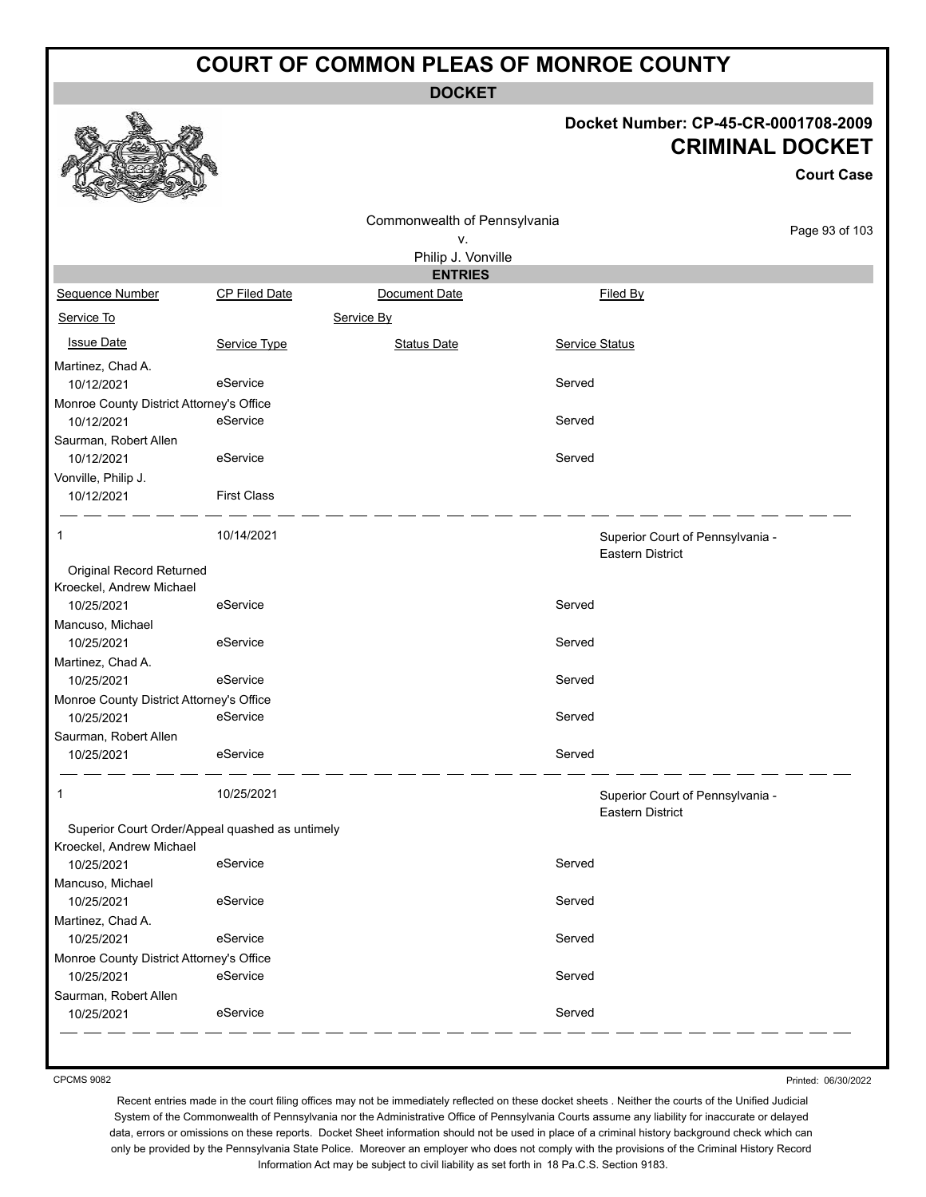**DOCKET**

#### **Docket Number: CP-45-CR-0001708-2009 CRIMINAL DOCKET**

**Court Case**

| CP Filed Date                                   | Commonwealth of Pennsylvania<br>۷.<br>Philip J. Vonville |        |          |                                                                                                                                                     |
|-------------------------------------------------|----------------------------------------------------------|--------|----------|-----------------------------------------------------------------------------------------------------------------------------------------------------|
|                                                 |                                                          |        |          |                                                                                                                                                     |
|                                                 |                                                          |        |          | Page 93 of 103                                                                                                                                      |
|                                                 |                                                          |        |          |                                                                                                                                                     |
|                                                 | <b>ENTRIES</b>                                           |        |          |                                                                                                                                                     |
|                                                 | Document Date                                            |        | Filed By |                                                                                                                                                     |
|                                                 | Service By                                               |        |          |                                                                                                                                                     |
| Service Type                                    | <b>Status Date</b>                                       |        |          |                                                                                                                                                     |
|                                                 |                                                          |        |          |                                                                                                                                                     |
| eService                                        |                                                          | Served |          |                                                                                                                                                     |
| Monroe County District Attorney's Office        |                                                          |        |          |                                                                                                                                                     |
| eService                                        |                                                          | Served |          |                                                                                                                                                     |
|                                                 |                                                          |        |          |                                                                                                                                                     |
| eService                                        |                                                          | Served |          |                                                                                                                                                     |
|                                                 |                                                          |        |          |                                                                                                                                                     |
| <b>First Class</b>                              |                                                          |        |          |                                                                                                                                                     |
| 10/14/2021                                      |                                                          |        |          |                                                                                                                                                     |
|                                                 |                                                          |        |          |                                                                                                                                                     |
|                                                 |                                                          |        |          |                                                                                                                                                     |
| eService                                        |                                                          | Served |          |                                                                                                                                                     |
|                                                 |                                                          |        |          |                                                                                                                                                     |
| eService                                        |                                                          | Served |          |                                                                                                                                                     |
|                                                 |                                                          |        |          |                                                                                                                                                     |
| eService                                        |                                                          | Served |          |                                                                                                                                                     |
| Monroe County District Attorney's Office        |                                                          |        |          |                                                                                                                                                     |
| eService                                        |                                                          | Served |          |                                                                                                                                                     |
|                                                 |                                                          |        |          |                                                                                                                                                     |
| eService                                        |                                                          | Served |          |                                                                                                                                                     |
| 10/25/2021                                      |                                                          |        |          |                                                                                                                                                     |
| Superior Court Order/Appeal quashed as untimely |                                                          |        |          |                                                                                                                                                     |
| eService                                        |                                                          | Served |          |                                                                                                                                                     |
|                                                 |                                                          |        |          |                                                                                                                                                     |
| eService                                        |                                                          | Served |          |                                                                                                                                                     |
|                                                 |                                                          |        |          |                                                                                                                                                     |
| eService                                        |                                                          | Served |          |                                                                                                                                                     |
| Monroe County District Attorney's Office        |                                                          |        |          |                                                                                                                                                     |
| eService                                        |                                                          | Served |          |                                                                                                                                                     |
|                                                 |                                                          |        |          |                                                                                                                                                     |
| eService                                        |                                                          | Served |          |                                                                                                                                                     |
|                                                 |                                                          |        |          | <b>Service Status</b><br>Superior Court of Pennsylvania -<br><b>Eastern District</b><br>Superior Court of Pennsylvania -<br><b>Eastern District</b> |

CPCMS 9082

Printed: 06/30/2022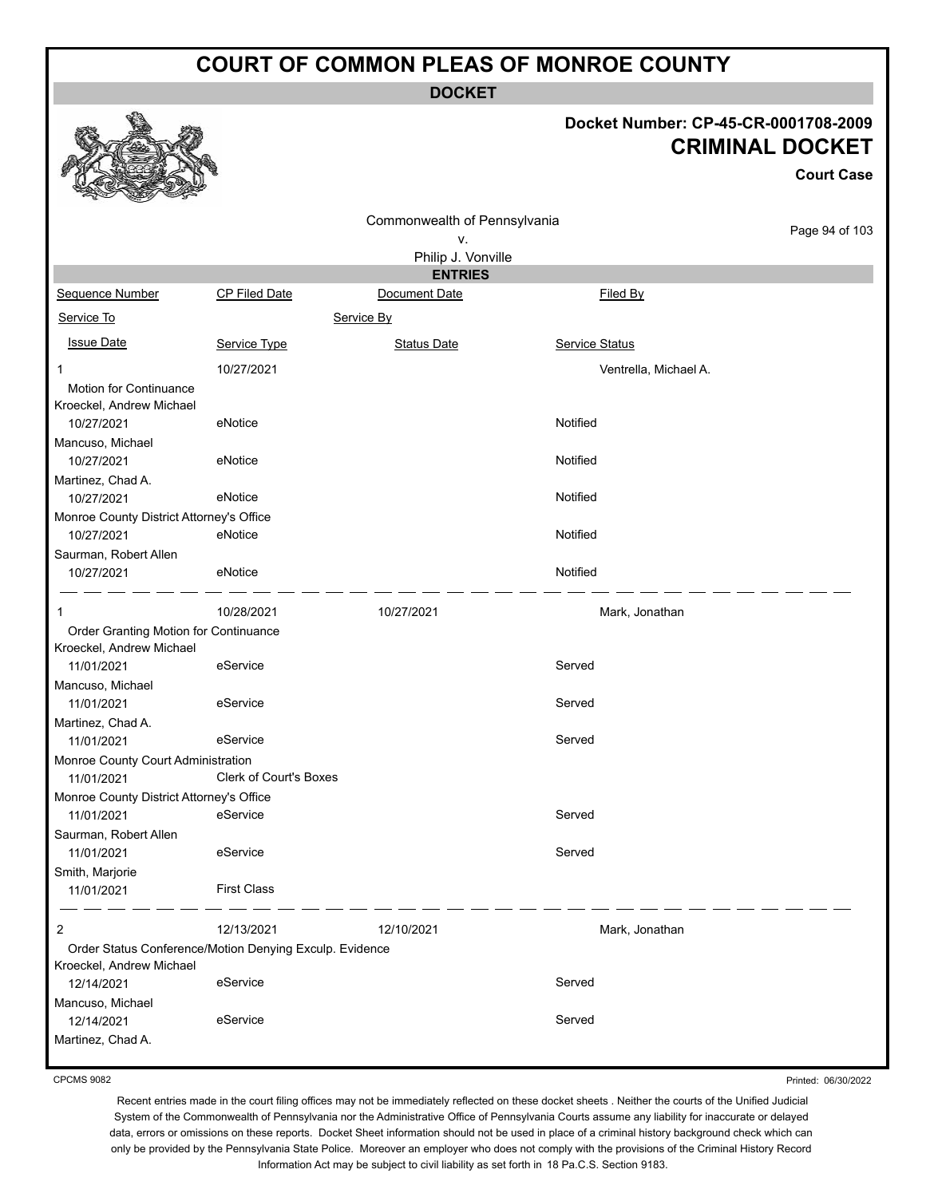**DOCKET**

#### **Docket Number: CP-45-CR-0001708-2009 CRIMINAL DOCKET**

**Court Case**

|                                                    |                                                         |                              |                       | ovun vast      |
|----------------------------------------------------|---------------------------------------------------------|------------------------------|-----------------------|----------------|
|                                                    |                                                         | Commonwealth of Pennsylvania |                       |                |
|                                                    |                                                         | ٧.                           |                       | Page 94 of 103 |
|                                                    |                                                         | Philip J. Vonville           |                       |                |
|                                                    |                                                         | <b>ENTRIES</b>               |                       |                |
| Sequence Number                                    | <b>CP Filed Date</b>                                    | Document Date                | Filed By              |                |
| Service To                                         |                                                         | Service By                   |                       |                |
| <b>Issue Date</b>                                  | Service Type                                            | <b>Status Date</b>           | Service Status        |                |
| $\mathbf 1$                                        | 10/27/2021                                              |                              | Ventrella, Michael A. |                |
| Motion for Continuance<br>Kroeckel, Andrew Michael |                                                         |                              |                       |                |
| 10/27/2021                                         | eNotice                                                 |                              | Notified              |                |
| Mancuso, Michael                                   |                                                         |                              |                       |                |
| 10/27/2021                                         | eNotice                                                 |                              | Notified              |                |
| Martinez, Chad A.                                  |                                                         |                              |                       |                |
| 10/27/2021                                         | eNotice                                                 |                              | Notified              |                |
| Monroe County District Attorney's Office           |                                                         |                              |                       |                |
| 10/27/2021                                         | eNotice                                                 |                              | Notified              |                |
| Saurman, Robert Allen                              |                                                         |                              |                       |                |
| 10/27/2021                                         | eNotice                                                 |                              | Notified              |                |
| 1                                                  | 10/28/2021                                              | 10/27/2021                   | Mark, Jonathan        |                |
| Order Granting Motion for Continuance              |                                                         |                              |                       |                |
| Kroeckel, Andrew Michael                           |                                                         |                              |                       |                |
| 11/01/2021                                         | eService                                                |                              | Served                |                |
| Mancuso, Michael                                   |                                                         |                              |                       |                |
| 11/01/2021                                         | eService                                                |                              | Served                |                |
| Martinez, Chad A.                                  |                                                         |                              |                       |                |
| 11/01/2021                                         | eService                                                |                              | Served                |                |
| Monroe County Court Administration                 |                                                         |                              |                       |                |
| 11/01/2021                                         | Clerk of Court's Boxes                                  |                              |                       |                |
| Monroe County District Attorney's Office           |                                                         |                              |                       |                |
| 11/01/2021                                         | eService                                                |                              | Served                |                |
| Saurman, Robert Allen                              |                                                         |                              |                       |                |
| 11/01/2021                                         | eService                                                |                              | Served                |                |
| Smith, Marjorie                                    |                                                         |                              |                       |                |
| 11/01/2021                                         | <b>First Class</b>                                      |                              |                       |                |
| 2                                                  | 12/13/2021                                              | 12/10/2021                   | Mark, Jonathan        |                |
|                                                    | Order Status Conference/Motion Denying Exculp. Evidence |                              |                       |                |
| Kroeckel, Andrew Michael                           |                                                         |                              |                       |                |
| 12/14/2021                                         | eService                                                |                              | Served                |                |
| Mancuso, Michael                                   |                                                         |                              |                       |                |
| 12/14/2021                                         | eService                                                |                              | Served                |                |
| Martinez, Chad A.                                  |                                                         |                              |                       |                |

CPCMS 9082

Printed: 06/30/2022

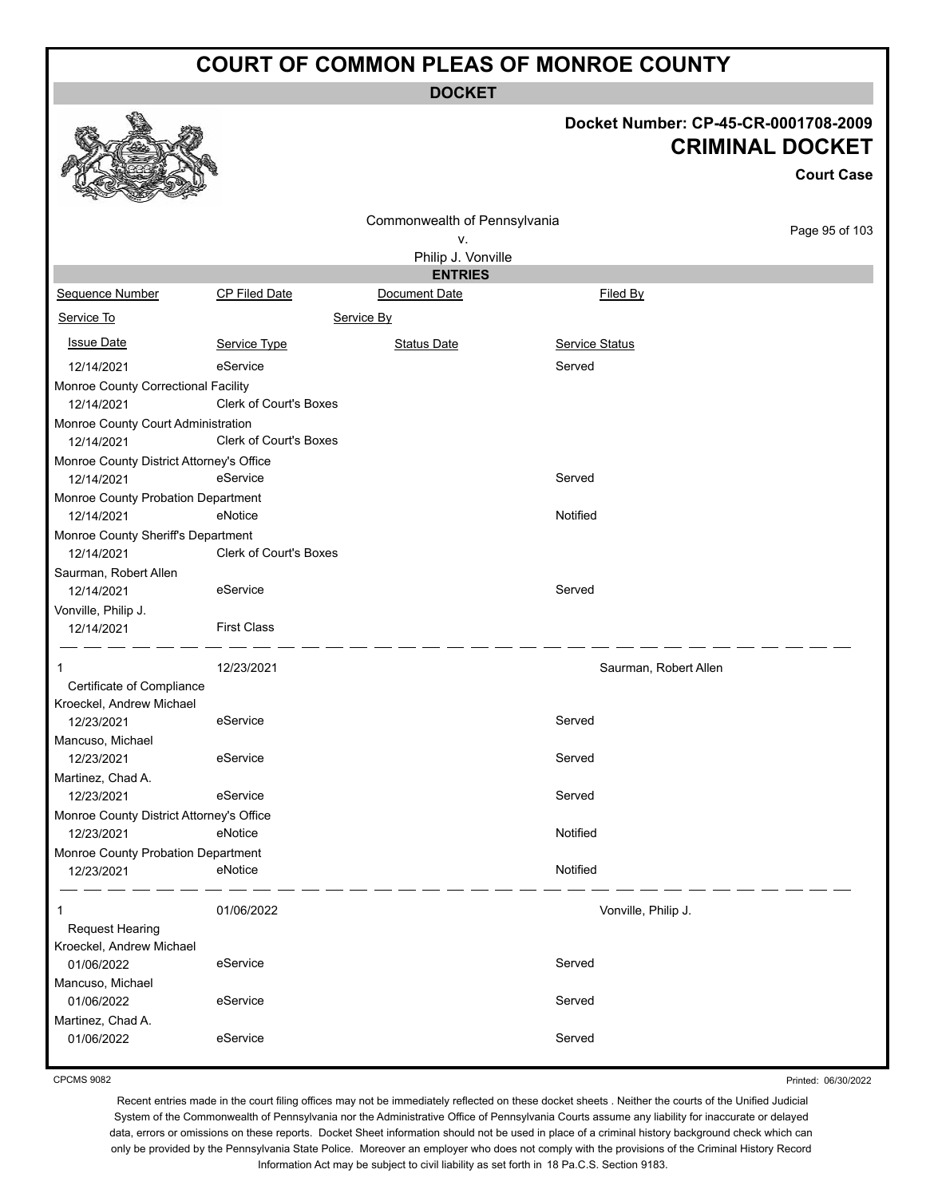**DOCKET**

# **Docket Number: CP-45-CR-0001708-2009**

|                                                  |                               |                              |                       | <b>CRIMINAL DOCKET</b><br><b>Court Case</b> |
|--------------------------------------------------|-------------------------------|------------------------------|-----------------------|---------------------------------------------|
|                                                  |                               | Commonwealth of Pennsylvania |                       |                                             |
|                                                  |                               | ۷.                           |                       | Page 95 of 103                              |
|                                                  |                               | Philip J. Vonville           |                       |                                             |
|                                                  |                               | <b>ENTRIES</b>               |                       |                                             |
| Sequence Number                                  | <b>CP Filed Date</b>          | Document Date                | Filed By              |                                             |
| Service To                                       |                               | Service By                   |                       |                                             |
| <b>Issue Date</b>                                | Service Type                  | <b>Status Date</b>           | <b>Service Status</b> |                                             |
| 12/14/2021                                       | eService                      |                              | Served                |                                             |
| Monroe County Correctional Facility              |                               |                              |                       |                                             |
| 12/14/2021                                       | <b>Clerk of Court's Boxes</b> |                              |                       |                                             |
| Monroe County Court Administration<br>12/14/2021 | <b>Clerk of Court's Boxes</b> |                              |                       |                                             |
| Monroe County District Attorney's Office         |                               |                              |                       |                                             |
| 12/14/2021                                       | eService                      |                              | Served                |                                             |
| Monroe County Probation Department<br>12/14/2021 | eNotice                       |                              | Notified              |                                             |
| Monroe County Sheriff's Department<br>12/14/2021 | Clerk of Court's Boxes        |                              |                       |                                             |
| Saurman, Robert Allen<br>12/14/2021              | eService                      |                              | Served                |                                             |
| Vonville, Philip J.<br>12/14/2021                | <b>First Class</b>            |                              |                       |                                             |
| 1                                                | 12/23/2021                    |                              | Saurman, Robert Allen |                                             |
| Certificate of Compliance                        |                               |                              |                       |                                             |
| Kroeckel, Andrew Michael                         |                               |                              |                       |                                             |
| 12/23/2021                                       | eService                      |                              | Served                |                                             |
| Mancuso, Michael<br>12/23/2021                   | eService                      |                              | Served                |                                             |
| Martinez, Chad A.                                |                               |                              |                       |                                             |
| 12/23/2021                                       | eService                      |                              | Served                |                                             |
| Monroe County District Attorney's Office         |                               |                              |                       |                                             |
| 12/23/2021                                       | eNotice                       |                              | Notified              |                                             |
| Monroe County Probation Department               |                               |                              |                       |                                             |
| 12/23/2021                                       | eNotice                       |                              | Notified              |                                             |
| 1                                                | 01/06/2022                    |                              | Vonville, Philip J.   |                                             |
| <b>Request Hearing</b>                           |                               |                              |                       |                                             |
| Kroeckel, Andrew Michael                         |                               |                              |                       |                                             |
| 01/06/2022                                       | eService                      |                              | Served                |                                             |
| Mancuso, Michael<br>01/06/2022                   | eService                      |                              | Served                |                                             |
| Martinez, Chad A.                                |                               |                              |                       |                                             |
| 01/06/2022                                       | eService                      |                              | Served                |                                             |

CPCMS 9082

 $\mathcal{P}$ 

وبابن

etha

Printed: 06/30/2022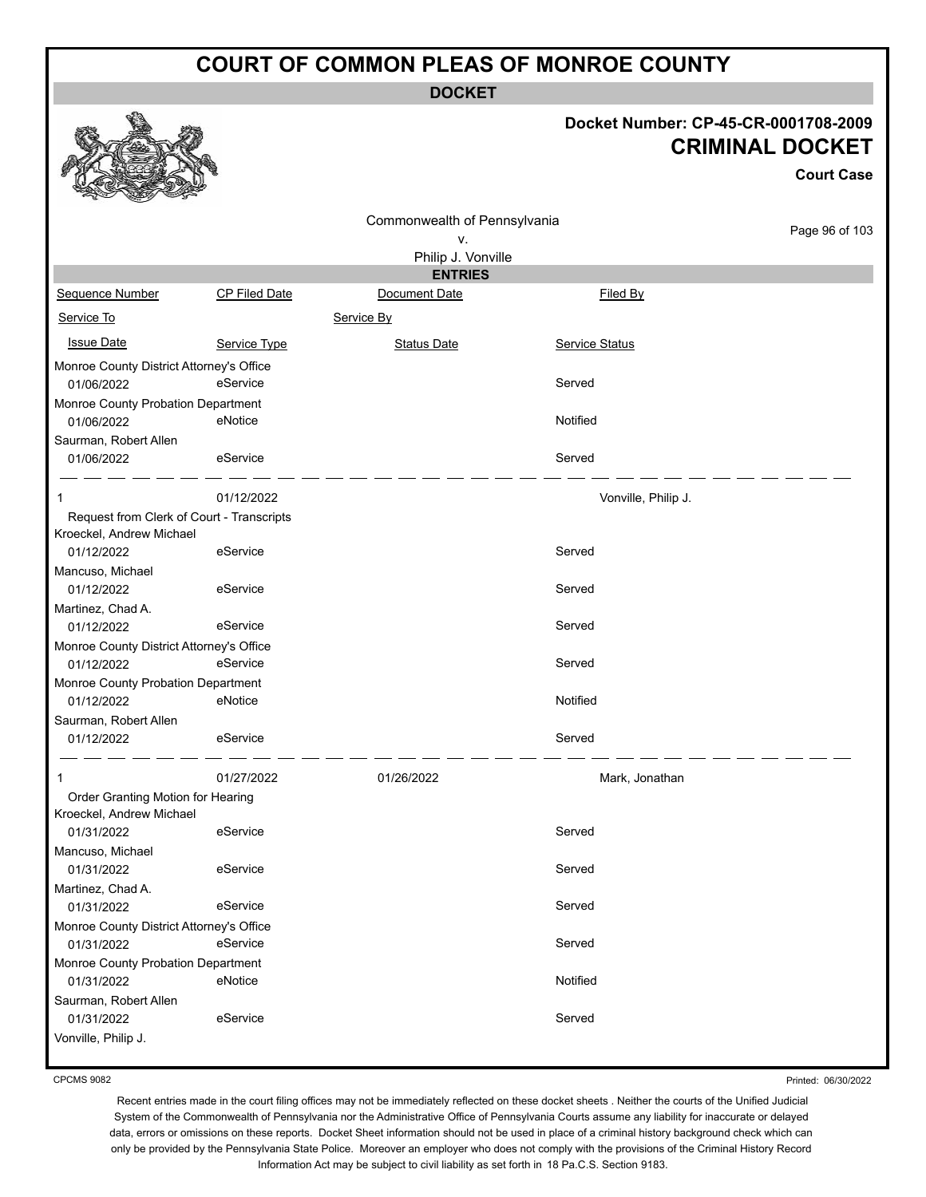**DOCKET**

#### **Docket Number: CP-45-CR-0001708-2009 CRIMINAL DOCKET**

|                                                                       |               |                              |                     | <b>CRIMINAL DOCKET</b><br><b>Court Case</b> |
|-----------------------------------------------------------------------|---------------|------------------------------|---------------------|---------------------------------------------|
|                                                                       |               | Commonwealth of Pennsylvania |                     | Page 96 of 103                              |
|                                                                       |               | ٧.                           |                     |                                             |
|                                                                       |               | Philip J. Vonville           |                     |                                             |
|                                                                       |               | <b>ENTRIES</b>               |                     |                                             |
| <b>Sequence Number</b>                                                | CP Filed Date | Document Date                | Filed By            |                                             |
| Service To                                                            |               | Service By                   |                     |                                             |
| <b>Issue Date</b>                                                     | Service Type  | <b>Status Date</b>           | Service Status      |                                             |
| Monroe County District Attorney's Office<br>01/06/2022                | eService      |                              | Served              |                                             |
| Monroe County Probation Department<br>01/06/2022                      | eNotice       |                              | Notified            |                                             |
| Saurman, Robert Allen<br>01/06/2022                                   | eService      |                              | Served              |                                             |
| 1                                                                     | 01/12/2022    |                              | Vonville, Philip J. |                                             |
| Request from Clerk of Court - Transcripts<br>Kroeckel, Andrew Michael |               |                              |                     |                                             |
| 01/12/2022                                                            | eService      |                              | Served              |                                             |
| Mancuso, Michael                                                      |               |                              |                     |                                             |
| 01/12/2022                                                            | eService      |                              | Served              |                                             |
| Martinez, Chad A.<br>01/12/2022                                       | eService      |                              | Served              |                                             |
| Monroe County District Attorney's Office                              |               |                              |                     |                                             |
| 01/12/2022                                                            | eService      |                              | Served              |                                             |
| Monroe County Probation Department                                    |               |                              |                     |                                             |
| 01/12/2022                                                            | eNotice       |                              | Notified            |                                             |
| Saurman, Robert Allen<br>01/12/2022                                   | eService      |                              | Served              |                                             |
| 1                                                                     | 01/27/2022    | 01/26/2022                   | Mark, Jonathan      |                                             |
| Order Granting Motion for Hearing<br>Kroeckel, Andrew Michael         |               |                              |                     |                                             |
| 01/31/2022                                                            | eService      |                              | Served              |                                             |
| Mancuso, Michael                                                      |               |                              |                     |                                             |
| 01/31/2022                                                            | eService      |                              | Served              |                                             |
| Martinez, Chad A.                                                     |               |                              |                     |                                             |
| 01/31/2022                                                            | eService      |                              | Served              |                                             |
| Monroe County District Attorney's Office                              |               |                              |                     |                                             |
| 01/31/2022                                                            | eService      |                              | Served              |                                             |
| Monroe County Probation Department                                    |               |                              |                     |                                             |
| 01/31/2022                                                            | eNotice       |                              | Notified            |                                             |
| Saurman, Robert Allen                                                 |               |                              |                     |                                             |
| 01/31/2022                                                            | eService      |                              | Served              |                                             |
| Vonville, Philip J.                                                   |               |                              |                     |                                             |

CPCMS 9082

 $\begin{picture}(20,20) \put(0,0){\line(1,0){155}} \put(15,0){\line(1,0){155}} \put(15,0){\line(1,0){155}} \put(15,0){\line(1,0){155}} \put(15,0){\line(1,0){155}} \put(15,0){\line(1,0){155}} \put(15,0){\line(1,0){155}} \put(15,0){\line(1,0){155}} \put(15,0){\line(1,0){155}} \put(15,0){\line(1,0){155}} \put(15,0){\line(1,0){155}} \$ 

残

燃

Printed: 06/30/2022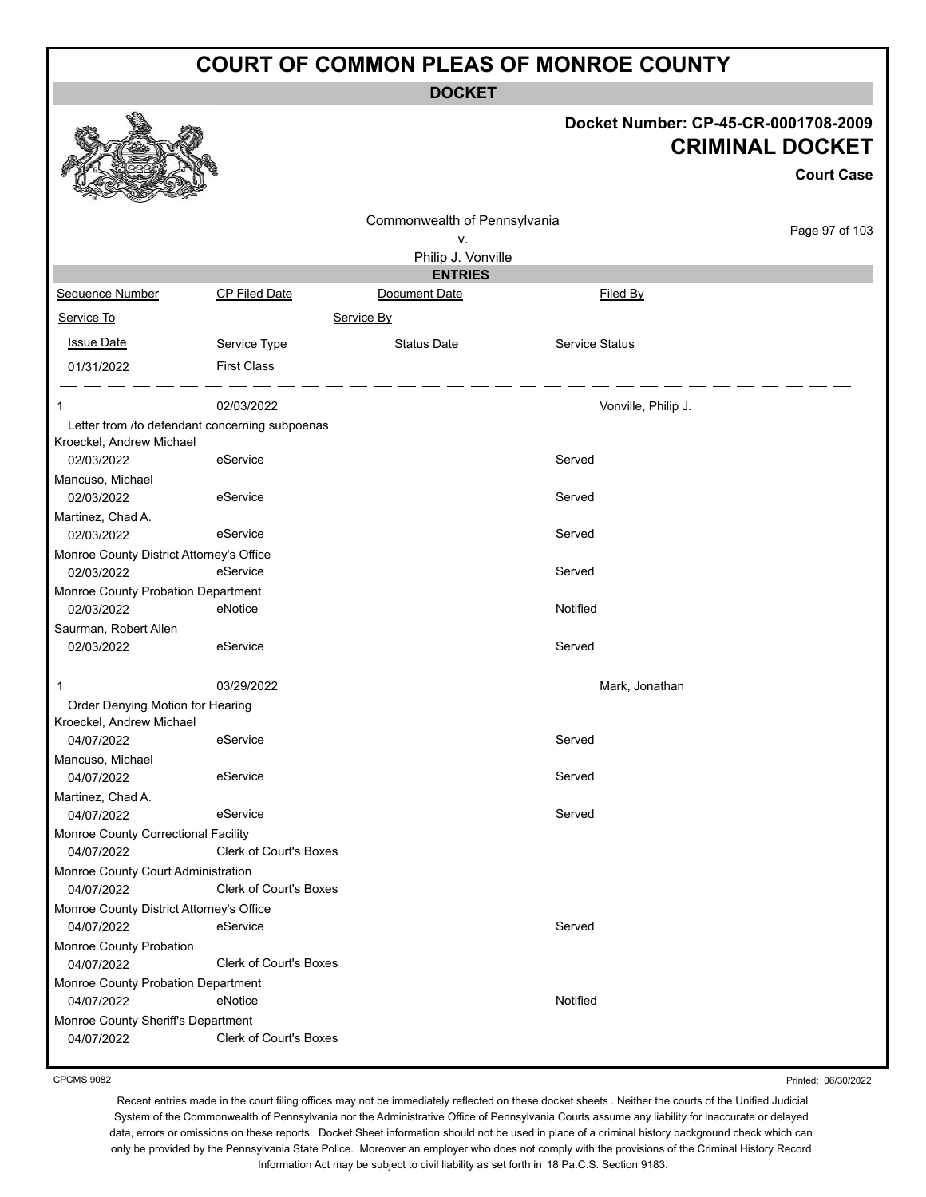**DOCKET**

#### **Docket Number: CP-45-CR-0001708-2009 CRIMINAL DOCKET**

**Court Case**

|                                                  |                               | Commonwealth of Pennsylvania |                     |                |
|--------------------------------------------------|-------------------------------|------------------------------|---------------------|----------------|
|                                                  |                               | ν.                           |                     | Page 97 of 103 |
|                                                  |                               | Philip J. Vonville           |                     |                |
|                                                  |                               | <b>ENTRIES</b>               |                     |                |
| Sequence Number                                  | CP Filed Date                 | Document Date                | Filed By            |                |
| Service To                                       |                               | Service By                   |                     |                |
| <b>Issue Date</b>                                | Service Type                  | <b>Status Date</b>           | Service Status      |                |
| 01/31/2022                                       | <b>First Class</b>            |                              |                     |                |
| 1                                                | 02/03/2022                    |                              | Vonville, Philip J. |                |
| Letter from /to defendant concerning subpoenas   |                               |                              |                     |                |
| Kroeckel, Andrew Michael                         |                               |                              |                     |                |
| 02/03/2022                                       | eService                      |                              | Served              |                |
| Mancuso, Michael                                 |                               |                              |                     |                |
| 02/03/2022                                       | eService                      |                              | Served              |                |
| Martinez, Chad A.                                |                               |                              |                     |                |
| 02/03/2022                                       | eService                      |                              | Served              |                |
| Monroe County District Attorney's Office         |                               |                              |                     |                |
| 02/03/2022                                       | eService                      |                              | Served              |                |
| Monroe County Probation Department               |                               |                              |                     |                |
| 02/03/2022                                       | eNotice                       |                              | Notified            |                |
| Saurman, Robert Allen                            |                               |                              |                     |                |
| 02/03/2022                                       | eService                      |                              | Served              |                |
| 1                                                | 03/29/2022                    |                              | Mark, Jonathan      |                |
| Order Denying Motion for Hearing                 |                               |                              |                     |                |
| Kroeckel, Andrew Michael                         |                               |                              |                     |                |
| 04/07/2022                                       | eService                      |                              | Served              |                |
| Mancuso, Michael                                 |                               |                              |                     |                |
| 04/07/2022                                       | eService                      |                              | Served              |                |
| Martinez, Chad A.                                |                               |                              |                     |                |
| 04/07/2022                                       | eService                      |                              | Served              |                |
| Monroe County Correctional Facility              |                               |                              |                     |                |
| 04/07/2022                                       | Clerk of Court's Boxes        |                              |                     |                |
| Monroe County Court Administration<br>04/07/2022 | <b>Clerk of Court's Boxes</b> |                              |                     |                |
| Monroe County District Attorney's Office         |                               |                              |                     |                |
| 04/07/2022                                       | eService                      |                              | Served              |                |
| Monroe County Probation                          |                               |                              |                     |                |
| 04/07/2022                                       | <b>Clerk of Court's Boxes</b> |                              |                     |                |
| Monroe County Probation Department               |                               |                              |                     |                |
| 04/07/2022                                       | eNotice                       |                              | Notified            |                |
| Monroe County Sheriff's Department               |                               |                              |                     |                |
| 04/07/2022                                       | <b>Clerk of Court's Boxes</b> |                              |                     |                |
|                                                  |                               |                              |                     |                |

CPCMS 9082

Printed: 06/30/2022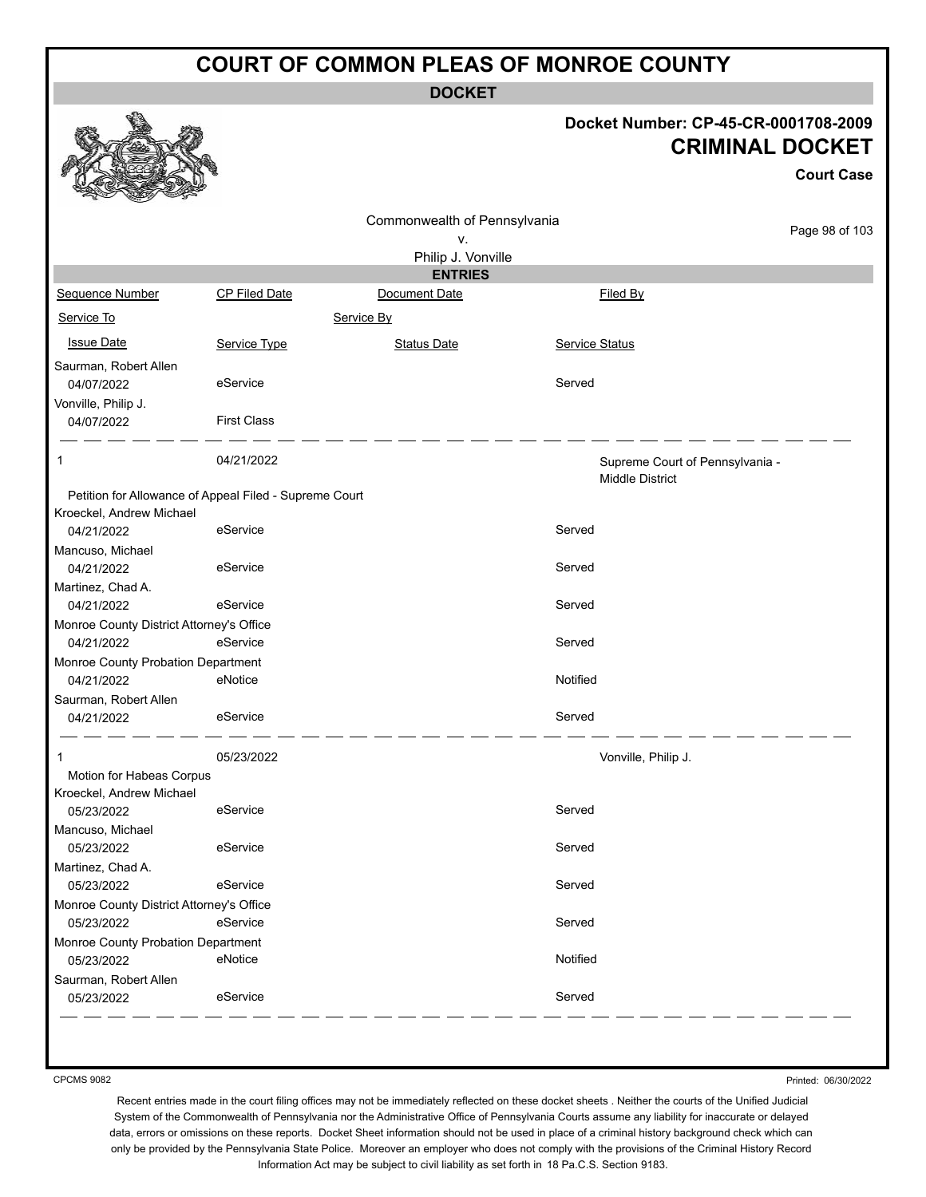**DOCKET**

#### **Docket Number: CP-45-CR-0001708-2009 CRIMINAL DOCKET**

|                                                        |                                                        |                                    |                        | <b>Court Case</b>               |
|--------------------------------------------------------|--------------------------------------------------------|------------------------------------|------------------------|---------------------------------|
|                                                        |                                                        | Commonwealth of Pennsylvania<br>٧. |                        | Page 98 of 103                  |
|                                                        |                                                        | Philip J. Vonville                 |                        |                                 |
|                                                        |                                                        | <b>ENTRIES</b>                     |                        |                                 |
| Sequence Number                                        | <b>CP Filed Date</b>                                   | Document Date                      | Filed By               |                                 |
| Service To                                             |                                                        | Service By                         |                        |                                 |
| <b>Issue Date</b>                                      | Service Type                                           | <b>Status Date</b>                 | Service Status         |                                 |
|                                                        |                                                        |                                    |                        |                                 |
| Saurman, Robert Allen<br>04/07/2022                    | eService                                               |                                    | Served                 |                                 |
| Vonville, Philip J.                                    |                                                        |                                    |                        |                                 |
| 04/07/2022                                             | <b>First Class</b>                                     |                                    |                        |                                 |
| 1                                                      | 04/21/2022                                             |                                    | <b>Middle District</b> | Supreme Court of Pennsylvania - |
|                                                        | Petition for Allowance of Appeal Filed - Supreme Court |                                    |                        |                                 |
| Kroeckel, Andrew Michael                               |                                                        |                                    |                        |                                 |
| 04/21/2022                                             | eService                                               |                                    | Served                 |                                 |
| Mancuso, Michael                                       |                                                        |                                    |                        |                                 |
| 04/21/2022                                             | eService                                               |                                    | Served                 |                                 |
| Martinez, Chad A.                                      |                                                        |                                    | Served                 |                                 |
| 04/21/2022<br>Monroe County District Attorney's Office | eService                                               |                                    |                        |                                 |
| 04/21/2022                                             | eService                                               |                                    | Served                 |                                 |
| Monroe County Probation Department                     |                                                        |                                    |                        |                                 |
| 04/21/2022                                             | eNotice                                                |                                    | Notified               |                                 |
| Saurman, Robert Allen                                  |                                                        |                                    |                        |                                 |
| 04/21/2022                                             | eService                                               |                                    | Served                 |                                 |
| 1                                                      | 05/23/2022                                             |                                    | Vonville, Philip J.    |                                 |
| Motion for Habeas Corpus                               |                                                        |                                    |                        |                                 |
| Kroeckel, Andrew Michael                               |                                                        |                                    |                        |                                 |
| 05/23/2022                                             | eService                                               |                                    | Served                 |                                 |
| Mancuso, Michael                                       |                                                        |                                    |                        |                                 |
| 05/23/2022                                             | eService                                               |                                    | Served                 |                                 |
| Martinez, Chad A.                                      |                                                        |                                    |                        |                                 |
| 05/23/2022                                             | eService                                               |                                    | Served                 |                                 |
| Monroe County District Attorney's Office<br>05/23/2022 | eService                                               |                                    | Served                 |                                 |
| Monroe County Probation Department                     |                                                        |                                    |                        |                                 |
| 05/23/2022                                             | eNotice                                                |                                    | Notified               |                                 |
| Saurman, Robert Allen                                  |                                                        |                                    |                        |                                 |
| 05/23/2022                                             | eService                                               |                                    | Served                 |                                 |

CPCMS 9082

Printed: 06/30/2022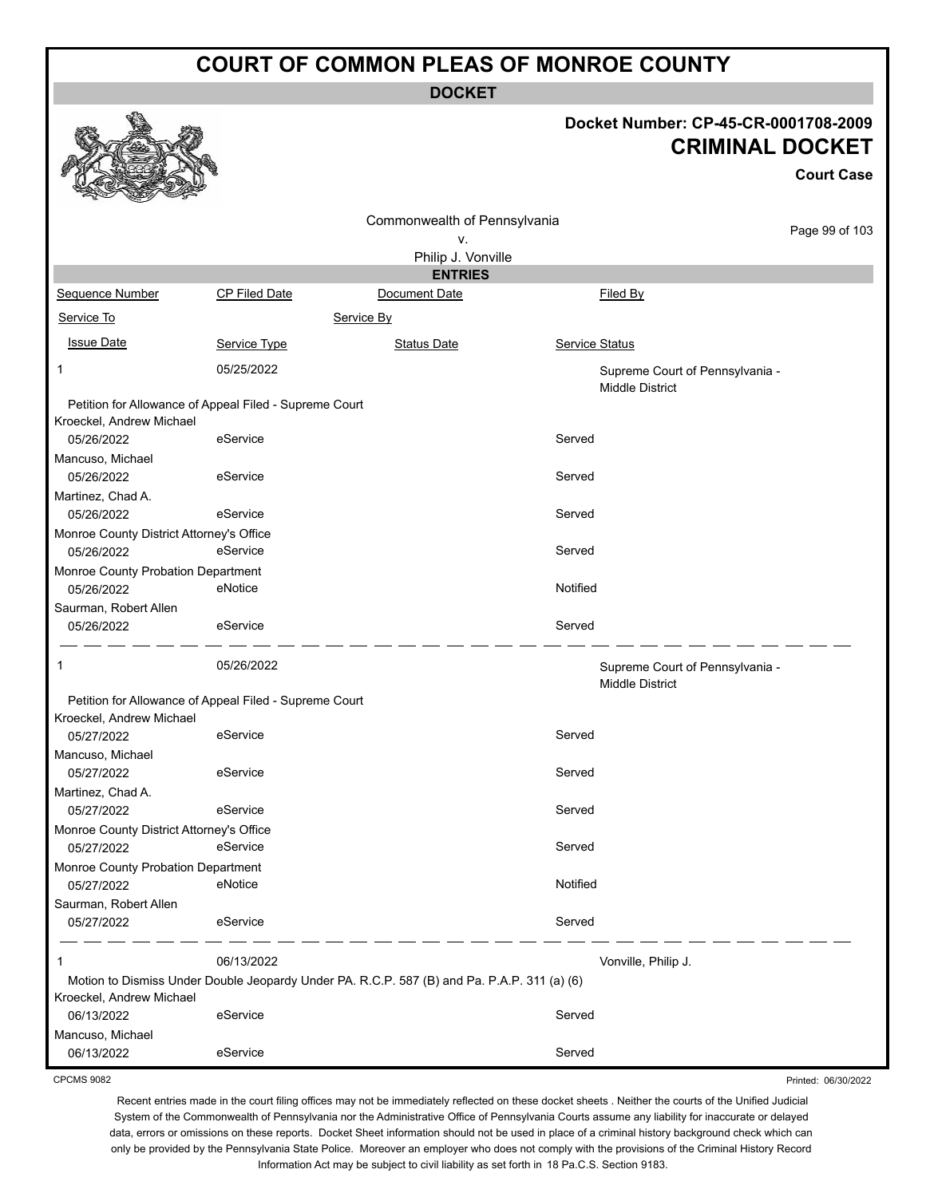**DOCKET**

#### **Docket Number: CP-45-CR-0001708-2009 CRIMINAL DOCKET**

**Court Case**

Printed: 06/30/2022

|                                                                                    |                      | Commonwealth of Pennsylvania                                                                |                                                           | Page 99 of 103 |
|------------------------------------------------------------------------------------|----------------------|---------------------------------------------------------------------------------------------|-----------------------------------------------------------|----------------|
|                                                                                    |                      | ۷.                                                                                          |                                                           |                |
|                                                                                    |                      | Philip J. Vonville                                                                          |                                                           |                |
|                                                                                    |                      | <b>ENTRIES</b>                                                                              |                                                           |                |
| Sequence Number                                                                    | <b>CP Filed Date</b> | Document Date                                                                               | Filed By                                                  |                |
| Service To                                                                         |                      | Service By                                                                                  |                                                           |                |
| <b>Issue Date</b>                                                                  | Service Type         | <b>Status Date</b>                                                                          | Service Status                                            |                |
| 1                                                                                  | 05/25/2022           |                                                                                             | Supreme Court of Pennsylvania -<br><b>Middle District</b> |                |
| Petition for Allowance of Appeal Filed - Supreme Court<br>Kroeckel, Andrew Michael |                      |                                                                                             |                                                           |                |
| 05/26/2022                                                                         | eService             |                                                                                             | Served                                                    |                |
| Mancuso, Michael                                                                   |                      |                                                                                             |                                                           |                |
| 05/26/2022                                                                         | eService             |                                                                                             | Served                                                    |                |
| Martinez, Chad A.                                                                  |                      |                                                                                             |                                                           |                |
| 05/26/2022                                                                         | eService             |                                                                                             | Served                                                    |                |
| Monroe County District Attorney's Office<br>05/26/2022                             | eService             |                                                                                             | Served                                                    |                |
| Monroe County Probation Department                                                 |                      |                                                                                             |                                                           |                |
| 05/26/2022                                                                         | eNotice              |                                                                                             | Notified                                                  |                |
| Saurman, Robert Allen                                                              |                      |                                                                                             |                                                           |                |
| 05/26/2022                                                                         | eService             |                                                                                             | Served                                                    |                |
| 1                                                                                  | 05/26/2022           |                                                                                             | Supreme Court of Pennsylvania -<br><b>Middle District</b> |                |
| Petition for Allowance of Appeal Filed - Supreme Court                             |                      |                                                                                             |                                                           |                |
| Kroeckel, Andrew Michael                                                           |                      |                                                                                             |                                                           |                |
| 05/27/2022                                                                         | eService             |                                                                                             | Served                                                    |                |
| Mancuso, Michael                                                                   |                      |                                                                                             |                                                           |                |
| 05/27/2022                                                                         | eService             |                                                                                             | Served                                                    |                |
| Martinez, Chad A.                                                                  |                      |                                                                                             |                                                           |                |
| 05/27/2022                                                                         | eService             |                                                                                             | Served                                                    |                |
| Monroe County District Attorney's Office                                           |                      |                                                                                             |                                                           |                |
| 05/27/2022                                                                         | eService             |                                                                                             | Served                                                    |                |
| Monroe County Probation Department<br>05/27/2022                                   | eNotice              |                                                                                             | Notified                                                  |                |
| Saurman, Robert Allen                                                              |                      |                                                                                             |                                                           |                |
| 05/27/2022                                                                         | eService             |                                                                                             | Served                                                    |                |
| 1                                                                                  | 06/13/2022           |                                                                                             | Vonville, Philip J.                                       |                |
|                                                                                    |                      | Motion to Dismiss Under Double Jeopardy Under PA. R.C.P. 587 (B) and Pa. P.A.P. 311 (a) (6) |                                                           |                |
| Kroeckel, Andrew Michael                                                           |                      |                                                                                             |                                                           |                |
| 06/13/2022                                                                         | eService             |                                                                                             | Served                                                    |                |
| Mancuso, Michael                                                                   |                      |                                                                                             |                                                           |                |
| 06/13/2022                                                                         | eService             |                                                                                             | Served                                                    |                |

CPCMS 9082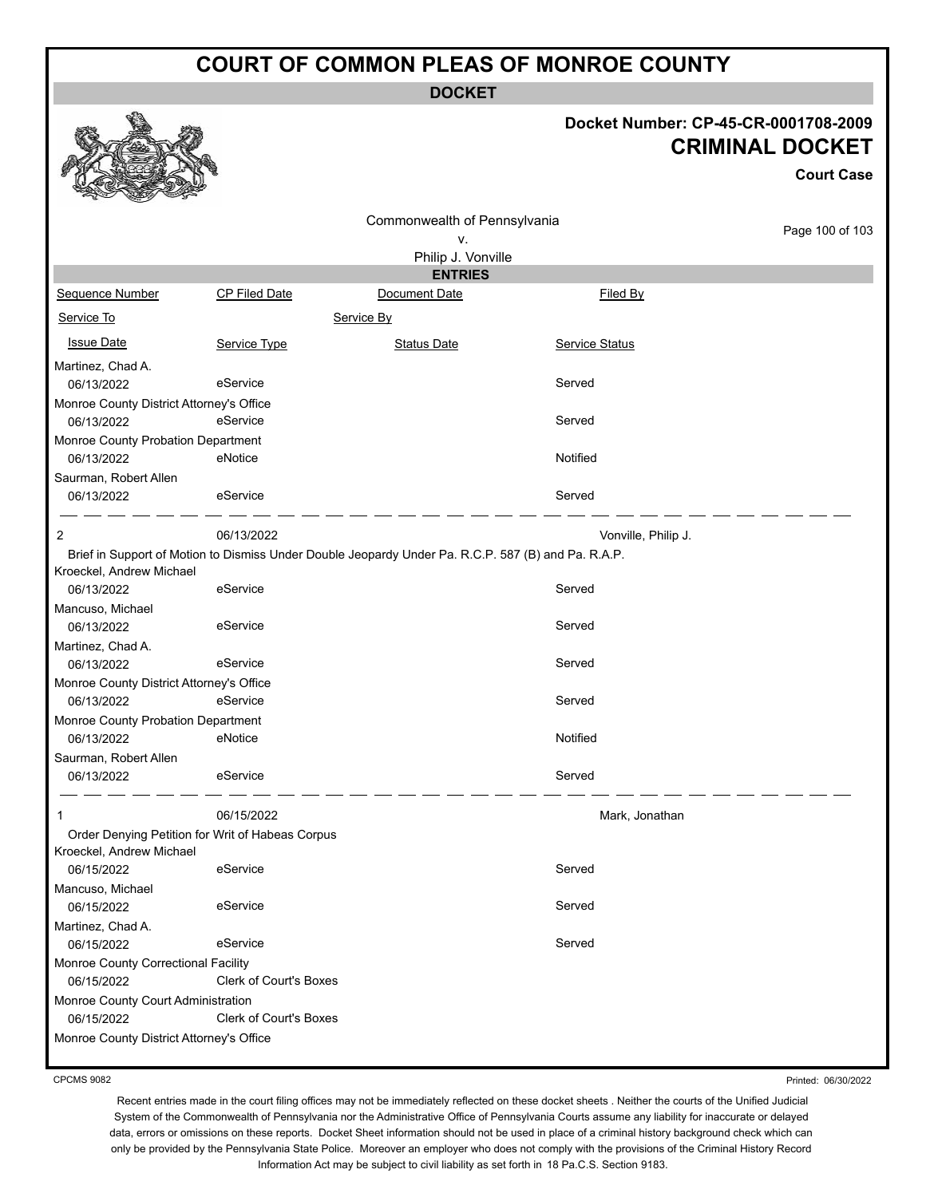**DOCKET**

#### **Docket Number: CP-45-CR-0001708-2009 CRIMINAL DOCKET**

**Court Case**

|                                          |                                                  | Commonwealth of Pennsylvania                                                                        |                     |                 |
|------------------------------------------|--------------------------------------------------|-----------------------------------------------------------------------------------------------------|---------------------|-----------------|
|                                          |                                                  | ٧.                                                                                                  |                     | Page 100 of 103 |
|                                          |                                                  | Philip J. Vonville                                                                                  |                     |                 |
|                                          |                                                  | <b>ENTRIES</b>                                                                                      |                     |                 |
| Sequence Number                          | <b>CP Filed Date</b>                             | Document Date                                                                                       | Filed By            |                 |
| Service To                               |                                                  | Service By                                                                                          |                     |                 |
| <b>Issue Date</b>                        | Service Type                                     | <b>Status Date</b>                                                                                  | Service Status      |                 |
| Martinez, Chad A.                        |                                                  |                                                                                                     |                     |                 |
| 06/13/2022                               | eService                                         |                                                                                                     | Served              |                 |
| Monroe County District Attorney's Office |                                                  |                                                                                                     |                     |                 |
| 06/13/2022                               | eService                                         |                                                                                                     | Served              |                 |
| Monroe County Probation Department       |                                                  |                                                                                                     |                     |                 |
| 06/13/2022                               | eNotice                                          |                                                                                                     | Notified            |                 |
| Saurman, Robert Allen                    |                                                  |                                                                                                     |                     |                 |
| 06/13/2022                               | eService                                         |                                                                                                     | Served              |                 |
| 2                                        | 06/13/2022                                       |                                                                                                     | Vonville, Philip J. |                 |
|                                          |                                                  | Brief in Support of Motion to Dismiss Under Double Jeopardy Under Pa. R.C.P. 587 (B) and Pa. R.A.P. |                     |                 |
| Kroeckel, Andrew Michael                 |                                                  |                                                                                                     |                     |                 |
| 06/13/2022                               | eService                                         |                                                                                                     | Served              |                 |
| Mancuso, Michael                         |                                                  |                                                                                                     |                     |                 |
| 06/13/2022                               | eService                                         |                                                                                                     | Served              |                 |
| Martinez, Chad A.                        |                                                  |                                                                                                     |                     |                 |
| 06/13/2022                               | eService                                         |                                                                                                     | Served              |                 |
| Monroe County District Attorney's Office |                                                  |                                                                                                     |                     |                 |
| 06/13/2022                               | eService                                         |                                                                                                     | Served              |                 |
| Monroe County Probation Department       |                                                  |                                                                                                     |                     |                 |
| 06/13/2022                               | eNotice                                          |                                                                                                     | Notified            |                 |
| Saurman, Robert Allen                    |                                                  |                                                                                                     |                     |                 |
| 06/13/2022                               | eService                                         |                                                                                                     | Served              |                 |
| 1                                        | 06/15/2022                                       |                                                                                                     | Mark, Jonathan      |                 |
|                                          | Order Denying Petition for Writ of Habeas Corpus |                                                                                                     |                     |                 |
| Kroeckel, Andrew Michael                 |                                                  |                                                                                                     |                     |                 |
| 06/15/2022                               | eService                                         |                                                                                                     | Served              |                 |
| Mancuso, Michael                         |                                                  |                                                                                                     |                     |                 |
| 06/15/2022                               | eService                                         |                                                                                                     | Served              |                 |
| Martinez, Chad A.                        |                                                  |                                                                                                     |                     |                 |
| 06/15/2022                               | eService                                         |                                                                                                     | Served              |                 |
| Monroe County Correctional Facility      |                                                  |                                                                                                     |                     |                 |
| 06/15/2022                               | Clerk of Court's Boxes                           |                                                                                                     |                     |                 |
| Monroe County Court Administration       |                                                  |                                                                                                     |                     |                 |
| 06/15/2022                               | <b>Clerk of Court's Boxes</b>                    |                                                                                                     |                     |                 |
| Monroe County District Attorney's Office |                                                  |                                                                                                     |                     |                 |
|                                          |                                                  |                                                                                                     |                     |                 |

CPCMS 9082

Printed: 06/30/2022

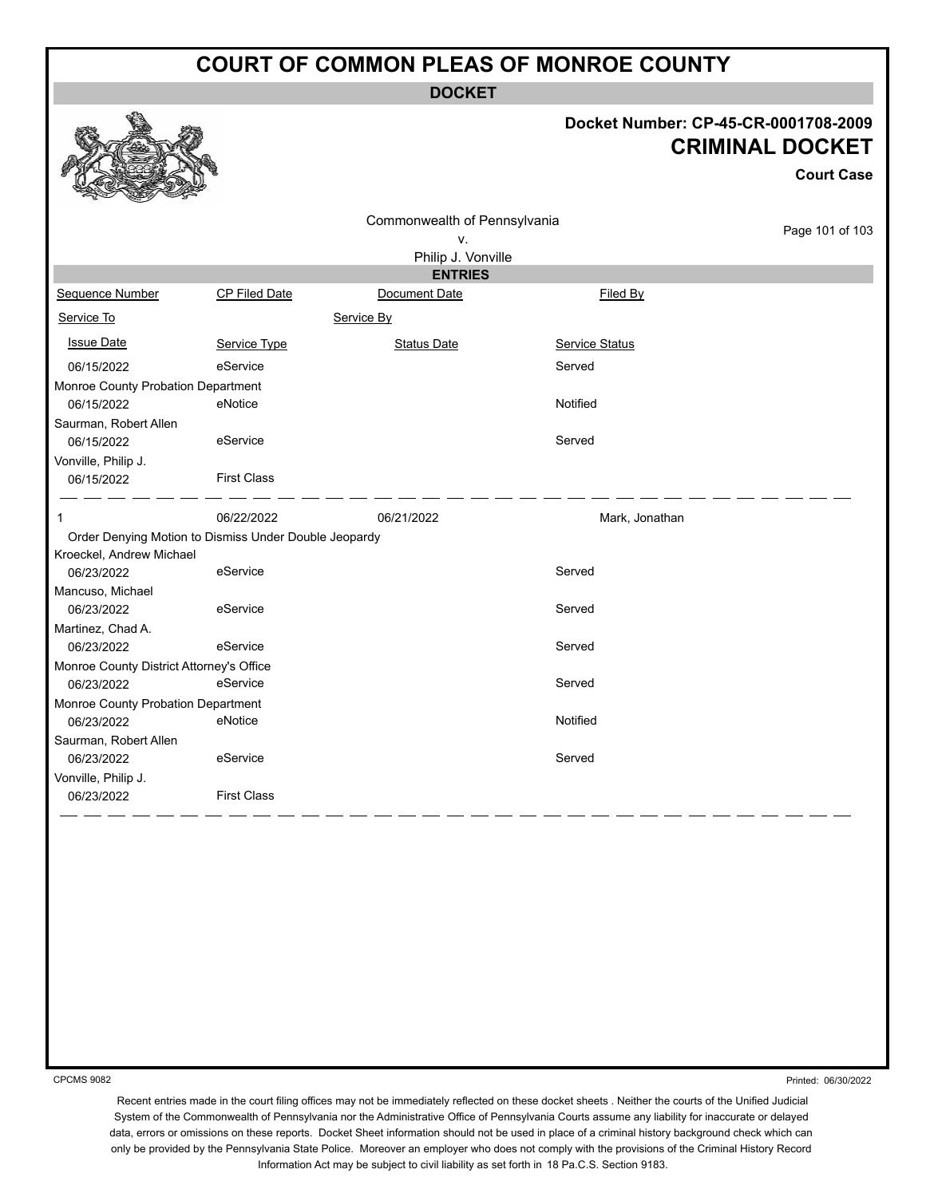**DOCKET**

#### **Docket Number: CP-45-CR-0001708-2009 CRIMINAL DOCKET**

**Court Case**

| v.<br>Philip J. Vonville<br><b>ENTRIES</b><br>CP Filed Date<br>Filed By<br>Sequence Number<br>Document Date<br>Service To<br>Service By<br><b>Issue Date</b><br>Service Type<br><b>Status Date</b><br>Service Status<br>eService<br>Served<br>06/15/2022<br>Monroe County Probation Department<br>Notified<br>eNotice<br>06/15/2022<br>Served<br>06/15/2022<br>eService<br><b>First Class</b><br>06/15/2022<br>06/22/2022<br>06/21/2022<br>Mark, Jonathan<br>1<br>Order Denying Motion to Dismiss Under Double Jeopardy<br>Kroeckel, Andrew Michael<br>Served<br>eService<br>06/23/2022<br>06/23/2022<br>eService<br>Served<br>Served<br>06/23/2022<br>eService<br>Monroe County District Attorney's Office<br>Served<br>eService<br>06/23/2022<br>Monroe County Probation Department<br>Notified<br>06/23/2022<br>eNotice<br>eService<br>Served<br>06/23/2022<br><b>First Class</b><br>06/23/2022 |                       | Commonwealth of Pennsylvania |                 |
|----------------------------------------------------------------------------------------------------------------------------------------------------------------------------------------------------------------------------------------------------------------------------------------------------------------------------------------------------------------------------------------------------------------------------------------------------------------------------------------------------------------------------------------------------------------------------------------------------------------------------------------------------------------------------------------------------------------------------------------------------------------------------------------------------------------------------------------------------------------------------------------------------|-----------------------|------------------------------|-----------------|
|                                                                                                                                                                                                                                                                                                                                                                                                                                                                                                                                                                                                                                                                                                                                                                                                                                                                                                    |                       |                              | Page 101 of 103 |
|                                                                                                                                                                                                                                                                                                                                                                                                                                                                                                                                                                                                                                                                                                                                                                                                                                                                                                    |                       |                              |                 |
|                                                                                                                                                                                                                                                                                                                                                                                                                                                                                                                                                                                                                                                                                                                                                                                                                                                                                                    |                       |                              |                 |
|                                                                                                                                                                                                                                                                                                                                                                                                                                                                                                                                                                                                                                                                                                                                                                                                                                                                                                    |                       |                              |                 |
|                                                                                                                                                                                                                                                                                                                                                                                                                                                                                                                                                                                                                                                                                                                                                                                                                                                                                                    |                       |                              |                 |
|                                                                                                                                                                                                                                                                                                                                                                                                                                                                                                                                                                                                                                                                                                                                                                                                                                                                                                    |                       |                              |                 |
|                                                                                                                                                                                                                                                                                                                                                                                                                                                                                                                                                                                                                                                                                                                                                                                                                                                                                                    |                       |                              |                 |
|                                                                                                                                                                                                                                                                                                                                                                                                                                                                                                                                                                                                                                                                                                                                                                                                                                                                                                    |                       |                              |                 |
|                                                                                                                                                                                                                                                                                                                                                                                                                                                                                                                                                                                                                                                                                                                                                                                                                                                                                                    |                       |                              |                 |
|                                                                                                                                                                                                                                                                                                                                                                                                                                                                                                                                                                                                                                                                                                                                                                                                                                                                                                    | Saurman, Robert Allen |                              |                 |
|                                                                                                                                                                                                                                                                                                                                                                                                                                                                                                                                                                                                                                                                                                                                                                                                                                                                                                    |                       |                              |                 |
|                                                                                                                                                                                                                                                                                                                                                                                                                                                                                                                                                                                                                                                                                                                                                                                                                                                                                                    | Vonville, Philip J.   |                              |                 |
|                                                                                                                                                                                                                                                                                                                                                                                                                                                                                                                                                                                                                                                                                                                                                                                                                                                                                                    |                       |                              |                 |
|                                                                                                                                                                                                                                                                                                                                                                                                                                                                                                                                                                                                                                                                                                                                                                                                                                                                                                    |                       |                              |                 |
|                                                                                                                                                                                                                                                                                                                                                                                                                                                                                                                                                                                                                                                                                                                                                                                                                                                                                                    |                       |                              |                 |
|                                                                                                                                                                                                                                                                                                                                                                                                                                                                                                                                                                                                                                                                                                                                                                                                                                                                                                    |                       |                              |                 |
|                                                                                                                                                                                                                                                                                                                                                                                                                                                                                                                                                                                                                                                                                                                                                                                                                                                                                                    |                       |                              |                 |
|                                                                                                                                                                                                                                                                                                                                                                                                                                                                                                                                                                                                                                                                                                                                                                                                                                                                                                    | Mancuso, Michael      |                              |                 |
|                                                                                                                                                                                                                                                                                                                                                                                                                                                                                                                                                                                                                                                                                                                                                                                                                                                                                                    |                       |                              |                 |
|                                                                                                                                                                                                                                                                                                                                                                                                                                                                                                                                                                                                                                                                                                                                                                                                                                                                                                    | Martinez, Chad A.     |                              |                 |
|                                                                                                                                                                                                                                                                                                                                                                                                                                                                                                                                                                                                                                                                                                                                                                                                                                                                                                    |                       |                              |                 |
|                                                                                                                                                                                                                                                                                                                                                                                                                                                                                                                                                                                                                                                                                                                                                                                                                                                                                                    |                       |                              |                 |
|                                                                                                                                                                                                                                                                                                                                                                                                                                                                                                                                                                                                                                                                                                                                                                                                                                                                                                    |                       |                              |                 |
|                                                                                                                                                                                                                                                                                                                                                                                                                                                                                                                                                                                                                                                                                                                                                                                                                                                                                                    |                       |                              |                 |
|                                                                                                                                                                                                                                                                                                                                                                                                                                                                                                                                                                                                                                                                                                                                                                                                                                                                                                    |                       |                              |                 |
|                                                                                                                                                                                                                                                                                                                                                                                                                                                                                                                                                                                                                                                                                                                                                                                                                                                                                                    | Saurman, Robert Allen |                              |                 |
|                                                                                                                                                                                                                                                                                                                                                                                                                                                                                                                                                                                                                                                                                                                                                                                                                                                                                                    |                       |                              |                 |
|                                                                                                                                                                                                                                                                                                                                                                                                                                                                                                                                                                                                                                                                                                                                                                                                                                                                                                    | Vonville, Philip J.   |                              |                 |
|                                                                                                                                                                                                                                                                                                                                                                                                                                                                                                                                                                                                                                                                                                                                                                                                                                                                                                    |                       |                              |                 |

CPCMS 9082

Printed: 06/30/2022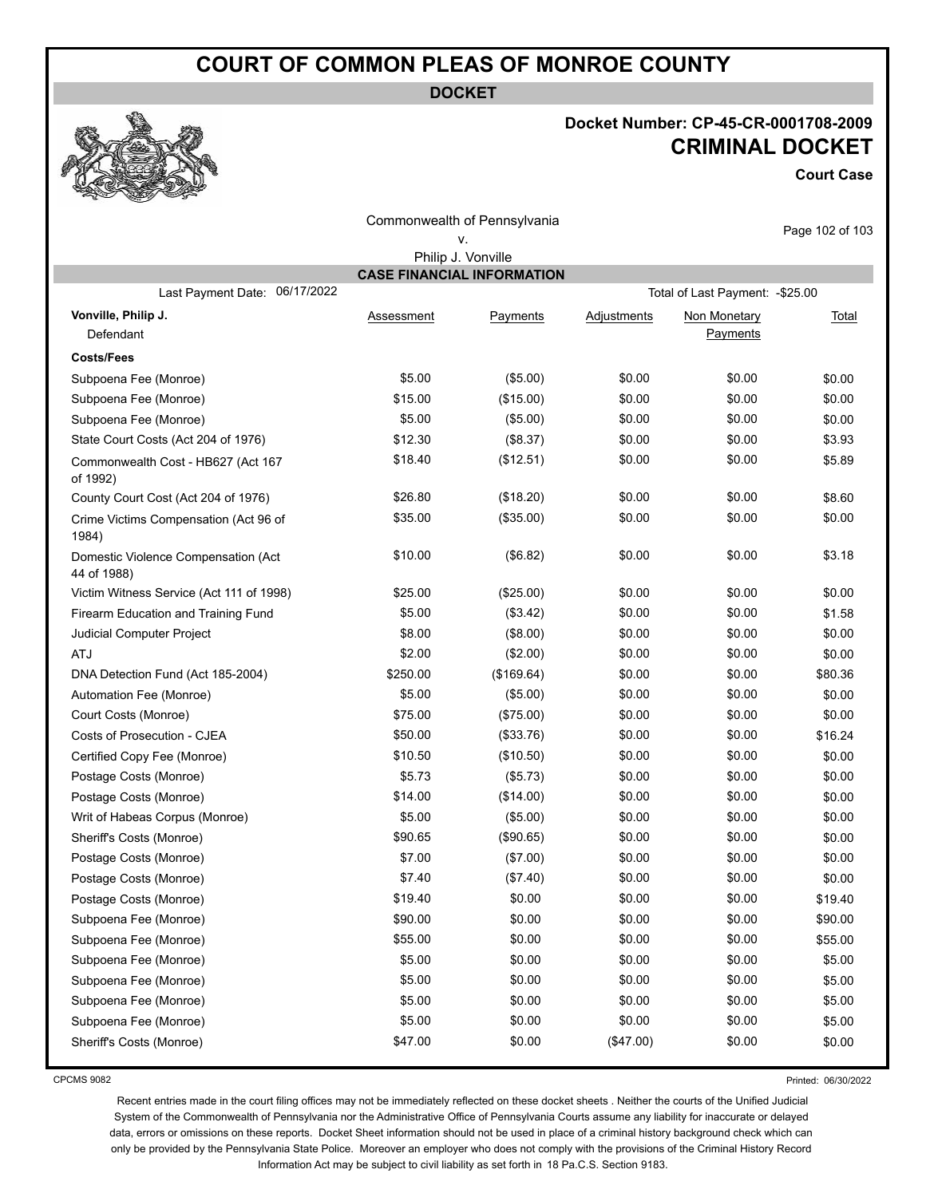**DOCKET**

#### **Docket Number: CP-45-CR-0001708-2009 CRIMINAL DOCKET**

**Court Case**

|                                                    |                                   | Commonwealth of Pennsylvania |             |                                  | Page 102 of 103 |
|----------------------------------------------------|-----------------------------------|------------------------------|-------------|----------------------------------|-----------------|
|                                                    |                                   | ٧.                           |             |                                  |                 |
|                                                    |                                   | Philip J. Vonville           |             |                                  |                 |
| 06/17/2022                                         | <b>CASE FINANCIAL INFORMATION</b> |                              |             |                                  |                 |
| Last Payment Date:                                 |                                   |                              |             | Total of Last Payment: - \$25.00 |                 |
| Vonville, Philip J.                                | Assessment                        | Payments                     | Adjustments | Non Monetary                     | <u>Total</u>    |
| Defendant                                          |                                   |                              |             | Payments                         |                 |
| <b>Costs/Fees</b>                                  |                                   |                              |             |                                  |                 |
| Subpoena Fee (Monroe)                              | \$5.00                            | (\$5.00)                     | \$0.00      | \$0.00                           | \$0.00          |
| Subpoena Fee (Monroe)                              | \$15.00                           | (\$15.00)                    | \$0.00      | \$0.00                           | \$0.00          |
| Subpoena Fee (Monroe)                              | \$5.00                            | (\$5.00)                     | \$0.00      | \$0.00                           | \$0.00          |
| State Court Costs (Act 204 of 1976)                | \$12.30                           | (\$8.37)                     | \$0.00      | \$0.00                           | \$3.93          |
| Commonwealth Cost - HB627 (Act 167<br>of 1992)     | \$18.40                           | (\$12.51)                    | \$0.00      | \$0.00                           | \$5.89          |
| County Court Cost (Act 204 of 1976)                | \$26.80                           | (\$18.20)                    | \$0.00      | \$0.00                           | \$8.60          |
| Crime Victims Compensation (Act 96 of<br>1984)     | \$35.00                           | (\$35.00)                    | \$0.00      | \$0.00                           | \$0.00          |
| Domestic Violence Compensation (Act<br>44 of 1988) | \$10.00                           | (\$6.82)                     | \$0.00      | \$0.00                           | \$3.18          |
| Victim Witness Service (Act 111 of 1998)           | \$25.00                           | (\$25.00)                    | \$0.00      | \$0.00                           | \$0.00          |
| Firearm Education and Training Fund                | \$5.00                            | (\$3.42)                     | \$0.00      | \$0.00                           | \$1.58          |
| Judicial Computer Project                          | \$8.00                            | (\$8.00)                     | \$0.00      | \$0.00                           | \$0.00          |
| <b>ATJ</b>                                         | \$2.00                            | (\$2.00)                     | \$0.00      | \$0.00                           | \$0.00          |
| DNA Detection Fund (Act 185-2004)                  | \$250.00                          | (\$169.64)                   | \$0.00      | \$0.00                           | \$80.36         |
| Automation Fee (Monroe)                            | \$5.00                            | (\$5.00)                     | \$0.00      | \$0.00                           | \$0.00          |
| Court Costs (Monroe)                               | \$75.00                           | (\$75.00)                    | \$0.00      | \$0.00                           | \$0.00          |
| Costs of Prosecution - CJEA                        | \$50.00                           | (\$33.76)                    | \$0.00      | \$0.00                           | \$16.24         |
| Certified Copy Fee (Monroe)                        | \$10.50                           | (\$10.50)                    | \$0.00      | \$0.00                           | \$0.00          |
| Postage Costs (Monroe)                             | \$5.73                            | (\$5.73)                     | \$0.00      | \$0.00                           | \$0.00          |
| Postage Costs (Monroe)                             | \$14.00                           | (\$14.00)                    | \$0.00      | \$0.00                           | \$0.00          |
| Writ of Habeas Corpus (Monroe)                     | \$5.00                            | (\$5.00)                     | \$0.00      | \$0.00                           | \$0.00          |
| Sheriff's Costs (Monroe)                           | \$90.65                           | (\$90.65)                    | \$0.00      | \$0.00                           | \$0.00          |
| Postage Costs (Monroe)                             | \$7.00                            | (\$7.00)                     | \$0.00      | \$0.00                           | \$0.00          |
| Postage Costs (Monroe)                             | \$7.40                            | (\$7.40)                     | \$0.00      | \$0.00                           | \$0.00          |
| Postage Costs (Monroe)                             | \$19.40                           | \$0.00                       | \$0.00      | \$0.00                           | \$19.40         |
| Subpoena Fee (Monroe)                              | \$90.00                           | \$0.00                       | \$0.00      | \$0.00                           | \$90.00         |
| Subpoena Fee (Monroe)                              | \$55.00                           | \$0.00                       | \$0.00      | \$0.00                           | \$55.00         |
| Subpoena Fee (Monroe)                              | \$5.00                            | \$0.00                       | \$0.00      | \$0.00                           | \$5.00          |
| Subpoena Fee (Monroe)                              | \$5.00                            | \$0.00                       | \$0.00      | \$0.00                           | \$5.00          |
| Subpoena Fee (Monroe)                              | \$5.00                            | \$0.00                       | \$0.00      | \$0.00                           | \$5.00          |
| Subpoena Fee (Monroe)                              | \$5.00                            | \$0.00                       | \$0.00      | \$0.00                           | \$5.00          |
| Sheriff's Costs (Monroe)                           | \$47.00                           | \$0.00                       | (\$47.00)   | \$0.00                           | \$0.00          |

CPCMS 9082

Printed: 06/30/2022